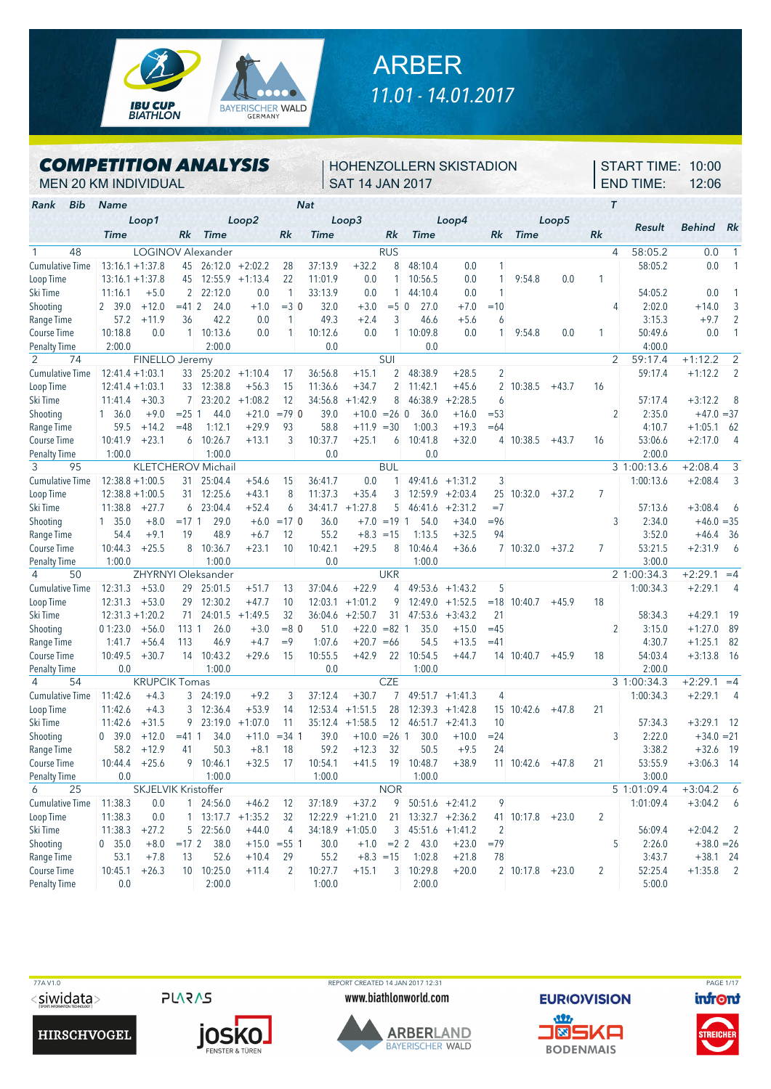

## ARBER *11.01 - 14.01.2017*

## *COMPETITION ANALYSIS*

## HOHENZOLLERN SKISTADION SAT 14 JAN 2017

START TIME: 10:00 END TIME: 12:06

MEN 20 KM INDIVIDUAL

| Bib<br>Rank            | <b>Name</b>        |                            |                |                           |           |                | <b>Nat</b>  |                   |               |                      |                   |                |                         |         |                | T                         |              |                |
|------------------------|--------------------|----------------------------|----------------|---------------------------|-----------|----------------|-------------|-------------------|---------------|----------------------|-------------------|----------------|-------------------------|---------|----------------|---------------------------|--------------|----------------|
|                        | Loop1              |                            |                |                           | Loop2     |                |             | Loop3             |               |                      | Loop4             |                |                         | Loop5   |                |                           |              |                |
|                        | <b>Time</b>        |                            | Rk             | <b>Time</b>               |           | Rk             | <b>Time</b> |                   | Rk            | <b>Time</b>          |                   | Rk             | <b>Time</b>             |         | Rk             | Result                    | Behind       | Rk             |
| $\mathbf{1}$<br>48     |                    |                            |                | <b>LOGINOV Alexander</b>  |           |                |             |                   | <b>RUS</b>    |                      |                   |                |                         |         |                | 58:05.2<br>$\overline{4}$ | 0.0          | 1              |
| <b>Cumulative Time</b> | $13:16.1 + 1:37.8$ |                            | 45             | 26:12.0                   | $+2:02.2$ | 28             | 37:13.9     | $+32.2$           | 8             | 48:10.4              | 0.0               | 1              |                         |         |                | 58:05.2                   | 0.0          |                |
| Loop Time              | $13:16.1 + 1:37.8$ |                            | 45             | 12:55.9                   | $+1:13.4$ | 22             | 11:01.9     | 0.0               |               | 10:56.5              | 0.0               | 1              | 9:54.8                  | 0.0     | 1              |                           |              |                |
| Ski Time               | 11:16.1            | $+5.0$                     | 2 <sup>1</sup> | 22:12.0                   | 0.0       | $\mathbf{1}$   | 33:13.9     | 0.0               | $\mathbf{1}$  | 44:10.4              | 0.0               | 1              |                         |         |                | 54:05.2                   | 0.0          |                |
| Shooting               | 2 39.0             | $+12.0$                    | $= 412$        | 24.0                      | $+1.0$    | $=3$ 0         | 32.0        | $+3.0$            | $= 5 \ 0$     | 27.0                 | $+7.0$            | $=10$          |                         |         |                | 2:02.0<br>4               | $+14.0$      | 3              |
| Range Time             | 57.2               | $+11.9$                    | 36             | 42.2                      | 0.0       | 1              | 49.3        | $+2.4$            | 3             | 46.6                 | $+5.6$            | 6              |                         |         |                | 3:15.3                    | $+9.7$       | $\overline{2}$ |
| Course Time            | 10:18.8            | 0.0                        | 1 <sup>1</sup> | 10:13.6                   | 0.0       | 1              | 10:12.6     | 0.0               |               | 10:09.8              | 0.0               |                | 9:54.8                  | 0.0     | 1              | 50:49.6                   | 0.0          | 1              |
| <b>Penalty Time</b>    | 2:00.0             |                            |                | 2:00.0                    |           |                | 0.0         |                   |               | 0.0                  |                   |                |                         |         |                | 4:00.0                    |              |                |
| 2<br>74                |                    | FINELLO Jeremy             |                |                           |           |                |             |                   | SUI           |                      |                   |                |                         |         |                | 59:17.4<br>2              | $+1:12.2$    | $\overline{2}$ |
| Cumulative Time        | $12:41.4 + 1:03.1$ |                            | 33             | 25:20.2                   | $+1:10.4$ | 17             | 36:56.8     | $+15.1$           | 2             | 48:38.9              | $+28.5$           | $\overline{c}$ |                         |         |                | 59:17.4                   | $+1:12.2$    | $\overline{2}$ |
| Loop Time              | $12:41.4 + 1:03.1$ |                            | 33             | 12:38.8                   | $+56.3$   | 15             | 11:36.6     | $+34.7$           | 2             | 11:42.1              | $+45.6$           |                | 2 10:38.5               | $+43.7$ | 16             |                           |              |                |
| Ski Time               | 11:41.4            | $+30.3$                    | $7^{\circ}$    | 23:20.2                   | $+1:08.2$ | 12             | 34:56.8     | $+1:42.9$         | 8             | 46:38.9              | $+2:28.5$         | 6              |                         |         |                | 57:17.4                   | $+3:12.2$    | 8              |
| Shooting               | 1, 36.0            | $+9.0$                     | $= 25 \, 1$    | 44.0                      | $+21.0$   | $=79$ 0        | 39.0        | $+10.0 = 26$ 0    |               | 36.0                 | $+16.0$           | $= 53$         |                         |         |                | 2:35.0<br>2               | $+47.0 = 37$ |                |
| Range Time             | 59.5               | $+14.2$                    | $=48$          | 1:12.1                    | $+29.9$   | 93             | 58.8        | $+11.9$           | $=30$         | 1:00.3               | $+19.3$           | $=64$          |                         |         |                | 4:10.7                    | $+1:05.1$    | 62             |
| <b>Course Time</b>     | 10:41.9            | $+23.1$                    | 6              | 10:26.7                   | $+13.1$   | 3              | 10:37.7     | $+25.1$           | 6             | 10:41.8              | $+32.0$           |                | 4 10:38.5               | $+43.7$ | 16             | 53:06.6                   | $+2:17.0$    | $\overline{4}$ |
| <b>Penalty Time</b>    | 1:00.0             |                            |                | 1:00.0                    |           |                | 0.0         |                   |               | 0.0                  |                   |                |                         |         |                | 2:00.0                    |              |                |
| 3<br>95                |                    |                            |                | <b>KLETCHEROV Michail</b> |           |                |             |                   | <b>BUL</b>    |                      |                   |                |                         |         |                | 3 1:00:13.6               | $+2:08.4$    | 3              |
| Cumulative Time        | $12:38.8 + 1:00.5$ |                            | 31             | 25:04.4                   | $+54.6$   | 15             | 36:41.7     | 0.0               |               | 49:41.6              | $+1:31.2$         | 3              |                         |         |                | 1:00:13.6                 | $+2:08.4$    | 3              |
| Loop Time              | $12:38.8 + 1:00.5$ |                            | 31             | 12:25.6                   | $+43.1$   | 8              | 11:37.3     | $+35.4$           | 3             | 12:59.9              | $+2:03.4$         |                | 25 10:32.0              | $+37.2$ | $\overline{7}$ |                           |              |                |
| Ski Time               | 11:38.8            | $+27.7$                    | 6              | 23:04.4                   | $+52.4$   | 6              | 34:41.7     | $+1:27.8$         | 5             | 46:41.6              | $+2:31.2$         | $=7$           |                         |         |                | 57:13.6                   | $+3:08.4$    | 6              |
| Shooting               | $1\quad 35.0$      | $+8.0$                     | $= 171$        | 29.0                      | $+6.0$    | $=17$ 0        | 36.0        |                   | $+7.0 = 191$  | 54.0                 | $+34.0$           | $= 96$         |                         |         |                | 2:34.0<br>3               | $+46.0 = 35$ |                |
| Range Time             | 54.4               | $+9.1$                     | 19             | 48.9                      | $+6.7$    | 12             | 55.2        | $+8.3 = 15$       |               | 1:13.5               | $+32.5$           | 94             |                         |         |                | 3:52.0                    | $+46.4$      | 36             |
| Course Time            | 10:44.3            | $+25.5$                    | 8              | 10:36.7                   | $+23.1$   | 10             | 10:42.1     | $+29.5$           | 8             | 10:46.4              | $+36.6$           |                | 7 10:32.0               | $+37.2$ | 7              | 53:21.5                   | $+2:31.9$    | 6              |
| <b>Penalty Time</b>    | 1:00.0             |                            |                | 1:00.0                    |           |                | 0.0         |                   |               | 1:00.0               |                   |                |                         |         |                | 3:00.0                    |              |                |
| 4<br>50                |                    |                            |                | ZHYRNYI Oleksander        |           |                |             |                   | <b>UKR</b>    |                      |                   |                |                         |         |                | 2 1:00:34.3               | $+2:29.1$    | $=4$           |
| Cumulative Time        | 12:31.3            | $+53.0$                    | 29             | 25:01.5                   | $+51.7$   | 13             | 37:04.6     | $+22.9$           | 4             | 49:53.6              | $+1:43.2$         | 5              |                         |         |                | 1:00:34.3                 | $+2:29.1$    | $\overline{4}$ |
| Loop Time              | 12:31.3            | $+53.0$                    | 29             | 12:30.2                   | $+47.7$   | 10             | 12:03.1     | $+1:01.2$         | 9             | 12:49.0              | $+1:52.5$         |                | $= 18$ 10:40.7          | $+45.9$ | 18             |                           |              |                |
| Ski Time               | $12:31.3 + 1:20.2$ |                            | 71             | 24:01.5                   | $+1:49.5$ | 32             | 36:04.6     | $+2:50.7$         | 31            | 47:53.6              | $+3:43.2$         | 21             |                         |         |                | 58:34.3                   | $+4:29.1$    | 19             |
| Shooting               | 01:23.0            | $+56.0$                    | 113 1          | 26.0                      | $+3.0$    | $= 8$ 0        | 51.0        | $+22.0$           | $= 82 \; 1$   | 35.0                 | $+15.0$           | $=45$          |                         |         |                | 3:15.0<br>2               | $+1:27.0$    | 89             |
| Range Time             | 1:41.7             | $+56.4$                    | 113            | 46.9                      | $+4.7$    | $=9$           | 1:07.6      | $+20.7$           | $=66$         | 54.5                 | $+13.5$           | $=41$          |                         |         |                | 4:30.7                    | $+1:25.1$    | 82             |
| <b>Course Time</b>     | 10:49.5            | $+30.7$                    | 14             | 10:43.2                   | $+29.6$   | 15             | 10:55.5     | $+42.9$           | 22            | 10:54.5              | $+44.7$           |                | 14 10:40.7              | $+45.9$ | 18             | 54:03.4                   | $+3:13.8$    | -16            |
| <b>Penalty Time</b>    | 0.0                |                            |                | 1:00.0                    |           |                | 0.0         |                   |               | 1:00.0               |                   |                |                         |         |                | 2:00.0                    |              |                |
| 4<br>54                |                    | <b>KRUPCIK Tomas</b>       |                |                           |           |                |             |                   | <b>CZE</b>    |                      |                   |                |                         |         |                | 3 1:00:34.3               | $+2:29.1$    | $=4$           |
| <b>Cumulative Time</b> | 11:42.6            | $+4.3$                     | 3              | 24:19.0                   | $+9.2$    | 3              | 37:12.4     | $+30.7$           | $\mathcal{I}$ | 49:51.7              | $+1:41.3$         | 4              |                         |         |                | 1:00:34.3                 | $+2:29.1$    | 4              |
| Loop Time              | 11:42.6            | $+4.3$                     | 3              | 12:36.4                   | $+53.9$   | 14             | 12:53.4     | $+1:51.5$         | 28            | 12:39.3              | $+1:42.8$         |                | 15 10:42.6              | $+47.8$ | 21             |                           |              |                |
| Ski Time               | 11:42.6            | $+31.5$                    | 9              | 23:19.0                   | $+1:07.0$ | 11             | 35:12.4     | $+1:58.5$         | 12            | 46:51.7              | $+2:41.3$         | 10             |                         |         |                | 57:34.3                   | $+3:29.1$    | 12             |
| Shooting               | 0, 39.0            | $+12.0$                    | $= 411$        | 34.0                      | $+11.0$   | $= 34.1$       | 39.0        | $+10.0$           | $= 26$ 1      | 30.0                 | $+10.0$           | $= 24$         |                         |         |                | 2:22.0<br>3               | $+34.0 = 21$ |                |
| Range Time             | 58.2               | $+12.9$                    | 41             | 50.3                      | $+8.1$    | 18             | 59.2        | $+12.3$           | 32            | 50.5                 | $+9.5$            | 24             |                         |         |                | 3:38.2                    | $+32.6$      | -19            |
| <b>Course Time</b>     | 10:44.4            | $+25.6$                    | 9              | 10:46.1                   | $+32.5$   | 17             | 10:54.1     | $+41.5$           | 19            | 10:48.7              | $+38.9$           |                | 11 10:42.6              | $+47.8$ | 21             | 53:55.9                   | $+3:06.3$    | - 14           |
| <b>Penalty Time</b>    | 0.0                |                            |                | 1:00.0                    |           |                | 1:00.0      |                   |               | 1:00.0               |                   |                |                         |         |                | 3:00.0                    |              |                |
| 25<br>6                |                    | <b>SKJELVIK Kristoffer</b> |                |                           |           |                |             |                   | <b>NOR</b>    |                      |                   |                |                         |         |                | 5 1:01:09.4               | $+3:04.2$    | 6              |
| <b>Cumulative Time</b> | 11:38.3            | 0.0                        |                | 1 24:56.0                 | $+46.2$   | 12             | 37:18.9     | $+37.2$           | 9             |                      | $50:51.6 +2:41.2$ | 9              |                         |         |                | 1:01:09.4                 | $+3:04.2$    | 6              |
| Loop Time              | 11:38.3            | 0.0                        |                | $1$ 13:17.7 +1:35.2       |           | 32             |             | $12:22.9$ +1:21.0 |               | $21$ 13:32.7 +2:36.2 |                   |                | 41 10:17.8              | $+23.0$ | $\overline{2}$ |                           |              |                |
| Ski Time               | 11:38.3            | $+27.2$                    |                | 5 22:56.0                 | $+44.0$   | 4              |             | $34:18.9 +1:05.0$ | 3             |                      | $45:51.6 +1:41.2$ | $\overline{2}$ |                         |         |                | 56:09.4                   | $+2:04.2$    | $\overline{2}$ |
| Shooting               | 0 35.0             | $+8.0$                     | $=17$ 2        | 38.0                      |           | $+15.0 = 55$ 1 | 30.0        | $+1.0$            | $=2$ 2        | 43.0                 | $+23.0$           | $=79$          |                         |         |                | 2:26.0<br>5               | $+38.0 = 26$ |                |
| Range Time             | 53.1               | $+7.8$                     | 13             | 52.6                      | $+10.4$   | 29             | 55.2        | $+8.3 = 15$       |               | 1:02.8               | $+21.8$           | 78             |                         |         |                | 3:43.7                    | $+38.1$ 24   |                |
| Course Time            | 10:45.1            | $+26.3$                    |                | 10 10:25.0                | $+11.4$   | 2              | 10:27.7     | $+15.1$           |               | 3 10:29.8            | $+20.0$           |                | $2 \mid 10:17.8 + 23.0$ |         | $\overline{2}$ | 52:25.4                   | $+1:35.8$    | $\overline{2}$ |
| <b>Penalty Time</b>    | 0.0                |                            |                | 2:00.0                    |           |                | 1:00.0      |                   |               | 2:00.0               |                   |                |                         |         |                | 5:00.0                    |              |                |

<siwidata>

**HIRSCHVOGEL** 

**PLARAS** 



 77A V1.0 REPORT CREATED 14 JAN 2017 12:31 PAGE 1/17www.biathlonworld.com





**BODENMAIS** 

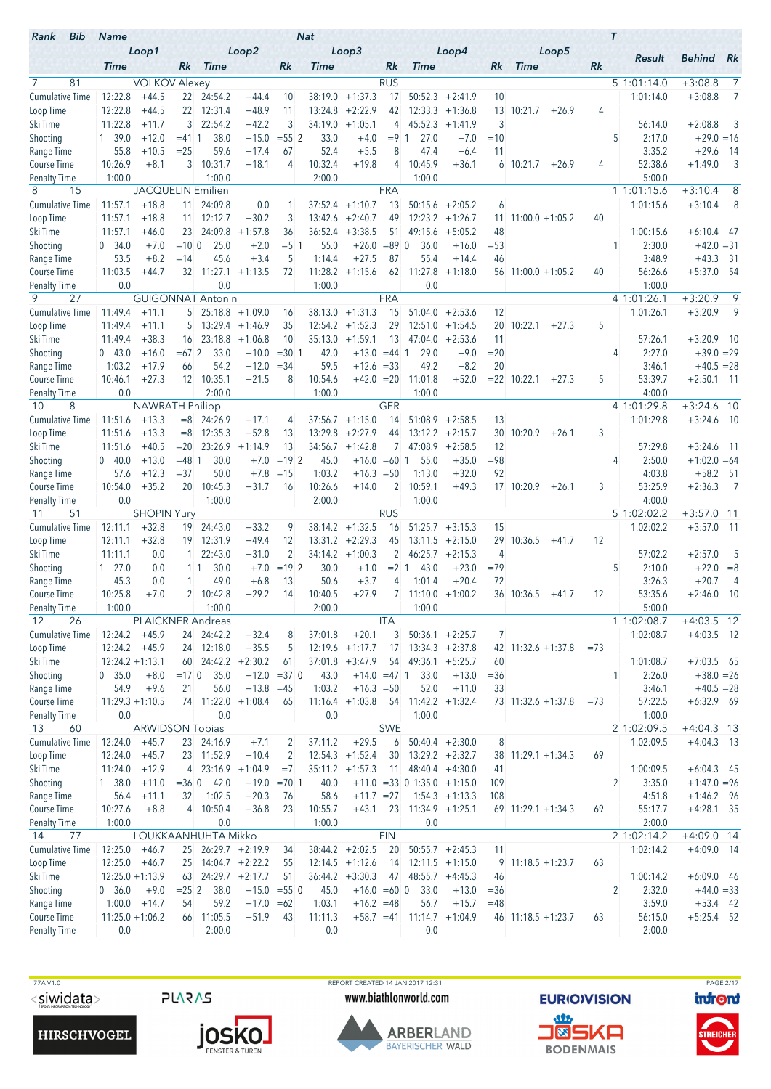| Bib<br>Rank                        | <b>Name</b>                |                               |                 |                          |                      |                    | <b>Nat</b>        |                                |                 |                                |                                 |                 |                           | $\tau$ |                       |                              |                |
|------------------------------------|----------------------------|-------------------------------|-----------------|--------------------------|----------------------|--------------------|-------------------|--------------------------------|-----------------|--------------------------------|---------------------------------|-----------------|---------------------------|--------|-----------------------|------------------------------|----------------|
|                                    | <b>Time</b>                | Loop1                         | Rk              | <b>Time</b>              | Loop2                | Rk                 | <b>Time</b>       | Loop3                          | Rk              | <b>Time</b>                    | Loop4                           | Rk              | Loop5<br><b>Time</b>      | Rk     | Result                | <b>Behind</b>                | Rk             |
| 7<br>81                            |                            | <b>VOLKOV Alexey</b>          |                 |                          |                      |                    |                   |                                | <b>RUS</b>      |                                |                                 |                 |                           |        | 5 1:01:14.0           | $+3:08.8$                    | $\overline{7}$ |
| <b>Cumulative Time</b>             | 12:22.8                    | $+44.5$                       |                 | 22 24:54.2               | $+44.4$              | 10                 | 38:19.0           | $+1:37.3$                      | 17              | 50:52.3                        | $+2:41.9$                       | 10              |                           |        | 1:01:14.0             | $+3:08.8$                    | 7              |
| Loop Time                          | 12:22.8                    | $+44.5$                       | 22 <sub>1</sub> | 12:31.4                  | $+48.9$              | 11                 | 13:24.8           | $+2:22.9$                      | 42              |                                | $12:33.3 + 1:36.8$              | 13              | 10:21.7<br>$+26.9$        | 4      |                       |                              |                |
| Ski Time                           | 11:22.8                    | $+11.7$                       | $\mathbf{3}$    | 22:54.2                  | $+42.2$              | 3                  | 34:19.0           | $+1:05.1$                      | 4               | 45:52.3                        | $+1:41.9$                       | 3               |                           |        | 56:14.0               | $+2:08.8$                    | 3              |
| Shooting                           | 1, 39.0                    | $+12.0$                       | $= 4111$        | 38.0                     | $+15.0$              | $= 55$ 2           | 33.0              | $+4.0$                         | $= 9 \; 1$      | 27.0                           | $+7.0$                          | $=10$           |                           | 5      | 2:17.0                | $+29.0 = 16$                 |                |
| Range Time                         | 55.8                       | $+10.5$                       | $= 25$          | 59.6                     | $+17.4$              | 67                 | 52.4              | $+5.5$                         | 8               | 47.4                           | $+6.4$                          | 11              |                           |        | 3:35.2                | $+29.6$                      | - 14           |
| Course Time                        | 10:26.9                    | $+8.1$                        | 3               | 10:31.7                  | $+18.1$              | 4                  | 10:32.4           | $+19.8$                        | 4               | 10:45.9                        | $+36.1$                         | 6               | 10:21.7<br>$+26.9$        | 4      | 52:38.6               | $+1:49.0$                    | $\overline{3}$ |
| <b>Penalty Time</b><br>8<br>15     | 1:00.0                     | <b>JACQUELIN Emilien</b>      |                 | 1:00.0                   |                      |                    | 2:00.0            |                                | <b>FRA</b>      | 1:00.0                         |                                 |                 |                           |        | 5:00.0<br>1 1:01:15.6 | $+3:10.4$                    | 8              |
| <b>Cumulative Time</b>             | 11:57.1                    | $+18.8$                       | 11 <sup>1</sup> | 24:09.8                  | 0.0                  | 1                  | 37:52.4           | $+1:10.7$                      | 13              | 50:15.6                        | $+2:05.2$                       | 6               |                           |        | 1:01:15.6             | $+3:10.4$                    | 8              |
| Loop Time                          | 11:57.1                    | $+18.8$                       | 11              | 12:12.7                  | $+30.2$              | 3                  | 13:42.6           | $+2:40.7$                      | 49              | 12:23.2                        | $+1:26.7$                       | 11.             | $11:00.0 + 1:05.2$        | 40     |                       |                              |                |
| Ski Time                           | 11:57.1                    | $+46.0$                       | 23              | 24:09.8                  | $+1:57.8$            | 36                 | 36:52.4           | $+3:38.5$                      | 51              | 49:15.6                        | $+5:05.2$                       | 48              |                           |        | 1:00:15.6             | $+6:10.4$ 47                 |                |
| Shooting                           | 0, 34.0                    | $+7.0$                        | $=10.0$         | 25.0                     | $+2.0$               | $= 5 \; 1$         | 55.0              | $+26.0$                        | $= 89$ 0        | 36.0                           | $+16.0$                         | $= 53$          |                           | 1      | 2:30.0                | $+42.0 = 31$                 |                |
| Range Time                         | 53.5                       | $+8.2$                        | $=14$           | 45.6                     | $+3.4$               | 5                  | 1:14.4            | $+27.5$                        | 87              | 55.4                           | $+14.4$                         | 46              |                           |        | 3:48.9                | $+43.3$                      | - 31           |
| Course Time                        | 11:03.5                    | $+44.7$                       | 32              | 11:27.1                  | $+1:13.5$            | 72                 | 11:28.2           | $+1:15.6$                      | 62              | 11:27.8                        | $+1:18.0$                       |                 | $56$ 11:00.0 +1:05.2      | 40     | 56:26.6               | $+5:37.0$ 54                 |                |
| <b>Penalty Time</b>                | 0.0                        |                               |                 | 0.0                      |                      |                    | 1:00.0            |                                |                 | 0.0                            |                                 |                 |                           |        | 1:00.0                |                              |                |
| 9<br>27                            |                            |                               |                 | <b>GUIGONNAT Antonin</b> |                      |                    |                   |                                | <b>FRA</b>      |                                |                                 |                 |                           |        | 4 1:01:26.1           | $+3:20.9$                    | 9              |
| <b>Cumulative Time</b>             | 11:49.4                    | $+11.1$                       | 5.              |                          | $25:18.8 + 1:09.0$   | 16                 | 38:13.0           | $+1:31.3$                      | 15              | 51:04.0                        | $+2:53.6$                       | 12              |                           |        | 1:01:26.1             | $+3:20.9$                    | 9              |
| Loop Time                          | 11:49.4                    | $+11.1$                       | 5               |                          | $13:29.4 +1:46.9$    | 35                 | 12:54.2           | $+1:52.3$                      | 29              | 12:51.0                        | $+1:54.5$                       | 20              | 10:22.1<br>$+27.3$        | 5      |                       |                              |                |
| Ski Time                           | 11:49.4                    | $+38.3$                       | 16              | 23:18.8                  | $+1:06.8$            | 10                 | 35:13.0           | $+1:59.1$                      | 13              | 47:04.0                        | $+2:53.6$                       | 11              |                           |        | 57:26.1               | $+3:20.9$ 10                 |                |
| Shooting<br>Range Time             | 043.0<br>1:03.2            | $+16.0$<br>$+17.9$            | $=672$<br>66    | 33.0<br>54.2             | $+10.0$<br>$+12.0$   | $= 30.1$<br>$= 34$ | 42.0<br>59.5      | $+13.0$<br>$+12.6 = 33$        | $= 44$ 1        | 29.0<br>49.2                   | $+9.0$<br>$+8.2$                | $= 20$<br>20    |                           | 4      | 2:27.0<br>3:46.1      | $+39.0 = 29$<br>$+40.5 = 28$ |                |
| Course Time                        | 10:46.1                    | $+27.3$                       |                 | 12 10:35.1               | $+21.5$              | 8                  | 10:54.6           | $+42.0 = 20$                   |                 | 11:01.8                        | $+52.0$                         |                 | $= 22$ 10:22.1<br>$+27.3$ | 5      | 53:39.7               | $+2:50.1$ 11                 |                |
| <b>Penalty Time</b>                | 0.0                        |                               |                 | 2:00.0                   |                      |                    | 1:00.0            |                                |                 | 1:00.0                         |                                 |                 |                           |        | 4:00.0                |                              |                |
| 8<br>10                            |                            | <b>NAWRATH Philipp</b>        |                 |                          |                      |                    |                   |                                | <b>GER</b>      |                                |                                 |                 |                           |        | 4 1:01:29.8           | $+3:24.6$ 10                 |                |
| <b>Cumulative Time</b>             | 11:51.6                    | $+13.3$                       | $=8$            | 24:26.9                  | $+17.1$              | 4                  | 37:56.7           | $+1:15.0$                      | 14              | 51:08.9                        | $+2:58.5$                       | 13              |                           |        | 1:01:29.8             | $+3:24.6$ 10                 |                |
| Loop Time                          | 11:51.6                    | $+13.3$                       | $=8$            | 12:35.3                  | $+52.8$              | 13                 | 13:29.8           | $+2:27.9$                      | 44              |                                | $13:12.2 +2:15.7$               | 30              | 10:20.9<br>$+26.1$        | 3      |                       |                              |                |
| Ski Time                           | 11:51.6                    | $+40.5$                       | $=20$           | 23:26.9                  | $+1:14.9$            | 13                 | 34:56.7           | $+1:42.8$                      |                 | 7 47:08.9                      | $+2:58.5$                       | 12              |                           |        | 57:29.8               | $+3:24.6$                    | - 11           |
| Shooting                           | 0.40.0                     | $+13.0$                       | $= 48.1$        | 30.0                     | $+7.0$               | $=19$ 2            | 45.0              | $+16.0$                        | $=60$ 1         | 55.0                           | $+35.0$                         | $= 98$          |                           | 4      | 2:50.0                | $+1:02.0 = 64$               |                |
| Range Time                         | 57.6                       | $+12.3$                       | $= 37$          | 50.0                     | $+7.8$               | $=15$              | 1:03.2            | $+16.3 = 50$                   |                 | 1:13.0                         | $+32.0$                         | 92              |                           |        | 4:03.8                | $+58.2$ 51                   |                |
| Course Time                        | 10:54.0                    | $+35.2$                       | 20 <sup>1</sup> | 10:45.3                  | $+31.7$              | 16                 | 10:26.6           | $+14.0$                        | $\overline{2}$  | 10:59.1                        | $+49.3$                         |                 | $17$ 10:20.9 +26.1        | 3      | 53:25.9               | $+2:36.3$                    | $\overline{7}$ |
| <b>Penalty Time</b>                | 0.0                        |                               |                 | 1:00.0                   |                      |                    | 2:00.0            |                                |                 | 1:00.0                         |                                 |                 |                           |        | 4:00.0<br>5 1:02:02.2 | $+3:57.0$ 11                 |                |
| 51<br>11<br><b>Cumulative Time</b> | 12:11.1                    | <b>SHOPIN Yury</b><br>$+32.8$ |                 | 19 24:43.0               | $+33.2$              | 9                  | 38:14.2           | $+1:32.5$                      | <b>RUS</b>      | 51:25.7                        |                                 | 15              |                           |        | 1:02:02.2             | $+3:57.0$ 11                 |                |
| Loop Time                          | 12:11.1                    | $+32.8$                       | 19              | 12:31.9                  | $+49.4$              | 12                 | 13:31.2           | $+2:29.3$                      | 16<br>45        |                                | $+3:15.3$<br>$13:11.5 + 2:15.0$ | 29              | 10:36.5<br>$+41.7$        | 12     |                       |                              |                |
| Ski Time                           | 11:11.1                    | 0.0                           | $1 \square$     | 22:43.0                  | $+31.0$              | $\overline{2}$     | 34:14.2           | $+1:00.3$                      | $\overline{2}$  | 46:25.7                        | $+2:15.3$                       | 4               |                           |        | 57:02.2               | $+2:57.0$                    | 5              |
| Shooting                           | $1\quad 27.0$              | 0.0                           | 11              | 30.0                     | $+7.0$               | $=192$             | 30.0              | $+1.0$                         | $= 2 \ 1$       | 43.0                           | $+23.0$                         | $=79$           |                           | 5      | 2:10.0                | $+22.0 = 8$                  |                |
| Range Time                         | 45.3                       | 0.0                           |                 | 49.0                     | $+6.8$               | 13                 | 50.6              | $+3.7$                         | 4               | 1:01.4                         | $+20.4$                         | 72              |                           |        | 3:26.3                | $+20.7$                      | 4              |
| <b>Course Time</b>                 | 10:25.8                    | $+7.0$                        |                 | 2 10:42.8                | $+29.2$              | 14                 | 10:40.5           | $+27.9$                        |                 | $7$ 11:10.0 +1:00.2            |                                 |                 | 36 10:36.5<br>$+41.7$     | 12     | 53:35.6               | $+2:46.0$                    | 10             |
| Penalty Time                       | 1:00.0                     |                               |                 | 1:00.0                   |                      |                    | 2:00.0            |                                |                 | 1:00.0                         |                                 |                 |                           |        | 5:00.0                |                              |                |
| 12<br>26                           |                            |                               |                 | PLAICKNER Andreas        |                      |                    |                   |                                | <b>ITA</b>      |                                |                                 |                 |                           |        | 1 1:02:08.7           | $+4:03.5$ 12                 |                |
| Cumulative Time                    | $12:24.2 +45.9$            |                               |                 | 24 24:42.2               | $+32.4$              | 8                  | 37:01.8           | $+20.1$                        | 3               |                                | $50:36.1 + 2:25.7$              | 7               |                           |        | 1:02:08.7             | $+4:03.5$ 12                 |                |
| Loop Time                          | $12:24.2 +45.9$            |                               |                 | 24 12:18.0               | $+35.5$              | 5                  |                   | $12:19.6 +1:17.7$              | 17 <sup>2</sup> |                                | $13:34.3 + 2:37.8$              |                 | 42 $11:32.6 + 1:37.8$     | $= 73$ |                       |                              |                |
| Ski Time                           | $12:24.2 + 1:13.1$         |                               |                 |                          | $60$ 24:42.2 +2:30.2 | 61                 |                   | $37:01.8$ +3:47.9              | 54              | $49:36.1 + 5:25.7$             |                                 | 60              |                           |        | 1:01:08.7             | $+7:03.5$ 65                 |                |
| Shooting                           | 0 35.0                     | $+8.0$<br>$+9.6$              | $=170$          | 35.0<br>56.0             | $+13.8 = 45$         | $+12.0 = 37$ 0     | 43.0              | $+14.0 = 47$ 1<br>$+16.3 = 50$ |                 | 33.0<br>52.0                   | $+13.0$                         | $= 36$          |                           | 1      | 2:26.0                | $+38.0 = 26$                 |                |
| Range Time<br>Course Time          | 54.9<br>$11:29.3 + 1:10.5$ |                               | 21              | 74 11:22.0               | $+1:08.4$            | 65                 | 1:03.2<br>11:16.4 | $+1:03.8$                      |                 | 54 11:42.2                     | $+11.0$<br>$+1:32.4$            | 33              | 73 11:32.6 +1:37.8        | $= 73$ | 3:46.1<br>57:22.5     | $+40.5 = 28$<br>$+6:32.9$ 69 |                |
| <b>Penalty Time</b>                | 0.0                        |                               |                 | 0.0                      |                      |                    | 0.0               |                                |                 | 1:00.0                         |                                 |                 |                           |        | 1:00.0                |                              |                |
| 13<br>60                           |                            | <b>ARWIDSON Tobias</b>        |                 |                          |                      |                    |                   |                                | <b>SWE</b>      |                                |                                 |                 |                           |        | 21:02:09.5            | $+4:04.3$ 13                 |                |
| <b>Cumulative Time</b>             | 12:24.0                    | $+45.7$                       |                 | 23 24:16.9               | $+7.1$               | 2                  | 37:11.2           | $+29.5$                        | 6               |                                | $50:40.4$ +2:30.0               | 8               |                           |        | 1:02:09.5             | $+4:04.3$ 13                 |                |
| Loop Time                          | $12:24.0 +45.7$            |                               |                 | 23 11:52.9               | $+10.4$              | $\overline{2}$     |                   | $12:54.3 +1:52.4$              | 30              |                                | $13:29.2 +2:32.7$               | 38              | $11:29.1 + 1:34.3$        | 69     |                       |                              |                |
| Ski Time                           | 11:24.0                    | $+12.9$                       | 4               |                          | $23:16.9 +1:04.9$    | $=7$               |                   | $35:11.2 +1:57.3$              | 11              |                                | $48:40.4 +4:30.0$               | 41              |                           |        | 1:00:09.5             | $+6:04.3$ 45                 |                |
| Shooting                           | 1, 38.0                    | $+11.0$                       | $=360$          | 42.0                     |                      | $+19.0 = 701$      | 40.0              |                                |                 | $+11.0$ = 33 0 1:35.0 + 1:15.0 |                                 | 109             |                           | 2      | 3:35.0                | $+1:47.0 = 96$               |                |
| Range Time                         | 56.4                       | $+11.1$                       | 32              | 1:02.5                   | $+20.3$              | 76                 | 58.6              | $+11.7 = 27$                   |                 |                                | $1:54.3 +1:13.3$                | 108             |                           |        | 4:51.8                | $+1:46.2$ 96                 |                |
| Course Time                        | 10:27.6                    | $+8.8$                        | $\overline{4}$  | 10:50.4                  | $+36.8$              | 23                 | 10:55.7           | $+43.1$                        | 23              |                                | $11:34.9 + 1:25.1$              |                 | $69$ 11:29.1 +1:34.3      | 69     | 55:17.7               | $+4:28.1$ 35                 |                |
| <b>Penalty Time</b>                | 1:00.0                     |                               |                 | 0.0                      |                      |                    | 1:00.0            |                                |                 | 0.0                            |                                 |                 |                           |        | 2:00.0                |                              |                |
| 77<br>14                           |                            |                               |                 | LOUKKAANHUHTA Mikko      |                      |                    |                   |                                | <b>FIN</b>      |                                |                                 |                 |                           |        | 2 1:02:14.2           | $+4:09.0$ 14                 |                |
| <b>Cumulative Time</b>             | 12:25.0                    | $+46.7$                       |                 |                          | 25 26:29.7 +2:19.9   | 34                 |                   | $38:44.2 +2:02.5$              | 20              |                                | $50:55.7 +2:45.3$               | 11              |                           |        | 1:02:14.2             | $+4:09.0$ 14                 |                |
| Loop Time                          | $12:25.0 +46.7$            |                               |                 |                          | 25 14:04.7 +2:22.2   | 55                 |                   | $12:14.5 +1:12.6$              | 14              |                                | $12:11.5 +1:15.0$               | 9               | $11:18.5 + 1:23.7$        | 63     |                       |                              |                |
| Ski Time                           | $12:25.0 + 1:13.9$         |                               |                 | 63 24:29.7 +2:17.7       |                      | 51                 |                   | $36:44.2 + 3:30.3$             |                 | $47$ 48:55.7 +4:45.3           |                                 | 46              |                           |        | 1:00:14.2             | $+6:09.0$ 46                 |                |
| Shooting<br>Range Time             | 0, 36.0                    | $+9.0$<br>$1:00.0 + 14.7$     | $= 252$<br>54   | 38.0<br>59.2             | $+17.0 = 62$         | $+15.0 = 55$ 0     | 45.0<br>1:03.1    | $+16.0 = 60$ 0<br>$+16.2 = 48$ |                 | 33.0<br>56.7                   | $+13.0$<br>$+15.7$              | $= 36$<br>$=48$ |                           | 2      | 2:32.0<br>3:59.0      | $+44.0 = 33$<br>$+53.4$ 42   |                |
| Course Time                        | $11:25.0 + 1:06.2$         |                               |                 | 66 11:05.5               | $+51.9$              | 43                 | 11:11.3           | $+58.7 = 41$                   |                 | 11:14.7                        | $+1:04.9$                       |                 | $46$ 11:18.5 +1:23.7      | 63     | 56:15.0               | $+5:25.4$ 52                 |                |
| <b>Penalty Time</b>                | 0.0                        |                               |                 | 2:00.0                   |                      |                    | 0.0               |                                |                 | 0.0                            |                                 |                 |                           |        | 2:00.0                |                              |                |
|                                    |                            |                               |                 |                          |                      |                    |                   |                                |                 |                                |                                 |                 |                           |        |                       |                              |                |

77A V1.0  $<$ siwidata>

**PLARAS** 

**HIRSCHVOGEL** 



REPORT CREATED 14 JAN 2017 12:31 www.biathlonworld.com



<u>an</u> **J®SKA BODENMAIS** 

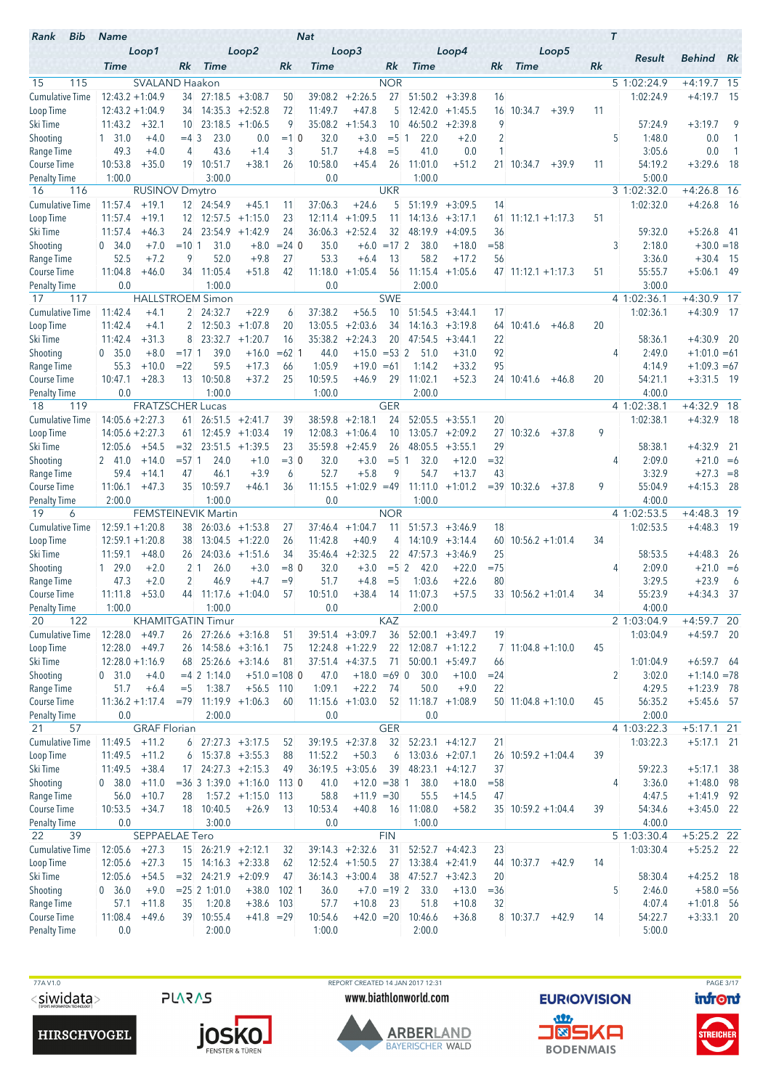| Bib<br>Rank                        | <b>Name</b>               |                                  |                     |                            |                              |                 | <b>Nat</b>         |                        |                 |                      |                        |              |                          | $\tau$ |                          |                        |                |
|------------------------------------|---------------------------|----------------------------------|---------------------|----------------------------|------------------------------|-----------------|--------------------|------------------------|-----------------|----------------------|------------------------|--------------|--------------------------|--------|--------------------------|------------------------|----------------|
|                                    | <b>Time</b>               | Loop1                            | Rk.                 | <b>Time</b>                | Loop2                        | Rk              | Time               | Loop3                  | Rk              | <b>Time</b>          | Loop4                  | Rk           | Loop5<br><b>Time</b>     | Rk     | Result                   | <b>Behind</b> Rk       |                |
| 15<br>115                          |                           | <b>SVALAND Haakon</b>            |                     |                            |                              |                 |                    |                        | <b>NOR</b>      |                      |                        |              |                          |        | 5 1:02:24.9              | $+4:19.7$ 15           |                |
| <b>Cumulative Time</b>             | $12:43.2 + 1:04.9$        |                                  | 34                  |                            | $27:18.5 + 3:08.7$           | 50              | 39:08.2            | $+2:26.5$              | 27              | 51:50.2              | $+3:39.8$              | 16           |                          |        | 1:02:24.9                | $+4:19.7$              | - 15           |
| Loop Time                          | $12:43.2 + 1:04.9$        |                                  | 34                  |                            | $14:35.3 + 2:52.8$           | 72              | 11:49.7            | $+47.8$                | 5               | 12:42.0              | $+1:45.5$              | 16           | 10:34.7<br>$+39.9$       | 11     |                          |                        |                |
| Ski Time                           | 11:43.2                   | $+32.1$                          | 10                  | 23:18.5                    | $+1:06.5$                    | 9               | 35:08.2            | $+1:54.3$              | 10              | 46:50.2              | $+2:39.8$              | 9            |                          |        | 57:24.9                  | $+3:19.7$              | 9              |
| Shooting                           | $1\quad 31.0$             | $+4.0$                           | $=4.3$              | 23.0                       | 0.0                          | $=10$           | 32.0               | $+3.0$                 | $= 5 \; 1$      | 22.0                 | $+2.0$                 | 2            |                          |        | 5<br>1:48.0              | 0.0                    | $\mathbf{1}$   |
| Range Time                         | 49.3                      | $+4.0$                           | 4                   | 43.6                       | $+1.4$                       | 3               | 51.7               | $+4.8$                 | $=$ 5           | 41.0                 | 0.0                    | 1            |                          |        | 3:05.6                   | 0.0                    | $\overline{1}$ |
| Course Time                        | 10:53.8                   | $+35.0$                          | 19                  | 10:51.7                    | $+38.1$                      | 26              | 10:58.0            | $+45.4$                | 26              | 11:01.0              | $+51.2$                |              | 21 10:34.7<br>$+39.9$    | 11     | 54:19.2                  | $+3:29.6$              | - 18           |
| <b>Penalty Time</b><br>16<br>116   | 1:00.0                    |                                  |                     | 3:00.0                     |                              |                 | 0.0                |                        | <b>UKR</b>      | 1:00.0               |                        |              |                          |        | 5:00.0<br>3 1:02:32.0    | $+4:26.8$ 16           |                |
| <b>Cumulative Time</b>             | 11:57.4                   | <b>RUSINOV Dmytro</b><br>$+19.1$ |                     | 12 24:54.9                 | $+45.1$                      | 11              | 37:06.3            | $+24.6$                | 5               | 51:19.9              | $+3:09.5$              | 14           |                          |        | 1:02:32.0                | $+4:26.8$              | - 16           |
| Loop Time                          | 11:57.4                   | $+19.1$                          | 12 <sup>1</sup>     |                            | $12:57.5 +1:15.0$            | 23              | 12:11.4            | $+1:09.5$              | 11              | 14:13.6              | $+3:17.1$              | 61           | $11:12.1 + 1:17.3$       | 51     |                          |                        |                |
| Ski Time                           | 11:57.4                   | $+46.3$                          |                     | 24 23:54.9                 | $+1:42.9$                    | 24              | 36:06.3            | $+2:52.4$              | 32              | 48:19.9              | $+4:09.5$              | 36           |                          |        | 59:32.0                  | $+5:26.8$ 41           |                |
| Shooting                           | 0.34.0                    | $+7.0$                           | $=10$   1           | 31.0                       | $+8.0$                       | $= 24$ 0        | 35.0               |                        | $+6.0 = 17$ 2   | 38.0                 | $+18.0$                | $= 58$       |                          |        | 3<br>2:18.0              | $+30.0 = 18$           |                |
| Range Time                         | 52.5                      | $+7.2$                           | 9                   | 52.0                       | $+9.8$                       | 27              | 53.3               | $+6.4$                 | 13              | 58.2                 | $+17.2$                | 56           |                          |        | 3:36.0                   | $+30.4$                | - 15           |
| Course Time                        | 11:04.8                   | $+46.0$                          | 34                  | 11:05.4                    | $+51.8$                      | 42              | 11:18.0            | $+1:05.4$              | 56              | 11:15.4              | $+1:05.6$              |              | $47$ 11:12.1 +1:17.3     | 51     | 55:55.7                  | $+5:06.1$              | - 49           |
| <b>Penalty Time</b>                | 0.0                       |                                  |                     | 1:00.0                     |                              |                 | 0.0                |                        |                 | 2:00.0               |                        |              |                          |        | 3:00.0                   |                        |                |
| 117<br>17                          |                           |                                  |                     | <b>HALLSTROEM Simon</b>    |                              |                 |                    |                        | <b>SWE</b>      |                      |                        |              |                          |        | 4 1:02:36.1              | $+4:30.9$ 17           |                |
| <b>Cumulative Time</b>             | 11:42.4                   | $+4.1$                           | $\overline{2}$      | 24:32.7                    | $+22.9$<br>$+1:07.8$         | 6               | 37:38.2            | $+56.5$                | 10              | 51:54.5              | $+3:44.1$              | 17           |                          | 20     | 1:02:36.1                | $+4:30.9$              | - 17           |
| Loop Time<br>Ski Time              | 11:42.4<br>11:42.4        | $+4.1$<br>$+31.3$                | $\overline{2}$<br>8 | 12:50.3<br>23:32.7         | $+1:20.7$                    | 20<br>16        | 13:05.5<br>35:38.2 | $+2:03.6$<br>$+2:24.3$ | 34<br>20        | 14:16.3<br>47:54.5   | $+3:19.8$<br>$+3:44.1$ | 64<br>22     | 10:41.6<br>$+46.8$       |        | 58:36.1                  | $+4:30.9$              | - 20           |
| Shooting                           | 0, 35.0                   | $+8.0$                           | $=17.1$             | 39.0                       | $+16.0$                      | $=62$ 1         | 44.0               | $+15.0$                | $= 532$         | 51.0                 | $+31.0$                | 92           |                          |        | 2:49.0<br>4              | $+1:01.0 = 61$         |                |
| Range Time                         | 55.3                      | $+10.0$                          | $= 22$              | 59.5                       | $+17.3$                      | 66              | 1:05.9             | $+19.0 = 61$           |                 | 1:14.2               | $+33.2$                | 95           |                          |        | 4:14.9                   | $+1:09.3 = 67$         |                |
| Course Time                        | 10:47.1                   | $+28.3$                          |                     | 13 10:50.8                 | $+37.2$                      | 25              | 10:59.5            | $+46.9$                | 29              | 11:02.1              | $+52.3$                |              | 24 10:41.6<br>+46.8      | 20     | 54:21.1                  | $+3:31.5$ 19           |                |
| <b>Penalty Time</b>                | 0.0                       |                                  |                     | 1:00.0                     |                              |                 | 1:00.0             |                        |                 | 2:00.0               |                        |              |                          |        | 4:00.0                   |                        |                |
| 119<br>18                          |                           | <b>FRATZSCHER Lucas</b>          |                     |                            |                              |                 |                    |                        | <b>GER</b>      |                      |                        |              |                          |        | 4 1:02:38.1              | $+4:32.9$ 18           |                |
| <b>Cumulative Time</b>             | $14:05.6 + 2:27.3$        |                                  | 61                  |                            | $26:51.5 +2:41.7$            | 39              | 38:59.8            | $+2:18.1$              | 24              |                      | $52:05.5 + 3:55.1$     | 20           |                          |        | 1:02:38.1                | $+4:32.9$ 18           |                |
| Loop Time                          | $14:05.6 + 2:27.3$        |                                  | 61                  |                            | $12:45.9 + 1:03.4$           | 19              | 12:08.3            | $+1:06.4$              | 10              |                      | $13:05.7 + 2:09.2$     | 27           | 10:32.6<br>$+37.8$       | 9      |                          |                        |                |
| Ski Time                           | 12:05.6                   | $+54.5$                          | $=32$<br>$= 57.1$   | 23:51.5                    | $+1:39.5$                    | 23<br>$=3$ 0    |                    | $35:59.8 + 2:45.9$     | 26              | 48:05.5              | $+3:55.1$              | 29           |                          |        | 58:38.1<br>4             | $+4:32.9$              | -21            |
| Shooting<br>Range Time             | 2 41.0<br>59.4            | $+14.0$<br>$+14.1$               | 47                  | 24.0<br>46.1               | $+1.0$<br>$+3.9$             | 6               | 32.0<br>52.7       | $+3.0$<br>$+5.8$       | $= 5 \; 1$<br>9 | 32.0<br>54.7         | $+12.0$<br>$+13.7$     | $= 32$<br>43 |                          |        | 2:09.0<br>3:32.9         | $+21.0 = 6$<br>$+27.3$ | $=8$           |
| <b>Course Time</b>                 | 11:06.1                   | $+47.3$                          |                     | 35 10:59.7                 | $+46.1$                      | 36              | 11:15.5            | $+1:02.9$ =49          |                 | 11:11.0              | $+1:01.2$              |              | $=39$ 10:32.6<br>$+37.8$ | 9      | 55:04.9                  | $+4:15.3$              | - 28           |
| <b>Penalty Time</b>                | 2:00.0                    |                                  |                     | 1:00.0                     |                              |                 | 0.0                |                        |                 | 1:00.0               |                        |              |                          |        | 4:00.0                   |                        |                |
| 19<br>6                            |                           |                                  |                     | <b>FEMSTEINEVIK Martin</b> |                              |                 |                    |                        | <b>NOR</b>      |                      |                        |              |                          |        | 4 1:02:53.5              | $+4:48.3$ 19           |                |
| Cumulative Time                    | $12:59.1 + 1:20.8$        |                                  |                     | 38 26:03.6 +1:53.8         |                              | 27              | 37:46.4            | $+1:04.7$              | 11              | 51:57.3              | $+3:46.9$              | 18           |                          |        | 1:02:53.5                | $+4:48.3$ 19           |                |
| Loop Time                          | $12:59.1 + 1:20.8$        |                                  | 38                  |                            | $13:04.5 +1:22.0$            | 26              | 11:42.8            | $+40.9$                | 4               |                      | $14:10.9 + 3:14.4$     | 60           | $10:56.2 + 1:01.4$       | 34     |                          |                        |                |
| Ski Time                           | 11:59.1                   | $+48.0$                          | 26                  |                            | $24:03.6$ +1:51.6            | 34              |                    | $35:46.4 +2:32.5$      | 22              |                      | $47:57.3 +3:46.9$      | 25           |                          |        | 58:53.5                  | $+4:48.3$              | -26            |
| Shooting                           | $1\quad 29.0$             | $+2.0$                           | $2 \vert 1$         | 26.0                       | $+3.0$                       | $= 80$          | 32.0               | $+3.0$                 | $= 5 \, 2$      | 42.0                 | $+22.0$                | $=75$        |                          |        | 2:09.0<br>4              | $+21.0 = 6$            |                |
| Range Time<br><b>Course Time</b>   | 47.3<br>11:11.8           | $+2.0$<br>$+53.0$                | 2                   | 46.9<br>44 11:17.6 +1:04.0 | $+4.7$                       | $=9$<br>57      | 51.7<br>10:51.0    | $+4.8$<br>$+38.4$      | $=$ 5<br>14     | 1:03.6<br>11:07.3    | $+22.6$<br>$+57.5$     | 80           | $33$ 10:56.2 +1:01.4     | 34     | 3:29.5<br>55:23.9        | $+23.9$<br>$+4:34.3$   | 6<br>37        |
| <b>Penalty Time</b>                | 1:00.0                    |                                  |                     | 1:00.0                     |                              |                 | 0.0                |                        |                 | 2:00.0               |                        |              |                          |        | 4:00.0                   |                        |                |
| 20<br>122                          |                           |                                  |                     | <b>KHAMITGATIN Timur</b>   |                              |                 |                    |                        | KAZ             |                      |                        |              |                          |        | 21:03:04.9               | $+4:59.7$ 20           |                |
| <b>Cumulative Time</b>             | $12:28.0 +49.7$           |                                  |                     | $26$ 27:26.6 +3:16.8       |                              | 51              |                    | $39:51.4 +3:09.7$      | 36              |                      | $52:00.1 + 3:49.7$     | 19           |                          |        | 1:03:04.9                | $+4:59.7$ 20           |                |
| Loop Time                          | $12:28.0 +49.7$           |                                  |                     | 26 14:58.6 +3:16.1         |                              | 75              |                    | $12:24.8$ +1:22.9      | 22              |                      | $12:08.7 +1:12.2$      |              | $7$ 11:04.8 +1:10.0      | 45     |                          |                        |                |
| Ski Time                           | $12:28.0 + 1:16.9$        |                                  |                     |                            | $68$ 25:26.6 +3:14.6         | 81              |                    | $37:51.4 +4:37.5$      | 71              |                      | $50:00.1 + 5:49.7$     | 66           |                          |        | 1:01:04.9                | $+6:59.7$ 64           |                |
| Shooting                           | 0 31.0                    | $+4.0$                           |                     | $= 4$ 2 1:14.0             |                              | $+51.0 = 108$ 0 | 47.0               | $+18.0 = 69$ 0         |                 | 30.0                 | $+10.0$                | $= 24$       |                          |        | $\overline{2}$<br>3:02.0 | $+1:14.0 = 78$         |                |
| Range Time                         | 51.7                      | $+6.4$                           | $=$ 5               | 1:38.7                     | $+56.5$ 110                  |                 | 1:09.1             | $+22.2$                | 74              | 50.0                 | $+9.0$                 | 22           |                          |        | 4:29.5                   | $+1:23.9$ 78           |                |
| Course Time<br><b>Penalty Time</b> | $11:36.2 + 1:17.4$<br>0.0 |                                  |                     | 2:00.0                     | $=79$ 11:19.9 +1:06.3        | 60              | 0.0                | $11:15.6 + 1:03.0$     | 52              | 11:18.7<br>0.0       | $+1:08.9$              |              | $50$ 11:04.8 +1:10.0     | 45     | 56:35.2<br>2:00.0        | $+5:45.6$ 57           |                |
| 21<br>57                           |                           | <b>GRAF Florian</b>              |                     |                            |                              |                 |                    |                        | <b>GER</b>      |                      |                        |              |                          |        | 4 1:03:22.3              | $+5:17.1$ 21           |                |
| <b>Cumulative Time</b>             | 11:49.5                   | $+11.2$                          |                     | $6$ 27:27.3 +3:17.5        |                              | 52              |                    | $39:19.5 +2:37.8$      |                 | 32 52:23.1 +4:12.7   |                        | 21           |                          |        | 1:03:22.3                | $+5:17.1$ 21           |                |
| Loop Time                          | $11:49.5 +11.2$           |                                  | 6                   | $15:37.8 + 3:55.3$         |                              | 88              | 11:52.2            | $+50.3$                | 6               |                      | $13:03.6 + 2:07.1$     |              | 26 10:59.2 +1:04.4       | 39     |                          |                        |                |
| Ski Time                           | 11:49.5                   | $+38.4$                          | 17 <sup>1</sup>     |                            | $24:27.3 +2:15.3$            | 49              |                    | $36:19.5 + 3:05.6$     |                 | $39$ 48:23.1 +4:12.7 |                        | 37           |                          |        | 59:22.3                  | $+5:17.1$ 38           |                |
| Shooting                           | 0, 38.0                   | $+11.0$                          |                     |                            | $=36$ 3 1:39.0 +1:16.0 113 0 |                 | 41.0               | $+12.0 = 38$ 1         |                 | 38.0                 | $+18.0$                | $= 58$       |                          |        | 3:36.0<br>4              | $+1:48.0$ 98           |                |
| Range Time                         | 56.0                      | $+10.7$                          | 28                  |                            | $1:57.2 +1:15.0$ 113         |                 | 58.8               | $+11.9 = 30$           |                 | 55.5                 | $+14.5$                | 47           |                          |        | 4:47.5                   | $+1:41.9$ 92           |                |
| Course Time                        | 10:53.5                   | $+34.7$                          |                     | 18 10:40.5                 | $+26.9$                      | -13             | 10:53.4            | $+40.8$                | 16              | 11:08.0              | $+58.2$                |              | $35$ 10:59.2 +1:04.4     | 39     | 54:34.6                  | $+3:45.0$ 22           |                |
| <b>Penalty Time</b><br>22<br>39    | 0.0                       | SEPPAELAE Tero                   |                     | 3:00.0                     |                              |                 | 0.0                |                        | <b>FIN</b>      | 1:00.0               |                        |              |                          |        | 4:00.0<br>5 1:03:30.4    | $+5:25.2$ 22           |                |
| Cumulative Time                    | 12:05.6                   | $+27.3$                          |                     | 15 26:21.9 +2:12.1         |                              | 32              |                    | $39:14.3 +2:32.6$      | 31              |                      | $52:52.7 +4:42.3$      | 23           |                          |        | 1:03:30.4                | $+5:25.2$ 22           |                |
| Loop Time                          | 12:05.6                   | $+27.3$                          |                     | $15$ 14:16.3 +2:33.8       |                              | 62              |                    | $12:52.4$ +1:50.5      | 27              |                      | $13:38.4 +2:41.9$      | 44           | 10:37.7<br>$+42.9$       | 14     |                          |                        |                |
| Ski Time                           | 12:05.6                   | $+54.5$                          |                     |                            | $=32$ 24:21.9 +2:09.9        | 47              |                    | $36:14.3 + 3:00.4$     | 38              |                      | $47:52.7 +3:42.3$      | 20           |                          |        | 58:30.4                  | $+4:25.2$ 18           |                |
| Shooting                           | 0, 36.0                   | $+9.0$                           |                     | $= 25 \,   2 \, 1:01.0$    |                              | $+38.0$ 102 1   | 36.0               |                        | $+7.0 = 19$ 2   | 33.0                 | $+13.0$                | $= 36$       |                          |        | 5<br>2:46.0              | $+58.0 = 56$           |                |
| Range Time                         | 57.1                      | $+11.8$                          | 35                  | 1:20.8                     | $+38.6$ 103                  |                 | 57.7               | $+10.8$                | 23              | 51.8                 | $+10.8$                | 32           |                          |        | 4:07.4                   | $+1:01.8$ 56           |                |
| Course Time                        | 11:08.4                   | $+49.6$                          |                     | 39 10:55.4                 | $+41.8 = 29$                 |                 | 10:54.6            | $+42.0 = 20$           |                 | 10:46.6              | $+36.8$                |              | 8 10:37.7<br>$+42.9$     | 14     | 54:22.7                  | $+3:33.1$ 20           |                |
| <b>Penalty Time</b>                | 0.0                       |                                  |                     | 2:00.0                     |                              |                 | 1:00.0             |                        |                 | 2:00.0               |                        |              |                          |        | 5:00.0                   |                        |                |



TTA V1.0<br>
TTA V1.0 REPORT CREATED 14 JAN 2017 12:31<br>
SIMIDENTIAL STRIOVISION PAGE 3/17 www.biathlonworld.com



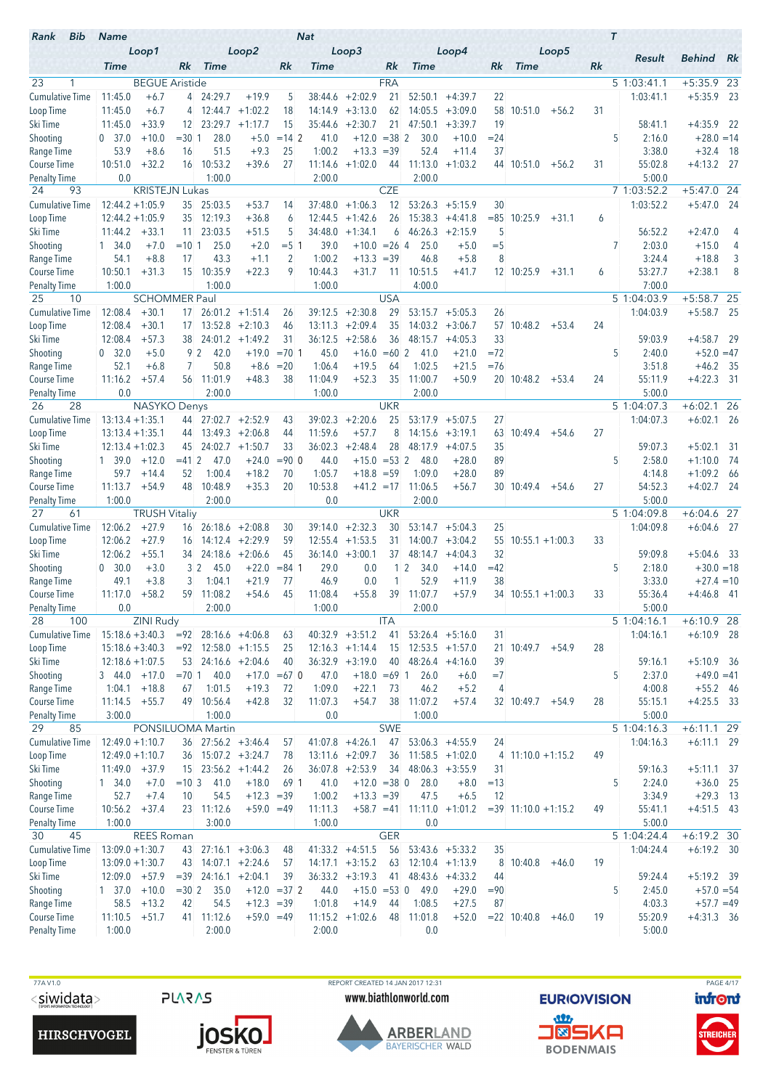| Bib<br>Rank                        | <b>Name</b>                          |                       |                 |                                         |                                         |                      | <b>Nat</b>         |                                     |             |                             |                                 |              |                         |         |    | $\tau$ |                       |                              |      |
|------------------------------------|--------------------------------------|-----------------------|-----------------|-----------------------------------------|-----------------------------------------|----------------------|--------------------|-------------------------------------|-------------|-----------------------------|---------------------------------|--------------|-------------------------|---------|----|--------|-----------------------|------------------------------|------|
|                                    | <b>Time</b>                          | Loop1                 | Rk              | <b>Time</b>                             | Loop2                                   | Rk                   | Time               | Loop3                               | Rk          | <b>Time</b>                 | Loop4                           | Rk           | <b>Time</b>             | Loop5   | Rk |        | Result                | <b>Behind</b> Rk             |      |
| 23<br>$\mathbf{1}$                 |                                      | <b>BEGUE Aristide</b> |                 |                                         |                                         |                      |                    |                                     | <b>FRA</b>  |                             |                                 |              |                         |         |    |        | 5 1:03:41.1           | $+5:35.9$ 23                 |      |
| <b>Cumulative Time</b>             | 11:45.0                              | $+6.7$                |                 | 4 24:29.7                               | $+19.9$                                 | 5                    | 38:44.6            | $+2:02.9$                           | 21          | 52:50.1                     | $+4:39.7$                       | 22           |                         |         |    |        | 1:03:41.1             | $+5:35.9$ 23                 |      |
| Loop Time                          | 11:45.0                              | $+6.7$                | 4               |                                         | $12:44.7 + 1:02.2$                      | 18                   | 14:14.9            | $+3:13.0$                           | 62          |                             | $14:05.5 + 3:09.0$              | 58           | 10:51.0                 | $+56.2$ | 31 |        |                       |                              |      |
| Ski Time                           | 11:45.0                              | $+33.9$               | 12 <sup>1</sup> | 23:29.7                                 | $+1:17.7$                               | 15                   | 35:44.6            | $+2:30.7$                           | 21          | 47:50.1                     | $+3:39.7$                       | 19           |                         |         |    |        | 58:41.1               | $+4:35.9$ 22                 |      |
| Shooting                           | 0, 37.0                              | $+10.0$               | $= 30 1$        | 28.0                                    | $+5.0$                                  | $= 142$              | 41.0               | $+12.0$                             | $= 382$     | 30.0                        | $+10.0$                         | $= 24$       |                         |         |    | 5      | 2:16.0                | $+28.0 = 14$                 |      |
| Range Time                         | 53.9                                 | $+8.6$                | 16              | 51.5                                    | $+9.3$                                  | 25                   | 1:00.2             | $+13.3$                             | $=39$       | 52.4                        | $+11.4$                         | 37           |                         |         |    |        | 3:38.0                | $+32.4$                      | - 18 |
| Course Time                        | 10:51.0                              | $+32.2$               | 16              | 10:53.2                                 | $+39.6$                                 | 27                   | 11:14.6            | $+1:02.0$                           | 44          | 11:13.0                     | $+1:03.2$                       |              | 44 10:51.0              | $+56.2$ | 31 |        | 55:02.8               | $+4:13.2$ 27                 |      |
| <b>Penalty Time</b>                | 0.0                                  |                       |                 | 1:00.0                                  |                                         |                      | 2:00.0             |                                     |             | 2:00.0                      |                                 |              |                         |         |    |        | 5:00.0                |                              |      |
| 93<br>24                           |                                      | <b>KRISTEJN Lukas</b> |                 |                                         |                                         |                      |                    |                                     | <b>CZE</b>  |                             |                                 |              |                         |         |    |        | 7 1:03:52.2           | $+5:47.0$ 24                 |      |
| <b>Cumulative Time</b>             | $12:44.2 + 1:05.9$                   |                       | 35              | 25:03.5                                 | $+53.7$                                 | 14                   | 37:48.0            | $+1:06.3$                           | 12          | 53:26.3                     | $+5:15.9$                       | 30           |                         |         |    |        | 1:03:52.2             | $+5:47.0$                    | - 24 |
| Loop Time<br>Ski Time              | $12:44.2 + 1:05.9$<br>11:44.2        | $+33.1$               | 35<br>11        | 12:19.3<br>23:03.5                      | $+36.8$<br>$+51.5$                      | 6<br>5               | 12:44.5<br>34:48.0 | $+1:42.6$<br>$+1:34.1$              | 26<br>6     | 15:38.3<br>46:26.3          | $+4:41.8$<br>$+2:15.9$          | $= 85$<br>5  | 10:25.9                 | $+31.1$ | 6  |        | 56:52.2               | $+2:47.0$                    | 4    |
| Shooting                           | 1, 34.0                              | $+7.0$                | $=10.1$         | 25.0                                    | $+2.0$                                  | $= 5 \; 1$           | 39.0               | $+10.0 = 26$ 4                      |             | 25.0                        | $+5.0$                          | $=$ 5        |                         |         |    | 7      | 2:03.0                | $+15.0$                      | 4    |
| Range Time                         | 54.1                                 | $+8.8$                | 17              | 43.3                                    | $+1.1$                                  | 2                    | 1:00.2             | $+13.3$                             | $=39$       | 46.8                        | $+5.8$                          | 8            |                         |         |    |        | 3:24.4                | $+18.8$                      | 3    |
| Course Time                        | 10:50.1                              | $+31.3$               | 15              | 10:35.9                                 | $+22.3$                                 | 9                    | 10:44.3            | $+31.7$                             | 11          | 10:51.5                     | $+41.7$                         |              | 12 10:25.9              | $+31.1$ | 6  |        | 53:27.7               | $+2:38.1$                    | 8    |
| <b>Penalty Time</b>                | 1:00.0                               |                       |                 | 1:00.0                                  |                                         |                      | 1:00.0             |                                     |             | 4:00.0                      |                                 |              |                         |         |    |        | 7:00.0                |                              |      |
| 25<br>10                           |                                      | <b>SCHOMMER Paul</b>  |                 |                                         |                                         |                      |                    |                                     | <b>USA</b>  |                             |                                 |              |                         |         |    |        | 5 1:04:03.9           | $+5:58.7$ 25                 |      |
| <b>Cumulative Time</b>             | 12:08.4                              | $+30.1$               | 17 <sup>1</sup> |                                         | $26:01.2 +1:51.4$                       | 26                   | 39:12.5            | $+2:30.8$                           | 29          | 53:15.7                     | $+5:05.3$                       | 26           |                         |         |    |        | 1:04:03.9             | $+5:58.7$ 25                 |      |
| Loop Time                          | 12:08.4                              | $+30.1$               | 17              |                                         | $13:52.8 + 2:10.3$                      | 46                   | 13:11.3            | $+2:09.4$                           | 35          |                             | $14:03.2 +3:06.7$               |              | 57 10:48.2              | $+53.4$ | 24 |        |                       |                              |      |
| Ski Time                           | 12:08.4                              | $+57.3$               | 38              |                                         | $24:01.2 +1:49.2$                       | 31                   | 36:12.5            | $+2:58.6$                           | 36          | 48:15.7                     | $+4:05.3$                       | 33           |                         |         |    |        | 59:03.9               | $+4:58.7$                    | - 29 |
| Shooting                           | 0.32.0                               | $+5.0$                | 92              | 42.0                                    | $+19.0$                                 | $= 70.1$             | 45.0               | $+16.0$                             | $=602$      | 41.0                        | $+21.0$                         | $= 72$       |                         |         |    | 5      | 2:40.0                | $+52.0 = 47$                 |      |
| Range Time                         | 52.1                                 | $+6.8$                | 7               | 50.8                                    | $+8.6$                                  | $= 20$               | 1:06.4             | $+19.5$                             | 64          | 1:02.5                      | $+21.5$                         | $=76$        |                         |         |    |        | 3:51.8                | $+46.2$                      | - 35 |
| Course Time                        | 11:16.2                              | $+57.4$               |                 | 56 11:01.9                              | $+48.3$                                 | 38                   | 11:04.9            | $+52.3$                             | 35          | 11:00.7                     | $+50.9$                         |              | $20$ 10:48.2 +53.4      |         | 24 |        | 55:11.9               | $+4:22.3$ 31                 |      |
| Penalty Time<br>28<br>26           | 0.0                                  | NASYKO Denys          |                 | 2:00.0                                  |                                         |                      | 1:00.0             |                                     | <b>UKR</b>  | 2:00.0                      |                                 |              |                         |         |    |        | 5:00.0<br>5 1:04:07.3 | $+6:02.1$ 26                 |      |
| Cumulative Time                    | $13:13.4 + 1:35.1$                   |                       | 44              |                                         | $27:02.7 + 2:52.9$                      | 43                   | 39:02.3            | $+2:20.6$                           | 25          | 53:17.9                     | $+5:07.5$                       | 27           |                         |         |    |        | 1:04:07.3             | $+6:02.1$ 26                 |      |
| Loop Time                          | $13:13.4 + 1:35.1$                   |                       | 44              |                                         | $13:49.3 + 2:06.8$                      | 44                   | 11:59.6            | $+57.7$                             | 8           |                             | $14:15.6 + 3:19.1$              | 63           | 10:49.4                 | $+54.6$ | 27 |        |                       |                              |      |
| Ski Time                           | $12:13.4 + 1:02.3$                   |                       | 45              |                                         | $24:02.7 +1:50.7$                       | 33                   | 36:02.3            | $+2:48.4$                           | 28          | 48:17.9                     | $+4:07.5$                       | 35           |                         |         |    |        | 59:07.3               | $+5:02.1$                    | -31  |
| Shooting                           | 1 39.0                               | $+12.0$               | $= 412$         | 47.0                                    | $+24.0$                                 | $= 900$              | 44.0               | $+15.0$                             | $= 53 \, 2$ | 48.0                        | $+28.0$                         | 89           |                         |         |    | 5      | 2:58.0                | $+1:10.0$                    | - 74 |
| Range Time                         | 59.7                                 | $+14.4$               | 52              | 1:00.4                                  | $+18.2$                                 | 70                   | 1:05.7             | $+18.8 = 59$                        |             | 1:09.0                      | $+28.0$                         | 89           |                         |         |    |        | 4:14.8                | $+1:09.2$                    | -66  |
| <b>Course Time</b>                 | 11:13.7                              | $+54.9$               | 48              | 10:48.9                                 | $+35.3$                                 | 20                   | 10:53.8            | $+41.2 = 17$                        |             | 11:06.5                     | $+56.7$                         |              | 30 10:49.4              | $+54.6$ | 27 |        | 54:52.3               | $+4:02.7$                    | - 24 |
| <b>Penalty Time</b>                | 1:00.0                               |                       |                 | 2:00.0                                  |                                         |                      | 0.0                |                                     |             | 2:00.0                      |                                 |              |                         |         |    |        | 5:00.0                |                              |      |
| 27<br>61                           |                                      | <b>TRUSH Vitaliy</b>  |                 |                                         |                                         |                      |                    |                                     | <b>UKR</b>  |                             |                                 |              |                         |         |    |        | 51:04:09.8            | $+6:04.6$ 27                 |      |
| <b>Cumulative Time</b>             | 12:06.2                              | $+27.9$               | 16              |                                         | $26:18.6 + 2:08.8$                      | 30                   | 39:14.0            | $+2:32.3$                           | 30          |                             | $53:14.7 + 5:04.3$              | 25           |                         |         |    |        | 1:04:09.8             | $+6:04.6$ 27                 |      |
| Loop Time<br>Ski Time              | 12:06.2<br>12:06.2                   | $+27.9$<br>$+55.1$    | 16<br>34        |                                         | $14:12.4 +2:29.9$<br>$24:18.6 + 2:06.6$ | 59<br>45             | 12:55.4            | $+1:53.5$<br>$36:14.0 + 3:00.1$     | 31<br>37    | 48:14.7                     | $14:00.7 + 3:04.2$<br>$+4:04.3$ | 55<br>32     | $10:55.1 + 1:00.3$      |         | 33 |        | 59:09.8               | $+5:04.6$                    | - 33 |
| Shooting                           | 0.30.0                               | $+3.0$                | 3 <sup>2</sup>  | 45.0                                    | $+22.0$                                 | $= 84$ 1             | 29.0               | 0.0                                 |             | $1\,2$<br>34.0              | $+14.0$                         | $=42$        |                         |         |    | 5      | 2:18.0                | $+30.0 = 18$                 |      |
| Range Time                         | 49.1                                 | $+3.8$                | 3               | 1:04.1                                  | $+21.9$                                 | 77                   | 46.9               | 0.0                                 | 1           | 52.9                        | $+11.9$                         | 38           |                         |         |    |        | 3:33.0                | $+27.4 = 10$                 |      |
| <b>Course Time</b>                 | 11:17.0                              | $+58.2$               | 59              | 11:08.2                                 | $+54.6$                                 | 45                   | 11:08.4            | $+55.8$                             | 39          | 11:07.7                     | $+57.9$                         |              | $34$ 10:55.1 +1:00.3    |         | 33 |        | 55:36.4               | $+4:46.8$                    | 41   |
| <b>Penalty Time</b>                | 0.0                                  |                       |                 | 2:00.0                                  |                                         |                      | 1:00.0             |                                     |             | 2:00.0                      |                                 |              |                         |         |    |        | 5:00.0                |                              |      |
| 28<br>100                          |                                      | ZINI Rudy             |                 |                                         |                                         |                      |                    |                                     | <b>ITA</b>  |                             |                                 |              |                         |         |    |        | 5 1:04:16.1           | $+6:10.9$ 28                 |      |
| Cumulative Time                    |                                      |                       |                 | $15:18.6 + 3:40.3 = 92$ 28:16.6 +4:06.8 |                                         | 63                   |                    | $40:32.9 +3:51.2$                   | 41          |                             | $53:26.4$ +5:16.0               | 31           |                         |         |    |        | 1:04:16.1             | $+6:10.9$ 28                 |      |
| Loop Time                          | $15:18.6 + 3:40.3$                   |                       |                 | $= 92$ 12:58.0 +1:15.5                  |                                         | 25                   |                    | $12:16.3 +1:14.4$                   | 15          |                             | $12:53.5 + 1:57.0$              |              | 21 10:49.7              | $+54.9$ | 28 |        |                       |                              |      |
| Ski Time                           | $12:18.6 + 1:07.5$                   |                       |                 | $53$ 24:16.6 +2:04.6                    |                                         | 40                   |                    | $36:32.9 + 3:19.0$                  | 40          |                             | $48:26.4 +4:16.0$               | 39           |                         |         |    |        | 59:16.1               | $+5:10.9$ 36                 |      |
| Shooting                           | $3,44.0,+17.0$                       |                       | $= 70.1$        | 40.0                                    | $+17.0$                                 | $=67$ 0              | 47.0               | $+18.0 = 69$ 1                      |             | 26.0                        | $+6.0$                          | $=7$         |                         |         |    | 5      | 2:37.0                | $+49.0 = 41$                 |      |
| Range Time                         | 1:04.1                               | $+18.8$               | 67              | 1:01.5                                  | $+19.3$                                 | 72                   | 1:09.0             | $+22.1$                             | 73          | 46.2                        | $+5.2$                          | 4            |                         |         |    |        | 4:00.8                | $+55.2$ 46                   |      |
| Course Time<br><b>Penalty Time</b> | 11:14.5<br>3:00.0                    | $+55.7$               |                 | 49 10:56.4<br>1:00.0                    | $+42.8$                                 | 32                   | 11:07.3<br>0.0     | $+54.7$                             | 38          | 11:07.2<br>1:00.0           | $+57.4$                         |              | $32 \mid 10:49.7 +54.9$ |         | 28 |        | 55:15.1<br>5:00.0     | $+4:25.5$ 33                 |      |
| 29<br>85                           |                                      |                       |                 | PONSILUOMA Martin                       |                                         |                      |                    |                                     | <b>SWE</b>  |                             |                                 |              |                         |         |    |        | 5 1:04:16.3           | $+6:11.1$ 29                 |      |
| <b>Cumulative Time</b>             | $12:49.0 + 1:10.7$                   |                       |                 | $36$ 27:56.2 +3:46.4                    |                                         | 57                   |                    | $41:07.8$ +4:26.1                   | 47          |                             | $53:06.3 +4:55.9$               | 24           |                         |         |    |        | 1:04:16.3             | $+6:11.1$ 29                 |      |
| Loop Time                          | $12:49.0 + 1:10.7$                   |                       |                 | 36 15:07.2 +3:24.7                      |                                         | 78                   |                    | $13:11.6 + 2:09.7$                  | 36          |                             | $11:58.5 + 1:02.0$              |              | $4$ 11:10.0 +1:15.2     |         | 49 |        |                       |                              |      |
| Ski Time                           | $11:49.0 +37.9$                      |                       | 15              |                                         | $23:56.2 +1:44.2$                       | 26                   |                    | $36:07.8$ +2:53.9                   | 34          |                             | $48:06.3 +3:55.9$               | 31           |                         |         |    |        | 59:16.3               | $+5:11.1$ 37                 |      |
| Shooting                           | 1, 34.0                              | $+7.0$                | $= 10 \, 3$     | 41.0                                    | $+18.0$                                 | 69 1                 | 41.0               | $+12.0 = 38$ 0                      |             | 28.0                        | $+8.0$                          | $=13$        |                         |         |    | 5      | 2:24.0                | $+36.0$ 25                   |      |
| Range Time                         | 52.7                                 | $+7.4$                | 10              | 54.5                                    | $+12.3 = 39$                            |                      | 1:00.2             | $+13.3 = 39$                        |             | 47.5                        | $+6.5$                          | 12           |                         |         |    |        | 3:34.9                | $+29.3$ 13                   |      |
| Course Time                        | 10:56.2                              | $+37.4$               |                 | 23 11:12.6                              | $+59.0 = 49$                            |                      | 11:11.3            |                                     |             | $+58.7$ =41 11:11.0 +1:01.2 |                                 |              | $=39$ 11:10.0 +1:15.2   |         | 49 |        | 55:41.1               | $+4:51.5$ 43                 |      |
| <b>Penalty Time</b>                | 1:00.0                               |                       |                 | 3:00.0                                  |                                         |                      | 1:00.0             |                                     |             | 0.0                         |                                 |              |                         |         |    |        | 5:00.0                |                              |      |
| 30<br>45                           |                                      | <b>REES Roman</b>     |                 |                                         |                                         |                      |                    |                                     | <b>GER</b>  |                             |                                 |              |                         |         |    |        | 5 1:04:24.4           | $+6:19.2$ 30                 |      |
| <b>Cumulative Time</b>             | $13:09.0 + 1:30.7$                   |                       |                 | 43 27:16.1 +3:06.3                      |                                         | 48                   |                    | $41:33.2 +4:51.5$                   | 56          |                             | $53:43.6$ +5:33.2               | 35           |                         |         |    |        | 1:04:24.4             | $+6:19.2$ 30                 |      |
| Loop Time                          | $13:09.0 + 1:30.7$                   |                       |                 |                                         | 43 14:07.1 +2:24.6                      | 57                   |                    | $14:17.1 + 3:15.2$                  | 63          |                             | $12:10.4 +1:13.9$               | 8            | 10:40.8                 | $+46.0$ | 19 |        |                       |                              |      |
| Ski Time<br>Shooting               | $12:09.0 + 57.9$<br>$1$ 37.0 $+10.0$ |                       | $= 30 \, 2$     | $=39$ 24:16.1 +2:04.1<br>35.0           |                                         | 39<br>$+12.0 = 37$ 2 | 44.0               | $36:33.2 +3:19.3$<br>$+15.0 = 53$ 0 | 41          | 49.0                        | $48:43.6 +4:33.2$<br>$+29.0$    | 44<br>$= 90$ |                         |         |    | 5      | 59:24.4<br>2:45.0     | $+5:19.2$ 39<br>$+57.0 = 54$ |      |
| Range Time                         | 58.5                                 | $+13.2$               | 42              | 54.5                                    | $+12.3 = 39$                            |                      | 1:01.8             | $+14.9$                             | 44          | 1:08.5                      | $+27.5$                         | 87           |                         |         |    |        | 4:03.3                | $+57.7 = 49$                 |      |
| Course Time                        | 11:10.5                              | $+51.7$               |                 | 41 11:12.6                              | $+59.0 = 49$                            |                      |                    | $11:15.2 +1:02.6$                   | 48          | 11:01.8                     | $+52.0$                         |              | $= 22$ 10:40.8          | +46.0   | 19 |        | 55:20.9               | $+4:31.3$ 36                 |      |
| <b>Penalty Time</b>                | 1:00.0                               |                       |                 | 2:00.0                                  |                                         |                      | 2:00.0             |                                     |             | 0.0                         |                                 |              |                         |         |    |        | 5:00.0                |                              |      |
|                                    |                                      |                       |                 |                                         |                                         |                      |                    |                                     |             |                             |                                 |              |                         |         |    |        |                       |                              |      |

**HIRSCHVOGEL** 



TTA V1.0<br>
TTA V1.0 REPORT CREATED 14 JAN 2017 12:31<br>
SIMIDENTIAL CONTROL REPORT CREATED 14 JAN 2017 12:31 PAGE 4/17<br>
PAGE 4/17 www.biathlonworld.com



<u>an</u> **J®SKA BODENMAIS** 

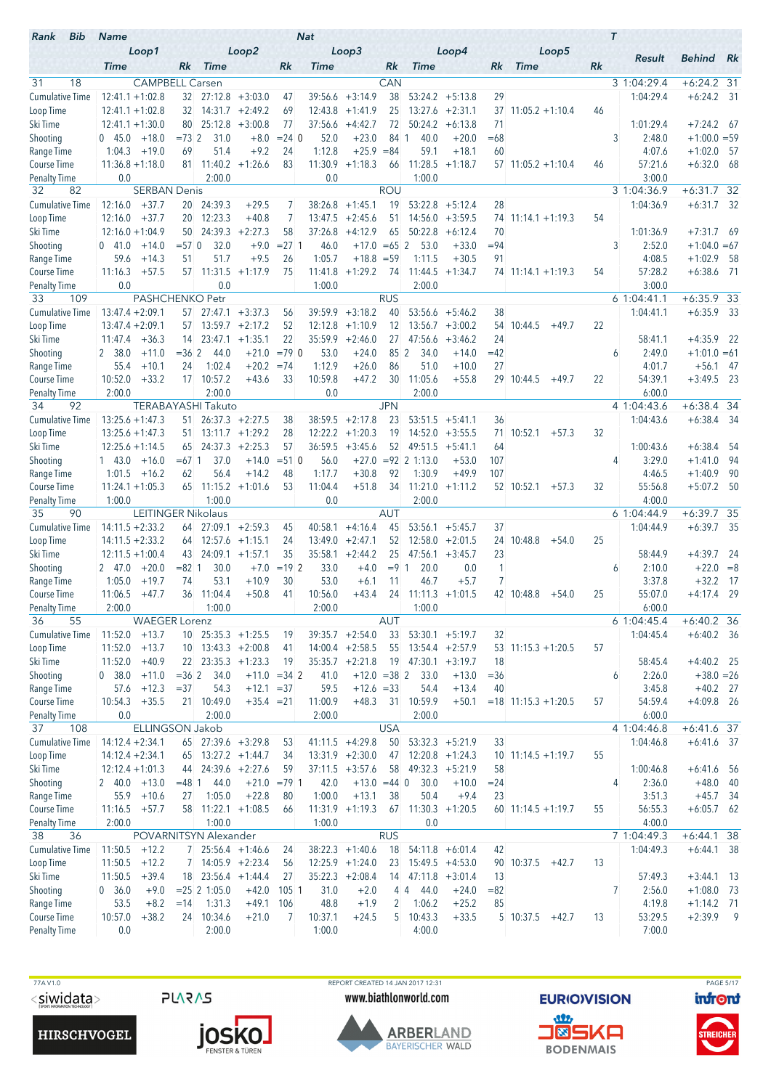| Bib<br>Rank                        | <b>Name</b>                              |                           |                   |                                                   |                    |                      | <b>Nat</b>        |                                         |                  |                               |                                         |            |                        |    | $\tau$                 |                         |                |
|------------------------------------|------------------------------------------|---------------------------|-------------------|---------------------------------------------------|--------------------|----------------------|-------------------|-----------------------------------------|------------------|-------------------------------|-----------------------------------------|------------|------------------------|----|------------------------|-------------------------|----------------|
|                                    | <b>Time</b>                              | Loop1                     | Rk.               | <b>Time</b>                                       | Loop2              | Rk                   | Time              | Loop3                                   | Rk               | <b>Time</b>                   | Loop4                                   | Rk         | Loop5<br><b>Time</b>   | Rk | Result                 | <b>Behind</b> Rk        |                |
| 31<br>18                           |                                          | <b>CAMPBELL Carsen</b>    |                   |                                                   |                    |                      |                   |                                         | CAN              |                               |                                         |            |                        |    | 3 1:04:29.4            | $+6:24.2$ 31            |                |
| <b>Cumulative Time</b>             | $12:41.1 + 1:02.8$                       |                           | 32                |                                                   | $27:12.8$ +3:03.0  | 47                   | 39:56.6           | $+3:14.9$                               | 38               | 53:24.2                       | $+5:13.8$                               | 29         |                        |    | 1:04:29.4              | $+6:24.2$ 31            |                |
| Loop Time                          | $12:41.1 + 1:02.8$                       |                           | 32                | 14:31.7                                           | $+2:49.2$          | 69                   | 12:43.8           | $+1:41.9$                               | 25               |                               | $13:27.6 +2:31.1$                       | 37         | $11:05.2 +1:10.4$      | 46 |                        |                         |                |
| Ski Time                           | $12:41.1 + 1:30.0$                       |                           | 80                | 25:12.8                                           | $+3:00.8$          | 77                   | 37:56.6           | $+4:42.7$                               | 72               | 50:24.2                       | $+6:13.8$                               | 71         |                        |    | 1:01:29.4              | $+7:24.2$ 67            |                |
| Shooting                           | 045.0                                    | $+18.0$                   | $= 732$           | 31.0                                              | $+8.0$             | $= 24.0$             | 52.0              | $+23.0$                                 | 84 1             | 40.0                          | $+20.0$                                 | $=68$      |                        |    | 3<br>2:48.0            | $+1:00.0 = 59$          |                |
| Range Time                         | 1:04.3                                   | $+19.0$                   | 69                | 51.4                                              | $+9.2$             | 24                   | 1:12.8            | $+25.9 = 84$                            |                  | 59.1                          | $+18.1$                                 | 60         |                        |    | 4:07.6                 | $+1:02.0$               | - 57           |
| <b>Course Time</b>                 | $11:36.8 + 1:18.0$<br>0.0                |                           | 81                | 11:40.2<br>2:00.0                                 | $+1:26.6$          | 83                   | 11:30.9<br>0.0    | $+1:18.3$                               | 66               | 11:28.5                       | $+1:18.7$                               |            | $57$ 11:05.2 +1:10.4   | 46 | 57:21.6<br>3:00.0      | $+6:32.0$ 68            |                |
| <b>Penalty Time</b><br>82<br>32    |                                          | <b>SERBAN Denis</b>       |                   |                                                   |                    |                      |                   |                                         | <b>ROU</b>       | 1:00.0                        |                                         |            |                        |    | 3 1:04:36.9            | $+6:31.7$ 32            |                |
| <b>Cumulative Time</b>             | 12:16.0                                  | $+37.7$                   |                   | 20 24:39.3                                        | $+29.5$            | 7                    | 38:26.8           | $+1:45.1$                               | 19               | 53:22.8                       | $+5:12.4$                               | 28         |                        |    | 1:04:36.9              | $+6:31.7$ 32            |                |
| Loop Time                          | 12:16.0                                  | $+37.7$                   | 20                | 12:23.3                                           | $+40.8$            | 7                    | 13:47.5           | $+2:45.6$                               | 51               | 14:56.0                       | $+3:59.5$                               | 74         | $11:14.1 + 1:19.3$     | 54 |                        |                         |                |
| Ski Time                           | $12:16.0 + 1:04.9$                       |                           |                   | 50 24:39.3                                        | $+2:27.3$          | 58                   | 37:26.8           | $+4:12.9$                               | 65               | 50:22.8                       | $+6:12.4$                               | 70         |                        |    | 1:01:36.9              | $+7:31.7$ 69            |                |
| Shooting                           | 041.0                                    | $+14.0$                   | $= 57$ 0          | 32.0                                              | $+9.0$             | $= 271$              | 46.0              | $+17.0 = 65$ 2                          |                  | 53.0                          | $+33.0$                                 | $= 94$     |                        |    | 3<br>2:52.0            | $+1:04.0 = 67$          |                |
| Range Time                         | 59.6                                     | $+14.3$                   | 51                | 51.7                                              | $+9.5$             | 26                   | 1:05.7            | $+18.8 = 59$                            |                  | 1:11.5                        | $+30.5$                                 | 91         |                        |    | 4:08.5                 | $+1:02.9$               | - 58           |
| Course Time<br><b>Penalty Time</b> | 11:16.3<br>0.0                           | $+57.5$                   |                   | 57 11:31.5<br>0.0                                 | $+1:17.9$          | 75                   | 11:41.8<br>1:00.0 | $+1:29.2$                               | 74               | 2:00.0                        | $11:44.5 + 1:34.7$                      |            | $74$ 11:14.1 +1:19.3   | 54 | 57:28.2<br>3:00.0      | $+6:38.6$ 71            |                |
| 33<br>109                          |                                          | <b>PASHCHENKO Petr</b>    |                   |                                                   |                    |                      |                   |                                         | <b>RUS</b>       |                               |                                         |            |                        |    | 61:04:41.1             | $+6:35.9$ 33            |                |
| <b>Cumulative Time</b>             | $13:47.4 + 2:09.1$                       |                           | 57                |                                                   | $27:47.1 + 3:37.3$ | 56                   | 39:59.9           | $+3:18.2$                               | 40               | 53:56.6                       | $+5:46.2$                               | 38         |                        |    | 1:04:41.1              | $+6:35.9$               | - 33           |
| Loop Time                          | $13:47.4 + 2:09.1$                       |                           |                   | $57$ 13:59.7 +2:17.2                              |                    | 52                   | 12:12.8           | $+1:10.9$                               | 12               |                               | $13:56.7 + 3:00.2$                      | 54         | 10:44.5<br>$+49.7$     | 22 |                        |                         |                |
| Ski Time                           | $11:47.4 + 36.3$                         |                           | 14                |                                                   | $23:47.1 +1:35.1$  | 22                   | 35:59.9           | $+2:46.0$                               | 27.              | 47:56.6                       | $+3:46.2$                               | 24         |                        |    | 58:41.1                | $+4:35.9$               | - 22           |
| Shooting                           | 2 38.0                                   | $+11.0$                   | $= 362$           | 44.0                                              | $+21.0$            | $=79$ 0              | 53.0              | $+24.0$                                 | 85 2             | 34.0                          | $+14.0$                                 | $=42$      |                        |    | 2:49.0<br>6            | $+1:01.0 = 61$          |                |
| Range Time                         | 55.4<br>10:52.0                          | $+10.1$                   | 24                | 1:02.4<br>17 10:57.2                              | $+20.2$<br>$+43.6$ | $= 74$               | 1:12.9<br>10:59.8 | $+26.0$<br>$+47.2$                      | 86<br>30         | 51.0<br>11:05.6               | $+10.0$                                 | 27         |                        |    | 4:01.7<br>54:39.1      | $+56.1$<br>$+3:49.5$ 23 | - 47           |
| Course Time<br><b>Penalty Time</b> | 2:00.0                                   | $+33.2$                   |                   | 2:00.0                                            |                    | 33                   | 0.0               |                                         |                  | 2:00.0                        | $+55.8$                                 |            | 29 10:44.5<br>$+49.7$  | 22 | 6:00.0                 |                         |                |
| 92<br>34                           |                                          |                           |                   | <b>TERABAYASHI Takuto</b>                         |                    |                      |                   |                                         | <b>JPN</b>       |                               |                                         |            |                        |    | 4 1:04:43.6            | $+6:38.4$ 34            |                |
| <b>Cumulative Time</b>             | $13:25.6 + 1:47.3$                       |                           | 51 -              |                                                   | $26:37.3 + 2:27.5$ | 38                   | 38:59.5           | $+2:17.8$                               | 23               | 53:51.5                       | $+5:41.1$                               | 36         |                        |    | 1:04:43.6              | $+6:38.4$ 34            |                |
| Loop Time                          | $13:25.6 + 1:47.3$                       |                           | 51.               |                                                   | $13:11.7 + 1:29.2$ | 28                   | 12:22.2           | $+1:20.3$                               | 19               |                               | $14:52.0 + 3:55.5$                      | 71.        | 10:52.1<br>$+57.3$     | 32 |                        |                         |                |
| Ski Time                           | $12:25.6 + 1:14.5$                       |                           | 65                |                                                   | $24:37.3 +2:25.3$  | 57                   | 36:59.5           | $+3:45.6$                               | 52               |                               | $49:51.5 + 5:41.1$                      | 64         |                        |    | 1:00:43.6              | $+6:38.4$               | -54            |
| Shooting                           | $1 \quad 43.0$<br>1:01.5                 | $+16.0$<br>$+16.2$        | $=67$ 1<br>62     | 37.0<br>56.4                                      | $+14.0$<br>$+14.2$ | $= 51$ 0<br>48       | 56.0<br>1:17.7    | $+27.0$<br>$+30.8$                      | 92               | $= 92 \ 2 \ 1:13.0$<br>1:30.9 | $+53.0$<br>$+49.9$                      | 107<br>107 |                        |    | 3:29.0<br>4<br>4:46.5  | $+1:41.0$<br>$+1:40.9$  | -94<br>- 90    |
| Range Time<br><b>Course Time</b>   | $11:24.1 + 1:05.3$                       |                           |                   | $65$ 11:15.2 +1:01.6                              |                    | 53                   | 11:04.4           | $+51.8$                                 | 34               |                               | $11:21.0 +1:11.2$                       |            | 52 10:52.1<br>$+57.3$  | 32 | 55:56.8                | $+5:07.2$               | - 50           |
| Penalty Time                       | 1:00.0                                   |                           |                   | 1:00.0                                            |                    |                      | 0.0               |                                         |                  | 2:00.0                        |                                         |            |                        |    | 4:00.0                 |                         |                |
| 35<br>90                           |                                          | <b>LEITINGER Nikolaus</b> |                   |                                                   |                    |                      |                   |                                         | <b>AUT</b>       |                               |                                         |            |                        |    | 6 1:04:44.9            | $+6:39.7$ 35            |                |
| <b>Cumulative Time</b>             | $14:11.5 + 2:33.2$                       |                           |                   | $64$ 27:09.1 +2:59.3                              |                    | 45                   | 40:58.1           | $+4:16.4$                               | 45               | 53:56.1                       | $+5:45.7$                               | 37         |                        |    | 1:04:44.9              | $+6:39.7$ 35            |                |
| Loop Time                          | $14:11.5 + 2:33.2$                       |                           | 64                |                                                   | $12:57.6$ +1:15.1  | 24                   | 13:49.0           | $+2:47.1$                               | 52               |                               | $12:58.0 + 2:01.5$                      | 24         | 10:48.8<br>$+54.0$     | 25 |                        |                         |                |
| Ski Time                           | $12:11.5 + 1:00.4$                       |                           | 43                |                                                   | $24:09.1 + 1:57.1$ | 35<br>$= 19 \, 2$    | 35:58.1           | $+2:44.2$<br>$+4.0$                     | 25<br>$= 9 \, 1$ | 47:56.1                       | $+3:45.7$                               | 23<br>1    |                        |    | 58:44.9                | $+4:39.7$               | -24            |
| Shooting<br>Range Time             | 247.0<br>1:05.0                          | $+20.0$<br>$+19.7$        | $= 82 \; 1$<br>74 | 30.0<br>53.1                                      | $+7.0$<br>$+10.9$  | 30                   | 33.0<br>53.0      | $+6.1$                                  | 11               | 20.0<br>46.7                  | 0.0<br>$+5.7$                           | 7          |                        |    | 2:10.0<br>6<br>3:37.8  | $+22.0 = 8$<br>$+32.2$  | - 17           |
| <b>Course Time</b>                 | 11:06.5                                  | $+47.7$                   | 36                | 11:04.4                                           | $+50.8$            | 41                   | 10:56.0           | $+43.4$                                 | 24               |                               | $11:11.3 +1:01.5$                       |            | 42 10:48.8<br>$+54.0$  | 25 | 55:07.0                | $+4:17.4$               | - 29           |
| <b>Penalty Time</b>                | 2:00.0                                   |                           |                   | 1:00.0                                            |                    |                      | 2:00.0            |                                         |                  | 1:00.0                        |                                         |            |                        |    | 6:00.0                 |                         |                |
| 36<br>55                           |                                          | <b>WAEGER Lorenz</b>      |                   |                                                   |                    |                      |                   |                                         | AUT              |                               |                                         |            |                        |    | 6 1:04:45.4            | $+6:40.2$ 36            |                |
| Cumulative Time                    | 11:52.0                                  | $+13.7$                   |                   | $10$ 25:35.3 +1:25.5                              |                    | 19                   |                   | $39:35.7 +2:54.0$                       | 33               |                               | $53:30.1 + 5:19.7$                      | 32         |                        |    | 1:04:45.4              | $+6:40.2$ 36            |                |
| Loop Time<br>Ski Time              | 11:52.0<br>11:52.0                       | $+13.7$<br>$+40.9$        |                   | $10$ 13:43.3 +2:00.8<br>$22 \mid 23:35.3 +1:23.3$ |                    | 41                   |                   | $14:00.4$ +2:58.5<br>$35:35.7 +2:21.8$  | 55               | $19$ 47:30.1 +3:19.7          | $13:54.4 + 2:57.9$                      | 18         | $53$ 11:15.3 +1:20.5   | 57 |                        | $+4:40.2$ 25            |                |
| Shooting                           | 0, 38.0                                  | $+11.0$                   | $= 36 \, 2$       | 34.0                                              |                    | 19<br>$+11.0 = 34$ 2 | 41.0              | $+12.0 = 38$ 2                          |                  | 33.0                          | $+13.0$                                 | $= 36$     |                        |    | 58:45.4<br>2:26.0<br>6 | $+38.0 = 26$            |                |
| Range Time                         | 57.6                                     | $+12.3$                   | $= 37$            | 54.3                                              | $+12.1 = 37$       |                      | 59.5              | $+12.6 = 33$                            |                  | 54.4                          | $+13.4$                                 | 40         |                        |    | 3:45.8                 | $+40.2$ 27              |                |
| Course Time                        | 10:54.3                                  | $+35.5$                   |                   | 21 10:49.0                                        | $+35.4 = 21$       |                      | 11:00.9           | $+48.3$                                 | 31               | 10:59.9                       | $+50.1$                                 |            | $= 18$ 11:15.3 +1:20.5 | 57 | 54:59.4                | $+4:09.8$ 26            |                |
| <b>Penalty Time</b>                | 0.0                                      |                           |                   | 2:00.0                                            |                    |                      | 2:00.0            |                                         |                  | 2:00.0                        |                                         |            |                        |    | 6:00.0                 |                         |                |
| 37<br>108                          |                                          | ELLINGSON Jakob           |                   |                                                   |                    |                      |                   |                                         | <b>USA</b>       |                               |                                         |            |                        |    | 4 1:04:46.8            | $+6:41.6$ 37            |                |
| <b>Cumulative Time</b>             | $14:12.4 + 2:34.1$                       |                           |                   | 65 27:39.6 +3:29.8                                |                    | 53                   |                   | $41:11.5 +4:29.8$                       | 50               |                               | $53:32.3 + 5:21.9$<br>$12:20.8$ +1:24.3 | 33         |                        |    | 1:04:46.8              | $+6:41.6$ 37            |                |
| Loop Time<br>Ski Time              | $14:12.4 + 2:34.1$<br>$12:12.4 + 1:01.3$ |                           | 65<br>44          | $13:27.2 +1:44.7$                                 | $24:39.6 +2:27.6$  | 34<br>59             |                   | $13:31.9 +2:30.0$<br>$37:11.5 + 3:57.6$ | 47<br>58         |                               | $49:32.3 + 5:21.9$                      | 58         | $10$ 11:14.5 +1:19.7   | 55 | 1:00:46.8              | $+6:41.6$ 56            |                |
| Shooting                           | $2 \quad 40.0 \quad +13.0$               |                           | $= 48$ 1          | 44.0                                              |                    | $+21.0 = 791$        | 42.0              | $+13.0 = 44$ 0                          |                  | 30.0                          | $+10.0$                                 | $= 24$     |                        |    | 2:36.0<br>4            | $+48.0$ 40              |                |
| Range Time                         | 55.9                                     | $+10.6$                   | 27                | 1:05.0                                            | $+22.8$            | 80                   | 1:00.0            | $+13.1$                                 | 38               | 50.4                          | $+9.4$                                  | 23         |                        |    | 3:51.3                 | $+45.7$ 34              |                |
| Course Time                        | $11:16.5 + 57.7$                         |                           | 58                |                                                   | $11:22.1 +1:08.5$  | 66                   |                   | $11:31.9 +1:19.3$                       |                  | $67$ 11:30.3 +1:20.5          |                                         |            | $60$ 11:14.5 +1:19.7   | 55 | 56:55.3                | $+6:05.7$ 62            |                |
| <b>Penalty Time</b>                | 2:00.0                                   |                           |                   | 1:00.0                                            |                    |                      | 1:00.0            |                                         |                  | 0.0                           |                                         |            |                        |    | 4:00.0                 |                         |                |
| 36<br>38                           |                                          |                           |                   | POVARNITSYN Alexander                             |                    |                      |                   |                                         | <b>RUS</b>       |                               |                                         |            |                        |    | 7 1:04:49.3            | $+6:44.1$ 38            |                |
| <b>Cumulative Time</b>             | 11:50.5<br>11:50.5                       | $+12.2$<br>$+12.2$        | $7^{\circ}$       | 7 25:56.4 +1:46.6                                 | $14:05.9 +2:23.4$  | 24                   |                   | $38:22.3 +1:40.6$<br>$12:25.9 +1:24.0$  | 18<br>23         |                               | $54:11.8 + 6:01.4$<br>$15:49.5 +4:53.0$ | 42         | 90 10:37.5             | 13 | 1:04:49.3              | $+6:44.1$ 38            |                |
| Loop Time<br>Ski Time              | 11:50.5                                  | $+39.4$                   |                   | $18$ 23:56.4 +1:44.4                              |                    | 56<br>27             |                   | $35:22.3 +2:08.4$                       |                  | $14$ 47:11.8 +3:01.4          |                                         | 13         | $+42.7$                |    | 57:49.3                | $+3:44.1$ 13            |                |
| Shooting                           | 0, 36.0                                  | $+9.0$                    |                   | $= 25 \,   2 \, 1:05.0$                           | $+42.0$            | 105 1                | 31.0              | $+2.0$                                  |                  | 44.0<br>44                    | $+24.0$                                 | $= 82$     |                        |    | 7<br>2:56.0            | $+1:08.0$ 73            |                |
| Range Time                         | 53.5                                     | $+8.2$                    | $=14$             | 1:31.3                                            | $+49.1$            | 106                  | 48.8              | $+1.9$                                  | 2                | 1:06.2                        | $+25.2$                                 | 85         |                        |    | 4:19.8                 | $+1:14.2$ 71            |                |
| Course Time                        | 10:57.0                                  | $+38.2$                   |                   | 24 10:34.6                                        | $+21.0$            | 7                    | 10:37.1           | $+24.5$                                 | 5                | 10:43.3                       | $+33.5$                                 |            | 5 10:37.5<br>$+42.7$   | 13 | 53:29.5                | $+2:39.9$               | $\overline{9}$ |
| <b>Penalty Time</b>                | 0.0                                      |                           |                   | 2:00.0                                            |                    |                      | 1:00.0            |                                         |                  | 4:00.0                        |                                         |            |                        |    | 7:00.0                 |                         |                |



**PLARAS** 

TTA V1.0<br>
TTA V1.0 REPORT CREATED 14 JAN 2017 12:31<br>
SIMIDENT BURIOVISION DITON NEW WORLD WWW.biathlonworld.com PAGE 5/17 www.biathlonworld.com



**EURIOVISION** <u>an</u> **J®SKA** 

**BODENMAIS** 

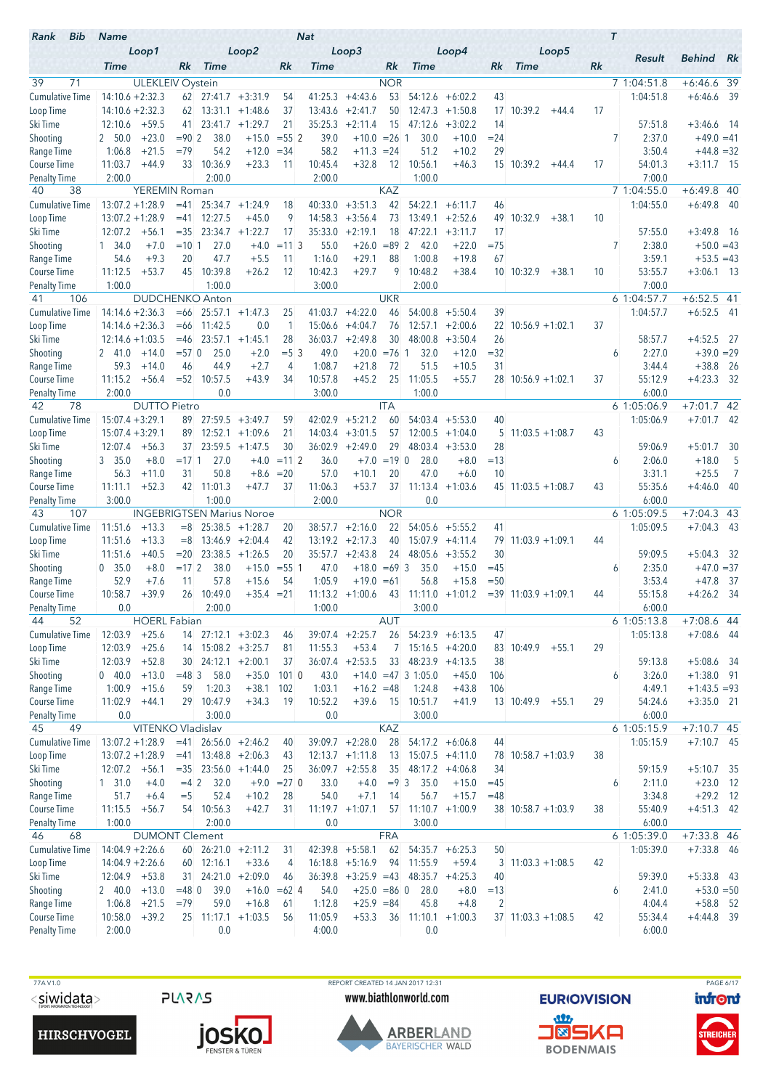| Bib<br>Rank                         | <b>Name</b>                              |                         |                |                                                        |                                  |                | <b>Nat</b>         |                              |            |                       |                        |                 |                       |    | $\tau$                 |                              |      |
|-------------------------------------|------------------------------------------|-------------------------|----------------|--------------------------------------------------------|----------------------------------|----------------|--------------------|------------------------------|------------|-----------------------|------------------------|-----------------|-----------------------|----|------------------------|------------------------------|------|
|                                     | <b>Time</b>                              | Loop1                   | Rk.            | <b>Time</b>                                            | Loop2                            | Rk             | <b>Time</b>        | Loop3                        | Rk         | <b>Time</b>           | Loop4                  | Rk              | Loop5<br><b>Time</b>  | Rk | Result                 | <b>Behind</b>                | Rk   |
| 39<br>71                            |                                          | <b>ULEKLEIV Oystein</b> |                |                                                        |                                  |                |                    |                              | <b>NOR</b> |                       |                        |                 |                       |    | 7 1:04:51.8            | $+6:46.6$ 39                 |      |
| <b>Cumulative Time</b>              | $14:10.6 + 2:32.3$                       |                         |                | $62$ 27:41.7 $+3:31.9$                                 |                                  | 54             | 41:25.3            | $+4:43.6$                    | 53         | 54:12.6               | $+6:02.2$              | 43              |                       |    | 1:04:51.8              | $+6:46.6$                    | - 39 |
| Loop Time                           | $14:10.6 + 2:32.3$                       |                         |                | $62$ 13:31.1 +1:48.6                                   |                                  | 37             | 13:43.6            | $+2:41.7$                    | 50         |                       | $12:47.3 +1:50.8$      | 17              | 10:39.2<br>$+44.4$    | 17 |                        |                              |      |
| Ski Time                            | 12:10.6                                  | $+59.5$                 | 41             | 23:41.7                                                | $+1:29.7$                        | 21             | 35:25.3            | $+2:11.4$                    | 15         | 47:12.6               | $+3:02.2$              | 14              |                       |    | 57:51.8                | $+3:46.6$ 14                 |      |
| Shooting                            | 2 50.0                                   | $+23.0$                 | $= 902$        | 38.0                                                   | $+15.0$                          | $= 55$ 2       | 39.0               | $+10.0 = 26$ 1               |            | 30.0                  | $+10.0$                | $= 24$          |                       |    | 7<br>2:37.0            | $+49.0 = 41$                 |      |
| Range Time                          | 1:06.8                                   | $+21.5$                 | $=79$          | 54.2                                                   | $+12.0$                          | $= 34$         | 58.2               | $+11.3$                      | $= 24$     | 51.2                  | $+10.2$                | 29              |                       |    | 3:50.4                 | $+44.8 = 32$                 |      |
| <b>Course Time</b>                  | 11:03.7                                  | $+44.9$                 | 33             | 10:36.9                                                | $+23.3$                          | 11             | 10:45.4            | $+32.8$                      | 12         | 10:56.1               | $+46.3$                |                 | 15 10:39.2<br>+44.4   | 17 | 54:01.3                | $+3:11.7$ 15                 |      |
| <b>Penalty Time</b>                 | 2:00.0                                   |                         |                | 2:00.0                                                 |                                  |                | 2:00.0             |                              |            | 1:00.0                |                        |                 |                       |    | 7:00.0                 |                              |      |
| 38<br>40                            |                                          | <b>YEREMIN Roman</b>    |                |                                                        |                                  |                |                    |                              | <b>KAZ</b> |                       |                        |                 |                       |    | 7 1:04:55.0            | $+6:49.8$ 40                 |      |
| <b>Cumulative Time</b><br>Loop Time | $13:07.2 + 1:28.9$<br>$13:07.2 + 1:28.9$ |                         | $=41$<br>$=41$ | 12:27.5                                                | $25:34.7 +1:24.9$<br>$+45.0$     | 18<br>9        | 40:33.0<br>14:58.3 | $+3:51.3$<br>$+3:56.4$       | 42<br>73   | 54:22.1<br>13:49.1    | $+6:11.7$<br>$+2:52.6$ | 46<br>49        | 10:32.9<br>$+38.1$    | 10 | 1:04:55.0              | $+6:49.8$                    | - 40 |
| Ski Time                            | 12:07.2                                  | $+56.1$                 | $=35$          |                                                        | $23:34.7 +1:22.7$                | 17             | 35:33.0            | $+2:19.1$                    | 18         | 47:22.1               | $+3:11.7$              | 17              |                       |    | 57:55.0                | $+3:49.8$ 16                 |      |
| Shooting                            | 1, 34.0                                  | $+7.0$                  | $=10.1$        | 27.0                                                   | $+4.0$                           | $= 113$        | 55.0               | $+26.0$                      | $= 89.2$   | 42.0                  | $+22.0$                | $=75$           |                       |    | 7<br>2:38.0            | $+50.0 = 43$                 |      |
| Range Time                          | 54.6                                     | $+9.3$                  | 20             | 47.7                                                   | $+5.5$                           | 11             | 1:16.0             | $+29.1$                      | 88         | 1:00.8                | $+19.8$                | 67              |                       |    | 3:59.1                 | $+53.5 = 43$                 |      |
| Course Time                         | 11:12.5                                  | $+53.7$                 | 45             | 10:39.8                                                | $+26.2$                          | 12             | 10:42.3            | $+29.7$                      | 9          | 10:48.2               | $+38.4$                |                 | 10 10:32.9<br>$+38.1$ | 10 | 53:55.7                | $+3:06.1$ 13                 |      |
| <b>Penalty Time</b>                 | 1:00.0                                   |                         |                | 1:00.0                                                 |                                  |                | 3:00.0             |                              |            | 2:00.0                |                        |                 |                       |    | 7:00.0                 |                              |      |
| 106<br>41                           |                                          |                         |                | <b>DUDCHENKO Anton</b>                                 |                                  |                |                    |                              | <b>UKR</b> |                       |                        |                 |                       |    | 6 1:04:57.7            | $+6:52.5$ 41                 |      |
| <b>Cumulative Time</b>              | $14:14.6 + 2:36.3$                       |                         | $=66$          |                                                        | $25:57.1 +1:47.3$                | 25             | 41:03.7            | $+4:22.0$                    | 46         | 54:00.8               | $+5:50.4$              | 39              |                       |    | 1:04:57.7              | $+6:52.5$ 41                 |      |
| Loop Time                           | $14:14.6 + 2:36.3$                       |                         | $=66$          | 11:42.5                                                | 0.0                              | 1              | 15:06.6            | $+4:04.7$                    | 76         | 12:57.1               | $+2:00.6$              | 22 <sup>2</sup> | $10:56.9 + 1:02.1$    | 37 |                        |                              |      |
| Ski Time                            | $12:14.6 + 1:03.5$                       |                         | $=46$          | 23:57.1                                                | $+1:45.1$                        | 28             | 36:03.7            | $+2:49.8$                    | 30         | 48:00.8               | $+3:50.4$              | 26              |                       |    | 58:57.7                | $+4:52.5$ 27                 |      |
| Shooting                            | 2 41.0                                   | $+14.0$                 | $= 570$        | 25.0                                                   | $+2.0$                           | $= 5 \, 3$     | 49.0               | $+20.0 = 76$ 1               |            | 32.0                  | $+12.0$                | $= 32$          |                       |    | 2:27.0<br>6            | $+39.0 = 29$                 |      |
| Range Time<br>Course Time           | 59.3<br>11:15.2                          | $+14.0$<br>$+56.4$      | 46             | 44.9<br>$= 52$ 10:57.5                                 | $+2.7$<br>$+43.9$                | 4<br>34        | 1:08.7<br>10:57.8  | $+21.8$<br>$+45.2$           | 72<br>25   | 51.5<br>11:05.5       | $+10.5$<br>$+55.7$     | 31              | $28$ 10:56.9 +1:02.1  | 37 | 3:44.4<br>55:12.9      | $+38.8$<br>$+4:23.3$ 32      | - 26 |
| <b>Penalty Time</b>                 | 2:00.0                                   |                         |                | 0.0                                                    |                                  |                | 3:00.0             |                              |            | 1:00.0                |                        |                 |                       |    | 6:00.0                 |                              |      |
| 42<br>78                            |                                          | <b>DUTTO Pietro</b>     |                |                                                        |                                  |                |                    |                              | <b>ITA</b> |                       |                        |                 |                       |    | 61:05:06.9             | $+7:01.7$ 42                 |      |
| <b>Cumulative Time</b>              | $15:07.4 + 3:29.1$                       |                         | 89             |                                                        | $27:59.5 +3:49.7$                | 59             | 42:02.9            | $+5:21.2$                    | 60         |                       | $54:03.4$ +5:53.0      | 40              |                       |    | 1:05:06.9              | $+7:01.7$ 42                 |      |
| Loop Time                           | $15:07.4 + 3:29.1$                       |                         | 89             |                                                        | $12:52.1 + 1:09.6$               | 21             | 14:03.4            | $+3:01.5$                    | 57         |                       | $12:00.5 + 1:04.0$     | 5               | $11:03.5 + 1:08.7$    | 43 |                        |                              |      |
| Ski Time                            | 12:07.4                                  | $+56.3$                 | 37             |                                                        | $23:59.5 +1:47.5$                | 30             |                    | $36:02.9$ +2:49.0            | 29         |                       | $48:03.4$ +3:53.0      | 28              |                       |    | 59:06.9                | $+5:01.7$                    | 30   |
| Shooting                            | 3, 35.0                                  | $+8.0$                  | $=17.1$        | 27.0                                                   | $+4.0$                           | $=112$         | 36.0               | $+7.0$                       | $=19$ 0    | 28.0                  | $+8.0$                 | $=13$           |                       |    | 2:06.0<br>6            | $+18.0$                      | 5    |
| Range Time                          | 56.3                                     | $+11.0$                 | 31             | 50.8                                                   | $+8.6$                           | $= 20$         | 57.0               | $+10.1$                      | 20         | 47.0                  | $+6.0$                 | 10              |                       |    | 3:31.1                 | $+25.5$                      | 7    |
| Course Time                         | 11:11.1                                  | $+52.3$                 |                | 42 11:01.3                                             | $+47.7$                          | 37             | 11:06.3            | $+53.7$                      |            | $37$ 11:13.4 +1:03.6  |                        |                 | $45$ 11:03.5 +1:08.7  | 43 | 55:35.6                | $+4:46.0$                    | 40   |
| <b>Penalty Time</b><br>43<br>107    | 3:00.0                                   |                         |                | 1:00.0                                                 | <b>INGEBRIGTSEN Marius Noroe</b> |                | 2:00.0             |                              | <b>NOR</b> | 0.0                   |                        |                 |                       |    | 6:00.0<br>6 1:05:09.5  | $+7:04.3$ 43                 |      |
| <b>Cumulative Time</b>              | 11:51.6                                  | $+13.3$                 | $=8$           |                                                        | $25:38.5 +1:28.7$                | 20             | 38:57.7            | $+2:16.0$                    | 22         |                       | $54:05.6$ +5:55.2      | 41              |                       |    | 1:05:09.5              | $+7:04.3$ 43                 |      |
| Loop Time                           | 11:51.6                                  | $+13.3$                 | $=8$           |                                                        | $13:46.9 + 2:04.4$               | 42             |                    | $13:19.2 +2:17.3$            | 40         |                       | $15:07.9$ +4:11.4      | 79              | $11:03.9 + 1:09.1$    | 44 |                        |                              |      |
| Ski Time                            | 11:51.6                                  | $+40.5$                 | $=20$          |                                                        | $23:38.5 +1:26.5$                | 20             | 35:57.7            | $+2:43.8$                    | 24         | 48:05.6               | $+3:55.2$              | 30              |                       |    | 59:09.5                | $+5:04.3$                    | -32  |
| Shooting                            | 0, 35.0                                  | $+8.0$                  | $= 172$        | 38.0                                                   | $+15.0$                          | $= 55$ 1       | 47.0               | $+18.0$                      | $=69$ 3    | 35.0                  | $+15.0$                | $=45$           |                       |    | 2:35.0<br>6            | $+47.0 = 37$                 |      |
| Range Time                          | 52.9                                     | $+7.6$                  | 11             | 57.8                                                   | $+15.6$                          | 54             | 1:05.9             | $+19.0 = 61$                 |            | 56.8                  | $+15.8$                | $= 50$          |                       |    | 3:53.4                 | $+47.8$                      | - 37 |
| <b>Course Time</b>                  | 10:58.7                                  | $+39.9$                 |                | 26 10:49.0                                             | $+35.4 = 21$                     |                |                    | $11:13.2 +1:00.6$            |            | $43$ 11:11.0 +1:01.2  |                        |                 | $=39$ 11:03.9 +1:09.1 | 44 | 55:15.8                | $+4:26.2$                    | - 34 |
| <b>Penalty Time</b>                 | 0.0                                      |                         |                | 2:00.0                                                 |                                  |                | 1:00.0             |                              |            | 3:00.0                |                        |                 |                       |    | 6:00.0                 |                              |      |
| 52<br>44                            |                                          | <b>HOERL Fabian</b>     |                |                                                        |                                  |                |                    |                              | AUT        |                       |                        |                 |                       |    | 6 1:05:13.8            | +7:08.6 44                   |      |
| Cumulative Time                     | 12:03.9                                  | $+25.6$                 |                | $14$ 27:12.1 +3:02.3                                   |                                  | 46             |                    | $39:07.4$ +2:25.7            | 26         |                       | $54:23.9 + 6:13.5$     | 47              |                       |    | 1:05:13.8              | $+7:08.6$ 44                 |      |
| Loop Time<br>Ski Time               | $12:03.9$ +25.6<br>$12:03.9$ +52.8       |                         |                | 14 15:08.2 +3:25.7<br>$30 \quad 24:12.1 \quad +2:00.1$ |                                  | 81             | 11:55.3            | $+53.4$<br>$36:07.4$ +2:53.5 | 33         | $7$ 15:16.5 +4:20.0   | $48:23.9 +4:13.5$      |                 | 83 10:49.9<br>$+55.1$ | 29 |                        |                              |      |
| Shooting                            | 0 40.0                                   | $+13.0$                 | $=483$         | 58.0                                                   | $+35.0$                          | 37<br>1010     | 43.0               |                              |            | $+14.0 = 47$ 3 1:05.0 | $+45.0$                | 38<br>106       |                       |    | 59:13.8<br>3:26.0<br>6 | $+5:08.6$ 34<br>$+1:38.0$ 91 |      |
| Range Time                          | 1:00.9                                   | $+15.6$                 | 59             | 1:20.3                                                 | $+38.1$                          | 102            | 1:03.1             | $+16.2 = 48$                 |            | 1:24.8                | $+43.8$                | 106             |                       |    | 4:49.1                 | $+1:43.5 = 93$               |      |
| Course Time                         | 11:02.9                                  | $+44.1$                 |                | 29 10:47.9                                             | $+34.3$                          | 19             | 10:52.2            | $+39.6$                      | 15         | 10:51.7               | $+41.9$                |                 | 13 10:49.9<br>$+55.1$ | 29 | 54:24.6                | $+3:35.0$ 21                 |      |
| <b>Penalty Time</b>                 | 0.0                                      |                         |                | 3:00.0                                                 |                                  |                | 0.0                |                              |            | 3:00.0                |                        |                 |                       |    | 6:00.0                 |                              |      |
| 45<br>49                            |                                          | VITENKO Vladislav       |                |                                                        |                                  |                |                    |                              | KAZ        |                       |                        |                 |                       |    | 6 1:05:15.9            | $+7:10.7$ 45                 |      |
| <b>Cumulative Time</b>              | $13:07.2 + 1:28.9$                       |                         |                | $=41$ 26:56.0 +2:46.2                                  |                                  | 40             |                    | $39:09.7 +2:28.0$            | 28         |                       | $54:17.2 + 6:06.8$     | 44              |                       |    | 1:05:15.9              | $+7:10.7$ 45                 |      |
| Loop Time                           | $13:07.2 + 1:28.9$                       |                         |                | $= 41$ 13:48.8 +2:06.3                                 |                                  | 43             |                    | $12:13.7 +1:11.8$            | 13         |                       | $15:07.5 +4:11.0$      |                 | 78 10:58.7 +1:03.9    | 38 |                        |                              |      |
| Ski Time                            | $12:07.2 +56.1$                          |                         |                |                                                        | $=35$ 23:56.0 +1:44.0            | 25             |                    | $36:09.7 +2:55.8$            |            | $35$ 48:17.2 +4:06.8  |                        | 34              |                       |    | 59:15.9                | $+5:10.7$ 35                 |      |
| Shooting                            | 1, 31.0                                  | $+4.0$                  | $=4$ 2         | 32.0                                                   |                                  | $+9.0 = 27$ 0  | 33.0               | $+4.0$                       | $= 9 \, 3$ | 35.0                  | $+15.0$                | $=45$           |                       |    | 2:11.0<br>6            | $+23.0$ 12                   |      |
| Range Time                          | 51.7                                     | $+6.4$                  | $=$ 5          | 52.4                                                   | $+10.2$                          | 28             | 54.0               | $+7.1$                       | 14         | 56.7                  | $+15.7$                | $=48$           |                       |    | 3:34.8                 | $+29.2$ 12                   |      |
| Course Time<br><b>Penalty Time</b>  | 11:15.5<br>1:00.0                        | $+56.7$                 |                | 54 10:56.3<br>2:00.0                                   | $+42.7$                          | 31             | 0.0                | $11:19.7 + 1:07.1$           | 57         | 3:00.0                | $11:10.7 + 1:00.9$     |                 | $38$ 10:58.7 +1:03.9  | 38 | 55:40.9<br>6:00.0      | $+4:51.3$ 42                 |      |
| 46<br>68                            |                                          | <b>DUMONT Clement</b>   |                |                                                        |                                  |                |                    |                              | <b>FRA</b> |                       |                        |                 |                       |    | 6 1:05:39.0            | $+7:33.8$ 46                 |      |
| <b>Cumulative Time</b>              | $14:04.9 + 2:26.6$                       |                         |                | $60$ $26:21.0$ $+2:11.2$                               |                                  | 31             |                    | $42:39.8$ +5:58.1            | 62         |                       | $54:35.7 + 6:25.3$     | 50              |                       |    | 1:05:39.0              | $+7:33.8$ 46                 |      |
| Loop Time                           | $14:04.9 + 2:26.6$                       |                         |                | 60 12:16.1                                             | $+33.6$                          | 4              |                    | $16:18.8 + 5:16.9$           | 94         | 11:55.9               | $+59.4$                | 3               | $11:03.3 + 1:08.5$    | 42 |                        |                              |      |
| Ski Time                            | $12:04.9$ +53.8                          |                         |                | $31$ 24:21.0 +2:09.0                                   |                                  | 46             |                    | $36:39.8 + 3:25.9 = 43$      |            |                       | $48:35.7 +4:25.3$      | 40              |                       |    | 59:39.0                | $+5:33.8$ 43                 |      |
| Shooting                            | 2 40.0                                   | $+13.0$                 | $=48$ 0        | 39.0                                                   |                                  | $+16.0 = 62$ 4 | 54.0               | $+25.0 = 86$ 0               |            | 28.0                  | $+8.0$                 | $=13$           |                       |    | 2:41.0<br>6            | $+53.0 = 50$                 |      |
| Range Time                          | 1:06.8                                   | $+21.5$                 | $=79$          | 59.0                                                   | $+16.8$                          | 61             | 1:12.8             | $+25.9 = 84$                 |            | 45.8                  | $+4.8$                 | 2               |                       |    | 4:04.4                 | $+58.8$ 52                   |      |
| Course Time                         | 10:58.0                                  | $+39.2$                 |                |                                                        | $25$ 11:17.1 +1:03.5             | 56             | 11:05.9            | $+53.3$                      | 36         |                       | $11:10.1 + 1:00.3$     |                 | $37$ 11:03.3 +1:08.5  | 42 | 55:34.4                | $+4:44.8$ 39                 |      |
| <b>Penalty Time</b>                 | 2:00.0                                   |                         |                | 0.0                                                    |                                  |                | 4:00.0             |                              |            | 0.0                   |                        |                 |                       |    | 6:00.0                 |                              |      |

77A V1.0  $<$ siwidata>

**PLARAS** 





REPORT CREATED 14 JAN 2017 12:31 www.biathlonworld.com



**EURIOVISION** <u>an</u> **J®SKA BODENMAIS** 



PAGE 6/17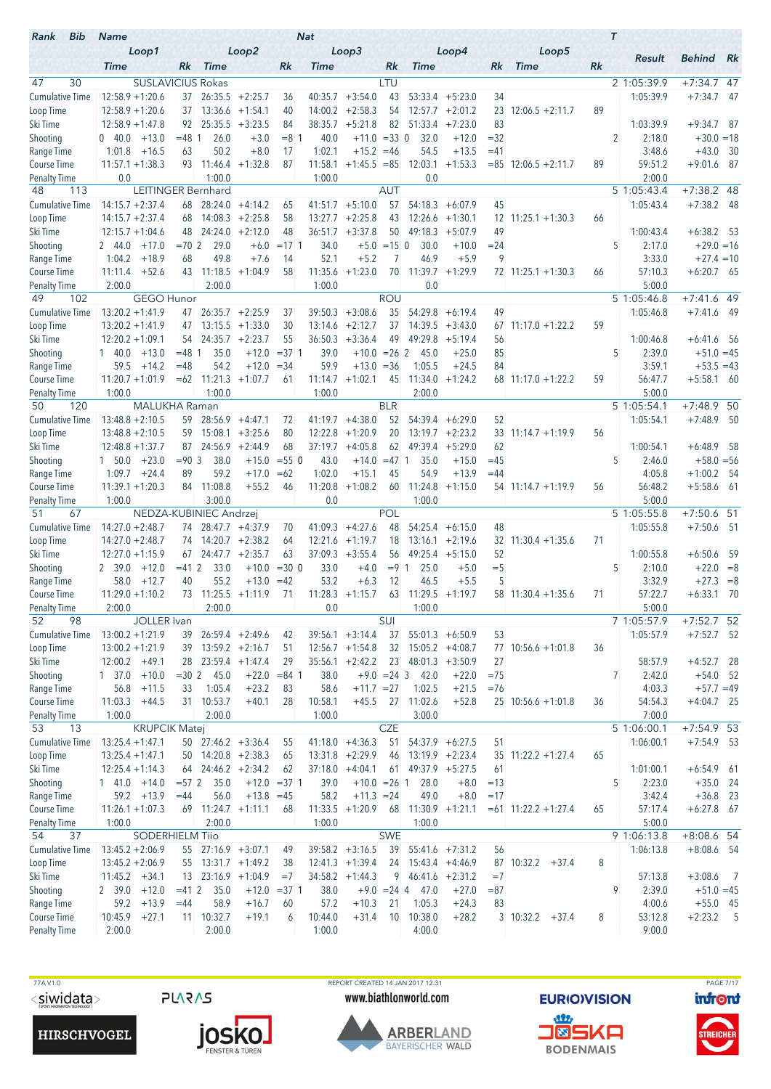| Bib<br>Rank                         | <b>Name</b>                                    |             |                                            |                                      |                | <b>Nat</b>         |                                        |                     |                                           |                                         |                 |                            | $\tau$ |                          |                              |      |
|-------------------------------------|------------------------------------------------|-------------|--------------------------------------------|--------------------------------------|----------------|--------------------|----------------------------------------|---------------------|-------------------------------------------|-----------------------------------------|-----------------|----------------------------|--------|--------------------------|------------------------------|------|
|                                     | Loop1                                          |             |                                            | Loop2                                |                |                    | Loop3                                  |                     |                                           | Loop4                                   |                 | Loop5                      |        | Result                   | <b>Behind</b> Rk             |      |
|                                     | <b>Time</b>                                    | Rk          | <b>Time</b>                                |                                      | Rk             | Time               |                                        | Rk                  | <b>Time</b>                               |                                         | Rk              | <b>Time</b>                | Rk     |                          |                              |      |
| 47<br>30<br><b>Cumulative Time</b>  | <b>SUSLAVICIUS Rokas</b><br>$12:58.9 + 1:20.6$ |             | $37$ 26:35.5 +2:25.7                       |                                      | 36             | 40:35.7            | $+3:54.0$                              | LTU<br>43           |                                           | $53:33.4 + 5:23.0$                      | 34              |                            |        | 2 1:05:39.9<br>1:05:39.9 | $+7:34.7$ 47<br>$+7:34.7$    | - 47 |
| Loop Time                           | $12:58.9 + 1:20.6$                             | 37          |                                            | $13:36.6 + 1:54.1$                   | 40             | 14:00.2            | $+2:58.3$                              | 54                  |                                           | $12:57.7 + 2:01.2$                      | 23              | $12:06.5 + 2:11.7$         | 89     |                          |                              |      |
| Ski Time                            | $12:58.9 + 1:47.8$                             | 92          | 25:35.5                                    | $+3:23.5$                            | 84             | 38:35.7            | $+5:21.8$                              | 82                  | 51:33.4                                   | $+7:23.0$                               | 83              |                            |        | 1:03:39.9                | $+9:34.7$ 87                 |      |
| Shooting                            | $0\quad 40.0$<br>$+13.0$                       | $= 48$ 1    | 26.0                                       | $+3.0$                               | $= 8 \, 1$     | 40.0               | $+11.0 = 33$ 0                         |                     | 32.0                                      | $+12.0$                                 | $=32$           |                            |        | 2<br>2:18.0              | $+30.0 = 18$                 |      |
| Range Time                          | 1:01.8<br>$+16.5$                              | 63          | 50.2                                       | $+8.0$                               | 17             | 1:02.1             | $+15.2 = 46$                           |                     | 54.5                                      | $+13.5$                                 | $=41$           |                            |        | 3:48.6                   | $+43.0$                      | - 30 |
| <b>Course Time</b>                  | $11:57.1 + 1:38.3$                             | 93          | 11:46.4                                    | $+1:32.8$                            | 87             | 11:58.1            | $+1:45.5 = 85$                         |                     | 12:03.1                                   | $+1:53.3$                               |                 | $= 85$ 12:06.5 +2:11.7     | 89     | 59:51.2                  | $+9:01.6$                    | - 87 |
| <b>Penalty Time</b>                 | 0.0                                            |             | 1:00.0                                     |                                      |                | 1:00.0             |                                        |                     | 0.0                                       |                                         |                 |                            |        | 2:00.0                   |                              |      |
| 48<br>113                           |                                                |             | LEITINGER Bernhard                         |                                      |                |                    |                                        | AUT                 |                                           |                                         |                 |                            |        | $5\overline{1:05:43.4}$  | $+7:38.2$ 48                 |      |
| <b>Cumulative Time</b>              | $14:15.7 + 2:37.4$                             | 68          |                                            | $28:24.0 +4:14.2$                    | 65             |                    | $41:51.7 +5:10.0$                      | 57                  | 54:18.3                                   | $+6:07.9$                               | 45              |                            |        | 1:05:43.4                | $+7:38.2$                    | - 48 |
| Loop Time                           | $14:15.7 + 2:37.4$                             | 68          |                                            | $14:08.3 + 2:25.8$                   | 58             | 13:27.7            | $+2:25.8$                              | 43                  |                                           | $12:26.6 + 1:30.1$                      | 12 <sup>2</sup> | $11:25.1 + 1:30.3$         | 66     |                          |                              |      |
| Ski Time<br>Shooting                | $12:15.7 + 1:04.6$<br>2 44.0<br>$+17.0$        | $= 702$     | 48 24:24.0 +2:12.0<br>29.0                 | $+6.0$                               | 48<br>$=1711$  | 34.0               | $36:51.7 + 3:37.8$                     | 50<br>$+5.0 = 15$ 0 | 49:18.3<br>30.0                           | $+5:07.9$<br>$+10.0$                    | 49<br>$= 24$    |                            |        | 1:00:43.4<br>5<br>2:17.0 | $+6:38.2$ 53<br>$+29.0 = 16$ |      |
| Range Time                          | 1:04.2<br>$+18.9$                              | 68          | 49.8                                       | $+7.6$                               | 14             | 52.1               | $+5.2$                                 | 7                   | 46.9                                      | $+5.9$                                  | 9               |                            |        | 3:33.0                   | $+27.4 = 10$                 |      |
| Course Time                         | $+52.6$<br>11:11.4                             |             | 43 11:18.5                                 | $+1:04.9$                            | 58             |                    | $11:35.6 + 1:23.0$                     | 70                  |                                           | $11:39.7 +1:29.9$                       |                 | $72$ 11:25.1 +1:30.3       | 66     | 57:10.3                  | $+6:20.7$ 65                 |      |
| <b>Penalty Time</b>                 | 2:00.0                                         |             | 2:00.0                                     |                                      |                | 1:00.0             |                                        |                     | 0.0                                       |                                         |                 |                            |        | 5:00.0                   |                              |      |
| 49<br>102                           | <b>GEGO Hunor</b>                              |             |                                            |                                      |                |                    |                                        | <b>ROU</b>          |                                           |                                         |                 |                            |        | 5 1:05:46.8              | $+7:41.6$ 49                 |      |
| <b>Cumulative Time</b>              | $13:20.2 + 1:41.9$                             | 47          |                                            | $26:35.7 + 2:25.9$                   | 37             | 39:50.3            | $+3:08.6$                              | 35                  | 54:29.8                                   | $+6:19.4$                               | 49              |                            |        | 1:05:46.8                | $+7:41.6$ 49                 |      |
| Loop Time                           | $13:20.2 + 1:41.9$                             | 47          |                                            | $13:15.5 +1:33.0$                    | 30             | 13:14.6            | $+2:12.7$                              | 37                  |                                           | $14:39.5 +3:43.0$                       | 67              | $11:17.0 + 1:22.2$         | 59     |                          |                              |      |
| Ski Time                            | $12:20.2 + 1:09.1$                             | 54          |                                            | $24:35.7 +2:23.7$                    | 55             | 36:50.3            | $+3:36.4$                              | 49                  |                                           | $49:29.8$ +5:19.4                       | 56              |                            |        | 1:00:46.8                | $+6:41.6$ 56                 |      |
| Shooting                            | $1\quad 40.0$<br>$+13.0$                       | $= 48$ 1    | 35.0                                       | $+12.0$                              | $= 37.1$       | 39.0               | $+10.0 = 26$ 2                         |                     | 45.0                                      | $+25.0$                                 | 85              |                            |        | 5<br>2:39.0              | $+51.0 = 45$                 |      |
| Range Time                          | 59.5<br>$+14.2$                                | $=48$       | 54.2                                       | $+12.0$                              | $= 34$         | 59.9               | $+13.0 = 36$                           |                     | 1:05.5                                    | $+24.5$                                 | 84              |                            |        | 3:59.1                   | $+53.5 = 43$                 |      |
| Course Time                         | $11:20.7 + 1:01.9$<br>1:00.0                   | $=62$       | 1:00.0                                     | $11:21.3 +1:07.7$                    | 61             | 11:14.7<br>1:00.0  | $+1:02.1$                              | 45                  | 11:34.0<br>2:00.0                         | $+1:24.2$                               |                 | $68$ 11:17.0 +1:22.2       | 59     | 56:47.7<br>5:00.0        | $+5:58.1$ 60                 |      |
| <b>Penalty Time</b><br>120<br>50    | MALUKHA Raman                                  |             |                                            |                                      |                |                    |                                        | <b>BLR</b>          |                                           |                                         |                 |                            |        | 5 1:05:54.1              | $+7:48.9$ 50                 |      |
| <b>Cumulative Time</b>              | $13:48.8 + 2:10.5$                             |             | $59$ 28:56.9 +4:47.1                       |                                      | 72             | 41:19.7            | $+4:38.0$                              | 52                  |                                           | $54:39.4 + 6:29.0$                      | 52              |                            |        | 1:05:54.1                | $+7:48.9$ 50                 |      |
| Loop Time                           | $13:48.8 + 2:10.5$                             |             | $59$ 15:08.1 +3:25.6                       |                                      | 80             | 12:22.8            | $+1:20.9$                              | 20                  |                                           | $13:19.7 + 2:23.2$                      |                 | $33 \mid 11:14.7 + 1:19.9$ | 56     |                          |                              |      |
| Ski Time                            | $12:48.8 + 1:37.7$                             | 87          |                                            | $24:56.9 + 2:44.9$                   | 68             | 37:19.7            | $+4:05.8$                              | 62                  | 49:39.4                                   | $+5:29.0$                               | 62              |                            |        | 1:00:54.1                | $+6:48.9$                    | - 58 |
| Shooting                            | $+23.0$<br>$1\quad 50.0$                       | $= 90.3$    | 38.0                                       | $+15.0$                              | $= 550$        | 43.0               | $+14.0$                                | $=47$ 1             | 35.0                                      | $+15.0$                                 | $=45$           |                            |        | 5<br>2:46.0              | $+58.0 = 56$                 |      |
| Range Time                          | 1:09.7<br>$+24.4$                              | 89          | 59.2                                       | $+17.0$                              | $=62$          | 1:02.0             | $+15.1$                                | 45                  | 54.9                                      | $+13.9$                                 | $=44$           |                            |        | 4:05.8                   | $+1:00.2$ 54                 |      |
| <b>Course Time</b>                  | $11:39.1 + 1:20.3$                             |             | 84 11:08.8                                 | $+55.2$                              | 46             | 11:20.8            | $+1:08.2$                              | 60                  | 11:24.8                                   | $+1:15.0$                               |                 | $54$ 11:14.7 +1:19.9       | 56     | 56:48.2                  | $+5:58.6$ 61                 |      |
| <b>Penalty Time</b>                 | 1:00.0                                         |             | 3:00.0                                     |                                      |                | 0.0                |                                        |                     | 1:00.0                                    |                                         |                 |                            |        | 5:00.0                   |                              |      |
| 51<br>67                            |                                                |             | NEDZA-KUBINIEC Andrzej                     | 74 28:47.7 +4:37.9                   |                |                    |                                        | POL<br>48           |                                           |                                         |                 |                            |        | 5 1:05:55.8<br>1:05:55.8 | $+7:50.6$ 51                 |      |
| <b>Cumulative Time</b><br>Loop Time | $14:27.0 + 2:48.7$<br>$14:27.0 + 2:48.7$       | 74          |                                            | $14:20.7 + 2:38.2$                   | 70<br>64       | 41:09.3<br>12:21.6 | $+4:27.6$<br>$+1:19.7$                 | 18                  |                                           | $54:25.4 +6:15.0$<br>$13:16.1 + 2:19.6$ | 48              | $32 \mid 11:30.4 +1:35.6$  | 71     |                          | $+7:50.6$ 51                 |      |
| Ski Time                            | $12:27.0 + 1:15.9$                             | 67          |                                            | $24:47.7 + 2:35.7$                   | 63             |                    | $37:09.3 + 3:55.4$                     | 56                  |                                           | $49:25.4 +5:15.0$                       | 52              |                            |        | 1:00:55.8                | $+6:50.6$                    | - 59 |
| Shooting                            | $+12.0$<br>2 39.0                              | $=41$ 2     | 33.0                                       | $+10.0$                              | $= 300$        | 33.0               | $+4.0$                                 | $= 9 \, 1$          | 25.0                                      | $+5.0$                                  | $=$ 5           |                            |        | 5<br>2:10.0              | $+22.0 = 8$                  |      |
| Range Time                          | 58.0<br>$+12.7$                                | 40          | 55.2                                       | $+13.0$                              | $=42$          | 53.2               | $+6.3$                                 | 12                  | 46.5                                      | $+5.5$                                  | 5               |                            |        | 3:32.9                   | $+27.3 = 8$                  |      |
| <b>Course Time</b>                  | $11:29.0 + 1:10.2$                             |             | $73$ 11:25.5 +1:11.9                       |                                      | 71             |                    | $11:28.3 +1:15.7$                      | 63                  | $11:29.5 +1:19.7$                         |                                         |                 | $58$ 11:30.4 +1:35.6       | 71     | 57:22.7                  | $+6:33.1$ 70                 |      |
| <b>Penalty Time</b>                 | 2:00.0                                         |             | 2:00.0                                     |                                      |                | 0.0                |                                        |                     | 1:00.0                                    |                                         |                 |                            |        | 5:00.0                   |                              |      |
| 52<br>98                            | JOLLER Ivan                                    |             |                                            |                                      |                |                    |                                        | SUI                 |                                           |                                         |                 |                            |        | 7 1:05:57.9              | $+7:52.7$ 52                 |      |
| <b>Cumulative Time</b>              | $13:00.2 + 1:21.9$                             |             | 39 26:59.4 +2:49.6                         |                                      | 42             |                    | $39:56.1 + 3:14.4$                     | 37                  |                                           | $55:01.3 + 6:50.9$                      | 53              |                            |        | 1:05:57.9                | $+7:52.7$ 52                 |      |
| Loop Time<br>Ski Time               | $13:00.2 + 1:21.9$<br>$12:00.2 +49.1$          |             | $39$ 13:59.2 +2:16.7<br>28 23:59.4 +1:47.4 |                                      | 51<br>29       |                    | $12:56.7 +1:54.8$<br>$35:56.1 +2:42.2$ | 32                  | $15:05.2 +4:08.7$<br>$23$ 48:01.3 +3:50.9 |                                         | 27              | 77 10:56.6 +1:01.8         | 36     | 58:57.9                  | $+4:52.7$ 28                 |      |
| Shooting                            | $+10.0$<br>$1 \quad 37.0$                      | $= 30 \, 2$ | 45.0                                       | $+22.0$                              | $= 84$ 1       | 38.0               |                                        | $+9.0 = 24$ 3       | 42.0                                      | $+22.0$                                 | $= 75$          |                            |        | $\overline{7}$<br>2:42.0 | $+54.0$ 52                   |      |
| Range Time                          | 56.8<br>$+11.5$                                | 33          | 1:05.4                                     | $+23.2$                              | 83             | 58.6               | $+11.7 = 27$                           |                     | 1:02.5                                    | $+21.5$                                 | $=76$           |                            |        | 4:03.3                   | $+57.7 = 49$                 |      |
| Course Time                         | 11:03.3<br>$+44.5$                             |             | 31 10:53.7                                 | $+40.1$                              | 28             | 10:58.1            | $+45.5$                                |                     | 27 11:02.6                                | $+52.8$                                 |                 | $25$ 10:56.6 +1:01.8       | 36     | 54:54.3                  | $+4:04.7$ 25                 |      |
| <b>Penalty Time</b>                 | 1:00.0                                         |             | 2:00.0                                     |                                      |                | 1:00.0             |                                        |                     | 3:00.0                                    |                                         |                 |                            |        | 7:00.0                   |                              |      |
| 53<br>13                            | <b>KRUPCIK Matei</b>                           |             |                                            |                                      |                |                    |                                        | <b>CZE</b>          |                                           |                                         |                 |                            |        | 5 1:06:00.1              | $+7:54.9$ 53                 |      |
| <b>Cumulative Time</b>              | $13:25.4 + 1:47.1$                             |             | $50$ 27:46.2 +3:36.4                       |                                      | 55             |                    | $41:18.0 +4:36.3$                      | 51                  |                                           | $54:37.9 + 6:27.5$                      | 51              |                            |        | 1:06:00.1                | $+7:54.9$ 53                 |      |
| Loop Time                           | $13:25.4 + 1:47.1$                             |             |                                            | $50$ 14:20.8 +2:38.3                 | 65             |                    | $13:31.8 +2:29.9$                      | 46                  |                                           | $13:19.9 + 2:23.4$                      |                 | $35$ 11:22.2 +1:27.4       | 65     |                          |                              |      |
| Ski Time                            | $12:25.4 + 1:14.3$                             | 64          |                                            | $24:46.2 +2:34.2$                    | 62             |                    | $37:18.0 +4:04.1$                      | 61                  |                                           | $49:37.9 + 5:27.5$                      | 61              |                            |        | 1:01:00.1                | $+6:54.9$ 61                 |      |
| Shooting                            | $1$ 41.0 $+14.0$                               | $= 572$     | 35.0                                       |                                      | $+12.0 = 37$ 1 | 39.0               | $+10.0 = 26$ 1                         |                     | 28.0                                      | $+8.0$                                  | $=13$           |                            |        | 5<br>2:23.0              | $+35.0$ 24                   |      |
| Range Time<br>Course Time           | $59.2 + 13.9$<br>$11:26.1 + 1:07.3$            | $=44$       | 56.0                                       | $+13.8 = 45$<br>$69$ 11:24.7 +1:11.1 | 68             | 58.2               | $+11.3 = 24$<br>$11:33.5 +1:20.9$      | 68                  | 49.0                                      | $+8.0$<br>$11:30.9 +1:21.1$             | $=17$           | $= 61$ 11:22.2 +1:27.4     | 65     | 3:42.4<br>57:17.4        | $+36.8$ 23<br>$+6:27.8$ 67   |      |
| <b>Penalty Time</b>                 | 1:00.0                                         |             | 2:00.0                                     |                                      |                | 1:00.0             |                                        |                     | 1:00.0                                    |                                         |                 |                            |        | 5:00.0                   |                              |      |
| 37<br>54                            | <b>SODERHIELM Tiio</b>                         |             |                                            |                                      |                |                    |                                        | <b>SWE</b>          |                                           |                                         |                 |                            |        | 9 1:06:13.8              | $+8:08.6$ 54                 |      |
| <b>Cumulative Time</b>              | $13:45.2 + 2:06.9$                             |             | 55 27:16.9 +3:07.1                         |                                      | 49             |                    | $39:58.2 +3:16.5$                      | 39                  |                                           | $55:41.6$ +7:31.2                       | 56              |                            |        | 1:06:13.8                | $+8:08.6$ 54                 |      |
| Loop Time                           | $13:45.2 + 2:06.9$                             |             |                                            | $55$ 13:31.7 +1:49.2                 | 38             |                    | $12:41.3 +1:39.4$                      | 24                  |                                           | $15:43.4 +4:46.9$                       |                 | $87$ 10:32.2 +37.4         | 8      |                          |                              |      |
| Ski Time                            | $11:45.2 +34.1$                                |             |                                            | $13$ $23:16.9$ $+1:04.9$             | $=7$           |                    | $34:58.2 +1:44.3$                      |                     | $9 \quad 46:41.6 \quad +2:31.2$           |                                         | $=7$            |                            |        | 57:13.8                  | $+3:08.6$ 7                  |      |
| Shooting                            | $2 \t39.0 +12.0$                               | $=412$      | 35.0                                       |                                      | $+12.0 = 371$  | 38.0               |                                        |                     | $+9.0 = 24$ 4 47.0                        | $+27.0$                                 | $= 87$          |                            |        | 9<br>2:39.0              | $+51.0 = 45$                 |      |
| Range Time                          | 59.2<br>$+13.9$                                | $=44$       | 58.9                                       | $+16.7$                              | 60             | 57.2               | $+10.3$                                | 21                  | 1:05.3                                    | $+24.3$                                 | 83              |                            |        | 4:00.6                   | $+55.0$ 45                   |      |
| Course Time                         | 10:45.9<br>$+27.1$                             |             | 11 10:32.7                                 | $+19.1$                              | 6              | 10:44.0            | $+31.4$                                | 10                  | 10:38.0                                   | $+28.2$                                 |                 | $3 \mid 10:32.2 + 37.4$    | 8      | 53:12.8                  | $+2:23.2$ 5                  |      |
| <b>Penalty Time</b>                 | 2:00.0                                         |             | 2:00.0                                     |                                      |                | 1:00.0             |                                        |                     | 4:00.0                                    |                                         |                 |                            |        | 9:00.0                   |                              |      |

77A V1.0  $<$ siwidata>

**PLARAS** 





REPORT CREATED 14 JAN 2017 12:31 www.biathlonworld.com



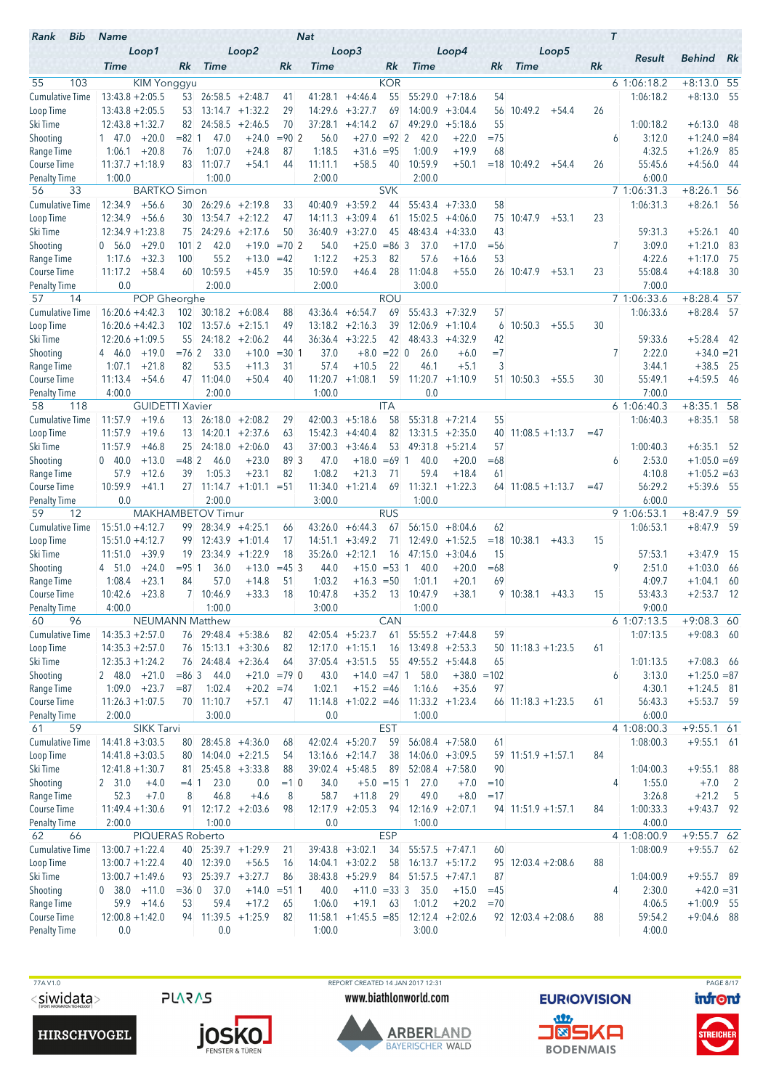| Bib<br>Rank                               | <b>Name</b>                              |                          |                               |                           |                | <b>Nat</b>        |                                |                      |                   |                      |             |                            |       | $\tau$                   |                                |                          |
|-------------------------------------------|------------------------------------------|--------------------------|-------------------------------|---------------------------|----------------|-------------------|--------------------------------|----------------------|-------------------|----------------------|-------------|----------------------------|-------|--------------------------|--------------------------------|--------------------------|
|                                           | Loop1<br><b>Time</b>                     | Rk                       | <b>Time</b>                   | Loop2                     | Rk             | <b>Time</b>       | Loop3                          | Rk                   | <b>Time</b>       | Loop4                | Rk          | Loop5<br><b>Time</b>       | Rk    | Result                   | <b>Behind</b> Rk               |                          |
| 55<br>103                                 |                                          | <b>KIM Yonggyu</b>       |                               |                           |                |                   |                                | <b>KOR</b>           |                   |                      |             |                            |       | 61:06:18.2               | $+8:13.0$ 55                   |                          |
| <b>Cumulative Time</b>                    | $13:43.8 + 2:05.5$                       |                          | $53$ 26:58.5 +2:48.7          |                           | 41             | 41:28.1           | $+4:46.4$                      | 55                   | 55:29.0           | $+7:18.6$            | 54          |                            |       | 1:06:18.2                | $+8:13.0$ 55                   |                          |
| Loop Time                                 | $13:43.8 + 2:05.5$                       | 53                       | 13:14.7                       | $+1:32.2$                 | 29             | 14:29.6           | $+3:27.7$                      | 69                   | 14:00.9           | $+3:04.4$            | 56          | 10:49.2<br>$+54.4$         | 26    |                          |                                |                          |
| Ski Time                                  | $12:43.8 + 1:32.7$                       | 82                       | 24:58.5                       | $+2:46.5$                 | 70             | 37:28.1           | $+4:14.2$                      | 67                   | 49:29.0           | $+5:18.6$            | 55          |                            |       | 1:00:18.2                | $+6:13.0$                      | - 48                     |
| Shooting                                  | $+20.0$<br>$1 \quad 47.0$                | $= 82 \, 1$              | 47.0                          | $+24.0$                   | $= 90 \, 2$    | 56.0              | $+27.0$                        | $= 92$ 2             | 42.0              | $+22.0$              | $=75$       |                            |       | 3:12.0<br>6              | $+1:24.0 = 84$                 |                          |
| Range Time                                | $+20.8$<br>1:06.1                        | 76                       | 1:07.0                        | $+24.8$                   | 87             | 1:18.5<br>11:11.1 | $+31.6$                        | $= 95$               | 1:00.9            | $+19.9$              | 68          |                            |       | 4:32.5                   | $+1:26.9$                      | - 85                     |
| <b>Course Time</b><br><b>Penalty Time</b> | $11:37.7 + 1:18.9$<br>1:00.0             | 83                       | 11:07.7<br>1:00.0             | $+54.1$                   | 44             | 2:00.0            | $+58.5$                        | 40                   | 10:59.9<br>2:00.0 | $+50.1$              |             | $= 18$ 10:49.2<br>$+54.4$  | 26    | 55:45.6<br>6:00.0        | $+4:56.0$                      | - 44                     |
| 33<br>56                                  |                                          | <b>BARTKO Simon</b>      |                               |                           |                |                   |                                | <b>SVK</b>           |                   |                      |             |                            |       | 7 1:06:31.3              | $+8:26.1$ 56                   |                          |
| <b>Cumulative Time</b>                    | 12:34.9<br>$+56.6$                       | 30                       |                               | $26:29.6 + 2:19.8$        | 33             | 40:40.9           | $+3:59.2$                      | 44                   | 55:43.4           | $+7:33.0$            | 58          |                            |       | 1:06:31.3                | $+8:26.1$                      | - 56                     |
| Loop Time                                 | 12:34.9<br>$+56.6$                       | 30 <sup>°</sup>          | 13:54.7                       | $+2:12.2$                 | 47             | 14:11.3           | $+3:09.4$                      | 61                   | 15:02.5           | $+4:06.0$            | 75          | 10:47.9<br>$+53.1$         | 23    |                          |                                |                          |
| Ski Time                                  | $12:34.9 + 1:23.8$                       |                          | 75 24:29.6                    | $+2:17.6$                 | 50             | 36:40.9           | $+3:27.0$                      | 45                   | 48:43.4           | $+4:33.0$            | 43          |                            |       | 59:31.3                  | $+5:26.1$                      | -40                      |
| Shooting                                  | $+29.0$<br>0, 56.0                       | 1012                     | 42.0                          | $+19.0$                   | $= 702$        | 54.0              | $+25.0$                        | $= 86$ 3             | 37.0              | $+17.0$              | $= 56$      |                            |       | 7<br>3:09.0              | $+1:21.0$                      | 83                       |
| Range Time                                | $+32.3$<br>1:17.6                        | 100                      | 55.2                          | $+13.0$                   | $=42$          | 1:12.2            | $+25.3$                        | 82                   | 57.6              | $+16.6$              | 53          |                            |       | 4:22.6                   | $+1:17.0$                      | - 75                     |
| Course Time                               | $+58.4$<br>11:17.2                       | 60                       | 10:59.5                       | $+45.9$                   | 35             | 10:59.0           | $+46.4$                        | 28                   | 11:04.8           | $+55.0$              |             | 26 10:47.9<br>$+53.1$      | 23    | 55:08.4                  | $+4:18.8$                      | 30                       |
| <b>Penalty Time</b><br>57<br>14           | 0.0                                      | POP Gheorghe             | 2:00.0                        |                           |                | 2:00.0            |                                | <b>ROU</b>           | 3:00.0            |                      |             |                            |       | 7:00.0<br>7 1:06:33.6    | $+8:28.4$ 57                   |                          |
| <b>Cumulative Time</b>                    | $16:20.6 + 4:42.3$                       | 102                      |                               | $30:18.2 + 6:08.4$        | 88             | 43:36.4           | $+6:54.7$                      | 69                   | 55:43.3           | $+7:32.9$            | 57          |                            |       | 1:06:33.6                | $+8:28.4$                      | - 57                     |
| Loop Time                                 | $16:20.6 + 4:42.3$                       | 102                      |                               | $13:57.6$ +2:15.1         | 49             | 13:18.2           | $+2:16.3$                      | 39                   |                   | $12:06.9 +1:10.4$    | 6           | 10:50.3<br>$+55.5$         | 30    |                          |                                |                          |
| Ski Time                                  | $12:20.6 + 1:09.5$                       |                          | $55$ 24:18.2 +2:06.2          |                           | 44             | 36:36.4           | $+3:22.5$                      | 42                   | 48:43.3           | $+4:32.9$            | 42          |                            |       | 59:33.6                  | $+5:28.4$                      | - 42                     |
| Shooting                                  | $+19.0$<br>4 46.0                        | $= 762$                  | 33.0                          | $+10.0$                   | $= 30 1$       | 37.0              | $+8.0$                         | $= 22 \ 0$           | 26.0              | $+6.0$               | $=7$        |                            |       | 2:22.0<br>7              | $+34.0 = 21$                   |                          |
| Range Time                                | $+21.8$<br>1:07.1                        | 82                       | 53.5                          | $+11.3$                   | 31             | 57.4              | $+10.5$                        | 22                   | 46.1              | $+5.1$               | 3           |                            |       | 3:44.1                   | $+38.5$                        | - 25                     |
| Course Time                               | $+54.6$<br>11:13.4                       |                          | 47 11:04.0                    | $+50.4$                   | 40             | 11:20.7           | $+1:08.1$                      | 59                   | 11:20.7           | $+1:10.9$            |             | 51 10:50.3<br>$+55.5$      | 30    | 55:49.1                  | $+4:59.5$ 46                   |                          |
| <b>Penalty Time</b>                       | 4:00.0                                   |                          | 2:00.0                        |                           |                | 1:00.0            |                                |                      | 0.0               |                      |             |                            |       | 7:00.0                   |                                |                          |
| 118<br>58                                 |                                          | <b>GUIDETTI Xavier</b>   |                               |                           |                |                   |                                | <b>ITA</b>           |                   |                      |             |                            |       | 61:06:40.3               | $+8:35.1$ 58                   |                          |
| <b>Cumulative Time</b>                    | 11:57.9                                  | $+19.6$<br>13            |                               | $26:18.0 + 2:08.2$        | 29             | 42:00.3           | $+5:18.6$                      | 58                   | 55:31.8           | $+7:21.4$            | 55          |                            |       | 1:06:40.3                | $+8:35.1$ 58                   |                          |
| Loop Time                                 | 11:57.9<br>$+19.6$                       | 13 <sup>°</sup>          |                               | $14:20.1 + 2:37.6$        | 63<br>43       | 15:42.3           | $+4:40.4$                      | 82<br>53             |                   | $13:31.5 +2:35.0$    | 40          | $11:08.5 + 1:13.7$         | $=47$ |                          |                                |                          |
| Ski Time<br>Shooting                      | 11:57.9<br>$+46.8$<br>$0\quad 40.0$      | 25<br>$= 482$<br>$+13.0$ | 24:18.0<br>46.0               | $+2:06.0$<br>$+23.0$      | 89 3           | 37:00.3<br>47.0   | $+3:46.4$<br>$+18.0$           | $=69$ 1              | 49:31.8<br>40.0   | $+5:21.4$<br>$+20.0$ | 57<br>$=68$ |                            |       | 1:00:40.3<br>2:53.0<br>6 | $+6:35.1$ 52<br>$+1:05.0 = 69$ |                          |
| Range Time                                | 57.9<br>$+12.6$                          | 39                       | 1:05.3                        | $+23.1$                   | 82             | 1:08.2            | $+21.3$                        | 71                   | 59.4              | $+18.4$              | 61          |                            |       | 4:10.8                   | $+1:05.2 = 63$                 |                          |
| Course Time                               | 10:59.9<br>$+41.1$                       |                          |                               | $27$ 11:14.7 +1:01.1 = 51 |                |                   | $11:34.0 + 1:21.4$             | 69                   | 11:32.1           | $+1:22.3$            |             | $64$ 11:08.5 +1:13.7       | $=47$ | 56:29.2                  | $+5:39.6$ 55                   |                          |
| <b>Penalty Time</b>                       | 0.0                                      |                          | 2:00.0                        |                           |                | 3:00.0            |                                |                      | 1:00.0            |                      |             |                            |       | 6:00.0                   |                                |                          |
| 59<br>12                                  |                                          | <b>MAKHAMBETOV Timur</b> |                               |                           |                |                   |                                | <b>RUS</b>           |                   |                      |             |                            |       | 9 1:06:53.1              | $+8:47.9$                      | 59                       |
| <b>Cumulative Time</b>                    | $15:51.0 + 4:12.7$                       | 99                       |                               | $28:34.9 +4:25.1$         | 66             | 43:26.0           | $+6:44.3$                      | 67                   | 56:15.0           | $+8:04.6$            | 62          |                            |       | 1:06:53.1                | $+8:47.9$ 59                   |                          |
| Loop Time                                 | $15:51.0 + 4:12.7$                       | 99                       |                               | $12:43.9 +1:01.4$         | 17             | 14:51.1           | $+3:49.2$                      | 71                   | 12:49.0           | $+1:52.5$            | $=18$       | 10:38.1<br>$+43.3$         | 15    |                          |                                |                          |
| Ski Time                                  | 11:51.0<br>$+39.9$                       | 19                       |                               | $23:34.9 +1:22.9$         | 18             | 35:26.0           | $+2:12.1$                      | 16                   | 47:15.0           | $+3:04.6$            | 15          |                            |       | 57:53.1                  | $+3:47.9$                      | - 15                     |
| Shooting<br>Range Time                    | $+24.0$<br>4 51.0<br>1:08.4<br>$+23.1$   | $= 951$<br>84            | 36.0<br>57.0                  | $+13.0$<br>$+14.8$        | $=45$ 3<br>51  | 44.0<br>1:03.2    | $+15.0$<br>$+16.3$             | $= 53 \, 1$<br>$=50$ | 40.0<br>1:01.1    | $+20.0$<br>$+20.1$   | $=68$<br>69 |                            |       | 9<br>2:51.0<br>4:09.7    | $+1:03.0$<br>$+1:04.1$         | - 66<br>-60              |
| <b>Course Time</b>                        | $+23.8$<br>10:42.6                       |                          | 7 10:46.9                     | $+33.3$                   | 18             | 10:47.8           | $+35.2$                        | 13                   | 10:47.9           | $+38.1$              |             | 9 10:38.1<br>$+43.3$       | 15    | 53:43.3                  | $+2:53.7$                      | - 12                     |
| <b>Penalty Time</b>                       | 4:00.0                                   |                          | 1:00.0                        |                           |                | 3:00.0            |                                |                      | 1:00.0            |                      |             |                            |       | 9:00.0                   |                                |                          |
| 60<br>96                                  |                                          | <b>NEUMANN Matthew</b>   |                               |                           |                |                   |                                | CAN                  |                   |                      |             |                            |       | 6 1:07:13.5              | $+9:08.3$ 60                   |                          |
| <b>Cumulative Time</b>                    | $14:35.3 + 2:57.0$                       |                          | 76 29:48.4 +5:38.6            |                           | 82             |                   | $42:05.4$ +5:23.7              | 61                   |                   | $55:55.2 +7:44.8$    | 59          |                            |       | 1:07:13.5                | $+9:08.3$ 60                   |                          |
| Loop Time                                 | $14:35.3 + 2:57.0$                       |                          | $76$ 15:13.1 +3:30.6          |                           | 82             |                   | $12:17.0 +1:15.1$              | 16                   |                   | $13:49.8 + 2:53.3$   |             | $50$ 11:18.3 +1:23.5       | 61    |                          |                                |                          |
| Ski Time                                  | $12:35.3 + 1:24.2$                       |                          | 76 24:48.4 +2:36.4            |                           | 64             |                   | $37:05.4$ +3:51.5              | 55                   |                   | $49:55.2 +5:44.8$    | 65          |                            |       | 1:01:13.5                | $+7:08.3$ 66                   |                          |
| Shooting                                  | $2 48.0 +21.0$                           | $= 863$                  | 44.0                          |                           | $+21.0 = 79$ 0 | 43.0              | $+14.0 = 47$ 1                 |                      | 58.0              | $+38.0 = 102$        |             |                            |       | 3:13.0<br>6              | $+1:25.0 = 87$                 |                          |
| Range Time<br>Course Time                 | $1:09.0 +23.7$<br>$11:26.3 + 1:07.5$     | $= 87$                   | 1:02.4<br>70 11:10.7          | $+20.2 = 74$<br>$+57.1$   |                | 1:02.1            | $+15.2 = 46$<br>$+1:02.2 = 46$ |                      | 1:16.6<br>11:33.2 | $+35.6$              | 97          | $66$ 11:18.3 +1:23.5       |       | 4:30.1<br>56:43.3        | $+1:24.5$ 81                   |                          |
| <b>Penalty Time</b>                       | 2:00.0                                   |                          | 3:00.0                        |                           | 47             | 11:14.8<br>0.0    |                                |                      | 1:00.0            | $+1:23.4$            |             |                            | 61    | 6:00.0                   | $+5:53.7$ 59                   |                          |
| 61<br>59                                  |                                          | SIKK Tarvi               |                               |                           |                |                   |                                | <b>EST</b>           |                   |                      |             |                            |       | 4 1:08:00.3              | $+9:55.1$ 61                   |                          |
| <b>Cumulative Time</b>                    | $14:41.8 + 3:03.5$                       |                          | $80$ 28:45.8 +4:36.0          |                           | 68             |                   | $42:02.4$ +5:20.7              | 59                   |                   | $56:08.4$ +7:58.0    | 61          |                            |       | 1:08:00.3                | $+9:55.1$ 61                   |                          |
| Loop Time                                 | $14:41.8 + 3:03.5$                       | 80                       |                               | $14:04.0 + 2:21.5$        | 54             |                   | $13:16.6 + 2:14.7$             | 38                   |                   | $14:06.0 + 3:09.5$   |             | 59 11:51.9 +1:57.1         | 84    |                          |                                |                          |
| Ski Time                                  | $12:41.8 + 1:30.7$                       | 81                       |                               | $25:45.8 + 3:33.8$        | 88             |                   | $39:02.4$ +5:48.5              | 89                   |                   | $52:08.4$ +7:58.0    | 90          |                            |       | 1:04:00.3                | $+9:55.1$ 88                   |                          |
| Shooting                                  | 2 31.0                                   | $+4.0$<br>$= 4 \, 1$     | 23.0                          | 0.0                       | $=1$ 0         | 34.0              |                                | $+5.0 = 15$ 1        | 27.0              | $+7.0$               | $=10$       |                            |       | 1:55.0<br>4              | $+7.0$                         | $\overline{\phantom{0}}$ |
| Range Time                                | 52.3                                     | $+7.0$<br>8              | 46.8                          | $+4.6$                    | 8              | 58.7              | $+11.8$                        | 29                   | 49.0              | $+8.0$               | $=17$       |                            |       | 3:26.8                   | $+21.2$                        | 5                        |
| Course Time                               | $11:49.4 + 1:30.6$                       |                          | $91$ 12:17.2 +2:03.6          |                           | 98             |                   | $12:17.9 + 2:05.3$             | 94                   |                   | $12:16.9 + 2:07.1$   |             | $94$ 11:51.9 +1:57.1       | 84    | 1:00:33.3                | $+9:43.7$ 92                   |                          |
| <b>Penalty Time</b>                       | 2:00.0                                   |                          | 1:00.0                        |                           |                | 0.0               |                                | <b>ESP</b>           | 1:00.0            |                      |             |                            |       | 4:00.0                   |                                |                          |
| 62<br>66<br><b>Cumulative Time</b>        |                                          | PIQUERAS Roberto         |                               |                           |                |                   | $39:43.8 + 3:02.1$             |                      |                   | $55:57.5$ +7:47.1    |             |                            |       | 4 1:08:00.9<br>1:08:00.9 | $+9:55.7$ 62                   |                          |
| Loop Time                                 | $13:00.7 + 1:22.4$<br>$13:00.7 + 1:22.4$ | 40                       | 40 25:39.7 +1:29.9<br>12:39.0 | $+56.5$                   | 21<br>16       |                   | $14:04.1 + 3:02.2$             | 34<br>58             |                   | $16:13.7 + 5:17.2$   | 60<br>95    | $12:03.4 + 2:08.6$         | 88    |                          | $+9:55.7$ 62                   |                          |
| Ski Time                                  | $13:00.7 + 1:49.6$                       |                          | 93 25:39.7 +3:27.7            |                           | 86             |                   | $38:43.8$ +5:29.9              | 84                   |                   | $51:57.5 +7:47.1$    | 87          |                            |       | 1:04:00.9                | $+9:55.7$ 89                   |                          |
| Shooting                                  | $0$ 38.0 $+11.0$                         | $=360$                   | 37.0                          |                           | $+14.0 = 51$ 1 | 40.0              | $+11.0 = 33$ 3                 |                      | 35.0              | $+15.0$              | $=45$       |                            |       | 2:30.0<br>4              | $+42.0 = 31$                   |                          |
| Range Time                                | $59.9 + 14.6$                            | 53                       | 59.4                          | $+17.2$                   | 65             | 1:06.0            | $+19.1$                        | 63                   | 1:01.2            | $+20.2$              | $=70$       |                            |       | 4:06.5                   | $+1:00.9$ 55                   |                          |
| Course Time                               | $12:00.8 + 1:42.0$                       |                          |                               | 94 11:39.5 +1:25.9        | 82             |                   | $11:58.1 + 1:45.5 = 85$        |                      |                   | $12:12.4 + 2:02.6$   |             | $92 \mid 12:03.4 + 2:08.6$ | 88    | 59:54.2                  | $+9:04.6$ 88                   |                          |
| <b>Penalty Time</b>                       | 0.0                                      |                          | 0.0                           |                           |                | 1:00.0            |                                |                      | 3:00.0            |                      |             |                            |       | 4:00.0                   |                                |                          |





TTA V1.0<br>
TTA V1.0 REPORT CREATED 14 JAN 2017 12:31<br>
SIMIDENT BURIOVISION DITON NEW WORLD WWW.biathlonworld.com PAGE 8/17 www.biathlonworld.com



<u>an</u> **J®SKA BODENMAIS** 

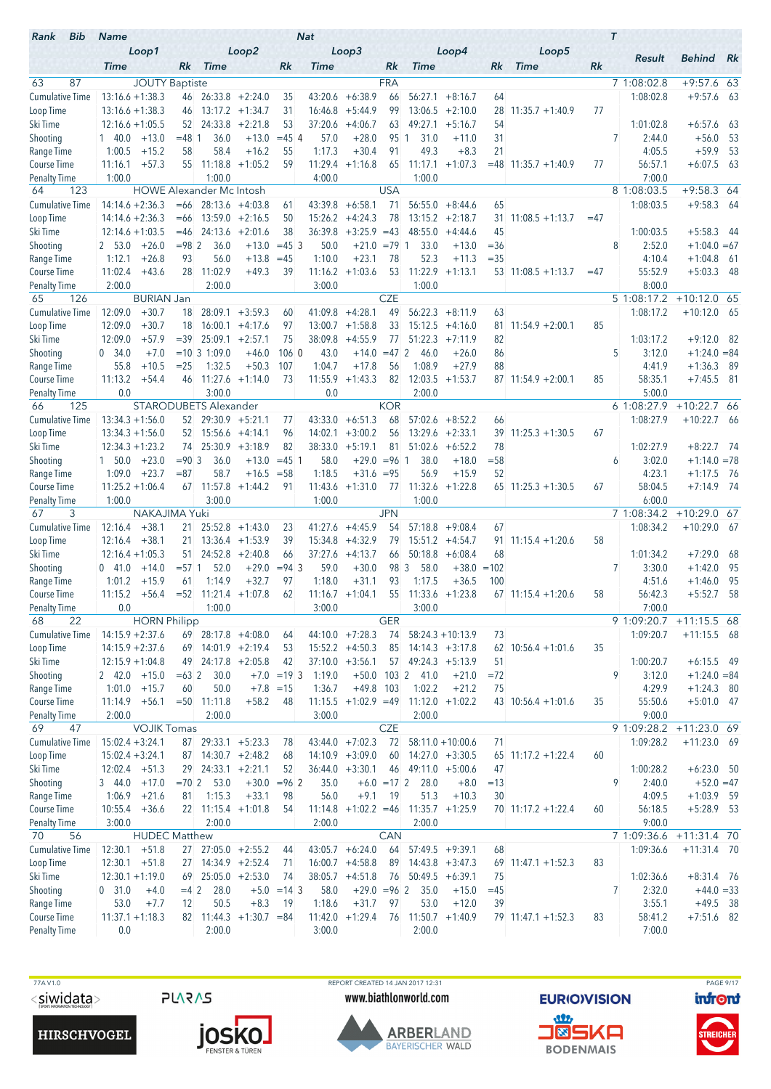| Loop3<br>Loop1<br>Loop2<br>Loop4<br>Loop5<br>Result<br><b>Behind</b> Rk<br><b>Time</b><br>Rk.<br><b>Time</b><br>Rk<br>Time<br>Rk<br><b>Time</b><br>Rk<br><b>Time</b><br>Rk<br>63<br>87<br><b>JOUTY Baptiste</b><br><b>FRA</b><br>7 1:08:02.8<br>$+9:57.6$ 63<br><b>Cumulative Time</b><br>$13:16.6 + 1:38.3$<br>$+6:38.9$<br>56:27.1<br>1:08:02.8<br>$+9:57.6$<br>$46$ 26:33.8 +2:24.0<br>43:20.6<br>66<br>$+8:16.7$<br>- 63<br>35<br>64<br>$13:17.2 +1:34.7$<br>99<br>$13:06.5 + 2:10.0$<br>77<br>Loop Time<br>$13:16.6 + 1:38.3$<br>31<br>16:46.8<br>$+5:44.9$<br>28<br>$11:35.7 + 1:40.9$<br>46<br>24:33.8<br>$+2:21.8$<br>37:20.6<br>$+4:06.7$<br>49:27.1<br>54<br>Ski Time<br>$12:16.6 + 1:05.5$<br>52<br>53<br>63<br>$+5:16.7$<br>1:01:02.8<br>$+6:57.6$<br>63<br>$= 48$ 1<br>36.0<br>$= 45$ 4<br>57.0<br>$+28.0$<br>7<br>$+56.0$<br>- 53<br>Shooting<br>$1 \quad 40.0$<br>$+13.0$<br>$+13.0$<br>95 1<br>31.0<br>31<br>2:44.0<br>+11.0<br>58.4<br>$+16.2$<br>1:17.3<br>$+30.4$<br>91<br>49.3<br>$+8.3$<br>21<br>4:05.5<br>$+59.9$<br>- 53<br>Range Time<br>1:00.5<br>$+15.2$<br>58<br>55<br>$+57.3$<br>55<br>11:18.8<br>$+1:05.2$<br>11:29.4<br>$+1:16.8$<br>65<br>11:17.1<br>$+1:07.3$<br>77<br>56:57.1<br>$+6:07.5$<br>63<br>11:16.1<br>59<br>$= 48$ 11:35.7 +1:40.9<br>1:00.0<br>7:00.0<br>1:00.0<br>4:00.0<br>1:00.0<br>123<br><b>USA</b><br>8 1:08:03.5<br>$+9:58.3$ 64<br>64<br><b>HOWE Alexander Mc Intosh</b><br><b>Cumulative Time</b><br>$14:14.6 + 2:36.3$<br>1:08:03.5<br>$+9:58.3$<br>$=66$<br>$28:13.6 +4:03.8$<br>43:39.8<br>$+6:58.1$<br>71<br>56:55.0<br>$+8:44.6$<br>65<br>- 64<br>61<br>$14:14.6 + 2:36.3$<br>13:59.0<br>$+2:16.5$<br>78<br>$13:15.2 +2:18.7$<br>Loop Time<br>$=66$<br>50<br>15:26.2<br>$+4:24.3$<br>31<br>$11:08.5 + 1:13.7$<br>$=47$<br>$12:14.6 + 1:03.5$<br>$24:13.6 + 2:01.6$<br>36:39.8<br>$+3:25.9 = 43$<br>$+5:58.3$<br>Ski Time<br>$=46$<br>38<br>48:55.0<br>$+4:44.6$<br>45<br>1:00:03.5<br>- 44<br>$+26.0$<br>$= 982$<br>36.0<br>8<br>2:52.0<br>Shooting<br>2 53.0<br>$+13.0$<br>$= 453$<br>50.0<br>$+21.0 = 791$<br>33.0<br>$+13.0$<br>$= 36$<br>$+1:04.0 = 67$<br>$+26.8$<br>93<br>56.0<br>$+13.8$<br>1:10.0<br>$+23.1$<br>78<br>52.3<br>$= 35$<br>4:10.4<br>$+1:04.8$<br>Range Time<br>1:12.1<br>$=45$<br>$+11.3$<br>- 61<br>11:22.9<br>$+43.6$<br>28<br>11:02.9<br>$+49.3$<br>39<br>$+1:03.6$<br>53<br>55:52.9<br>$+5:03.3$<br>Course Time<br>11:02.4<br>11:16.2<br>$+1:13.1$<br>$53$ 11:08.5 +1:13.7<br>- 48<br>$=47$<br>2:00.0<br>2:00.0<br>1:00.0<br>8:00.0<br><b>Penalty Time</b><br>3:00.0<br><b>CZE</b><br>126<br><b>BURIAN Jan</b><br>5 1:08:17.2<br>$+10:12.0$ 65<br>65<br>$+4:28.1$<br>56:22.3<br>12:09.0<br>$+30.7$<br>28:09.1<br>$+3:59.3$<br>41:09.8<br>49<br>63<br>1:08:17.2<br>$+10:12.0$ 65<br>18<br>60<br>$+8:11.9$<br>12:09.0<br>$+30.7$<br>$16:00.1 + 4:17.6$<br>$+1:58.8$<br>$15:12.5 +4:16.0$<br>$11:54.9 + 2:00.1$<br>85<br>18<br>97<br>13:00.7<br>33<br>81<br>$+57.9$<br>$= 39$<br>$25:09.1 + 2:57.1$<br>75<br>38:09.8<br>$+4:55.9$<br>77<br>51:22.3<br>$+9:12.0$<br>12:09.0<br>$+7:11.9$<br>82<br>1:03:17.2<br>- 82<br>Shooting<br>$+7.0$<br>$= 10 \ 3 \ 1:09.0$<br>$+46.0$<br>1060<br>43.0<br>$+14.0$<br>$=47$ 2<br>5<br>3:12.0<br>$+1:24.0 = 84$<br>0.34.0<br>46.0<br>$+26.0$<br>86<br>55.8<br>$+10.5$<br>1:32.5<br>1:04.7<br>56<br>1:08.9<br>$+27.9$<br>88<br>Range Time<br>$= 25$<br>$+50.3$<br>107<br>$+17.8$<br>4:41.9<br>$+1:36.3$<br>- 89<br>$11:27.6 +1:14.0$<br>11:55.9<br>$+7:45.5$ 81<br>Course Time<br>11:13.2<br>$+54.4$<br>46<br>73<br>$+1:43.3$<br>82<br>12:03.5<br>$+1:53.7$<br>$87$ 11:54.9 +2:00.1<br>85<br>58:35.1<br>0.0<br>3:00.0<br>0.0<br>5:00.0<br>Penalty Time<br>2:00.0<br><b>KOR</b><br>6 1:08:27.9<br>$+10:22.7$ 66<br>125<br><b>STARODUBETS Alexander</b><br>66<br><b>Cumulative Time</b><br>$13:34.3 + 1:56.0$<br>$52 \quad 29:30.9 \quad +5:21.1$<br>$+6:51.3$<br>68<br>57:02.6<br>1:08:27.9<br>$+10:22.7$ 66<br>77<br>43:33.0<br>$+8:52.2$<br>66<br>$13:34.3 + 1:56.0$<br>$+3:00.2$<br>56<br>$13:29.6 +2:33.1$<br>$39$ 11:25.3 +1:30.5<br>67<br>$52$ 15:56.6 +4:14.1<br>96<br>14:02.1<br>$25:30.9 + 3:18.9$<br>82<br>$+5:19.1$<br>81<br>51:02.6<br>$+6:52.2$<br>78<br>1:02:27.9<br>$12:34.3 + 1:23.2$<br>74<br>38:33.0<br>$+8:22.7$<br>- 74<br>$+23.0$<br>$= 90.3$<br>36.0<br>$+13.0$<br>$= 45$ 1<br>58.0<br>$+29.0$<br>$= 96$ 1<br>38.0<br>$+18.0$<br>$= 58$<br>3:02.0<br>$+1:14.0 = 78$<br>$1\quad 50.0$<br>6<br>1:09.0<br>$+23.7$<br>$= 87$<br>58.7<br>1:18.5<br>$+31.6 = 95$<br>56.9<br>$+15.9$<br>52<br>4:23.1<br>$+1:17.5$ 76<br>$+16.5$<br>$= 58$<br>$11:25.2 + 1:06.4$<br>67 11:57.8<br>$11:43.6 +1:31.0$<br>11:32.6<br>$+1:22.8$<br>58:04.5<br>$+7:14.9$ 74<br><b>Course Time</b><br>$+1:44.2$<br>91<br>77<br>$65$ 11:25.3 +1:30.5<br>67<br>1:00.0<br>3:00.0<br>1:00.0<br>1:00.0<br>6:00.0<br><b>Penalty Time</b><br>NAKAJIMA Yuki<br><b>JPN</b><br>7 1:08:34.2<br>$+10:29.0$ 67<br>67<br>3<br><b>Cumulative Time</b><br>12:16.4<br>$+38.1$<br>$21 \quad 25:52.8 \quad +1:43.0$<br>54<br>$57:18.8$ +9:08.4<br>1:08:34.2<br>$+10:29.0$ 67<br>41:27.6<br>$+4:45.9$<br>67<br>23<br>$12:16.4 + 38.1$<br>$+4:32.9$<br>79<br>$15:51.2 +4:54.7$<br>58<br>Loop Time<br>21.<br>$13:36.4$ +1:53.9<br>39<br>15:34.8<br>91<br>$11:15.4 + 1:20.6$<br>50:18.8<br>$12:16.4 + 1:05.3$<br>51<br>$24:52.8 + 2:40.8$<br>66<br>37:27.6<br>$+4:13.7$<br>$+6:08.4$<br>68<br>1:01:34.2<br>$+7:29.0$<br>-68<br>66<br>$\overline{7}$<br>$= 57.1$<br>52.0<br>$+29.0$<br>$= 94 \, 3$<br>59.0<br>$+30.0$<br>98 3<br>58.0<br>$+38.0 = 102$<br>3:30.0<br>$+1:42.0$<br>- 95<br>041.0<br>$+14.0$<br>1:14.9<br>$+32.7$<br>97<br>1:18.0<br>1:17.5<br>95<br>1:01.2<br>$+15.9$<br>$+31.1$<br>93<br>$+36.5$<br>100<br>4:51.6<br>$+1:46.0$<br>61<br>-58<br>11:15.2<br>$+56.4$<br>$= 52$ 11:21.4 $+1:07.8$<br>62<br>$11:16.7 + 1:04.1$<br>55 11:33.6 +1:23.8<br>$67$ 11:15.4 +1:20.6<br>58<br>56:42.3<br>$+5:52.7$<br><b>Penalty Time</b><br>0.0<br>1:00.0<br>3:00.0<br>3:00.0<br>7:00.0<br><b>GER</b><br>68<br>22<br><b>HORN Philipp</b><br>9 1:09:20.7<br>$+11:15.5$ 68<br>Cumulative Time<br>$14:15.9 + 2:37.6$<br>$44:10.0 +7:28.3$<br>74<br>1:09:20.7<br>$69$ 28:17.8 +4:08.0<br>$58:24.3 + 10:13.9$<br>73<br>$+11:15.5$ 68<br>64<br>69 14:01.9 +2:19.4<br>$10:56.4 + 1:01.6$<br>35<br>Loop Time<br>$14:15.9 + 2:37.6$<br>$15:52.2 +4:50.3$<br>85<br>$14:14.3 + 3:17.8$<br>62<br>53<br>Ski Time<br>$49$ 24:17.8 +2:05.8<br>$37:10.0 +3:56.1$<br>$57$ 49:24.3 +5:13.9<br>1:00:20.7<br>$+6:15.5$ 49<br>$12:15.9 + 1:04.8$<br>42<br>51<br>9<br>$+15.0$<br>$=632$<br>30.0<br>$+7.0 = 19$ 3<br>1:19.0<br>$+50.0$<br>1032<br>41.0<br>$+21.0$<br>$= 72$<br>3:12.0<br>$+1:24.0 = 84$<br>2 42.0<br>50.0<br>$+7.8 = 15$<br>$+49.8$ 103<br>1:02.2<br>4:29.9<br>1:01.0<br>$+15.7$<br>60<br>1:36.7<br>$+21.2$<br>75<br>$+1:24.3$ 80<br>$+56.1$<br>$= 50$ 11:11.8<br>$+58.2$<br>$11:15.5 +1:02.9 = 49$<br>$11:12.0 + 1:02.2$<br>43 10:56.4 +1:01.6<br>55:50.6<br>$+5:01.0$ 47<br>11:14.9<br>48<br>35<br><b>Penalty Time</b><br>2:00.0<br>2:00.0<br>3:00.0<br>2:00.0<br>9:00.0<br><b>CZE</b><br>69<br><b>VOJIK Tomas</b><br>9 1:09:28.2<br>+11:23.0 69<br>47<br><b>Cumulative Time</b><br>$43:44.0 +7:02.3$<br>$15:02.4 + 3:24.1$<br>87 29:33.1 +5:23.3<br>72<br>$58:11.0 + 10:00.6$<br>71<br>1:09:28.2<br>$+11:23.0$ 69<br>78<br>Loop Time<br>87 14:30.7 +2:48.2<br>60<br>$14:27.0 +3:30.5$<br>$15:02.4 + 3:24.1$<br>$14:10.9 + 3:09.0$<br>$65$ 11:17.2 +1:22.4<br>60<br>68<br>Ski Time<br>$24:33.1 + 2:21.1$<br>$12:02.4$ +51.3<br>29<br>52<br>$36:44.0 + 3:30.1$<br>$46$ 49:11.0 $+5:00.6$<br>47<br>1:00:28.2<br>$+6:23.0$ 50<br>Shooting<br>$= 70$ 2 53.0<br>$+30.0 = 96$ 2<br>9<br>2:40.0<br>$+52.0 = 47$<br>3 44.0<br>$+17.0$<br>35.0<br>$+6.0 = 172$<br>28.0<br>$+8.0$<br>$=13$<br>Range Time<br>56.0<br>4:09.5<br>1:06.9<br>$+21.6$<br>1:15.3<br>$+33.1$<br>98<br>$+9.1$<br>-19<br>51.3<br>$+10.3$<br>$+1:03.9$ 59<br>81<br>30<br>$10:55.4$ +36.6<br>$22$ 11:15.4 +1:01.8<br>$11:14.8$ +1:02.2 =46<br>$11:35.7 +1:25.9$<br>56:18.5<br>$+5:28.9$ 53<br>54<br>$70$ 11:17.2 +1:22.4<br>60<br>3:00.0<br>2:00.0<br>2:00.0<br>2:00.0<br>9:00.0<br>56<br>CAN<br>7 1:09:36.6<br>$+11:31.4$ 70<br>70<br><b>HUDEC Matthew</b><br>Cumulative Time<br>12:30.1<br>$+51.8$<br>27 27:05.0 +2:55.2<br>$43:05.7 + 6:24.0$<br>64<br>$57:49.5 +9:39.1$<br>1:09:36.6<br>$+11:31.4$ 70<br>68<br>44<br>Loop Time<br>$12:30.1 + 51.8$<br>$14:34.9 +2:52.4$<br>$16:00.7 + 4:58.8$<br>89<br>$14:43.8 + 3:47.3$<br>83<br>27<br>$69$ 11:47.1 +1:52.3<br>71<br>Ski Time<br>69 25:05.0 +2:53.0<br>1:02:36.6<br>$+8:31.4$ 76<br>$12:30.1 + 1:19.0$<br>74<br>$38:05.7 +4:51.8$<br>$76$ 50:49.5 +6:39.1<br>75<br>Shooting<br>$=4$ 2<br>28.0<br>$+5.0 = 14$ 3<br>58.0<br>$+29.0 = 96$ 2<br>35.0<br>7<br>2:32.0<br>$+44.0 = 33$<br>0, 31.0<br>$+4.0$<br>$+15.0$<br>$=45$<br>Range Time<br>50.5<br>$+8.3$<br>1:18.6<br>$+31.7$<br>53.0<br>3:55.1<br>$+49.5$ 38<br>53.0<br>$+7.7$<br>12<br>-19<br>97<br>$+12.0$<br>39<br>$11:37.1 + 1:18.3$<br>82 11:44.3 $+1:30.7$ = 84<br>$11:42.0 +1:29.4$<br>76<br>$11:50.7 +1:40.9$<br>58:41.2<br>$+7:51.6$ 82<br>$79$ 11:47.1 +1:52.3<br>83<br>0.0<br>2:00.0<br>3:00.0<br>2:00.0<br>7:00.0 | Bib<br>Rank            | <b>Name</b> |  |  | <b>Nat</b> |  |  |  | $\tau$ |  |
|------------------------------------------------------------------------------------------------------------------------------------------------------------------------------------------------------------------------------------------------------------------------------------------------------------------------------------------------------------------------------------------------------------------------------------------------------------------------------------------------------------------------------------------------------------------------------------------------------------------------------------------------------------------------------------------------------------------------------------------------------------------------------------------------------------------------------------------------------------------------------------------------------------------------------------------------------------------------------------------------------------------------------------------------------------------------------------------------------------------------------------------------------------------------------------------------------------------------------------------------------------------------------------------------------------------------------------------------------------------------------------------------------------------------------------------------------------------------------------------------------------------------------------------------------------------------------------------------------------------------------------------------------------------------------------------------------------------------------------------------------------------------------------------------------------------------------------------------------------------------------------------------------------------------------------------------------------------------------------------------------------------------------------------------------------------------------------------------------------------------------------------------------------------------------------------------------------------------------------------------------------------------------------------------------------------------------------------------------------------------------------------------------------------------------------------------------------------------------------------------------------------------------------------------------------------------------------------------------------------------------------------------------------------------------------------------------------------------------------------------------------------------------------------------------------------------------------------------------------------------------------------------------------------------------------------------------------------------------------------------------------------------------------------------------------------------------------------------------------------------------------------------------------------------------------------------------------------------------------------------------------------------------------------------------------------------------------------------------------------------------------------------------------------------------------------------------------------------------------------------------------------------------------------------------------------------------------------------------------------------------------------------------------------------------------------------------------------------------------------------------------------------------------------------------------------------------------------------------------------------------------------------------------------------------------------------------------------------------------------------------------------------------------------------------------------------------------------------------------------------------------------------------------------------------------------------------------------------------------------------------------------------------------------------------------------------------------------------------------------------------------------------------------------------------------------------------------------------------------------------------------------------------------------------------------------------------------------------------------------------------------------------------------------------------------------------------------------------------------------------------------------------------------------------------------------------------------------------------------------------------------------------------------------------------------------------------------------------------------------------------------------------------------------------------------------------------------------------------------------------------------------------------------------------------------------------------------------------------------------------------------------------------------------------------------------------------------------------------------------------------------------------------------------------------------------------------------------------------------------------------------------------------------------------------------------------------------------------------------------------------------------------------------------------------------------------------------------------------------------------------------------------------------------------------------------------------------------------------------------------------------------------------------------------------------------------------------------------------------------------------------------------------------------------------------------------------------------------------------------------------------------------------------------------------------------------------------------------------------------------------------------------------------------------------------------------------------------------------------------------------------------------------------------------------------------------------------------------------------------------------------------------------------------------------------------------------------------------------------------------------------------------------------------------------------------------------------------------------------------------------------------------------------------------------------------------------------------------------------------------------------------------------------------------------------------------------------------------------------------------------------------------------------------------------------------------------------------------------------------------------------------------------------------------------------------------------------------------------------------------------------------------------------------------------------------------------------------------------------------------------------------------------------------------------------------------------------------------------------------------------------------------------------------------------------------------------------------------------------------------------------------------------------------------------------------------------------------------------------------------------------------------------------------------------------------------------------------------------------------------------------------------------------------------------------------------------------------------------------------------------------------------------------------------------------------------------------------------------------------------------------------------------------------------------------------------------------------------------------------------------------------------------------------------------------------------------------------------------------------------------------------------------------------------------------------------------------------------------------------------------------------------------------------------------------------------------------------------------------------------------------------------------------------------------------------------------------------------------------------------------------------------------------------------------------------------------------------------------------------------------------------------------------------------------------------------------------------------------------------------------------------------------------------------------------------------------------------------------------------------------------------------------------------------------|------------------------|-------------|--|--|------------|--|--|--|--------|--|
|                                                                                                                                                                                                                                                                                                                                                                                                                                                                                                                                                                                                                                                                                                                                                                                                                                                                                                                                                                                                                                                                                                                                                                                                                                                                                                                                                                                                                                                                                                                                                                                                                                                                                                                                                                                                                                                                                                                                                                                                                                                                                                                                                                                                                                                                                                                                                                                                                                                                                                                                                                                                                                                                                                                                                                                                                                                                                                                                                                                                                                                                                                                                                                                                                                                                                                                                                                                                                                                                                                                                                                                                                                                                                                                                                                                                                                                                                                                                                                                                                                                                                                                                                                                                                                                                                                                                                                                                                                                                                                                                                                                                                                                                                                                                                                                                                                                                                                                                                                                                                                                                                                                                                                                                                                                                                                                                                                                                                                                                                                                                                                                                                                                                                                                                                                                                                                                                                                                                                                                                                                                                                                                                                                                                                                                                                                                                                                                                                                                                                                                                                                                                                                                                                                                                                                                                                                                                                                                                                                                                                                                                                                                                                                                                                                                                                                                                                                                                                                                                                                                                                                                                                                                                                                                                                                                                                                                                                                                                                                                                                                                                                                                                                                                                                                                                                                                                                                                                                                                                                                                                                                                                                                                                                                                                                                                                                                                                                                                                                                                                                                                                                                                                                                              |                        |             |  |  |            |  |  |  |        |  |
|                                                                                                                                                                                                                                                                                                                                                                                                                                                                                                                                                                                                                                                                                                                                                                                                                                                                                                                                                                                                                                                                                                                                                                                                                                                                                                                                                                                                                                                                                                                                                                                                                                                                                                                                                                                                                                                                                                                                                                                                                                                                                                                                                                                                                                                                                                                                                                                                                                                                                                                                                                                                                                                                                                                                                                                                                                                                                                                                                                                                                                                                                                                                                                                                                                                                                                                                                                                                                                                                                                                                                                                                                                                                                                                                                                                                                                                                                                                                                                                                                                                                                                                                                                                                                                                                                                                                                                                                                                                                                                                                                                                                                                                                                                                                                                                                                                                                                                                                                                                                                                                                                                                                                                                                                                                                                                                                                                                                                                                                                                                                                                                                                                                                                                                                                                                                                                                                                                                                                                                                                                                                                                                                                                                                                                                                                                                                                                                                                                                                                                                                                                                                                                                                                                                                                                                                                                                                                                                                                                                                                                                                                                                                                                                                                                                                                                                                                                                                                                                                                                                                                                                                                                                                                                                                                                                                                                                                                                                                                                                                                                                                                                                                                                                                                                                                                                                                                                                                                                                                                                                                                                                                                                                                                                                                                                                                                                                                                                                                                                                                                                                                                                                                                                              |                        |             |  |  |            |  |  |  |        |  |
|                                                                                                                                                                                                                                                                                                                                                                                                                                                                                                                                                                                                                                                                                                                                                                                                                                                                                                                                                                                                                                                                                                                                                                                                                                                                                                                                                                                                                                                                                                                                                                                                                                                                                                                                                                                                                                                                                                                                                                                                                                                                                                                                                                                                                                                                                                                                                                                                                                                                                                                                                                                                                                                                                                                                                                                                                                                                                                                                                                                                                                                                                                                                                                                                                                                                                                                                                                                                                                                                                                                                                                                                                                                                                                                                                                                                                                                                                                                                                                                                                                                                                                                                                                                                                                                                                                                                                                                                                                                                                                                                                                                                                                                                                                                                                                                                                                                                                                                                                                                                                                                                                                                                                                                                                                                                                                                                                                                                                                                                                                                                                                                                                                                                                                                                                                                                                                                                                                                                                                                                                                                                                                                                                                                                                                                                                                                                                                                                                                                                                                                                                                                                                                                                                                                                                                                                                                                                                                                                                                                                                                                                                                                                                                                                                                                                                                                                                                                                                                                                                                                                                                                                                                                                                                                                                                                                                                                                                                                                                                                                                                                                                                                                                                                                                                                                                                                                                                                                                                                                                                                                                                                                                                                                                                                                                                                                                                                                                                                                                                                                                                                                                                                                                                              |                        |             |  |  |            |  |  |  |        |  |
|                                                                                                                                                                                                                                                                                                                                                                                                                                                                                                                                                                                                                                                                                                                                                                                                                                                                                                                                                                                                                                                                                                                                                                                                                                                                                                                                                                                                                                                                                                                                                                                                                                                                                                                                                                                                                                                                                                                                                                                                                                                                                                                                                                                                                                                                                                                                                                                                                                                                                                                                                                                                                                                                                                                                                                                                                                                                                                                                                                                                                                                                                                                                                                                                                                                                                                                                                                                                                                                                                                                                                                                                                                                                                                                                                                                                                                                                                                                                                                                                                                                                                                                                                                                                                                                                                                                                                                                                                                                                                                                                                                                                                                                                                                                                                                                                                                                                                                                                                                                                                                                                                                                                                                                                                                                                                                                                                                                                                                                                                                                                                                                                                                                                                                                                                                                                                                                                                                                                                                                                                                                                                                                                                                                                                                                                                                                                                                                                                                                                                                                                                                                                                                                                                                                                                                                                                                                                                                                                                                                                                                                                                                                                                                                                                                                                                                                                                                                                                                                                                                                                                                                                                                                                                                                                                                                                                                                                                                                                                                                                                                                                                                                                                                                                                                                                                                                                                                                                                                                                                                                                                                                                                                                                                                                                                                                                                                                                                                                                                                                                                                                                                                                                                                              |                        |             |  |  |            |  |  |  |        |  |
|                                                                                                                                                                                                                                                                                                                                                                                                                                                                                                                                                                                                                                                                                                                                                                                                                                                                                                                                                                                                                                                                                                                                                                                                                                                                                                                                                                                                                                                                                                                                                                                                                                                                                                                                                                                                                                                                                                                                                                                                                                                                                                                                                                                                                                                                                                                                                                                                                                                                                                                                                                                                                                                                                                                                                                                                                                                                                                                                                                                                                                                                                                                                                                                                                                                                                                                                                                                                                                                                                                                                                                                                                                                                                                                                                                                                                                                                                                                                                                                                                                                                                                                                                                                                                                                                                                                                                                                                                                                                                                                                                                                                                                                                                                                                                                                                                                                                                                                                                                                                                                                                                                                                                                                                                                                                                                                                                                                                                                                                                                                                                                                                                                                                                                                                                                                                                                                                                                                                                                                                                                                                                                                                                                                                                                                                                                                                                                                                                                                                                                                                                                                                                                                                                                                                                                                                                                                                                                                                                                                                                                                                                                                                                                                                                                                                                                                                                                                                                                                                                                                                                                                                                                                                                                                                                                                                                                                                                                                                                                                                                                                                                                                                                                                                                                                                                                                                                                                                                                                                                                                                                                                                                                                                                                                                                                                                                                                                                                                                                                                                                                                                                                                                                                              |                        |             |  |  |            |  |  |  |        |  |
|                                                                                                                                                                                                                                                                                                                                                                                                                                                                                                                                                                                                                                                                                                                                                                                                                                                                                                                                                                                                                                                                                                                                                                                                                                                                                                                                                                                                                                                                                                                                                                                                                                                                                                                                                                                                                                                                                                                                                                                                                                                                                                                                                                                                                                                                                                                                                                                                                                                                                                                                                                                                                                                                                                                                                                                                                                                                                                                                                                                                                                                                                                                                                                                                                                                                                                                                                                                                                                                                                                                                                                                                                                                                                                                                                                                                                                                                                                                                                                                                                                                                                                                                                                                                                                                                                                                                                                                                                                                                                                                                                                                                                                                                                                                                                                                                                                                                                                                                                                                                                                                                                                                                                                                                                                                                                                                                                                                                                                                                                                                                                                                                                                                                                                                                                                                                                                                                                                                                                                                                                                                                                                                                                                                                                                                                                                                                                                                                                                                                                                                                                                                                                                                                                                                                                                                                                                                                                                                                                                                                                                                                                                                                                                                                                                                                                                                                                                                                                                                                                                                                                                                                                                                                                                                                                                                                                                                                                                                                                                                                                                                                                                                                                                                                                                                                                                                                                                                                                                                                                                                                                                                                                                                                                                                                                                                                                                                                                                                                                                                                                                                                                                                                                                              |                        |             |  |  |            |  |  |  |        |  |
|                                                                                                                                                                                                                                                                                                                                                                                                                                                                                                                                                                                                                                                                                                                                                                                                                                                                                                                                                                                                                                                                                                                                                                                                                                                                                                                                                                                                                                                                                                                                                                                                                                                                                                                                                                                                                                                                                                                                                                                                                                                                                                                                                                                                                                                                                                                                                                                                                                                                                                                                                                                                                                                                                                                                                                                                                                                                                                                                                                                                                                                                                                                                                                                                                                                                                                                                                                                                                                                                                                                                                                                                                                                                                                                                                                                                                                                                                                                                                                                                                                                                                                                                                                                                                                                                                                                                                                                                                                                                                                                                                                                                                                                                                                                                                                                                                                                                                                                                                                                                                                                                                                                                                                                                                                                                                                                                                                                                                                                                                                                                                                                                                                                                                                                                                                                                                                                                                                                                                                                                                                                                                                                                                                                                                                                                                                                                                                                                                                                                                                                                                                                                                                                                                                                                                                                                                                                                                                                                                                                                                                                                                                                                                                                                                                                                                                                                                                                                                                                                                                                                                                                                                                                                                                                                                                                                                                                                                                                                                                                                                                                                                                                                                                                                                                                                                                                                                                                                                                                                                                                                                                                                                                                                                                                                                                                                                                                                                                                                                                                                                                                                                                                                                                              |                        |             |  |  |            |  |  |  |        |  |
|                                                                                                                                                                                                                                                                                                                                                                                                                                                                                                                                                                                                                                                                                                                                                                                                                                                                                                                                                                                                                                                                                                                                                                                                                                                                                                                                                                                                                                                                                                                                                                                                                                                                                                                                                                                                                                                                                                                                                                                                                                                                                                                                                                                                                                                                                                                                                                                                                                                                                                                                                                                                                                                                                                                                                                                                                                                                                                                                                                                                                                                                                                                                                                                                                                                                                                                                                                                                                                                                                                                                                                                                                                                                                                                                                                                                                                                                                                                                                                                                                                                                                                                                                                                                                                                                                                                                                                                                                                                                                                                                                                                                                                                                                                                                                                                                                                                                                                                                                                                                                                                                                                                                                                                                                                                                                                                                                                                                                                                                                                                                                                                                                                                                                                                                                                                                                                                                                                                                                                                                                                                                                                                                                                                                                                                                                                                                                                                                                                                                                                                                                                                                                                                                                                                                                                                                                                                                                                                                                                                                                                                                                                                                                                                                                                                                                                                                                                                                                                                                                                                                                                                                                                                                                                                                                                                                                                                                                                                                                                                                                                                                                                                                                                                                                                                                                                                                                                                                                                                                                                                                                                                                                                                                                                                                                                                                                                                                                                                                                                                                                                                                                                                                                                              | <b>Course Time</b>     |             |  |  |            |  |  |  |        |  |
|                                                                                                                                                                                                                                                                                                                                                                                                                                                                                                                                                                                                                                                                                                                                                                                                                                                                                                                                                                                                                                                                                                                                                                                                                                                                                                                                                                                                                                                                                                                                                                                                                                                                                                                                                                                                                                                                                                                                                                                                                                                                                                                                                                                                                                                                                                                                                                                                                                                                                                                                                                                                                                                                                                                                                                                                                                                                                                                                                                                                                                                                                                                                                                                                                                                                                                                                                                                                                                                                                                                                                                                                                                                                                                                                                                                                                                                                                                                                                                                                                                                                                                                                                                                                                                                                                                                                                                                                                                                                                                                                                                                                                                                                                                                                                                                                                                                                                                                                                                                                                                                                                                                                                                                                                                                                                                                                                                                                                                                                                                                                                                                                                                                                                                                                                                                                                                                                                                                                                                                                                                                                                                                                                                                                                                                                                                                                                                                                                                                                                                                                                                                                                                                                                                                                                                                                                                                                                                                                                                                                                                                                                                                                                                                                                                                                                                                                                                                                                                                                                                                                                                                                                                                                                                                                                                                                                                                                                                                                                                                                                                                                                                                                                                                                                                                                                                                                                                                                                                                                                                                                                                                                                                                                                                                                                                                                                                                                                                                                                                                                                                                                                                                                                                              | <b>Penalty Time</b>    |             |  |  |            |  |  |  |        |  |
|                                                                                                                                                                                                                                                                                                                                                                                                                                                                                                                                                                                                                                                                                                                                                                                                                                                                                                                                                                                                                                                                                                                                                                                                                                                                                                                                                                                                                                                                                                                                                                                                                                                                                                                                                                                                                                                                                                                                                                                                                                                                                                                                                                                                                                                                                                                                                                                                                                                                                                                                                                                                                                                                                                                                                                                                                                                                                                                                                                                                                                                                                                                                                                                                                                                                                                                                                                                                                                                                                                                                                                                                                                                                                                                                                                                                                                                                                                                                                                                                                                                                                                                                                                                                                                                                                                                                                                                                                                                                                                                                                                                                                                                                                                                                                                                                                                                                                                                                                                                                                                                                                                                                                                                                                                                                                                                                                                                                                                                                                                                                                                                                                                                                                                                                                                                                                                                                                                                                                                                                                                                                                                                                                                                                                                                                                                                                                                                                                                                                                                                                                                                                                                                                                                                                                                                                                                                                                                                                                                                                                                                                                                                                                                                                                                                                                                                                                                                                                                                                                                                                                                                                                                                                                                                                                                                                                                                                                                                                                                                                                                                                                                                                                                                                                                                                                                                                                                                                                                                                                                                                                                                                                                                                                                                                                                                                                                                                                                                                                                                                                                                                                                                                                                              |                        |             |  |  |            |  |  |  |        |  |
|                                                                                                                                                                                                                                                                                                                                                                                                                                                                                                                                                                                                                                                                                                                                                                                                                                                                                                                                                                                                                                                                                                                                                                                                                                                                                                                                                                                                                                                                                                                                                                                                                                                                                                                                                                                                                                                                                                                                                                                                                                                                                                                                                                                                                                                                                                                                                                                                                                                                                                                                                                                                                                                                                                                                                                                                                                                                                                                                                                                                                                                                                                                                                                                                                                                                                                                                                                                                                                                                                                                                                                                                                                                                                                                                                                                                                                                                                                                                                                                                                                                                                                                                                                                                                                                                                                                                                                                                                                                                                                                                                                                                                                                                                                                                                                                                                                                                                                                                                                                                                                                                                                                                                                                                                                                                                                                                                                                                                                                                                                                                                                                                                                                                                                                                                                                                                                                                                                                                                                                                                                                                                                                                                                                                                                                                                                                                                                                                                                                                                                                                                                                                                                                                                                                                                                                                                                                                                                                                                                                                                                                                                                                                                                                                                                                                                                                                                                                                                                                                                                                                                                                                                                                                                                                                                                                                                                                                                                                                                                                                                                                                                                                                                                                                                                                                                                                                                                                                                                                                                                                                                                                                                                                                                                                                                                                                                                                                                                                                                                                                                                                                                                                                                                              |                        |             |  |  |            |  |  |  |        |  |
|                                                                                                                                                                                                                                                                                                                                                                                                                                                                                                                                                                                                                                                                                                                                                                                                                                                                                                                                                                                                                                                                                                                                                                                                                                                                                                                                                                                                                                                                                                                                                                                                                                                                                                                                                                                                                                                                                                                                                                                                                                                                                                                                                                                                                                                                                                                                                                                                                                                                                                                                                                                                                                                                                                                                                                                                                                                                                                                                                                                                                                                                                                                                                                                                                                                                                                                                                                                                                                                                                                                                                                                                                                                                                                                                                                                                                                                                                                                                                                                                                                                                                                                                                                                                                                                                                                                                                                                                                                                                                                                                                                                                                                                                                                                                                                                                                                                                                                                                                                                                                                                                                                                                                                                                                                                                                                                                                                                                                                                                                                                                                                                                                                                                                                                                                                                                                                                                                                                                                                                                                                                                                                                                                                                                                                                                                                                                                                                                                                                                                                                                                                                                                                                                                                                                                                                                                                                                                                                                                                                                                                                                                                                                                                                                                                                                                                                                                                                                                                                                                                                                                                                                                                                                                                                                                                                                                                                                                                                                                                                                                                                                                                                                                                                                                                                                                                                                                                                                                                                                                                                                                                                                                                                                                                                                                                                                                                                                                                                                                                                                                                                                                                                                                                              |                        |             |  |  |            |  |  |  |        |  |
|                                                                                                                                                                                                                                                                                                                                                                                                                                                                                                                                                                                                                                                                                                                                                                                                                                                                                                                                                                                                                                                                                                                                                                                                                                                                                                                                                                                                                                                                                                                                                                                                                                                                                                                                                                                                                                                                                                                                                                                                                                                                                                                                                                                                                                                                                                                                                                                                                                                                                                                                                                                                                                                                                                                                                                                                                                                                                                                                                                                                                                                                                                                                                                                                                                                                                                                                                                                                                                                                                                                                                                                                                                                                                                                                                                                                                                                                                                                                                                                                                                                                                                                                                                                                                                                                                                                                                                                                                                                                                                                                                                                                                                                                                                                                                                                                                                                                                                                                                                                                                                                                                                                                                                                                                                                                                                                                                                                                                                                                                                                                                                                                                                                                                                                                                                                                                                                                                                                                                                                                                                                                                                                                                                                                                                                                                                                                                                                                                                                                                                                                                                                                                                                                                                                                                                                                                                                                                                                                                                                                                                                                                                                                                                                                                                                                                                                                                                                                                                                                                                                                                                                                                                                                                                                                                                                                                                                                                                                                                                                                                                                                                                                                                                                                                                                                                                                                                                                                                                                                                                                                                                                                                                                                                                                                                                                                                                                                                                                                                                                                                                                                                                                                                                              |                        |             |  |  |            |  |  |  |        |  |
|                                                                                                                                                                                                                                                                                                                                                                                                                                                                                                                                                                                                                                                                                                                                                                                                                                                                                                                                                                                                                                                                                                                                                                                                                                                                                                                                                                                                                                                                                                                                                                                                                                                                                                                                                                                                                                                                                                                                                                                                                                                                                                                                                                                                                                                                                                                                                                                                                                                                                                                                                                                                                                                                                                                                                                                                                                                                                                                                                                                                                                                                                                                                                                                                                                                                                                                                                                                                                                                                                                                                                                                                                                                                                                                                                                                                                                                                                                                                                                                                                                                                                                                                                                                                                                                                                                                                                                                                                                                                                                                                                                                                                                                                                                                                                                                                                                                                                                                                                                                                                                                                                                                                                                                                                                                                                                                                                                                                                                                                                                                                                                                                                                                                                                                                                                                                                                                                                                                                                                                                                                                                                                                                                                                                                                                                                                                                                                                                                                                                                                                                                                                                                                                                                                                                                                                                                                                                                                                                                                                                                                                                                                                                                                                                                                                                                                                                                                                                                                                                                                                                                                                                                                                                                                                                                                                                                                                                                                                                                                                                                                                                                                                                                                                                                                                                                                                                                                                                                                                                                                                                                                                                                                                                                                                                                                                                                                                                                                                                                                                                                                                                                                                                                                              |                        |             |  |  |            |  |  |  |        |  |
|                                                                                                                                                                                                                                                                                                                                                                                                                                                                                                                                                                                                                                                                                                                                                                                                                                                                                                                                                                                                                                                                                                                                                                                                                                                                                                                                                                                                                                                                                                                                                                                                                                                                                                                                                                                                                                                                                                                                                                                                                                                                                                                                                                                                                                                                                                                                                                                                                                                                                                                                                                                                                                                                                                                                                                                                                                                                                                                                                                                                                                                                                                                                                                                                                                                                                                                                                                                                                                                                                                                                                                                                                                                                                                                                                                                                                                                                                                                                                                                                                                                                                                                                                                                                                                                                                                                                                                                                                                                                                                                                                                                                                                                                                                                                                                                                                                                                                                                                                                                                                                                                                                                                                                                                                                                                                                                                                                                                                                                                                                                                                                                                                                                                                                                                                                                                                                                                                                                                                                                                                                                                                                                                                                                                                                                                                                                                                                                                                                                                                                                                                                                                                                                                                                                                                                                                                                                                                                                                                                                                                                                                                                                                                                                                                                                                                                                                                                                                                                                                                                                                                                                                                                                                                                                                                                                                                                                                                                                                                                                                                                                                                                                                                                                                                                                                                                                                                                                                                                                                                                                                                                                                                                                                                                                                                                                                                                                                                                                                                                                                                                                                                                                                                                              |                        |             |  |  |            |  |  |  |        |  |
|                                                                                                                                                                                                                                                                                                                                                                                                                                                                                                                                                                                                                                                                                                                                                                                                                                                                                                                                                                                                                                                                                                                                                                                                                                                                                                                                                                                                                                                                                                                                                                                                                                                                                                                                                                                                                                                                                                                                                                                                                                                                                                                                                                                                                                                                                                                                                                                                                                                                                                                                                                                                                                                                                                                                                                                                                                                                                                                                                                                                                                                                                                                                                                                                                                                                                                                                                                                                                                                                                                                                                                                                                                                                                                                                                                                                                                                                                                                                                                                                                                                                                                                                                                                                                                                                                                                                                                                                                                                                                                                                                                                                                                                                                                                                                                                                                                                                                                                                                                                                                                                                                                                                                                                                                                                                                                                                                                                                                                                                                                                                                                                                                                                                                                                                                                                                                                                                                                                                                                                                                                                                                                                                                                                                                                                                                                                                                                                                                                                                                                                                                                                                                                                                                                                                                                                                                                                                                                                                                                                                                                                                                                                                                                                                                                                                                                                                                                                                                                                                                                                                                                                                                                                                                                                                                                                                                                                                                                                                                                                                                                                                                                                                                                                                                                                                                                                                                                                                                                                                                                                                                                                                                                                                                                                                                                                                                                                                                                                                                                                                                                                                                                                                                                              |                        |             |  |  |            |  |  |  |        |  |
|                                                                                                                                                                                                                                                                                                                                                                                                                                                                                                                                                                                                                                                                                                                                                                                                                                                                                                                                                                                                                                                                                                                                                                                                                                                                                                                                                                                                                                                                                                                                                                                                                                                                                                                                                                                                                                                                                                                                                                                                                                                                                                                                                                                                                                                                                                                                                                                                                                                                                                                                                                                                                                                                                                                                                                                                                                                                                                                                                                                                                                                                                                                                                                                                                                                                                                                                                                                                                                                                                                                                                                                                                                                                                                                                                                                                                                                                                                                                                                                                                                                                                                                                                                                                                                                                                                                                                                                                                                                                                                                                                                                                                                                                                                                                                                                                                                                                                                                                                                                                                                                                                                                                                                                                                                                                                                                                                                                                                                                                                                                                                                                                                                                                                                                                                                                                                                                                                                                                                                                                                                                                                                                                                                                                                                                                                                                                                                                                                                                                                                                                                                                                                                                                                                                                                                                                                                                                                                                                                                                                                                                                                                                                                                                                                                                                                                                                                                                                                                                                                                                                                                                                                                                                                                                                                                                                                                                                                                                                                                                                                                                                                                                                                                                                                                                                                                                                                                                                                                                                                                                                                                                                                                                                                                                                                                                                                                                                                                                                                                                                                                                                                                                                                                              |                        |             |  |  |            |  |  |  |        |  |
|                                                                                                                                                                                                                                                                                                                                                                                                                                                                                                                                                                                                                                                                                                                                                                                                                                                                                                                                                                                                                                                                                                                                                                                                                                                                                                                                                                                                                                                                                                                                                                                                                                                                                                                                                                                                                                                                                                                                                                                                                                                                                                                                                                                                                                                                                                                                                                                                                                                                                                                                                                                                                                                                                                                                                                                                                                                                                                                                                                                                                                                                                                                                                                                                                                                                                                                                                                                                                                                                                                                                                                                                                                                                                                                                                                                                                                                                                                                                                                                                                                                                                                                                                                                                                                                                                                                                                                                                                                                                                                                                                                                                                                                                                                                                                                                                                                                                                                                                                                                                                                                                                                                                                                                                                                                                                                                                                                                                                                                                                                                                                                                                                                                                                                                                                                                                                                                                                                                                                                                                                                                                                                                                                                                                                                                                                                                                                                                                                                                                                                                                                                                                                                                                                                                                                                                                                                                                                                                                                                                                                                                                                                                                                                                                                                                                                                                                                                                                                                                                                                                                                                                                                                                                                                                                                                                                                                                                                                                                                                                                                                                                                                                                                                                                                                                                                                                                                                                                                                                                                                                                                                                                                                                                                                                                                                                                                                                                                                                                                                                                                                                                                                                                                                              | <b>Cumulative Time</b> |             |  |  |            |  |  |  |        |  |
|                                                                                                                                                                                                                                                                                                                                                                                                                                                                                                                                                                                                                                                                                                                                                                                                                                                                                                                                                                                                                                                                                                                                                                                                                                                                                                                                                                                                                                                                                                                                                                                                                                                                                                                                                                                                                                                                                                                                                                                                                                                                                                                                                                                                                                                                                                                                                                                                                                                                                                                                                                                                                                                                                                                                                                                                                                                                                                                                                                                                                                                                                                                                                                                                                                                                                                                                                                                                                                                                                                                                                                                                                                                                                                                                                                                                                                                                                                                                                                                                                                                                                                                                                                                                                                                                                                                                                                                                                                                                                                                                                                                                                                                                                                                                                                                                                                                                                                                                                                                                                                                                                                                                                                                                                                                                                                                                                                                                                                                                                                                                                                                                                                                                                                                                                                                                                                                                                                                                                                                                                                                                                                                                                                                                                                                                                                                                                                                                                                                                                                                                                                                                                                                                                                                                                                                                                                                                                                                                                                                                                                                                                                                                                                                                                                                                                                                                                                                                                                                                                                                                                                                                                                                                                                                                                                                                                                                                                                                                                                                                                                                                                                                                                                                                                                                                                                                                                                                                                                                                                                                                                                                                                                                                                                                                                                                                                                                                                                                                                                                                                                                                                                                                                                              | Loop Time              |             |  |  |            |  |  |  |        |  |
|                                                                                                                                                                                                                                                                                                                                                                                                                                                                                                                                                                                                                                                                                                                                                                                                                                                                                                                                                                                                                                                                                                                                                                                                                                                                                                                                                                                                                                                                                                                                                                                                                                                                                                                                                                                                                                                                                                                                                                                                                                                                                                                                                                                                                                                                                                                                                                                                                                                                                                                                                                                                                                                                                                                                                                                                                                                                                                                                                                                                                                                                                                                                                                                                                                                                                                                                                                                                                                                                                                                                                                                                                                                                                                                                                                                                                                                                                                                                                                                                                                                                                                                                                                                                                                                                                                                                                                                                                                                                                                                                                                                                                                                                                                                                                                                                                                                                                                                                                                                                                                                                                                                                                                                                                                                                                                                                                                                                                                                                                                                                                                                                                                                                                                                                                                                                                                                                                                                                                                                                                                                                                                                                                                                                                                                                                                                                                                                                                                                                                                                                                                                                                                                                                                                                                                                                                                                                                                                                                                                                                                                                                                                                                                                                                                                                                                                                                                                                                                                                                                                                                                                                                                                                                                                                                                                                                                                                                                                                                                                                                                                                                                                                                                                                                                                                                                                                                                                                                                                                                                                                                                                                                                                                                                                                                                                                                                                                                                                                                                                                                                                                                                                                                                              | Ski Time               |             |  |  |            |  |  |  |        |  |
|                                                                                                                                                                                                                                                                                                                                                                                                                                                                                                                                                                                                                                                                                                                                                                                                                                                                                                                                                                                                                                                                                                                                                                                                                                                                                                                                                                                                                                                                                                                                                                                                                                                                                                                                                                                                                                                                                                                                                                                                                                                                                                                                                                                                                                                                                                                                                                                                                                                                                                                                                                                                                                                                                                                                                                                                                                                                                                                                                                                                                                                                                                                                                                                                                                                                                                                                                                                                                                                                                                                                                                                                                                                                                                                                                                                                                                                                                                                                                                                                                                                                                                                                                                                                                                                                                                                                                                                                                                                                                                                                                                                                                                                                                                                                                                                                                                                                                                                                                                                                                                                                                                                                                                                                                                                                                                                                                                                                                                                                                                                                                                                                                                                                                                                                                                                                                                                                                                                                                                                                                                                                                                                                                                                                                                                                                                                                                                                                                                                                                                                                                                                                                                                                                                                                                                                                                                                                                                                                                                                                                                                                                                                                                                                                                                                                                                                                                                                                                                                                                                                                                                                                                                                                                                                                                                                                                                                                                                                                                                                                                                                                                                                                                                                                                                                                                                                                                                                                                                                                                                                                                                                                                                                                                                                                                                                                                                                                                                                                                                                                                                                                                                                                                                              |                        |             |  |  |            |  |  |  |        |  |
|                                                                                                                                                                                                                                                                                                                                                                                                                                                                                                                                                                                                                                                                                                                                                                                                                                                                                                                                                                                                                                                                                                                                                                                                                                                                                                                                                                                                                                                                                                                                                                                                                                                                                                                                                                                                                                                                                                                                                                                                                                                                                                                                                                                                                                                                                                                                                                                                                                                                                                                                                                                                                                                                                                                                                                                                                                                                                                                                                                                                                                                                                                                                                                                                                                                                                                                                                                                                                                                                                                                                                                                                                                                                                                                                                                                                                                                                                                                                                                                                                                                                                                                                                                                                                                                                                                                                                                                                                                                                                                                                                                                                                                                                                                                                                                                                                                                                                                                                                                                                                                                                                                                                                                                                                                                                                                                                                                                                                                                                                                                                                                                                                                                                                                                                                                                                                                                                                                                                                                                                                                                                                                                                                                                                                                                                                                                                                                                                                                                                                                                                                                                                                                                                                                                                                                                                                                                                                                                                                                                                                                                                                                                                                                                                                                                                                                                                                                                                                                                                                                                                                                                                                                                                                                                                                                                                                                                                                                                                                                                                                                                                                                                                                                                                                                                                                                                                                                                                                                                                                                                                                                                                                                                                                                                                                                                                                                                                                                                                                                                                                                                                                                                                                                              |                        |             |  |  |            |  |  |  |        |  |
|                                                                                                                                                                                                                                                                                                                                                                                                                                                                                                                                                                                                                                                                                                                                                                                                                                                                                                                                                                                                                                                                                                                                                                                                                                                                                                                                                                                                                                                                                                                                                                                                                                                                                                                                                                                                                                                                                                                                                                                                                                                                                                                                                                                                                                                                                                                                                                                                                                                                                                                                                                                                                                                                                                                                                                                                                                                                                                                                                                                                                                                                                                                                                                                                                                                                                                                                                                                                                                                                                                                                                                                                                                                                                                                                                                                                                                                                                                                                                                                                                                                                                                                                                                                                                                                                                                                                                                                                                                                                                                                                                                                                                                                                                                                                                                                                                                                                                                                                                                                                                                                                                                                                                                                                                                                                                                                                                                                                                                                                                                                                                                                                                                                                                                                                                                                                                                                                                                                                                                                                                                                                                                                                                                                                                                                                                                                                                                                                                                                                                                                                                                                                                                                                                                                                                                                                                                                                                                                                                                                                                                                                                                                                                                                                                                                                                                                                                                                                                                                                                                                                                                                                                                                                                                                                                                                                                                                                                                                                                                                                                                                                                                                                                                                                                                                                                                                                                                                                                                                                                                                                                                                                                                                                                                                                                                                                                                                                                                                                                                                                                                                                                                                                                                              |                        |             |  |  |            |  |  |  |        |  |
|                                                                                                                                                                                                                                                                                                                                                                                                                                                                                                                                                                                                                                                                                                                                                                                                                                                                                                                                                                                                                                                                                                                                                                                                                                                                                                                                                                                                                                                                                                                                                                                                                                                                                                                                                                                                                                                                                                                                                                                                                                                                                                                                                                                                                                                                                                                                                                                                                                                                                                                                                                                                                                                                                                                                                                                                                                                                                                                                                                                                                                                                                                                                                                                                                                                                                                                                                                                                                                                                                                                                                                                                                                                                                                                                                                                                                                                                                                                                                                                                                                                                                                                                                                                                                                                                                                                                                                                                                                                                                                                                                                                                                                                                                                                                                                                                                                                                                                                                                                                                                                                                                                                                                                                                                                                                                                                                                                                                                                                                                                                                                                                                                                                                                                                                                                                                                                                                                                                                                                                                                                                                                                                                                                                                                                                                                                                                                                                                                                                                                                                                                                                                                                                                                                                                                                                                                                                                                                                                                                                                                                                                                                                                                                                                                                                                                                                                                                                                                                                                                                                                                                                                                                                                                                                                                                                                                                                                                                                                                                                                                                                                                                                                                                                                                                                                                                                                                                                                                                                                                                                                                                                                                                                                                                                                                                                                                                                                                                                                                                                                                                                                                                                                                                              |                        |             |  |  |            |  |  |  |        |  |
|                                                                                                                                                                                                                                                                                                                                                                                                                                                                                                                                                                                                                                                                                                                                                                                                                                                                                                                                                                                                                                                                                                                                                                                                                                                                                                                                                                                                                                                                                                                                                                                                                                                                                                                                                                                                                                                                                                                                                                                                                                                                                                                                                                                                                                                                                                                                                                                                                                                                                                                                                                                                                                                                                                                                                                                                                                                                                                                                                                                                                                                                                                                                                                                                                                                                                                                                                                                                                                                                                                                                                                                                                                                                                                                                                                                                                                                                                                                                                                                                                                                                                                                                                                                                                                                                                                                                                                                                                                                                                                                                                                                                                                                                                                                                                                                                                                                                                                                                                                                                                                                                                                                                                                                                                                                                                                                                                                                                                                                                                                                                                                                                                                                                                                                                                                                                                                                                                                                                                                                                                                                                                                                                                                                                                                                                                                                                                                                                                                                                                                                                                                                                                                                                                                                                                                                                                                                                                                                                                                                                                                                                                                                                                                                                                                                                                                                                                                                                                                                                                                                                                                                                                                                                                                                                                                                                                                                                                                                                                                                                                                                                                                                                                                                                                                                                                                                                                                                                                                                                                                                                                                                                                                                                                                                                                                                                                                                                                                                                                                                                                                                                                                                                                                              |                        |             |  |  |            |  |  |  |        |  |
|                                                                                                                                                                                                                                                                                                                                                                                                                                                                                                                                                                                                                                                                                                                                                                                                                                                                                                                                                                                                                                                                                                                                                                                                                                                                                                                                                                                                                                                                                                                                                                                                                                                                                                                                                                                                                                                                                                                                                                                                                                                                                                                                                                                                                                                                                                                                                                                                                                                                                                                                                                                                                                                                                                                                                                                                                                                                                                                                                                                                                                                                                                                                                                                                                                                                                                                                                                                                                                                                                                                                                                                                                                                                                                                                                                                                                                                                                                                                                                                                                                                                                                                                                                                                                                                                                                                                                                                                                                                                                                                                                                                                                                                                                                                                                                                                                                                                                                                                                                                                                                                                                                                                                                                                                                                                                                                                                                                                                                                                                                                                                                                                                                                                                                                                                                                                                                                                                                                                                                                                                                                                                                                                                                                                                                                                                                                                                                                                                                                                                                                                                                                                                                                                                                                                                                                                                                                                                                                                                                                                                                                                                                                                                                                                                                                                                                                                                                                                                                                                                                                                                                                                                                                                                                                                                                                                                                                                                                                                                                                                                                                                                                                                                                                                                                                                                                                                                                                                                                                                                                                                                                                                                                                                                                                                                                                                                                                                                                                                                                                                                                                                                                                                                                              | Loop Time              |             |  |  |            |  |  |  |        |  |
|                                                                                                                                                                                                                                                                                                                                                                                                                                                                                                                                                                                                                                                                                                                                                                                                                                                                                                                                                                                                                                                                                                                                                                                                                                                                                                                                                                                                                                                                                                                                                                                                                                                                                                                                                                                                                                                                                                                                                                                                                                                                                                                                                                                                                                                                                                                                                                                                                                                                                                                                                                                                                                                                                                                                                                                                                                                                                                                                                                                                                                                                                                                                                                                                                                                                                                                                                                                                                                                                                                                                                                                                                                                                                                                                                                                                                                                                                                                                                                                                                                                                                                                                                                                                                                                                                                                                                                                                                                                                                                                                                                                                                                                                                                                                                                                                                                                                                                                                                                                                                                                                                                                                                                                                                                                                                                                                                                                                                                                                                                                                                                                                                                                                                                                                                                                                                                                                                                                                                                                                                                                                                                                                                                                                                                                                                                                                                                                                                                                                                                                                                                                                                                                                                                                                                                                                                                                                                                                                                                                                                                                                                                                                                                                                                                                                                                                                                                                                                                                                                                                                                                                                                                                                                                                                                                                                                                                                                                                                                                                                                                                                                                                                                                                                                                                                                                                                                                                                                                                                                                                                                                                                                                                                                                                                                                                                                                                                                                                                                                                                                                                                                                                                                                              | Ski Time               |             |  |  |            |  |  |  |        |  |
|                                                                                                                                                                                                                                                                                                                                                                                                                                                                                                                                                                                                                                                                                                                                                                                                                                                                                                                                                                                                                                                                                                                                                                                                                                                                                                                                                                                                                                                                                                                                                                                                                                                                                                                                                                                                                                                                                                                                                                                                                                                                                                                                                                                                                                                                                                                                                                                                                                                                                                                                                                                                                                                                                                                                                                                                                                                                                                                                                                                                                                                                                                                                                                                                                                                                                                                                                                                                                                                                                                                                                                                                                                                                                                                                                                                                                                                                                                                                                                                                                                                                                                                                                                                                                                                                                                                                                                                                                                                                                                                                                                                                                                                                                                                                                                                                                                                                                                                                                                                                                                                                                                                                                                                                                                                                                                                                                                                                                                                                                                                                                                                                                                                                                                                                                                                                                                                                                                                                                                                                                                                                                                                                                                                                                                                                                                                                                                                                                                                                                                                                                                                                                                                                                                                                                                                                                                                                                                                                                                                                                                                                                                                                                                                                                                                                                                                                                                                                                                                                                                                                                                                                                                                                                                                                                                                                                                                                                                                                                                                                                                                                                                                                                                                                                                                                                                                                                                                                                                                                                                                                                                                                                                                                                                                                                                                                                                                                                                                                                                                                                                                                                                                                                                              | Shooting               |             |  |  |            |  |  |  |        |  |
|                                                                                                                                                                                                                                                                                                                                                                                                                                                                                                                                                                                                                                                                                                                                                                                                                                                                                                                                                                                                                                                                                                                                                                                                                                                                                                                                                                                                                                                                                                                                                                                                                                                                                                                                                                                                                                                                                                                                                                                                                                                                                                                                                                                                                                                                                                                                                                                                                                                                                                                                                                                                                                                                                                                                                                                                                                                                                                                                                                                                                                                                                                                                                                                                                                                                                                                                                                                                                                                                                                                                                                                                                                                                                                                                                                                                                                                                                                                                                                                                                                                                                                                                                                                                                                                                                                                                                                                                                                                                                                                                                                                                                                                                                                                                                                                                                                                                                                                                                                                                                                                                                                                                                                                                                                                                                                                                                                                                                                                                                                                                                                                                                                                                                                                                                                                                                                                                                                                                                                                                                                                                                                                                                                                                                                                                                                                                                                                                                                                                                                                                                                                                                                                                                                                                                                                                                                                                                                                                                                                                                                                                                                                                                                                                                                                                                                                                                                                                                                                                                                                                                                                                                                                                                                                                                                                                                                                                                                                                                                                                                                                                                                                                                                                                                                                                                                                                                                                                                                                                                                                                                                                                                                                                                                                                                                                                                                                                                                                                                                                                                                                                                                                                                                              | Range Time             |             |  |  |            |  |  |  |        |  |
|                                                                                                                                                                                                                                                                                                                                                                                                                                                                                                                                                                                                                                                                                                                                                                                                                                                                                                                                                                                                                                                                                                                                                                                                                                                                                                                                                                                                                                                                                                                                                                                                                                                                                                                                                                                                                                                                                                                                                                                                                                                                                                                                                                                                                                                                                                                                                                                                                                                                                                                                                                                                                                                                                                                                                                                                                                                                                                                                                                                                                                                                                                                                                                                                                                                                                                                                                                                                                                                                                                                                                                                                                                                                                                                                                                                                                                                                                                                                                                                                                                                                                                                                                                                                                                                                                                                                                                                                                                                                                                                                                                                                                                                                                                                                                                                                                                                                                                                                                                                                                                                                                                                                                                                                                                                                                                                                                                                                                                                                                                                                                                                                                                                                                                                                                                                                                                                                                                                                                                                                                                                                                                                                                                                                                                                                                                                                                                                                                                                                                                                                                                                                                                                                                                                                                                                                                                                                                                                                                                                                                                                                                                                                                                                                                                                                                                                                                                                                                                                                                                                                                                                                                                                                                                                                                                                                                                                                                                                                                                                                                                                                                                                                                                                                                                                                                                                                                                                                                                                                                                                                                                                                                                                                                                                                                                                                                                                                                                                                                                                                                                                                                                                                                                              |                        |             |  |  |            |  |  |  |        |  |
|                                                                                                                                                                                                                                                                                                                                                                                                                                                                                                                                                                                                                                                                                                                                                                                                                                                                                                                                                                                                                                                                                                                                                                                                                                                                                                                                                                                                                                                                                                                                                                                                                                                                                                                                                                                                                                                                                                                                                                                                                                                                                                                                                                                                                                                                                                                                                                                                                                                                                                                                                                                                                                                                                                                                                                                                                                                                                                                                                                                                                                                                                                                                                                                                                                                                                                                                                                                                                                                                                                                                                                                                                                                                                                                                                                                                                                                                                                                                                                                                                                                                                                                                                                                                                                                                                                                                                                                                                                                                                                                                                                                                                                                                                                                                                                                                                                                                                                                                                                                                                                                                                                                                                                                                                                                                                                                                                                                                                                                                                                                                                                                                                                                                                                                                                                                                                                                                                                                                                                                                                                                                                                                                                                                                                                                                                                                                                                                                                                                                                                                                                                                                                                                                                                                                                                                                                                                                                                                                                                                                                                                                                                                                                                                                                                                                                                                                                                                                                                                                                                                                                                                                                                                                                                                                                                                                                                                                                                                                                                                                                                                                                                                                                                                                                                                                                                                                                                                                                                                                                                                                                                                                                                                                                                                                                                                                                                                                                                                                                                                                                                                                                                                                                                              |                        |             |  |  |            |  |  |  |        |  |
|                                                                                                                                                                                                                                                                                                                                                                                                                                                                                                                                                                                                                                                                                                                                                                                                                                                                                                                                                                                                                                                                                                                                                                                                                                                                                                                                                                                                                                                                                                                                                                                                                                                                                                                                                                                                                                                                                                                                                                                                                                                                                                                                                                                                                                                                                                                                                                                                                                                                                                                                                                                                                                                                                                                                                                                                                                                                                                                                                                                                                                                                                                                                                                                                                                                                                                                                                                                                                                                                                                                                                                                                                                                                                                                                                                                                                                                                                                                                                                                                                                                                                                                                                                                                                                                                                                                                                                                                                                                                                                                                                                                                                                                                                                                                                                                                                                                                                                                                                                                                                                                                                                                                                                                                                                                                                                                                                                                                                                                                                                                                                                                                                                                                                                                                                                                                                                                                                                                                                                                                                                                                                                                                                                                                                                                                                                                                                                                                                                                                                                                                                                                                                                                                                                                                                                                                                                                                                                                                                                                                                                                                                                                                                                                                                                                                                                                                                                                                                                                                                                                                                                                                                                                                                                                                                                                                                                                                                                                                                                                                                                                                                                                                                                                                                                                                                                                                                                                                                                                                                                                                                                                                                                                                                                                                                                                                                                                                                                                                                                                                                                                                                                                                                                              |                        |             |  |  |            |  |  |  |        |  |
|                                                                                                                                                                                                                                                                                                                                                                                                                                                                                                                                                                                                                                                                                                                                                                                                                                                                                                                                                                                                                                                                                                                                                                                                                                                                                                                                                                                                                                                                                                                                                                                                                                                                                                                                                                                                                                                                                                                                                                                                                                                                                                                                                                                                                                                                                                                                                                                                                                                                                                                                                                                                                                                                                                                                                                                                                                                                                                                                                                                                                                                                                                                                                                                                                                                                                                                                                                                                                                                                                                                                                                                                                                                                                                                                                                                                                                                                                                                                                                                                                                                                                                                                                                                                                                                                                                                                                                                                                                                                                                                                                                                                                                                                                                                                                                                                                                                                                                                                                                                                                                                                                                                                                                                                                                                                                                                                                                                                                                                                                                                                                                                                                                                                                                                                                                                                                                                                                                                                                                                                                                                                                                                                                                                                                                                                                                                                                                                                                                                                                                                                                                                                                                                                                                                                                                                                                                                                                                                                                                                                                                                                                                                                                                                                                                                                                                                                                                                                                                                                                                                                                                                                                                                                                                                                                                                                                                                                                                                                                                                                                                                                                                                                                                                                                                                                                                                                                                                                                                                                                                                                                                                                                                                                                                                                                                                                                                                                                                                                                                                                                                                                                                                                                                              |                        |             |  |  |            |  |  |  |        |  |
|                                                                                                                                                                                                                                                                                                                                                                                                                                                                                                                                                                                                                                                                                                                                                                                                                                                                                                                                                                                                                                                                                                                                                                                                                                                                                                                                                                                                                                                                                                                                                                                                                                                                                                                                                                                                                                                                                                                                                                                                                                                                                                                                                                                                                                                                                                                                                                                                                                                                                                                                                                                                                                                                                                                                                                                                                                                                                                                                                                                                                                                                                                                                                                                                                                                                                                                                                                                                                                                                                                                                                                                                                                                                                                                                                                                                                                                                                                                                                                                                                                                                                                                                                                                                                                                                                                                                                                                                                                                                                                                                                                                                                                                                                                                                                                                                                                                                                                                                                                                                                                                                                                                                                                                                                                                                                                                                                                                                                                                                                                                                                                                                                                                                                                                                                                                                                                                                                                                                                                                                                                                                                                                                                                                                                                                                                                                                                                                                                                                                                                                                                                                                                                                                                                                                                                                                                                                                                                                                                                                                                                                                                                                                                                                                                                                                                                                                                                                                                                                                                                                                                                                                                                                                                                                                                                                                                                                                                                                                                                                                                                                                                                                                                                                                                                                                                                                                                                                                                                                                                                                                                                                                                                                                                                                                                                                                                                                                                                                                                                                                                                                                                                                                                                              | Ski Time               |             |  |  |            |  |  |  |        |  |
|                                                                                                                                                                                                                                                                                                                                                                                                                                                                                                                                                                                                                                                                                                                                                                                                                                                                                                                                                                                                                                                                                                                                                                                                                                                                                                                                                                                                                                                                                                                                                                                                                                                                                                                                                                                                                                                                                                                                                                                                                                                                                                                                                                                                                                                                                                                                                                                                                                                                                                                                                                                                                                                                                                                                                                                                                                                                                                                                                                                                                                                                                                                                                                                                                                                                                                                                                                                                                                                                                                                                                                                                                                                                                                                                                                                                                                                                                                                                                                                                                                                                                                                                                                                                                                                                                                                                                                                                                                                                                                                                                                                                                                                                                                                                                                                                                                                                                                                                                                                                                                                                                                                                                                                                                                                                                                                                                                                                                                                                                                                                                                                                                                                                                                                                                                                                                                                                                                                                                                                                                                                                                                                                                                                                                                                                                                                                                                                                                                                                                                                                                                                                                                                                                                                                                                                                                                                                                                                                                                                                                                                                                                                                                                                                                                                                                                                                                                                                                                                                                                                                                                                                                                                                                                                                                                                                                                                                                                                                                                                                                                                                                                                                                                                                                                                                                                                                                                                                                                                                                                                                                                                                                                                                                                                                                                                                                                                                                                                                                                                                                                                                                                                                                                              | Shooting               |             |  |  |            |  |  |  |        |  |
|                                                                                                                                                                                                                                                                                                                                                                                                                                                                                                                                                                                                                                                                                                                                                                                                                                                                                                                                                                                                                                                                                                                                                                                                                                                                                                                                                                                                                                                                                                                                                                                                                                                                                                                                                                                                                                                                                                                                                                                                                                                                                                                                                                                                                                                                                                                                                                                                                                                                                                                                                                                                                                                                                                                                                                                                                                                                                                                                                                                                                                                                                                                                                                                                                                                                                                                                                                                                                                                                                                                                                                                                                                                                                                                                                                                                                                                                                                                                                                                                                                                                                                                                                                                                                                                                                                                                                                                                                                                                                                                                                                                                                                                                                                                                                                                                                                                                                                                                                                                                                                                                                                                                                                                                                                                                                                                                                                                                                                                                                                                                                                                                                                                                                                                                                                                                                                                                                                                                                                                                                                                                                                                                                                                                                                                                                                                                                                                                                                                                                                                                                                                                                                                                                                                                                                                                                                                                                                                                                                                                                                                                                                                                                                                                                                                                                                                                                                                                                                                                                                                                                                                                                                                                                                                                                                                                                                                                                                                                                                                                                                                                                                                                                                                                                                                                                                                                                                                                                                                                                                                                                                                                                                                                                                                                                                                                                                                                                                                                                                                                                                                                                                                                                                              | Range Time             |             |  |  |            |  |  |  |        |  |
|                                                                                                                                                                                                                                                                                                                                                                                                                                                                                                                                                                                                                                                                                                                                                                                                                                                                                                                                                                                                                                                                                                                                                                                                                                                                                                                                                                                                                                                                                                                                                                                                                                                                                                                                                                                                                                                                                                                                                                                                                                                                                                                                                                                                                                                                                                                                                                                                                                                                                                                                                                                                                                                                                                                                                                                                                                                                                                                                                                                                                                                                                                                                                                                                                                                                                                                                                                                                                                                                                                                                                                                                                                                                                                                                                                                                                                                                                                                                                                                                                                                                                                                                                                                                                                                                                                                                                                                                                                                                                                                                                                                                                                                                                                                                                                                                                                                                                                                                                                                                                                                                                                                                                                                                                                                                                                                                                                                                                                                                                                                                                                                                                                                                                                                                                                                                                                                                                                                                                                                                                                                                                                                                                                                                                                                                                                                                                                                                                                                                                                                                                                                                                                                                                                                                                                                                                                                                                                                                                                                                                                                                                                                                                                                                                                                                                                                                                                                                                                                                                                                                                                                                                                                                                                                                                                                                                                                                                                                                                                                                                                                                                                                                                                                                                                                                                                                                                                                                                                                                                                                                                                                                                                                                                                                                                                                                                                                                                                                                                                                                                                                                                                                                                                              | <b>Course Time</b>     |             |  |  |            |  |  |  |        |  |
|                                                                                                                                                                                                                                                                                                                                                                                                                                                                                                                                                                                                                                                                                                                                                                                                                                                                                                                                                                                                                                                                                                                                                                                                                                                                                                                                                                                                                                                                                                                                                                                                                                                                                                                                                                                                                                                                                                                                                                                                                                                                                                                                                                                                                                                                                                                                                                                                                                                                                                                                                                                                                                                                                                                                                                                                                                                                                                                                                                                                                                                                                                                                                                                                                                                                                                                                                                                                                                                                                                                                                                                                                                                                                                                                                                                                                                                                                                                                                                                                                                                                                                                                                                                                                                                                                                                                                                                                                                                                                                                                                                                                                                                                                                                                                                                                                                                                                                                                                                                                                                                                                                                                                                                                                                                                                                                                                                                                                                                                                                                                                                                                                                                                                                                                                                                                                                                                                                                                                                                                                                                                                                                                                                                                                                                                                                                                                                                                                                                                                                                                                                                                                                                                                                                                                                                                                                                                                                                                                                                                                                                                                                                                                                                                                                                                                                                                                                                                                                                                                                                                                                                                                                                                                                                                                                                                                                                                                                                                                                                                                                                                                                                                                                                                                                                                                                                                                                                                                                                                                                                                                                                                                                                                                                                                                                                                                                                                                                                                                                                                                                                                                                                                                                              |                        |             |  |  |            |  |  |  |        |  |
|                                                                                                                                                                                                                                                                                                                                                                                                                                                                                                                                                                                                                                                                                                                                                                                                                                                                                                                                                                                                                                                                                                                                                                                                                                                                                                                                                                                                                                                                                                                                                                                                                                                                                                                                                                                                                                                                                                                                                                                                                                                                                                                                                                                                                                                                                                                                                                                                                                                                                                                                                                                                                                                                                                                                                                                                                                                                                                                                                                                                                                                                                                                                                                                                                                                                                                                                                                                                                                                                                                                                                                                                                                                                                                                                                                                                                                                                                                                                                                                                                                                                                                                                                                                                                                                                                                                                                                                                                                                                                                                                                                                                                                                                                                                                                                                                                                                                                                                                                                                                                                                                                                                                                                                                                                                                                                                                                                                                                                                                                                                                                                                                                                                                                                                                                                                                                                                                                                                                                                                                                                                                                                                                                                                                                                                                                                                                                                                                                                                                                                                                                                                                                                                                                                                                                                                                                                                                                                                                                                                                                                                                                                                                                                                                                                                                                                                                                                                                                                                                                                                                                                                                                                                                                                                                                                                                                                                                                                                                                                                                                                                                                                                                                                                                                                                                                                                                                                                                                                                                                                                                                                                                                                                                                                                                                                                                                                                                                                                                                                                                                                                                                                                                                                              |                        |             |  |  |            |  |  |  |        |  |
|                                                                                                                                                                                                                                                                                                                                                                                                                                                                                                                                                                                                                                                                                                                                                                                                                                                                                                                                                                                                                                                                                                                                                                                                                                                                                                                                                                                                                                                                                                                                                                                                                                                                                                                                                                                                                                                                                                                                                                                                                                                                                                                                                                                                                                                                                                                                                                                                                                                                                                                                                                                                                                                                                                                                                                                                                                                                                                                                                                                                                                                                                                                                                                                                                                                                                                                                                                                                                                                                                                                                                                                                                                                                                                                                                                                                                                                                                                                                                                                                                                                                                                                                                                                                                                                                                                                                                                                                                                                                                                                                                                                                                                                                                                                                                                                                                                                                                                                                                                                                                                                                                                                                                                                                                                                                                                                                                                                                                                                                                                                                                                                                                                                                                                                                                                                                                                                                                                                                                                                                                                                                                                                                                                                                                                                                                                                                                                                                                                                                                                                                                                                                                                                                                                                                                                                                                                                                                                                                                                                                                                                                                                                                                                                                                                                                                                                                                                                                                                                                                                                                                                                                                                                                                                                                                                                                                                                                                                                                                                                                                                                                                                                                                                                                                                                                                                                                                                                                                                                                                                                                                                                                                                                                                                                                                                                                                                                                                                                                                                                                                                                                                                                                                                              |                        |             |  |  |            |  |  |  |        |  |
|                                                                                                                                                                                                                                                                                                                                                                                                                                                                                                                                                                                                                                                                                                                                                                                                                                                                                                                                                                                                                                                                                                                                                                                                                                                                                                                                                                                                                                                                                                                                                                                                                                                                                                                                                                                                                                                                                                                                                                                                                                                                                                                                                                                                                                                                                                                                                                                                                                                                                                                                                                                                                                                                                                                                                                                                                                                                                                                                                                                                                                                                                                                                                                                                                                                                                                                                                                                                                                                                                                                                                                                                                                                                                                                                                                                                                                                                                                                                                                                                                                                                                                                                                                                                                                                                                                                                                                                                                                                                                                                                                                                                                                                                                                                                                                                                                                                                                                                                                                                                                                                                                                                                                                                                                                                                                                                                                                                                                                                                                                                                                                                                                                                                                                                                                                                                                                                                                                                                                                                                                                                                                                                                                                                                                                                                                                                                                                                                                                                                                                                                                                                                                                                                                                                                                                                                                                                                                                                                                                                                                                                                                                                                                                                                                                                                                                                                                                                                                                                                                                                                                                                                                                                                                                                                                                                                                                                                                                                                                                                                                                                                                                                                                                                                                                                                                                                                                                                                                                                                                                                                                                                                                                                                                                                                                                                                                                                                                                                                                                                                                                                                                                                                                                              |                        |             |  |  |            |  |  |  |        |  |
|                                                                                                                                                                                                                                                                                                                                                                                                                                                                                                                                                                                                                                                                                                                                                                                                                                                                                                                                                                                                                                                                                                                                                                                                                                                                                                                                                                                                                                                                                                                                                                                                                                                                                                                                                                                                                                                                                                                                                                                                                                                                                                                                                                                                                                                                                                                                                                                                                                                                                                                                                                                                                                                                                                                                                                                                                                                                                                                                                                                                                                                                                                                                                                                                                                                                                                                                                                                                                                                                                                                                                                                                                                                                                                                                                                                                                                                                                                                                                                                                                                                                                                                                                                                                                                                                                                                                                                                                                                                                                                                                                                                                                                                                                                                                                                                                                                                                                                                                                                                                                                                                                                                                                                                                                                                                                                                                                                                                                                                                                                                                                                                                                                                                                                                                                                                                                                                                                                                                                                                                                                                                                                                                                                                                                                                                                                                                                                                                                                                                                                                                                                                                                                                                                                                                                                                                                                                                                                                                                                                                                                                                                                                                                                                                                                                                                                                                                                                                                                                                                                                                                                                                                                                                                                                                                                                                                                                                                                                                                                                                                                                                                                                                                                                                                                                                                                                                                                                                                                                                                                                                                                                                                                                                                                                                                                                                                                                                                                                                                                                                                                                                                                                                                                              | Shooting               |             |  |  |            |  |  |  |        |  |
|                                                                                                                                                                                                                                                                                                                                                                                                                                                                                                                                                                                                                                                                                                                                                                                                                                                                                                                                                                                                                                                                                                                                                                                                                                                                                                                                                                                                                                                                                                                                                                                                                                                                                                                                                                                                                                                                                                                                                                                                                                                                                                                                                                                                                                                                                                                                                                                                                                                                                                                                                                                                                                                                                                                                                                                                                                                                                                                                                                                                                                                                                                                                                                                                                                                                                                                                                                                                                                                                                                                                                                                                                                                                                                                                                                                                                                                                                                                                                                                                                                                                                                                                                                                                                                                                                                                                                                                                                                                                                                                                                                                                                                                                                                                                                                                                                                                                                                                                                                                                                                                                                                                                                                                                                                                                                                                                                                                                                                                                                                                                                                                                                                                                                                                                                                                                                                                                                                                                                                                                                                                                                                                                                                                                                                                                                                                                                                                                                                                                                                                                                                                                                                                                                                                                                                                                                                                                                                                                                                                                                                                                                                                                                                                                                                                                                                                                                                                                                                                                                                                                                                                                                                                                                                                                                                                                                                                                                                                                                                                                                                                                                                                                                                                                                                                                                                                                                                                                                                                                                                                                                                                                                                                                                                                                                                                                                                                                                                                                                                                                                                                                                                                                                                              | Range Time             |             |  |  |            |  |  |  |        |  |
|                                                                                                                                                                                                                                                                                                                                                                                                                                                                                                                                                                                                                                                                                                                                                                                                                                                                                                                                                                                                                                                                                                                                                                                                                                                                                                                                                                                                                                                                                                                                                                                                                                                                                                                                                                                                                                                                                                                                                                                                                                                                                                                                                                                                                                                                                                                                                                                                                                                                                                                                                                                                                                                                                                                                                                                                                                                                                                                                                                                                                                                                                                                                                                                                                                                                                                                                                                                                                                                                                                                                                                                                                                                                                                                                                                                                                                                                                                                                                                                                                                                                                                                                                                                                                                                                                                                                                                                                                                                                                                                                                                                                                                                                                                                                                                                                                                                                                                                                                                                                                                                                                                                                                                                                                                                                                                                                                                                                                                                                                                                                                                                                                                                                                                                                                                                                                                                                                                                                                                                                                                                                                                                                                                                                                                                                                                                                                                                                                                                                                                                                                                                                                                                                                                                                                                                                                                                                                                                                                                                                                                                                                                                                                                                                                                                                                                                                                                                                                                                                                                                                                                                                                                                                                                                                                                                                                                                                                                                                                                                                                                                                                                                                                                                                                                                                                                                                                                                                                                                                                                                                                                                                                                                                                                                                                                                                                                                                                                                                                                                                                                                                                                                                                                              | Course Time            |             |  |  |            |  |  |  |        |  |
|                                                                                                                                                                                                                                                                                                                                                                                                                                                                                                                                                                                                                                                                                                                                                                                                                                                                                                                                                                                                                                                                                                                                                                                                                                                                                                                                                                                                                                                                                                                                                                                                                                                                                                                                                                                                                                                                                                                                                                                                                                                                                                                                                                                                                                                                                                                                                                                                                                                                                                                                                                                                                                                                                                                                                                                                                                                                                                                                                                                                                                                                                                                                                                                                                                                                                                                                                                                                                                                                                                                                                                                                                                                                                                                                                                                                                                                                                                                                                                                                                                                                                                                                                                                                                                                                                                                                                                                                                                                                                                                                                                                                                                                                                                                                                                                                                                                                                                                                                                                                                                                                                                                                                                                                                                                                                                                                                                                                                                                                                                                                                                                                                                                                                                                                                                                                                                                                                                                                                                                                                                                                                                                                                                                                                                                                                                                                                                                                                                                                                                                                                                                                                                                                                                                                                                                                                                                                                                                                                                                                                                                                                                                                                                                                                                                                                                                                                                                                                                                                                                                                                                                                                                                                                                                                                                                                                                                                                                                                                                                                                                                                                                                                                                                                                                                                                                                                                                                                                                                                                                                                                                                                                                                                                                                                                                                                                                                                                                                                                                                                                                                                                                                                                                              |                        |             |  |  |            |  |  |  |        |  |
|                                                                                                                                                                                                                                                                                                                                                                                                                                                                                                                                                                                                                                                                                                                                                                                                                                                                                                                                                                                                                                                                                                                                                                                                                                                                                                                                                                                                                                                                                                                                                                                                                                                                                                                                                                                                                                                                                                                                                                                                                                                                                                                                                                                                                                                                                                                                                                                                                                                                                                                                                                                                                                                                                                                                                                                                                                                                                                                                                                                                                                                                                                                                                                                                                                                                                                                                                                                                                                                                                                                                                                                                                                                                                                                                                                                                                                                                                                                                                                                                                                                                                                                                                                                                                                                                                                                                                                                                                                                                                                                                                                                                                                                                                                                                                                                                                                                                                                                                                                                                                                                                                                                                                                                                                                                                                                                                                                                                                                                                                                                                                                                                                                                                                                                                                                                                                                                                                                                                                                                                                                                                                                                                                                                                                                                                                                                                                                                                                                                                                                                                                                                                                                                                                                                                                                                                                                                                                                                                                                                                                                                                                                                                                                                                                                                                                                                                                                                                                                                                                                                                                                                                                                                                                                                                                                                                                                                                                                                                                                                                                                                                                                                                                                                                                                                                                                                                                                                                                                                                                                                                                                                                                                                                                                                                                                                                                                                                                                                                                                                                                                                                                                                                                                              |                        |             |  |  |            |  |  |  |        |  |
|                                                                                                                                                                                                                                                                                                                                                                                                                                                                                                                                                                                                                                                                                                                                                                                                                                                                                                                                                                                                                                                                                                                                                                                                                                                                                                                                                                                                                                                                                                                                                                                                                                                                                                                                                                                                                                                                                                                                                                                                                                                                                                                                                                                                                                                                                                                                                                                                                                                                                                                                                                                                                                                                                                                                                                                                                                                                                                                                                                                                                                                                                                                                                                                                                                                                                                                                                                                                                                                                                                                                                                                                                                                                                                                                                                                                                                                                                                                                                                                                                                                                                                                                                                                                                                                                                                                                                                                                                                                                                                                                                                                                                                                                                                                                                                                                                                                                                                                                                                                                                                                                                                                                                                                                                                                                                                                                                                                                                                                                                                                                                                                                                                                                                                                                                                                                                                                                                                                                                                                                                                                                                                                                                                                                                                                                                                                                                                                                                                                                                                                                                                                                                                                                                                                                                                                                                                                                                                                                                                                                                                                                                                                                                                                                                                                                                                                                                                                                                                                                                                                                                                                                                                                                                                                                                                                                                                                                                                                                                                                                                                                                                                                                                                                                                                                                                                                                                                                                                                                                                                                                                                                                                                                                                                                                                                                                                                                                                                                                                                                                                                                                                                                                                                              |                        |             |  |  |            |  |  |  |        |  |
|                                                                                                                                                                                                                                                                                                                                                                                                                                                                                                                                                                                                                                                                                                                                                                                                                                                                                                                                                                                                                                                                                                                                                                                                                                                                                                                                                                                                                                                                                                                                                                                                                                                                                                                                                                                                                                                                                                                                                                                                                                                                                                                                                                                                                                                                                                                                                                                                                                                                                                                                                                                                                                                                                                                                                                                                                                                                                                                                                                                                                                                                                                                                                                                                                                                                                                                                                                                                                                                                                                                                                                                                                                                                                                                                                                                                                                                                                                                                                                                                                                                                                                                                                                                                                                                                                                                                                                                                                                                                                                                                                                                                                                                                                                                                                                                                                                                                                                                                                                                                                                                                                                                                                                                                                                                                                                                                                                                                                                                                                                                                                                                                                                                                                                                                                                                                                                                                                                                                                                                                                                                                                                                                                                                                                                                                                                                                                                                                                                                                                                                                                                                                                                                                                                                                                                                                                                                                                                                                                                                                                                                                                                                                                                                                                                                                                                                                                                                                                                                                                                                                                                                                                                                                                                                                                                                                                                                                                                                                                                                                                                                                                                                                                                                                                                                                                                                                                                                                                                                                                                                                                                                                                                                                                                                                                                                                                                                                                                                                                                                                                                                                                                                                                                              |                        |             |  |  |            |  |  |  |        |  |
|                                                                                                                                                                                                                                                                                                                                                                                                                                                                                                                                                                                                                                                                                                                                                                                                                                                                                                                                                                                                                                                                                                                                                                                                                                                                                                                                                                                                                                                                                                                                                                                                                                                                                                                                                                                                                                                                                                                                                                                                                                                                                                                                                                                                                                                                                                                                                                                                                                                                                                                                                                                                                                                                                                                                                                                                                                                                                                                                                                                                                                                                                                                                                                                                                                                                                                                                                                                                                                                                                                                                                                                                                                                                                                                                                                                                                                                                                                                                                                                                                                                                                                                                                                                                                                                                                                                                                                                                                                                                                                                                                                                                                                                                                                                                                                                                                                                                                                                                                                                                                                                                                                                                                                                                                                                                                                                                                                                                                                                                                                                                                                                                                                                                                                                                                                                                                                                                                                                                                                                                                                                                                                                                                                                                                                                                                                                                                                                                                                                                                                                                                                                                                                                                                                                                                                                                                                                                                                                                                                                                                                                                                                                                                                                                                                                                                                                                                                                                                                                                                                                                                                                                                                                                                                                                                                                                                                                                                                                                                                                                                                                                                                                                                                                                                                                                                                                                                                                                                                                                                                                                                                                                                                                                                                                                                                                                                                                                                                                                                                                                                                                                                                                                                                              |                        |             |  |  |            |  |  |  |        |  |
|                                                                                                                                                                                                                                                                                                                                                                                                                                                                                                                                                                                                                                                                                                                                                                                                                                                                                                                                                                                                                                                                                                                                                                                                                                                                                                                                                                                                                                                                                                                                                                                                                                                                                                                                                                                                                                                                                                                                                                                                                                                                                                                                                                                                                                                                                                                                                                                                                                                                                                                                                                                                                                                                                                                                                                                                                                                                                                                                                                                                                                                                                                                                                                                                                                                                                                                                                                                                                                                                                                                                                                                                                                                                                                                                                                                                                                                                                                                                                                                                                                                                                                                                                                                                                                                                                                                                                                                                                                                                                                                                                                                                                                                                                                                                                                                                                                                                                                                                                                                                                                                                                                                                                                                                                                                                                                                                                                                                                                                                                                                                                                                                                                                                                                                                                                                                                                                                                                                                                                                                                                                                                                                                                                                                                                                                                                                                                                                                                                                                                                                                                                                                                                                                                                                                                                                                                                                                                                                                                                                                                                                                                                                                                                                                                                                                                                                                                                                                                                                                                                                                                                                                                                                                                                                                                                                                                                                                                                                                                                                                                                                                                                                                                                                                                                                                                                                                                                                                                                                                                                                                                                                                                                                                                                                                                                                                                                                                                                                                                                                                                                                                                                                                                                              |                        |             |  |  |            |  |  |  |        |  |
|                                                                                                                                                                                                                                                                                                                                                                                                                                                                                                                                                                                                                                                                                                                                                                                                                                                                                                                                                                                                                                                                                                                                                                                                                                                                                                                                                                                                                                                                                                                                                                                                                                                                                                                                                                                                                                                                                                                                                                                                                                                                                                                                                                                                                                                                                                                                                                                                                                                                                                                                                                                                                                                                                                                                                                                                                                                                                                                                                                                                                                                                                                                                                                                                                                                                                                                                                                                                                                                                                                                                                                                                                                                                                                                                                                                                                                                                                                                                                                                                                                                                                                                                                                                                                                                                                                                                                                                                                                                                                                                                                                                                                                                                                                                                                                                                                                                                                                                                                                                                                                                                                                                                                                                                                                                                                                                                                                                                                                                                                                                                                                                                                                                                                                                                                                                                                                                                                                                                                                                                                                                                                                                                                                                                                                                                                                                                                                                                                                                                                                                                                                                                                                                                                                                                                                                                                                                                                                                                                                                                                                                                                                                                                                                                                                                                                                                                                                                                                                                                                                                                                                                                                                                                                                                                                                                                                                                                                                                                                                                                                                                                                                                                                                                                                                                                                                                                                                                                                                                                                                                                                                                                                                                                                                                                                                                                                                                                                                                                                                                                                                                                                                                                                                              | Course Time            |             |  |  |            |  |  |  |        |  |
|                                                                                                                                                                                                                                                                                                                                                                                                                                                                                                                                                                                                                                                                                                                                                                                                                                                                                                                                                                                                                                                                                                                                                                                                                                                                                                                                                                                                                                                                                                                                                                                                                                                                                                                                                                                                                                                                                                                                                                                                                                                                                                                                                                                                                                                                                                                                                                                                                                                                                                                                                                                                                                                                                                                                                                                                                                                                                                                                                                                                                                                                                                                                                                                                                                                                                                                                                                                                                                                                                                                                                                                                                                                                                                                                                                                                                                                                                                                                                                                                                                                                                                                                                                                                                                                                                                                                                                                                                                                                                                                                                                                                                                                                                                                                                                                                                                                                                                                                                                                                                                                                                                                                                                                                                                                                                                                                                                                                                                                                                                                                                                                                                                                                                                                                                                                                                                                                                                                                                                                                                                                                                                                                                                                                                                                                                                                                                                                                                                                                                                                                                                                                                                                                                                                                                                                                                                                                                                                                                                                                                                                                                                                                                                                                                                                                                                                                                                                                                                                                                                                                                                                                                                                                                                                                                                                                                                                                                                                                                                                                                                                                                                                                                                                                                                                                                                                                                                                                                                                                                                                                                                                                                                                                                                                                                                                                                                                                                                                                                                                                                                                                                                                                                                              | <b>Penalty Time</b>    |             |  |  |            |  |  |  |        |  |
|                                                                                                                                                                                                                                                                                                                                                                                                                                                                                                                                                                                                                                                                                                                                                                                                                                                                                                                                                                                                                                                                                                                                                                                                                                                                                                                                                                                                                                                                                                                                                                                                                                                                                                                                                                                                                                                                                                                                                                                                                                                                                                                                                                                                                                                                                                                                                                                                                                                                                                                                                                                                                                                                                                                                                                                                                                                                                                                                                                                                                                                                                                                                                                                                                                                                                                                                                                                                                                                                                                                                                                                                                                                                                                                                                                                                                                                                                                                                                                                                                                                                                                                                                                                                                                                                                                                                                                                                                                                                                                                                                                                                                                                                                                                                                                                                                                                                                                                                                                                                                                                                                                                                                                                                                                                                                                                                                                                                                                                                                                                                                                                                                                                                                                                                                                                                                                                                                                                                                                                                                                                                                                                                                                                                                                                                                                                                                                                                                                                                                                                                                                                                                                                                                                                                                                                                                                                                                                                                                                                                                                                                                                                                                                                                                                                                                                                                                                                                                                                                                                                                                                                                                                                                                                                                                                                                                                                                                                                                                                                                                                                                                                                                                                                                                                                                                                                                                                                                                                                                                                                                                                                                                                                                                                                                                                                                                                                                                                                                                                                                                                                                                                                                                                              |                        |             |  |  |            |  |  |  |        |  |
|                                                                                                                                                                                                                                                                                                                                                                                                                                                                                                                                                                                                                                                                                                                                                                                                                                                                                                                                                                                                                                                                                                                                                                                                                                                                                                                                                                                                                                                                                                                                                                                                                                                                                                                                                                                                                                                                                                                                                                                                                                                                                                                                                                                                                                                                                                                                                                                                                                                                                                                                                                                                                                                                                                                                                                                                                                                                                                                                                                                                                                                                                                                                                                                                                                                                                                                                                                                                                                                                                                                                                                                                                                                                                                                                                                                                                                                                                                                                                                                                                                                                                                                                                                                                                                                                                                                                                                                                                                                                                                                                                                                                                                                                                                                                                                                                                                                                                                                                                                                                                                                                                                                                                                                                                                                                                                                                                                                                                                                                                                                                                                                                                                                                                                                                                                                                                                                                                                                                                                                                                                                                                                                                                                                                                                                                                                                                                                                                                                                                                                                                                                                                                                                                                                                                                                                                                                                                                                                                                                                                                                                                                                                                                                                                                                                                                                                                                                                                                                                                                                                                                                                                                                                                                                                                                                                                                                                                                                                                                                                                                                                                                                                                                                                                                                                                                                                                                                                                                                                                                                                                                                                                                                                                                                                                                                                                                                                                                                                                                                                                                                                                                                                                                                              |                        |             |  |  |            |  |  |  |        |  |
|                                                                                                                                                                                                                                                                                                                                                                                                                                                                                                                                                                                                                                                                                                                                                                                                                                                                                                                                                                                                                                                                                                                                                                                                                                                                                                                                                                                                                                                                                                                                                                                                                                                                                                                                                                                                                                                                                                                                                                                                                                                                                                                                                                                                                                                                                                                                                                                                                                                                                                                                                                                                                                                                                                                                                                                                                                                                                                                                                                                                                                                                                                                                                                                                                                                                                                                                                                                                                                                                                                                                                                                                                                                                                                                                                                                                                                                                                                                                                                                                                                                                                                                                                                                                                                                                                                                                                                                                                                                                                                                                                                                                                                                                                                                                                                                                                                                                                                                                                                                                                                                                                                                                                                                                                                                                                                                                                                                                                                                                                                                                                                                                                                                                                                                                                                                                                                                                                                                                                                                                                                                                                                                                                                                                                                                                                                                                                                                                                                                                                                                                                                                                                                                                                                                                                                                                                                                                                                                                                                                                                                                                                                                                                                                                                                                                                                                                                                                                                                                                                                                                                                                                                                                                                                                                                                                                                                                                                                                                                                                                                                                                                                                                                                                                                                                                                                                                                                                                                                                                                                                                                                                                                                                                                                                                                                                                                                                                                                                                                                                                                                                                                                                                                                              |                        |             |  |  |            |  |  |  |        |  |
|                                                                                                                                                                                                                                                                                                                                                                                                                                                                                                                                                                                                                                                                                                                                                                                                                                                                                                                                                                                                                                                                                                                                                                                                                                                                                                                                                                                                                                                                                                                                                                                                                                                                                                                                                                                                                                                                                                                                                                                                                                                                                                                                                                                                                                                                                                                                                                                                                                                                                                                                                                                                                                                                                                                                                                                                                                                                                                                                                                                                                                                                                                                                                                                                                                                                                                                                                                                                                                                                                                                                                                                                                                                                                                                                                                                                                                                                                                                                                                                                                                                                                                                                                                                                                                                                                                                                                                                                                                                                                                                                                                                                                                                                                                                                                                                                                                                                                                                                                                                                                                                                                                                                                                                                                                                                                                                                                                                                                                                                                                                                                                                                                                                                                                                                                                                                                                                                                                                                                                                                                                                                                                                                                                                                                                                                                                                                                                                                                                                                                                                                                                                                                                                                                                                                                                                                                                                                                                                                                                                                                                                                                                                                                                                                                                                                                                                                                                                                                                                                                                                                                                                                                                                                                                                                                                                                                                                                                                                                                                                                                                                                                                                                                                                                                                                                                                                                                                                                                                                                                                                                                                                                                                                                                                                                                                                                                                                                                                                                                                                                                                                                                                                                                                              |                        |             |  |  |            |  |  |  |        |  |
|                                                                                                                                                                                                                                                                                                                                                                                                                                                                                                                                                                                                                                                                                                                                                                                                                                                                                                                                                                                                                                                                                                                                                                                                                                                                                                                                                                                                                                                                                                                                                                                                                                                                                                                                                                                                                                                                                                                                                                                                                                                                                                                                                                                                                                                                                                                                                                                                                                                                                                                                                                                                                                                                                                                                                                                                                                                                                                                                                                                                                                                                                                                                                                                                                                                                                                                                                                                                                                                                                                                                                                                                                                                                                                                                                                                                                                                                                                                                                                                                                                                                                                                                                                                                                                                                                                                                                                                                                                                                                                                                                                                                                                                                                                                                                                                                                                                                                                                                                                                                                                                                                                                                                                                                                                                                                                                                                                                                                                                                                                                                                                                                                                                                                                                                                                                                                                                                                                                                                                                                                                                                                                                                                                                                                                                                                                                                                                                                                                                                                                                                                                                                                                                                                                                                                                                                                                                                                                                                                                                                                                                                                                                                                                                                                                                                                                                                                                                                                                                                                                                                                                                                                                                                                                                                                                                                                                                                                                                                                                                                                                                                                                                                                                                                                                                                                                                                                                                                                                                                                                                                                                                                                                                                                                                                                                                                                                                                                                                                                                                                                                                                                                                                                                              |                        |             |  |  |            |  |  |  |        |  |
|                                                                                                                                                                                                                                                                                                                                                                                                                                                                                                                                                                                                                                                                                                                                                                                                                                                                                                                                                                                                                                                                                                                                                                                                                                                                                                                                                                                                                                                                                                                                                                                                                                                                                                                                                                                                                                                                                                                                                                                                                                                                                                                                                                                                                                                                                                                                                                                                                                                                                                                                                                                                                                                                                                                                                                                                                                                                                                                                                                                                                                                                                                                                                                                                                                                                                                                                                                                                                                                                                                                                                                                                                                                                                                                                                                                                                                                                                                                                                                                                                                                                                                                                                                                                                                                                                                                                                                                                                                                                                                                                                                                                                                                                                                                                                                                                                                                                                                                                                                                                                                                                                                                                                                                                                                                                                                                                                                                                                                                                                                                                                                                                                                                                                                                                                                                                                                                                                                                                                                                                                                                                                                                                                                                                                                                                                                                                                                                                                                                                                                                                                                                                                                                                                                                                                                                                                                                                                                                                                                                                                                                                                                                                                                                                                                                                                                                                                                                                                                                                                                                                                                                                                                                                                                                                                                                                                                                                                                                                                                                                                                                                                                                                                                                                                                                                                                                                                                                                                                                                                                                                                                                                                                                                                                                                                                                                                                                                                                                                                                                                                                                                                                                                                                              | Course Time            |             |  |  |            |  |  |  |        |  |
|                                                                                                                                                                                                                                                                                                                                                                                                                                                                                                                                                                                                                                                                                                                                                                                                                                                                                                                                                                                                                                                                                                                                                                                                                                                                                                                                                                                                                                                                                                                                                                                                                                                                                                                                                                                                                                                                                                                                                                                                                                                                                                                                                                                                                                                                                                                                                                                                                                                                                                                                                                                                                                                                                                                                                                                                                                                                                                                                                                                                                                                                                                                                                                                                                                                                                                                                                                                                                                                                                                                                                                                                                                                                                                                                                                                                                                                                                                                                                                                                                                                                                                                                                                                                                                                                                                                                                                                                                                                                                                                                                                                                                                                                                                                                                                                                                                                                                                                                                                                                                                                                                                                                                                                                                                                                                                                                                                                                                                                                                                                                                                                                                                                                                                                                                                                                                                                                                                                                                                                                                                                                                                                                                                                                                                                                                                                                                                                                                                                                                                                                                                                                                                                                                                                                                                                                                                                                                                                                                                                                                                                                                                                                                                                                                                                                                                                                                                                                                                                                                                                                                                                                                                                                                                                                                                                                                                                                                                                                                                                                                                                                                                                                                                                                                                                                                                                                                                                                                                                                                                                                                                                                                                                                                                                                                                                                                                                                                                                                                                                                                                                                                                                                                                              | <b>Penalty Time</b>    |             |  |  |            |  |  |  |        |  |





TTA V1.0<br>
TTA V1.0 REPORT CREATED 14 JAN 2017 12:31<br>
SIMIDENT ROOP CONTROL COM REPORT CREATED 14 JAN 2017 12:31 PAGE 9/17<br>
PAGE 9/17 www.biathlonworld.com



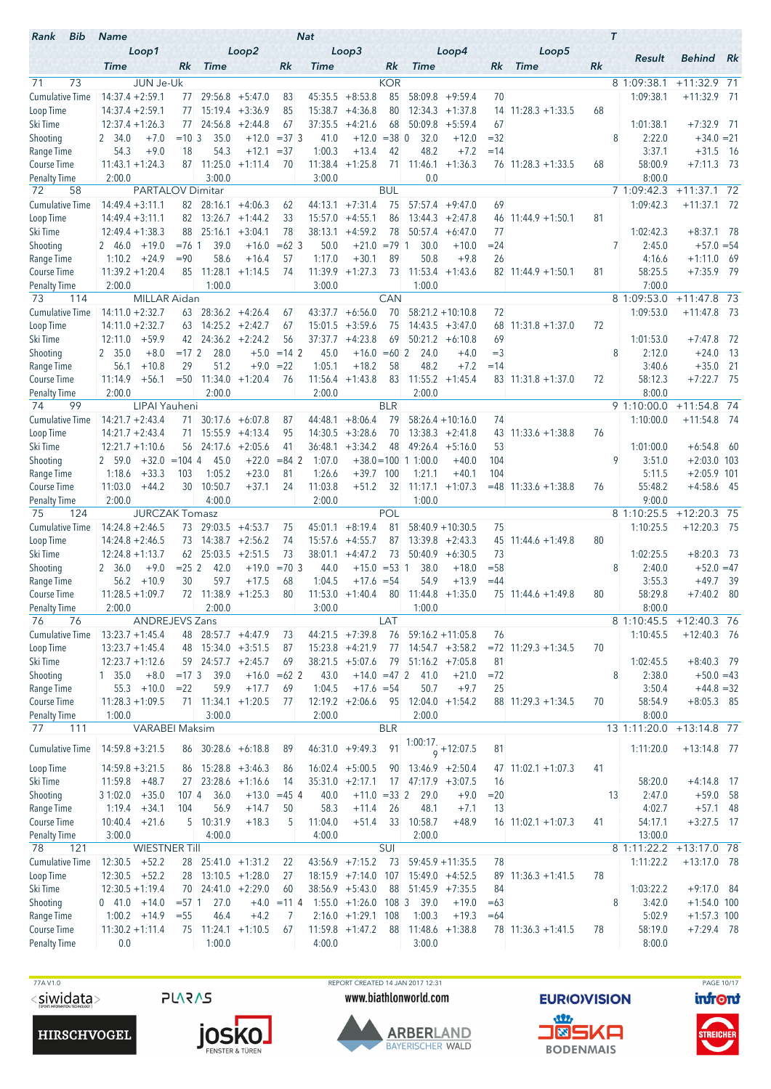| Rank<br>Bib                         | <b>Name</b>                              |                         |               |                      |                                            |                      | <b>Nat</b>      |                                      |               |                        |                                           |              |                            |    | $\tau$                   |                                |      |
|-------------------------------------|------------------------------------------|-------------------------|---------------|----------------------|--------------------------------------------|----------------------|-----------------|--------------------------------------|---------------|------------------------|-------------------------------------------|--------------|----------------------------|----|--------------------------|--------------------------------|------|
|                                     |                                          | Loop1                   |               |                      | Loop2                                      |                      |                 | Loop3                                |               |                        | Loop4                                     |              | Loop5                      |    | Result                   | Behind Rk                      |      |
|                                     | <b>Time</b>                              |                         | Rk            | <b>Time</b>          |                                            | Rk                   | <b>Time</b>     |                                      | Rk            | <b>Time</b>            |                                           | Rk           | <b>Time</b>                | Rk |                          |                                |      |
| 71<br>73                            |                                          | <b>JUN Je-Uk</b>        |               |                      |                                            |                      |                 |                                      | <b>KOR</b>    |                        |                                           |              |                            |    | 8 1:09:38.1              | $+11:32.9$ 71                  |      |
| Cumulative Time                     | $14:37.4 + 2:59.1$                       |                         | 77            |                      | $29:56.8 + 5:47.0$                         | 83                   | 45:35.5         | $+8:53.8$                            | 85            | 58:09.8                | $+9:59.4$                                 | 70           |                            |    | 1:09:38.1                | $+11:32.9$ 71                  |      |
| Loop Time                           | $14:37.4 + 2:59.1$                       |                         | 77            |                      | $15:19.4 + 3:36.9$                         | 85                   | 15:38.7         | $+4:36.8$                            | 80            |                        | $12:34.3 +1:37.8$                         | 14           | $11:28.3 + 1:33.5$         | 68 |                          |                                |      |
| Ski Time                            | $12:37.4 + 1:26.3$<br>2 34.0             | $+7.0$                  | 77<br>$=10.3$ | 24:56.8<br>35.0      | $+2:44.8$<br>$+12.0$                       | 67<br>$=373$         | 37:35.5<br>41.0 | $+4:21.6$<br>$+12.0$                 | 68<br>$= 380$ | 50:09.8<br>32.0        | $+5:59.4$<br>$+12.0$                      | 67<br>$=32$  |                            |    | 1:01:38.1<br>8<br>2:22.0 | $+7:32.9$ 71<br>$+34.0 = 21$   |      |
| Shooting<br>Range Time              | 54.3                                     | $+9.0$                  | 18            | 54.3                 | $+12.1$                                    | $= 37$               | 1:00.3          | $+13.4$                              | 42            | 48.2                   | $+7.2$                                    | $=14$        |                            |    | 3:37.1                   | $+31.5$                        | - 16 |
| Course Time                         | $11:43.1 + 1:24.3$                       |                         | 87            | 11:25.0              | $+1:11.4$                                  | 70                   |                 | $11:38.4 +1:25.8$                    | 71            | 11:46.1                | $+1:36.3$                                 |              | $76$ 11:28.3 +1:33.5       | 68 | 58:00.9                  | $+7:11.3$ 73                   |      |
| <b>Penalty Time</b>                 | 2:00.0                                   |                         |               | 3:00.0               |                                            |                      | 3:00.0          |                                      |               | 0.0                    |                                           |              |                            |    | 8:00.0                   |                                |      |
| 72<br>58                            |                                          | <b>PARTALOV Dimitar</b> |               |                      |                                            |                      |                 |                                      | <b>BUL</b>    |                        |                                           |              |                            |    | 7 1:09:42.3              | $+11:37.1$ 72                  |      |
| <b>Cumulative Time</b>              | $14:49.4 + 3:11.1$                       |                         | 82            |                      | $28:16.1 + 4:06.3$                         | 62                   | 44:13.1         | $+7:31.4$                            | 75            | 57:57.4                | $+9:47.0$                                 | 69           |                            |    | 1:09:42.3                | $+11:37.1$ 72                  |      |
| Loop Time                           | $14:49.4 + 3:11.1$                       |                         | 82            |                      | $13:26.7 +1:44.2$                          | 33                   | 15:57.0         | $+4:55.1$                            | 86            |                        | $13:44.3 + 2:47.8$                        | 46           | $11:44.9 + 1:50.1$         | 81 |                          |                                |      |
| Ski Time                            | $12:49.4 + 1:38.3$                       |                         | 88            | 25:16.1              | $+3:04.1$                                  | 78                   | 38:13.1         | $+4:59.2$                            | 78            | 50:57.4                | $+6:47.0$                                 | 77           |                            |    | 1:02:42.3                | $+8:37.1$ 78                   |      |
| Shooting                            | 2 46.0                                   | $+19.0$                 | $= 7611$      | 39.0                 | $+16.0$                                    | $=62$ 3              | 50.0            | $+21.0 = 79$ 1                       |               | 30.0                   | $+10.0$                                   | $= 24$       |                            |    | 7<br>2:45.0              | $+57.0 = 54$                   |      |
| Range Time                          | 1:10.2                                   | $+24.9$                 | $= 90$        | 58.6                 | $+16.4$                                    | 57                   | 1:17.0          | $+30.1$                              | 89            | 50.8                   | $+9.8$                                    | 26           |                            |    | 4:16.6                   | $+1:11.0$                      | - 69 |
| Course Time                         | $11:39.2 + 1:20.4$                       |                         | 85            | 11:28.1              | $+1:14.5$                                  | 74                   |                 | $11:39.9 + 1:27.3$                   | 73            |                        | $11:53.4 +1:43.6$                         |              | $82 \mid 11:44.9 + 1:50.1$ | 81 | 58:25.5                  | $+7:35.9$ 79                   |      |
| <b>Penalty Time</b>                 | 2:00.0                                   |                         |               | 1:00.0               |                                            |                      | 3:00.0          |                                      |               | 1:00.0                 |                                           |              |                            |    | 7:00.0                   |                                |      |
| 114<br>73<br><b>Cumulative Time</b> |                                          | <b>MILLAR Aidan</b>     |               |                      |                                            |                      |                 |                                      | <b>CAN</b>    |                        |                                           |              |                            |    | 8 1:09:53.0<br>1:09:53.0 | $+11:47.8$ 73<br>$+11:47.8$ 73 |      |
| Loop Time                           | $14:11.0 + 2:32.7$<br>$14:11.0 + 2:32.7$ |                         |               | $63$ 14:25.2 +2:42.7 | $63$ 28:36.2 +4:26.4                       | 67<br>67             | 43:37.7         | $+6:56.0$<br>$15:01.5 + 3:59.6$      | 70<br>75      |                        | $58:21.2 + 10:10.8$<br>$14:43.5 + 3:47.0$ | 72<br>68     | $11:31.8 + 1:37.0$         | 72 |                          |                                |      |
| Ski Time                            | 12:11.0                                  | $+59.9$                 | 42            |                      | $24:36.2 +2:24.2$                          | 56                   | 37:37.7         | $+4:23.8$                            | 69            |                        | $50:21.2 + 6:10.8$                        | 69           |                            |    | 1:01:53.0                | $+7:47.8$                      | - 72 |
| Shooting                            | 2, 35.0                                  | $+8.0$                  | $=172$        | 28.0                 | $+5.0$                                     | $= 14 \, 2$          | 45.0            | $+16.0 = 60$ 2                       |               | 24.0                   | $+4.0$                                    | $=$ 3        |                            |    | 8<br>2:12.0              | $+24.0$                        | - 13 |
| Range Time                          | 56.1                                     | $+10.8$                 | 29            | 51.2                 | $+9.0$                                     | $= 22$               | 1:05.1          | $+18.2$                              | 58            | 48.2                   | $+7.2$                                    | $=14$        |                            |    | 3:40.6                   | $+35.0$                        | - 21 |
| Course Time                         | 11:14.9                                  | $+56.1$                 |               |                      | $= 50$ 11:34.0 +1:20.4                     | 76                   |                 | $11:56.4 +1:43.8$                    | 83            |                        | $11:55.2 +1:45.4$                         |              | $83$ 11:31.8 +1:37.0       | 72 | 58:12.3                  | $+7:22.7$ 75                   |      |
| Penalty Time                        | 2:00.0                                   |                         |               | 2:00.0               |                                            |                      | 2:00.0          |                                      |               | 2:00.0                 |                                           |              |                            |    | 8:00.0                   |                                |      |
| 99<br>74                            |                                          | LIPAI Yauheni           |               |                      |                                            |                      |                 |                                      | <b>BLR</b>    |                        |                                           |              |                            |    | 9 1:10:00.0              | $+11:54.8$ 74                  |      |
| <b>Cumulative Time</b>              | $14:21.7 + 2:43.4$                       |                         | 71.           |                      | $30:17.6 + 6:07.8$                         | 87                   | 44:48.1         | $+8:06.4$                            | 79            |                        | $58:26.4 + 10:16.0$                       | 74           |                            |    | 1:10:00.0                | $+11:54.8$ 74                  |      |
| Loop Time                           | $14:21.7 + 2:43.4$                       |                         | 71            |                      | $15:55.9$ +4:13.4                          | 95                   | 14:30.5         | $+3:28.6$                            | 70            |                        | $13:38.3 + 2:41.8$                        | 43           | $11:33.6 + 1:38.8$         | 76 |                          |                                |      |
| Ski Time                            | $12:21.7 + 1:10.6$                       |                         | 56            |                      | $24:17.6$ +2:05.6                          | 41                   | 36:48.1         | $+3:34.2$                            | 48            |                        | $49:26.4 +5:16.0$                         | 53           |                            |    | 1:01:00.0                | $+6:54.8$                      | - 60 |
| Shooting                            | 2 59.0                                   | $+32.0$                 | $= 104$ 4     | 45.0                 | $+22.0$                                    | $= 84$ 2             | 1:07.0          |                                      |               | $+38.0 = 100$ 1 1:00.0 | $+40.0$                                   | 104          |                            |    | 9<br>3:51.0              | $+2:03.0$ 103                  |      |
| Range Time                          | 1:18.6                                   | $+33.3$                 | 103           | 1:05.2               | $+23.0$                                    | 81                   | 1:26.6          | $+39.7$                              | 100           | 1:21.1                 | $+40.1$                                   | 104          |                            |    | 5:11.5                   | $+2:05.9$ 101                  |      |
| Course Time                         | 11:03.0                                  | $+44.2$                 | 30            | 10:50.7              | $+37.1$                                    | 24                   | 11:03.8         | $+51.2$                              | 32            | 11:17.1                | $+1:07.3$                                 |              | $= 48$ 11:33.6 +1:38.8     | 76 | 55:48.2                  | $+4:58.6$ 45                   |      |
| <b>Penalty Time</b><br>75<br>124    | 2:00.0                                   | <b>JURCZAK Tomasz</b>   |               | 4:00.0               |                                            |                      | 2:00.0          |                                      | POL           | 1:00.0                 |                                           |              |                            |    | 9:00.0<br>8 1:10:25.5    | $+12:20.3$ 75                  |      |
| <b>Cumulative Time</b>              | $14:24.8 + 2:46.5$                       |                         |               | 73 29:03.5 +4:53.7   |                                            | 75                   | 45:01.1         | $+8:19.4$                            | 81            |                        | $58:40.9 + 10:30.5$                       | 75           |                            |    | 1:10:25.5                | $+12:20.3$ 75                  |      |
| Loop Time                           | $14:24.8 + 2:46.5$                       |                         | 73            |                      | $14:38.7 +2:56.2$                          | 74                   | 15:57.6         | $+4:55.7$                            | 87            |                        | $13:39.8 + 2:43.3$                        | 45           | $11:44.6 + 1:49.8$         | 80 |                          |                                |      |
| Ski Time                            | $12:24.8 + 1:13.7$                       |                         | 62            |                      | $25:03.5 +2:51.5$                          | 73                   | 38:01.1         | $+4:47.2$                            | 73            |                        | $50:40.9 + 6:30.5$                        | 73           |                            |    | 1:02:25.5                | $+8:20.3$                      | - 73 |
| Shooting                            | 2 36.0                                   | $+9.0$                  | $= 25 \, 2$   | 42.0                 | $+19.0$                                    | $= 70.3$             | 44.0            | $+15.0 = 53$ 1                       |               | 38.0                   | $+18.0$                                   | $= 58$       |                            |    | 8<br>2:40.0              | $+52.0 = 47$                   |      |
| Range Time                          | 56.2                                     | $+10.9$                 | 30            | 59.7                 | $+17.5$                                    | 68                   | 1:04.5          | $+17.6 = 54$                         |               | 54.9                   | $+13.9$                                   | $=44$        |                            |    | 3:55.3                   | $+49.7$                        | - 39 |
| <b>Course Time</b>                  | $11:28.5 + 1:09.7$                       |                         |               | 72 11:38.9 +1:25.3   |                                            | 80                   |                 | $11:53.0 +1:40.4$                    | 80            |                        | $11:44.8$ +1:35.0                         |              | 75 11:44.6 +1:49.8         | 80 | 58:29.8                  | $+7:40.2$                      | - 80 |
| <b>Penalty Time</b>                 | 2:00.0                                   |                         |               | 2:00.0               |                                            |                      | 3:00.0          |                                      |               | 1:00.0                 |                                           |              |                            |    | 8:00.0                   |                                |      |
| 76<br>76                            |                                          | ANDREJEVS Zans          |               |                      |                                            |                      |                 |                                      | LAT           |                        |                                           |              |                            |    | 8 1:10:45.5              | $+12:40.3$ 76                  |      |
| <b>Cumulative Time</b>              | $13:23.7 + 1:45.4$                       |                         |               |                      | 48 28:57.7 +4:47.9                         | 73                   |                 | $44:21.5$ +7:39.8                    | 76            |                        | $59:16.2 + 11:05.8$                       | 76           |                            |    | 1:10:45.5                | $+12:40.3$ 76                  |      |
| Loop Time                           | $13:23.7 + 1:45.4$                       |                         |               |                      | 48 15:34.0 +3:51.5<br>$59$ 24:57.7 +2:45.7 | 87                   |                 | $15:23.8 +4:21.9$                    | 77            |                        | $14:54.7 + 3:58.2$                        |              | $= 72$ 11:29.3 +1:34.5     | 70 |                          |                                |      |
| Ski Time<br>Shooting                | $12:23.7 + 1:12.6$<br>1, 35.0            | $+8.0$                  | $=173$        | 39.0                 |                                            | 69<br>$+16.0 = 62$ 2 | 43.0            | $38:21.5 + 5:07.6$<br>$+14.0 = 47$ 2 | 79            | 41.0                   | $51:16.2 +7:05.8$<br>$+21.0$              | 81<br>$= 72$ |                            |    | 1:02:45.5<br>8<br>2:38.0 | $+8:40.3$ 79<br>$+50.0 = 43$   |      |
| Range Time                          |                                          | $55.3 + 10.0$           | $= 22$        | 59.9                 | $+17.7$                                    | 69                   | 1:04.5          | $+17.6 = 54$                         |               | 50.7                   | $+9.7$                                    | 25           |                            |    | 3:50.4                   | $+44.8 = 32$                   |      |
| Course Time                         | $11:28.3 + 1:09.5$                       |                         |               |                      | $71$ 11:34.1 +1:20.5                       | 77                   |                 | $12:19.2 + 2:06.6$                   |               | 95 12:04.0 +1:54.2     |                                           |              | $88$ 11:29.3 +1:34.5       | 70 | 58:54.9                  | $+8:05.3$ 85                   |      |
| <b>Penalty Time</b>                 | 1:00.0                                   |                         |               | 3:00.0               |                                            |                      | 2:00.0          |                                      |               | 2:00.0                 |                                           |              |                            |    | 8:00.0                   |                                |      |
| 77<br>111                           |                                          | VARABEI Maksim          |               |                      |                                            |                      |                 |                                      | <b>BLR</b>    |                        |                                           |              |                            |    | 13 1:11:20.0             | $+13:14.8$ 77                  |      |
| <b>Cumulative Time</b>              | $14:59.8 + 3:21.5$                       |                         |               |                      | 86 30:28.6 +6:18.8                         | 89                   |                 | $46:31.0 +9:49.3$                    | 91            |                        | $\frac{1:00:17}{9}$ + 12:07.5             | 81           |                            |    | 1:11:20.0                | $+13:14.8$ 77                  |      |
|                                     |                                          |                         |               |                      |                                            |                      |                 |                                      |               |                        |                                           |              |                            |    |                          |                                |      |
| Loop Time                           | $14:59.8 + 3:21.5$                       |                         |               |                      | $86$ 15:28.8 +3:46.3                       | 86                   |                 | $16:02.4$ +5:00.5                    | 90            |                        | $13:46.9 + 2:50.4$                        |              | $47$ 11:02.1 +1:07.3       | 41 |                          |                                |      |
| Ski Time                            | $11:59.8 +48.7$                          |                         |               |                      | 27 23:28.6 +1:16.6                         | 14                   |                 | $35:31.0 +2:17.1$                    |               | $17$ 47:17.9 $+3:07.5$ |                                           | 16           |                            |    | 58:20.0                  | $+4:14.8$ 17                   |      |
| Shooting                            | $31:02.0 + 35.0$                         |                         | 107 4         | 36.0                 |                                            | $+13.0 = 45$ 4       | 40.0            | $+11.0 = 33$ 2                       |               | 29.0                   | $+9.0$                                    | $= 20$       |                            |    | 2:47.0<br>13             | $+59.0$ 58                     |      |
| Range Time                          | $1:19.4 + 34.1$                          |                         | 104           | 56.9                 | $+14.7$                                    | 50                   | 58.3            | $+11.4$                              | 26            | 48.1                   | $+7.1$                                    | 13           |                            |    | 4:02.7                   | $+57.1$ 48                     |      |
| Course Time                         | $10:40.4$ +21.6                          |                         |               | 5 10:31.9            | $+18.3$                                    | 5                    | 11:04.0         | $+51.4$                              | 33            | 10:58.7                | $+48.9$                                   |              | $16$ 11:02.1 +1:07.3       | 41 | 54:17.1                  | $+3:27.5$ 17                   |      |
| <b>Penalty Time</b><br>121<br>78    | 3:00.0                                   | <b>WIESTNER Till</b>    |               | 4:00.0               |                                            |                      | 4:00.0          |                                      | SUI           | 2:00.0                 |                                           |              |                            |    | 13:00.0<br>8 1:11:22.2   | $+13:17.0$ 78                  |      |
| <b>Cumulative Time</b>              | $12:30.5 +52.2$                          |                         |               |                      | 28 25:41.0 +1:31.2                         | 22                   |                 | $43:56.9$ +7:15.2                    | 73            |                        | $59:45.9 + 11:35.5$                       | 78           |                            |    | 1:11:22.2                | $+13:17.0$ 78                  |      |
| Loop Time                           | $12:30.5 +52.2$                          |                         |               |                      | $28$ 13:10.5 +1:28.0                       | 27                   |                 | $18:15.9$ +7:14.0 107                |               |                        | $15:49.0 +4:52.5$                         |              | $89$ 11:36.3 +1:41.5       | 78 |                          |                                |      |
| Ski Time                            | $12:30.5 + 1:19.4$                       |                         |               |                      | 70 24:41.0 +2:29.0                         | 60                   |                 | $38:56.9 + 5:43.0$                   | 88            |                        | $51:45.9$ +7:35.5                         | 84           |                            |    | 1:03:22.2                | $+9:17.0$ 84                   |      |
| Shooting                            | $0$ 41.0 +14.0                           |                         | $= 57.1$      | 27.0                 |                                            | $+4.0 = 11$ 4        |                 | $1:55.0 +1:26.0 108$ 3               |               | 39.0                   | $+19.0$                                   | $=63$        |                            |    | 8<br>3:42.0              | $+1:54.0$ 100                  |      |
| Range Time                          | $1:00.2 + 14.9$                          |                         | $= 55$        | 46.4                 | $+4.2$                                     | 7                    |                 | $2:16.0 +1:29.1$                     | 108           | 1:00.3                 | $+19.3$                                   | $=64$        |                            |    | 5:02.9                   | $+1:57.3$ 100                  |      |
| Course Time                         | $11:30.2 + 1:11.4$                       |                         |               |                      | $75$ 11:24.1 +1:10.5                       | 67                   |                 | $11:59.8 + 1:47.2$                   | 88            |                        | $11:48.6 + 1:38.8$                        |              | $78$ 11:36.3 +1:41.5       | 78 | 58:19.0                  | $+7:29.4$ 78                   |      |
| <b>Penalty Time</b>                 | 0.0                                      |                         |               | 1:00.0               |                                            |                      | 4:00.0          |                                      |               | 3:00.0                 |                                           |              |                            |    | 8:00.0                   |                                |      |
|                                     |                                          |                         |               |                      |                                            |                      |                 |                                      |               |                        |                                           |              |                            |    |                          |                                |      |





TTA V1.0<br>
TAGE 10/17<br>
Siwidata> PLARAS www.biathlonworld.com EURIOVISION infont www.biathlonworld.com





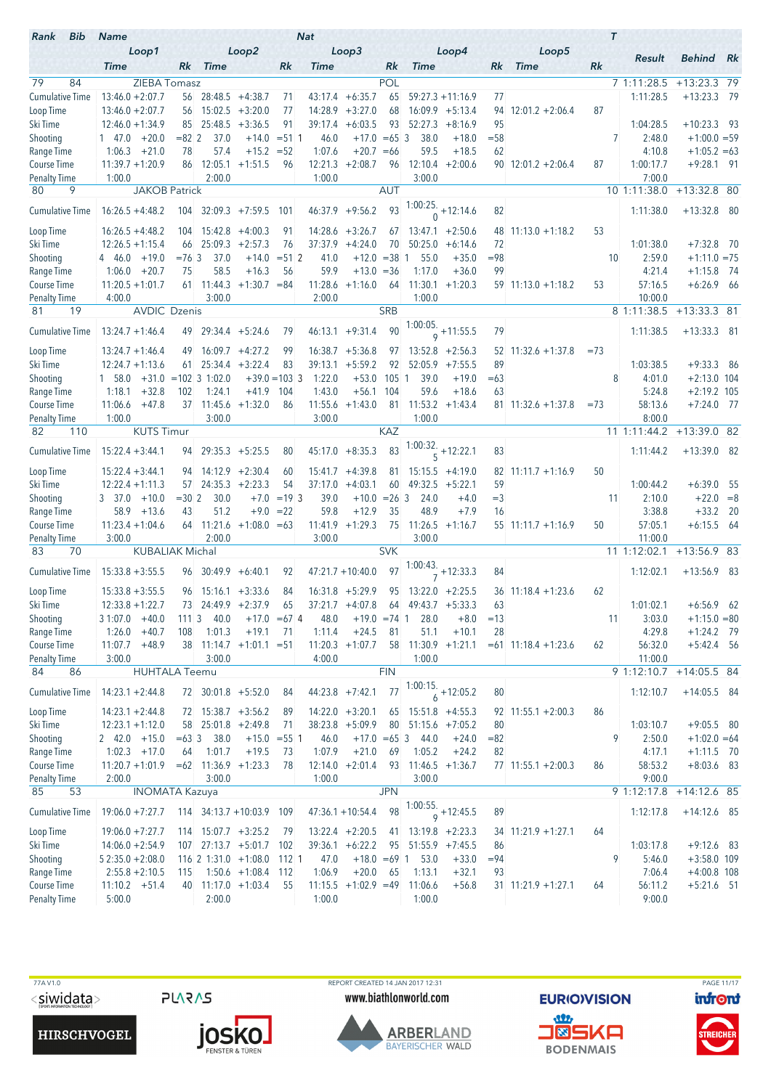| Bib<br>Rank                        | <b>Name</b>                             |             |                           |                               |                 | <b>Nat</b>        |                        |            |                      |                                      |        |                            |        | $\tau$ |                    |                               |  |
|------------------------------------|-----------------------------------------|-------------|---------------------------|-------------------------------|-----------------|-------------------|------------------------|------------|----------------------|--------------------------------------|--------|----------------------------|--------|--------|--------------------|-------------------------------|--|
|                                    | Loop1<br><b>Time</b>                    | Rk          | <b>Time</b>               | Loop2                         | Rk              | <b>Time</b>       | Loop3                  | Rk         | <b>Time</b>          | Loop4                                | Rk     | Loop5<br><b>Time</b>       | Rk     |        | Result             | <b>Behind</b> Rk              |  |
| 79<br>84                           | ZIEBA Tomasz                            |             |                           |                               |                 |                   |                        | POL        |                      |                                      |        |                            |        |        | 7 1:11:28.5        | $+13:23.3$ 79                 |  |
| <b>Cumulative Time</b>             | $13:46.0 + 2:07.7$                      |             | $56$ 28:48.5 +4:38.7      |                               | 71              |                   | $43:17.4 +6:35.7$      | 65         |                      | $59:27.3 + 11:16.9$                  | 77     |                            |        |        | 1:11:28.5          | $+13:23.3$ 79                 |  |
| Loop Time                          | $13:46.0 + 2:07.7$                      |             | $56$ 15:02.5 +3:20.0      |                               | 77              | 14:28.9           | $+3:27.0$              | 68         |                      | $16:09.9 + 5:13.4$                   | 94     | $12:01.2 + 2:06.4$         | 87     |        |                    |                               |  |
| Ski Time                           | $12:46.0 + 1:34.9$                      | 85          | 25:48.5                   | $+3:36.5$                     | 91              | 39:17.4           | $+6:03.5$              | 93         | 52:27.3              | $+8:16.9$                            | 95     |                            |        |        | 1:04:28.5          | $+10:23.3$ 93                 |  |
| Shooting                           | $+20.0$<br>$1 \quad 47.0$               | $= 82 \, 2$ | 37.0                      |                               | $+14.0 = 51$ 1  | 46.0              | $+17.0 = 65$ 3         |            | 38.0                 | $+18.0$                              | $= 58$ |                            |        | 7      | 2:48.0             | $+1:00.0 = 59$                |  |
| Range Time                         | 1:06.3<br>$+21.0$                       | 78          | 57.4                      | $+15.2 = 52$                  |                 | 1:07.6            | $+20.7 = 66$           |            | 59.5                 | $+18.5$                              | 62     |                            |        |        | 4:10.8             | $+1:05.2 = 63$                |  |
| Course Time                        | $11:39.7 + 1:20.9$                      | 86          | 12:05.1                   | $+1:51.5$                     | 96              | 12:21.3           | $+2:08.7$              | 96         | 12:10.4              | $+2:00.6$                            |        | $90$ 12:01.2 +2:06.4       | 87     |        | 1:00:17.7          | $+9:28.1$ 91                  |  |
| <b>Penalty Time</b>                | 1:00.0                                  |             | 2:00.0                    |                               |                 | 1:00.0            |                        |            | 3:00.0               |                                      |        |                            |        |        | 7:00.0             |                               |  |
| 80<br>9                            | <b>JAKOB Patrick</b>                    |             |                           |                               |                 |                   |                        | <b>AUT</b> |                      |                                      |        |                            |        |        | 10 1:11:38.0       | $+13:32.8$ 80                 |  |
| <b>Cumulative Time</b>             | $16:26.5 + 4:48.2$                      |             |                           | 104 32:09.3 +7:59.5 101       |                 |                   | $46:37.9 +9:56.2$      | 93         |                      | $1:00:25.$ +12:14.6                  | 82     |                            |        |        | 1:11:38.0          | $+13:32.8$ 80                 |  |
| Loop Time                          | $16:26.5 + 4:48.2$                      |             | $104$ 15:42.8 $+4:00.3$   |                               | 91              |                   | $14:28.6 + 3:26.7$     | 67         |                      | $13:47.1 + 2:50.6$                   |        | $48$ 11:13.0 +1:18.2       | 53     |        |                    |                               |  |
| Ski Time                           | $12:26.5 + 1:15.4$                      | 66          |                           | $25:09.3 + 2:57.3$            | 76              | 37:37.9           | $+4:24.0$              | 70         | 50:25.0              | $+6:14.6$                            | 72     |                            |        |        | 1:01:38.0          | $+7:32.8$ 70                  |  |
| Shooting                           | 4 46.0<br>$+19.0$                       | $= 76.3$    | 37.0                      | $+14.0$                       | $= 51 \, 2$     | 41.0              | $+12.0 = 38$           |            | 55.0<br>-1           | $+35.0$                              | $= 98$ |                            |        | 10     | 2:59.0             | $+1:11.0 = 75$                |  |
| Range Time                         | $+20.7$<br>1:06.0<br>$11:20.5 + 1:01.7$ | 75          | 58.5                      | $+16.3$                       | 56              | 59.9              | $+13.0 = 36$           |            | 1:17.0               | $+36.0$                              | 99     |                            |        |        | 4:21.4             | $+1:15.8$ 74                  |  |
| Course Time<br><b>Penalty Time</b> | 4:00.0                                  |             | 61 11:44.3<br>3:00.0      | $+1:30.7 = 84$                |                 | 11:28.6<br>2:00.0 | $+1:16.0$              | - 64       | 1:00.0               | $11:30.1 + 1:20.3$                   |        | $59$ 11:13.0 +1:18.2       | 53     |        | 57:16.5<br>10:00.0 | $+6:26.9$ 66                  |  |
| 81<br>19                           | <b>AVDIC Dzenis</b>                     |             |                           |                               |                 |                   |                        | <b>SRB</b> |                      |                                      |        |                            |        |        | 8 1:11:38.5        | $+13:33.3$ 81                 |  |
|                                    |                                         |             |                           |                               |                 |                   |                        |            |                      | $\frac{1:00:05}{9}$ + 11:55.5        | 79     |                            |        |        |                    |                               |  |
| <b>Cumulative Time</b>             | $13:24.7 + 1:46.4$                      |             | 49 29:34.4 +5:24.6        |                               | 79              |                   | $46:13.1 + 9:31.4$     | 90         |                      |                                      |        |                            |        |        | 1:11:38.5          | $+13:33.3$ 81                 |  |
| Loop Time                          | $13:24.7 + 1:46.4$                      | 49          |                           | $16:09.7 + 4:27.2$            | 99              |                   | $16:38.7 + 5:36.8$     | 97         |                      | $13:52.8$ +2:56.3                    |        | $52$ 11:32.6 +1:37.8       | $= 73$ |        |                    |                               |  |
| Ski Time                           | $12:24.7 + 1:13.6$                      | 61          |                           | $25:34.4 + 3:22.4$            | 83              | 39:13.1           | $+5:59.2$              | 92         |                      | $52:05.9$ +7:55.5                    | 89     |                            |        |        | 1:03:38.5          | $+9:33.3$ 86                  |  |
| Shooting                           | $1\quad 58.0$<br>$+32.8$                |             | $+31.0$ = 102 3 1:02.0    |                               | $+39.0 = 103$ 3 | 1:22.0<br>1:43.0  | $+53.0$<br>$+56.1$     | $105-1$    | 39.0<br>59.6         | $+19.0$                              | $=63$  |                            |        | 8      | 4:01.0<br>5:24.8   | $+2:13.0$ 104                 |  |
| Range Time<br>Course Time          | 1:18.1<br>$+47.8$<br>11:06.6            | 102<br>37   | 1:24.1                    | $+41.9$<br>$11:45.6 + 1:32.0$ | 104<br>86       |                   | $11:55.6 +1:43.0$      | 104<br>81  | 11:53.2              | $+18.6$<br>$+1:43.4$                 | 63     | $81$ 11:32.6 +1:37.8       | $= 73$ |        | 58:13.6            | $+2:19.2$ 105<br>$+7:24.0$ 77 |  |
| <b>Penalty Time</b>                | 1:00.0                                  |             | 3:00.0                    |                               |                 | 3:00.0            |                        |            | 1:00.0               |                                      |        |                            |        |        | 8:00.0             |                               |  |
| 82<br>110                          | <b>KUTS Timur</b>                       |             |                           |                               |                 |                   |                        | <b>KAZ</b> |                      |                                      |        |                            |        |        | 11 1:11:44.2       | $+13:39.0$ 82                 |  |
| <b>Cumulative Time</b>             | $15:22.4 + 3:44.1$                      |             | 94 29:35.3 +5:25.5        |                               | 80              |                   | $45:17.0 + 8:35.3$     | 83         |                      | 1:00:32.<br>$5 + 12:22.1$            | 83     |                            |        |        | 1:11:44.2          | $+13:39.0$ 82                 |  |
| Loop Time                          | $15:22.4 + 3:44.1$                      |             | $94$ 14:12.9 +2:30.4      |                               | 60              |                   | $15:41.7 +4:39.8$      | 81.        |                      | $15:15.5 + 4:19.0$                   |        | $82 \mid 11:11.7 + 1:16.9$ | 50     |        |                    |                               |  |
| Ski Time                           | $12:22.4 + 1:11.3$                      |             | $57$ 24:35.3 +2:23.3      |                               | 54              | 37:17.0           | $+4:03.1$              | 60         |                      | $49:32.5 + 5:22.1$                   | 59     |                            |        |        | 1:00:44.2          | $+6:39.0$ 55                  |  |
| Shooting                           | $+10.0$<br>3 37.0                       | $= 302$     | 30.0                      | $+7.0$                        | $=19.3$         | 39.0              | $+10.0 = 26$ 3         |            | 24.0                 | $+4.0$                               | $=$ 3  |                            |        | 11     | 2:10.0             | $+22.0 = 8$                   |  |
| Range Time                         | 58.9<br>$+13.6$                         | 43          | 51.2                      | $+9.0$                        | $=22$           | 59.8              | $+12.9$                | 35         | 48.9                 | $+7.9$                               | 16     |                            |        |        | 3:38.8             | $+33.2$ 20                    |  |
| Course Time                        | $11:23.4 + 1:04.6$                      |             |                           | $64$ 11:21.6 +1:08.0 = 63     |                 |                   | $11:41.9 + 1:29.3$     |            | 75 11:26.5           | $+1:16.7$                            |        | $55$ 11:11.7 +1:16.9       | 50     |        | 57:05.1            | $+6:15.5$ 64                  |  |
| <b>Penalty Time</b>                | 3:00.0                                  |             | 2:00.0                    |                               |                 | 3:00.0            |                        |            | 3:00.0               |                                      |        |                            |        |        | 11:00.0            |                               |  |
| 83<br>70                           | <b>KUBALIAK Michal</b>                  |             |                           |                               |                 |                   |                        | <b>SVK</b> |                      |                                      |        |                            |        |        | 11 1:12:02.1       | $+13:56.9$ 83                 |  |
| <b>Cumulative Time</b>             | $15:33.8 + 3:55.5$                      |             | $96$ 30:49.9 +6:40.1      |                               | 92              |                   | $47:21.7 + 10:40.0$    | 97         |                      | $\frac{1:00:43.}{7}$ + 12:33.3       | 84     |                            |        |        | 1:12:02.1          | $+13:56.9$ 83                 |  |
| Loop Time                          | $15:33.8 + 3:55.5$                      |             | $96$ 15:16.1 +3:33.6      |                               | 84              |                   | $16:31.8 + 5:29.9$     |            | $95$ 13:22.0 +2:25.5 |                                      |        | $36$ 11:18.4 +1:23.6       | 62     |        |                    |                               |  |
| Ski Time                           | $12:33.8 + 1:22.7$                      |             | 73 24:49.9 +2:37.9        |                               | 65              |                   |                        |            |                      | $37:21.7$ +4:07.8 64 49:43.7 +5:33.3 | 63     |                            |        |        | 1:01:02.1          | $+6:56.9$ 62                  |  |
| Shooting                           | $31:07.0 + 40.0$                        | 1113        | 40.0                      | $+17.0 = 674$                 |                 | 48.0              | $+19.0 = 74$ 1         |            | 28.0                 | $+8.0$                               | $=13$  |                            |        | 11     | 3:03.0             | $+1:15.0 = 80$                |  |
| Range Time                         | $+40.7$<br>1:26.0                       | 108         | 1:01.3                    | $+19.1$                       | - 71            | 1:11.4            | $+24.5$                | 81         | 51.1                 | $+10.1$                              | 28     |                            |        |        | 4:29.8             | $+1:24.2$ 79                  |  |
| Course Time<br><b>Penalty Time</b> | 11:07.7<br>$+48.9$<br>3:00.0            |             | 3:00.0                    | $38$ 11:14.7 +1:01.1 = 51     |                 | 4:00.0            | $11:20.3 +1:07.7$      | 58         | 11:30.9<br>1:00.0    | $+1:21.1$                            |        | $= 61$ 11:18.4 +1:23.6     | 62     |        | 56:32.0<br>11:00.0 | $+5:42.4$ 56                  |  |
| 86<br>84                           | <b>HUHTALA Teemu</b>                    |             |                           |                               |                 |                   |                        | <b>FIN</b> |                      |                                      |        |                            |        |        | 9 1:12:10.7        | $+14:05.5$ 84                 |  |
| <b>Cumulative Time</b>             | $14:23.1 + 2:44.8$                      |             | 72 30:01.8 +5:52.0        |                               | 84              |                   | $44:23.8$ +7:42.1      | 77         | 1:00:15.             | $\frac{1}{6}$ +12:05.2               | 80     |                            |        |        | 1:12:10.7          | $+14:05.5$ 84                 |  |
| Loop Time                          | $14:23.1 + 2:44.8$                      |             | $72$ 15:38.7 +3:56.2      |                               | 89              |                   | $14:22.0 +3:20.1$      |            | $65$ 15:51.8 +4:55.3 |                                      |        | $92$ 11:55.1 +2:00.3       | 86     |        |                    |                               |  |
| Ski Time                           | $12:23.1 + 1:12.0$                      |             | $58$ 25:01.8 +2:49.8      |                               | 71              |                   | $38:23.8$ +5:09.9      |            | $80$ 51:15.6 +7:05.2 |                                      | 80     |                            |        |        | 1:03:10.7          | $+9:05.5$ 80                  |  |
| Shooting                           | $2 42.0 +15.0$                          | $=633$      | 38.0                      | $+15.0 = 55$ 1                |                 | 46.0              | $+17.0 = 65$ 3         |            | 44.0                 | $+24.0$                              | $= 82$ |                            |        | 9      | 2:50.0             | $+1:02.0 = 64$                |  |
| Range Time                         | $1:02.3 +17.0$                          | 64          | 1:01.7                    | $+19.5$                       | 73              | 1:07.9            | $+21.0$                | 69         | 1:05.2               | $+24.2$                              | 82     |                            |        |        | 4:17.1             | $+1:11.5$ 70                  |  |
| Course Time                        | $11:20.7 + 1:01.9 = 62$ 11:36.9 +1:23.3 |             |                           |                               | 78              |                   | $12:14.0 + 2:01.4$     |            | $93$ 11:46.5 +1:36.7 |                                      |        | $77$ 11:55.1 +2:00.3       | 86     |        | 58:53.2            | $+8:03.6$ 83                  |  |
| <b>Penalty Time</b>                | 2:00.0                                  |             | 3:00.0                    |                               |                 | 1:00.0            |                        |            | 3:00.0               |                                      |        |                            |        |        | 9:00.0             |                               |  |
| 85<br>53                           | <b>INOMATA Kazuya</b>                   |             |                           |                               |                 |                   |                        | <b>JPN</b> |                      |                                      |        |                            |        |        | 9 1:12:17.8        | $+14:12.6$ 85                 |  |
| Cumulative Time                    | $19:06.0 + 7:27.7$                      |             |                           | 114 34:13.7 +10:03.9 109      |                 |                   | $47:36.1 + 10:54.4$    | 98         |                      | 1:00:55.<br>9 + 12:45.5              | 89     |                            |        |        | 1:12:17.8          | $+14:12.6$ 85                 |  |
| Loop Time                          | $19:06.0 + 7:27.7$                      |             | $114$ $15:07.7$ $+3:25.2$ |                               | -79             |                   | $13:22.4$ +2:20.5      |            | $41$ 13:19.8 +2:23.3 |                                      | 34     | $11:21.9 + 1:27.1$         | 64     |        |                    |                               |  |
| Ski Time                           | $14:06.0 + 2:54.9$                      |             | 107 27:13.7 +5:01.7       |                               | 102             |                   | $39:36.1 + 6:22.2$     | 95         |                      | $51:55.9$ +7:45.5                    | 86     |                            |        |        | 1:03:17.8          | $+9:12.6$ 83                  |  |
| Shooting                           | $52:35.0 + 2:08.0$                      |             |                           | $116$ 2 1:31.0 +1:08.0 112 1  |                 | 47.0              | $+18.0 = 69$ 1         |            | 53.0                 | $+33.0$                              | $= 94$ |                            |        | 9      | 5:46.0             | $+3:58.0$ 109                 |  |
| Range Time                         | $2:55.8 + 2:10.5$                       | 115         |                           | $1:50.6 +1:08.4$ 112          |                 | 1:06.9            | $+20.0$                | -65        | 1:13.1               | $+32.1$                              | 93     |                            |        |        | 7:06.4             | $+4:00.8$ 108                 |  |
| Course Time                        | $11:10.2 +51.4$                         |             | 40 11:17.0 +1:03.4        |                               | 55              |                   | $11:15.5 +1:02.9 = 49$ |            | 11:06.6              | $+56.8$                              |        | $31 \mid 11:21.9 + 1:27.1$ | 64     |        | 56:11.2            | $+5:21.6$ 51                  |  |
| <b>Penalty Time</b>                | 5:00.0                                  |             | 2:00.0                    |                               |                 | 1:00.0            |                        |            | 1:00.0               |                                      |        |                            |        |        | 9:00.0             |                               |  |

**HIRSCHVOGEL** 



TTA V1.0 PAGE 11/17<br>
TAGE 11/17<br>
Siwidata> PLARAS www.biathlonworld.com EURIOVISION infont www.biathlonworld.com



<u>an</u> **J®SKA BODENMAIS** 

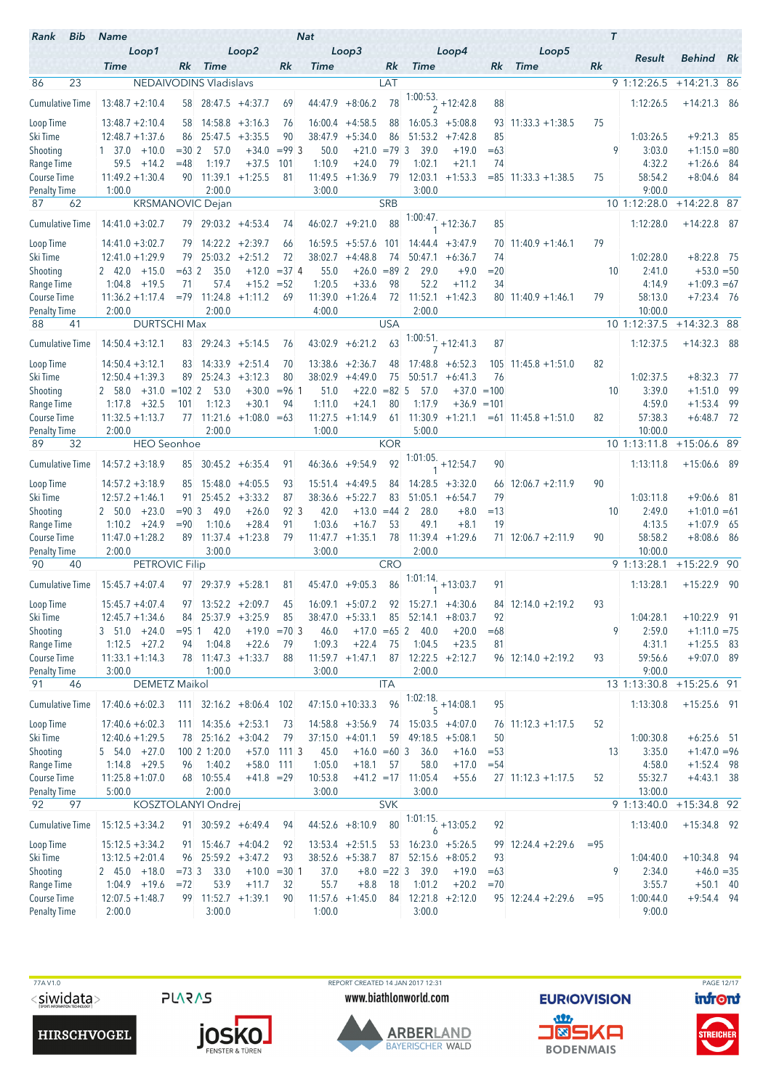| Rank<br>Bib                        | <b>Name</b>                                     |                    |                                  |                               |                   | <b>Nat</b>        |                                      |               |                                |                                |             |                        | $\tau$ |                          |                                |  |
|------------------------------------|-------------------------------------------------|--------------------|----------------------------------|-------------------------------|-------------------|-------------------|--------------------------------------|---------------|--------------------------------|--------------------------------|-------------|------------------------|--------|--------------------------|--------------------------------|--|
|                                    | Loop1<br><b>Time</b>                            |                    | Rk Time                          | Loop2                         | Rk                | <b>Time</b>       | Loop3                                | Rk            | <b>Time</b>                    | Loop4                          | Rk          | Loop5<br><b>Time</b>   | Rk     | Result                   | <b>Behind</b> Rk               |  |
| 23<br>86                           |                                                 |                    | NEDAIVODINS Vladislavs           |                               |                   |                   |                                      | LAT           |                                |                                |             |                        |        | 9 1:12:26.5              | $+14:21.3$ 86                  |  |
| <b>Cumulative Time</b>             | $13:48.7 + 2:10.4$                              |                    | 58 28:47.5 +4:37.7               |                               | 69                |                   | $44:47.9 + 8:06.2$                   | 78            |                                | $\frac{1:00:53.}{2} + 12:42.8$ | 88          |                        |        | 1:12:26.5                | $+14:21.3$ 86                  |  |
|                                    |                                                 |                    |                                  |                               |                   |                   |                                      |               |                                |                                |             |                        |        |                          |                                |  |
| Loop Time                          | $13:48.7 + 2:10.4$                              |                    | $58$ 14:58.8 +3:16.3             |                               | 76                |                   | $16:00.4$ +4:58.5                    | 88            |                                | $16:05.3 + 5:08.8$             |             | $93$ 11:33.3 +1:38.5   | 75     |                          |                                |  |
| Ski Time<br>Shooting               | $12:48.7 + 1:37.6$<br>$1 \quad 37.0$<br>$+10.0$ | 86<br>$= 30.2$     | 57.0                             | $25:47.5 + 3:35.5$<br>$+34.0$ | 90<br>$= 99 \, 3$ | 50.0              | $38:47.9 + 5:34.0$<br>$+21.0 = 79$ 3 | 86            | 39.0                           | $51:53.2 +7:42.8$<br>$+19.0$   | 85<br>$=63$ |                        | 9      | 1:03:26.5<br>3:03.0      | $+9:21.3$ 85<br>$+1:15.0 = 80$ |  |
| Range Time                         | 59.5<br>$+14.2$                                 | $=48$              | 1:19.7                           | $+37.5$                       | 101               | 1:10.9            | $+24.0$                              | 79            | 1:02.1                         | $+21.1$                        | 74          |                        |        | 4:32.2                   | $+1:26.6$ 84                   |  |
| Course Time                        | $11:49.2 + 1:30.4$                              |                    | 90 11:39.1                       | $+1:25.5$                     | 81                |                   | $11:49.5 +1:36.9$                    | 79            |                                | $12:03.1 + 1:53.3$             |             | $= 85$ 11:33.3 +1:38.5 | 75     | 58:54.2                  | $+8:04.6$ 84                   |  |
| <b>Penalty Time</b>                | 1:00.0                                          |                    | 2:00.0                           |                               |                   | 3:00.0            |                                      |               | 3:00.0                         |                                |             |                        |        | 9:00.0                   |                                |  |
| 87<br>62                           |                                                 |                    | <b>KRSMANOVIC Dejan</b>          |                               |                   |                   |                                      | <b>SRB</b>    |                                |                                |             |                        |        | 10 1:12:28.0             | $+14:22.8$ 87                  |  |
| <b>Cumulative Time</b>             | $14:41.0 + 3:02.7$                              |                    | 79 29:03.2 +4:53.4               |                               | 74                |                   | $46:02.7 +9:21.0$                    | 88            |                                | $1:00:47. +12:36.7$            | 85          |                        |        | 1:12:28.0                | $+14:22.8$ 87                  |  |
| Loop Time                          | $14:41.0 + 3:02.7$                              |                    | 79 14:22.2 +2:39.7               |                               | 66                |                   | $16:59.5 + 5:57.6$                   | 101           |                                | $14:44.4 + 3:47.9$             |             | $70$ 11:40.9 +1:46.1   | 79     |                          |                                |  |
| Ski Time                           | $12:41.0 + 1:29.9$                              | 79                 |                                  | $25:03.2 + 2:51.2$            | 72                |                   | $38:02.7 +4:48.8$                    | 74            |                                | $50:47.1 + 6:36.7$             | 74          |                        |        | 1:02:28.0                | $+8:22.8$ 75                   |  |
| Shooting                           | $2, 42.0 +15.0$                                 | $= 632$            | 35.0                             |                               | $+12.0 = 37$ 4    | 55.0              | $+26.0 = 89$ 2                       |               | 29.0                           | $+9.0$                         | $= 20$      |                        | 10     | 2:41.0                   | $+53.0 = 50$                   |  |
| Range Time<br>Course Time          | 1:04.8<br>$+19.5$<br>$11:36.2 + 1:17.4$         | 71                 | 57.4<br>$=79$ 11:24.8            | $+15.2 = 52$<br>$+1:11.2$     | 69                | 1:20.5            | $+33.6$<br>$11:39.0 + 1:26.4$        | 98            | 52.2<br>72 11:52.1             | $+11.2$<br>$+1:42.3$           | 34          | $80$ 11:40.9 +1:46.1   | 79     | 4:14.9<br>58:13.0        | $+1:09.3 = 67$<br>$+7:23.4$ 76 |  |
| <b>Penalty Time</b>                | 2:00.0                                          |                    | 2:00.0                           |                               |                   | 4:00.0            |                                      |               | 2:00.0                         |                                |             |                        |        | 10:00.0                  |                                |  |
| 88<br>41                           | <b>DURTSCHI Max</b>                             |                    |                                  |                               |                   |                   |                                      | <b>USA</b>    |                                |                                |             |                        |        | 10 1:12:37.5             | $+14:32.3$ 88                  |  |
| <b>Cumulative Time</b>             | $14:50.4 + 3:12.1$                              |                    | $83$ 29:24.3 $+5:14.5$           |                               | 76                |                   | $43:02.9 + 6:21.2$                   | 63            |                                | $\frac{1:00:51}{7}$ + 12:41.3  | 87          |                        |        | 1:12:37.5                | $+14:32.3$ 88                  |  |
| Loop Time                          | $14:50.4 + 3:12.1$                              | 83                 |                                  | $14:33.9 +2:51.4$             | 70                |                   | $13:38.6 + 2:36.7$                   | 48            |                                | $17:48.8 + 6:52.3$             |             | $105$ 11:45.8 +1:51.0  | 82     |                          |                                |  |
| Ski Time                           | $12:50.4 + 1:39.3$                              | 89                 |                                  | $25:24.3 + 3:12.3$            | 80                |                   | $38:02.9$ +4:49.0                    | 75            |                                | $50:51.7 + 6:41.3$             | 76          |                        |        | 1:02:37.5                | $+8:32.3$ 77                   |  |
| Shooting                           | $2 \quad 58.0 \quad +31.0 \quad =102 \quad 2$   |                    | 53.0                             | $+30.0$                       | $= 961$           | 51.0              | $+22.0 = 82$ 5                       |               | 57.0                           | $+37.0 = 100$                  |             |                        | 10     | 3:39.0                   | $+1:51.0$ 99                   |  |
| Range Time                         | $+32.5$<br>1:17.8                               | 101                | 1:12.3                           | $+30.1$                       | 94                | 1:11.0            | $+24.1$                              | 80            | 1:17.9                         | $+36.9 = 101$                  |             |                        |        | 4:59.0                   | $+1:53.4$ 99                   |  |
| Course Time                        | $11:32.5 + 1:13.7$                              |                    |                                  | $77$ 11:21.6 +1:08.0 = 63     |                   |                   | $11:27.5 +1:14.9$                    | 61            |                                | $11:30.9 + 1:21.1$             |             | $= 61$ 11:45.8 +1:51.0 | 82     | 57:38.3                  | $+6:48.7$ 72                   |  |
| Penalty Time<br>32<br>89           | 2:00.0<br><b>HEO</b> Seonhoe                    |                    | 2:00.0                           |                               |                   | 1:00.0            |                                      | <b>KOR</b>    | 5:00.0                         |                                |             |                        |        | 10:00.0<br>10 1:13:11.8  | +15:06.6 89                    |  |
| <b>Cumulative Time</b>             | $14:57.2 + 3:18.9$                              |                    | 85 30:45.2 +6:35.4               |                               | 91                |                   | 46:36.6 +9:54.9                      | 92            |                                | $1:01:05.$ +12:54.7            | 90          |                        |        | 1:13:11.8                | $+15:06.6$ 89                  |  |
|                                    |                                                 |                    |                                  |                               |                   |                   |                                      |               |                                |                                |             |                        |        |                          |                                |  |
| Loop Time                          | $14:57.2 + 3:18.9$                              | 85                 |                                  | $15:48.0 +4:05.5$             | 93                |                   | $15:51.4 +4:49.5$                    | 84            |                                | $14:28.5 +3:32.0$              |             | $66$ 12:06.7 +2:11.9   | 90     |                          |                                |  |
| Ski Time<br>Shooting               | $12:57.2 + 1:46.1$<br>$2 50.0 +23.0$            | 91.<br>$= 90 \, 3$ | 49.0                             | $25:45.2 + 3:33.2$<br>$+26.0$ | 87<br>923         | 42.0              | $38:36.6 + 5:22.7$<br>$+13.0$        | 83<br>$=44$ 2 | 28.0                           | $51:05.1 + 6:54.7$<br>$+8.0$   | 79<br>$=13$ |                        | 10     | 1:03:11.8<br>2:49.0      | $+9:06.6$ 81<br>$+1:01.0 = 61$ |  |
| Range Time                         | $1:10.2 +24.9$                                  | $= 90$             | 1:10.6                           | $+28.4$                       | 91                | 1:03.6            | $+16.7$                              | 53            | 49.1                           | $+8.1$                         | 19          |                        |        | 4:13.5                   | $+1:07.9$ 65                   |  |
| Course Time                        | $11:47.0 + 1:28.2$                              |                    | 89 11:37.4 +1:23.8               |                               | 79                |                   | $11:47.7 + 1:35.1$                   | 78            | 11:39.4                        | $+1:29.6$                      |             | $71$ 12:06.7 +2:11.9   | 90     | 58:58.2                  | $+8:08.6$ 86                   |  |
| <b>Penalty Time</b>                | 2:00.0                                          |                    | 3:00.0                           |                               |                   | 3:00.0            |                                      |               | 2:00.0                         |                                |             |                        |        | 10:00.0                  |                                |  |
| 90<br>40                           | PETROVIC Filip                                  |                    |                                  |                               |                   |                   |                                      | <b>CRO</b>    |                                |                                |             |                        |        | 9 1:13:28.1              | $+15:22.9$ 90                  |  |
| <b>Cumulative Time</b>             | $15:45.7 + 4:07.4$                              |                    | $97 \mid 29:37.9 + 5:28.1$       |                               | 81                |                   | $45:47.0 +9:05.3$                    | 86            | $1:01:14.$ +13:03.7            |                                | 91          |                        |        | 1:13:28.1                | $+15:22.9$ 90                  |  |
| Loop Time                          | $15:45.7 + 4:07.4$                              |                    |                                  | $97$ 13:52.2 +2:09.7          | 45                |                   | $16:09.1 + 5:07.2$                   |               |                                | $92$ 15:27.1 +4:30.6           |             | 84 12:14.0 +2:19.2     | 93     |                          |                                |  |
| Ski Time                           | $12:45.7 + 1:34.6$                              |                    | 84 25:37.9 +3:25.9               |                               | 85                |                   | $38:47.0 + 5:33.1$                   |               | $85$ 52:14.1 +8:03.7           |                                | 92          |                        |        | 1:04:28.1                | $+10:22.9$ 91                  |  |
| Shooting                           | $3\quad 51.0\quad +24.0$                        | $= 95$ 1           | 42.0                             |                               | $+19.0 = 703$     | 46.0              | $+17.0 = 65$ 2                       |               | 40.0                           | $+20.0$                        | $=68$       |                        | 9      | 2:59.0                   | $+1:11.0 = 75$                 |  |
| Range Time<br>Course Time          | $1:12.5 +27.2$<br>$11:33.1 + 1:14.3$            | 94                 | 1:04.8<br>78 11:47.3 +1:33.7     | $+22.6$                       | 79<br>88          | 1:09.3            | $+22.4$<br>$11:59.7 + 1:47.1$        | 75            | 1:04.5<br>$87$ 12:22.5 +2:12.7 | $+23.5$                        | 81          | $96$ 12:14.0 +2:19.2   | 93     | 4:31.1<br>59:56.6        | $+1:25.5$ 83<br>$+9:07.0$ 89   |  |
| <b>Penalty Time</b>                | 3:00.0                                          |                    | 1:00.0                           |                               |                   | 3:00.0            |                                      |               | 2:00.0                         |                                |             |                        |        | 9:00.0                   |                                |  |
| 91<br>46                           | DEMETZ Maikol                                   |                    |                                  |                               |                   |                   |                                      | <b>ITA</b>    |                                |                                |             |                        |        | 13 1:13:30.8             | +15:25.6 91                    |  |
| <b>Cumulative Time</b>             | $17:40.6 + 6:02.3$                              |                    |                                  | $111$ 32:16.2 +8:06.4 102     |                   |                   | $47:15.0 + 10:33.3$                  | 96            | 1:02:18.<br>$5 + 14:08.1$      |                                | 95          |                        |        | 1:13:30.8                | $+15:25.6$ 91                  |  |
| Loop Time                          | $17:40.6 + 6:02.3$                              |                    | $111$ $14:35.6$ $+2:53.1$        |                               | 73                |                   | $14:58.8 + 3:56.9$                   |               | 74 15:03.5 +4:07.0             |                                |             | $76$ 11:12.3 +1:17.5   | 52     |                          |                                |  |
| Ski Time                           | $12:40.6 + 1:29.5$                              |                    | 78 25:16.2 +3:04.2               |                               | 79                |                   | $37:15.0 +4:01.1$                    |               | $59$ 49:18.5 $+5:08.1$         |                                | 50          |                        |        | 1:00:30.8                | $+6:25.6$ 51                   |  |
| Shooting                           | $5\quad 54.0\quad +27.0$                        |                    | 100 2 1:20.0                     |                               | $+57.0$ 111 3     | 45.0              | $+16.0 = 60$ 3                       |               | 36.0                           | $+16.0$                        | $= 53$      |                        | 13     | 3:35.0                   | $+1:47.0 = 96$                 |  |
| Range Time                         | $1:14.8 + 29.5$                                 | 96                 | 1:40.2                           | $+58.0$ 111                   |                   | 1:05.0            | $+18.1$                              | 57            | 58.0                           | $+17.0$                        | $= 54$      |                        |        | 4:58.0                   | $+1:52.4$ 98                   |  |
| Course Time<br><b>Penalty Time</b> | $11:25.8 + 1:07.0$<br>5:00.0                    |                    | 68 10:55.4<br>2:00.0             | $+41.8 = 29$                  |                   | 10:53.8<br>3:00.0 |                                      |               | $+41.2$ = 17 11:05.4<br>3:00.0 | $+55.6$                        |             | $27$ 11:12.3 +1:17.5   | 52     | 55:32.7<br>13:00.0       | $+4:43.1$ 38                   |  |
| 92<br>97                           |                                                 |                    | KOSZTOLANYI Ondrej               |                               |                   |                   |                                      | <b>SVK</b>    |                                |                                |             |                        |        | $\overline{9}$ 1:13:40.0 | $+15:34.8$ 92                  |  |
| <b>Cumulative Time</b>             | $15:12.5 + 3:34.2$                              |                    | $91 \quad 30:59.2 +6:49.4$       |                               | 94                |                   | $44:52.6 + 8:10.9$                   | 80            |                                | $\frac{1:01:15.}{6}$ + 13:05.2 | 92          |                        |        | 1:13:40.0                | $+15:34.8$ 92                  |  |
| Loop Time                          | $15:12.5 + 3:34.2$                              |                    | $91 \quad 15:46.7 \quad +4:04.2$ |                               | 92                |                   | $13:53.4 +2:51.5$                    |               | $53$ 16:23.0 +5:26.5           |                                |             | $99$ 12:24.4 +2:29.6   | $= 95$ |                          |                                |  |
| Ski Time                           | $13:12.5 + 2:01.4$                              |                    | 96 25:59.2 +3:47.2               |                               | 93                |                   | $38:52.6 + 5:38.7$                   | 87            |                                | $52:15.6 + 8:05.2$             | 93          |                        |        | 1:04:40.0                | $+10:34.8$ 94                  |  |
| Shooting                           | 2 45.0 +18.0                                    | $=73.3$            | 33.0                             |                               | $+10.0 = 30 1$    | 37.0              |                                      | $+8.0 = 22$ 3 | 39.0                           | $+19.0$                        | $=63$       |                        | 9      | 2:34.0                   | $+46.0 = 35$                   |  |
| Range Time                         | $1:04.9$ +19.6                                  | $= 72$             | 53.9                             | $+11.7$                       | 32                | 55.7              | $+8.8$                               | 18            | 1:01.2                         | $+20.2$                        | $=70$       |                        |        | 3:55.7                   | $+50.1$ 40                     |  |
| Course Time                        | $12:07.5 + 1:48.7$                              |                    | 99 11:52.7 +1:39.1               |                               | 90                |                   | $11:57.6 +1:45.0$                    |               | 84 12:21.8 +2:12.0             |                                |             | $95$ 12:24.4 +2:29.6   | $= 95$ | 1:00:44.0                | $+9:54.4$ 94                   |  |
| <b>Penalty Time</b>                | 2:00.0                                          |                    | 3:00.0                           |                               |                   | 1:00.0            |                                      |               | 3:00.0                         |                                |             |                        |        | 9:00.0                   |                                |  |

**HIRSCHVOGEL** 



TTA V1.0 PAGE 12/17<br>
TAGE 12/17 REPORT CREATED 14 JAN 2017 12:31 PAGE 12/17<br>
WWW.biathlonworld.com **EURIO)VISION** infont www.biathlonworld.com



**EURIOVISION** <u>an</u> **J®SKA** 

**BODENMAIS** 

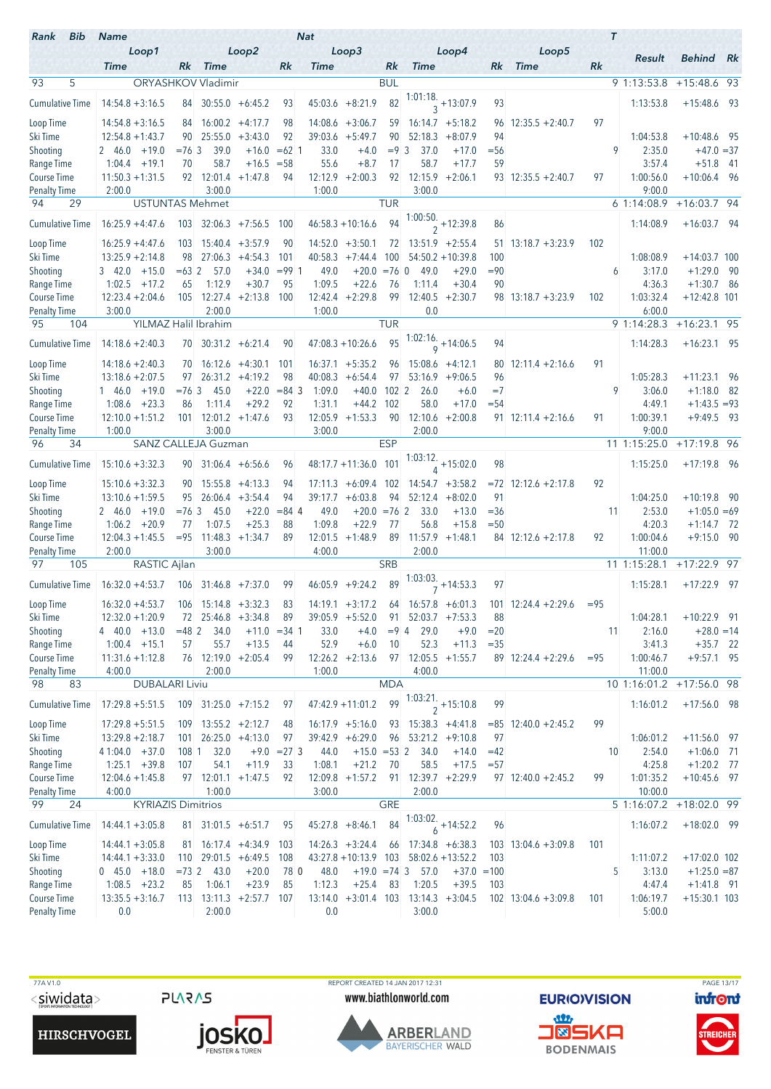| Rank<br>Bib                        | <b>Name</b>                                 |                   |                                    |                                      |                   | <b>Nat</b>     |                                          |                  |                                  |                                           |                 |                                                                 | $\tau$ |                         |                                |  |
|------------------------------------|---------------------------------------------|-------------------|------------------------------------|--------------------------------------|-------------------|----------------|------------------------------------------|------------------|----------------------------------|-------------------------------------------|-----------------|-----------------------------------------------------------------|--------|-------------------------|--------------------------------|--|
|                                    | Loop1<br><b>Time</b>                        |                   | Rk Time                            | Loop2                                | Rk                | <b>Time</b>    | Loop3                                    | Rk               | <b>Time</b>                      | Loop4                                     | Rk              | Loop5<br><b>Time</b>                                            | Rk     | Result                  | <b>Behind</b> Rk               |  |
| 93<br>5                            |                                             |                   | ORYASHKOV Vladimir                 |                                      |                   |                |                                          | <b>BUL</b>       |                                  |                                           |                 |                                                                 |        | 9 1:13:53.8             | $+15:48.6$ 93                  |  |
| Cumulative Time                    | $14:54.8 + 3:16.5$                          |                   |                                    | $84$ 30:55.0 +6:45.2                 | 93                |                | $45:03.6 + 8:21.9$                       | 82               |                                  | $\frac{1:01:18}{3}$ + 13:07.9             | 93              |                                                                 |        | 1:13:53.8               | $+15:48.6$ 93                  |  |
|                                    |                                             |                   |                                    |                                      |                   |                |                                          |                  |                                  |                                           |                 |                                                                 |        |                         |                                |  |
| Loop Time<br>Ski Time              | $14:54.8 + 3:16.5$<br>$12:54.8 + 1:43.7$    |                   | $84$ 16:00.2 +4:17.7<br>90 25:55.0 | $+3:43.0$                            | 98<br>92          |                | $14:08.6 + 3:06.7$<br>$39:03.6$ +5:49.7  | 59<br>90         | 52:18.3                          | $16:14.7 + 5:18.2$<br>$+8:07.9$           | 96<br>94        | $12:35.5 + 2:40.7$                                              | 97     | 1:04:53.8               | $+10:48.6$ 95                  |  |
| Shooting                           | 2 46.0<br>$+19.0$                           | $= 76.3$          | 39.0                               | $+16.0$                              | $=62$ 1           | 33.0           | $+4.0$                                   | $= 9 \, 3$       | 37.0                             | $+17.0$                                   | $= 56$          |                                                                 |        | 9<br>2:35.0             | $+47.0 = 37$                   |  |
| Range Time                         | $1:04.4$ +19.1                              | 70                | 58.7                               | $+16.5$                              | $= 58$            | 55.6           | $+8.7$                                   | 17               | 58.7                             | $+17.7$                                   | 59              |                                                                 |        | 3:57.4                  | $+51.8$ 41                     |  |
| Course Time                        | $11:50.3 + 1:31.5$                          |                   | $92 \mid 12:01.4 +1:47.8$          |                                      | 94                |                | $12:12.9 + 2:00.3$                       | 92               |                                  | $12:15.9$ +2:06.1                         |                 | $93$ 12:35.5 +2:40.7                                            | 97     | 1:00:56.0               | $+10:06.4$ 96                  |  |
| <b>Penalty Time</b><br>29<br>94    | 2:00.0                                      |                   | 3:00.0                             |                                      |                   | 1:00.0         |                                          | <b>TUR</b>       | 3:00.0                           |                                           |                 |                                                                 |        | 9:00.0<br>61:14:08.9    |                                |  |
|                                    | <b>USTUNTAS Mehmet</b>                      |                   |                                    |                                      |                   |                |                                          |                  |                                  |                                           |                 |                                                                 |        |                         | $+16:03.7$ 94                  |  |
| <b>Cumulative Time</b>             | $16:25.9 + 4:47.6$                          |                   |                                    | $103$ 32:06.3 +7:56.5 100            |                   |                | $46:58.3 + 10:16.6$                      | 94               |                                  | 1:00:50.<br>$\frac{}{2}$ +12:39.8         | 86              |                                                                 |        | 1:14:08.9               | $+16:03.7$ 94                  |  |
| Loop Time                          | $16:25.9 + 4:47.6$                          | 103               |                                    | $15:40.4$ +3:57.9                    | 90                |                | $14:52.0 +3:50.1$                        | 72               |                                  | $13:51.9$ +2:55.4                         | 51              | $13:18.7 + 3:23.9$                                              | 102    |                         |                                |  |
| Ski Time                           | $13:25.9 + 2:14.8$                          | 98                |                                    | $27:06.3 +4:54.3$                    | 101               |                | $40:58.3 +7:44.4$                        | 100              |                                  | $54:50.2 + 10:39.8$                       | 100             |                                                                 |        | 1:08:08.9               | $+14:03.7$ 100                 |  |
| Shooting                           | $3\quad 42.0\quad +15.0$<br>$1:02.5 +17.2$  | $= 632$           | 57.0                               | $+34.0$                              | $= 991$           | 49.0           | $+20.0 = 76$ 0                           |                  | 49.0                             | $+29.0$                                   | $= 90$          |                                                                 |        | 3:17.0<br>6             | $+1:29.0$ 90                   |  |
| Range Time<br>Course Time          | $12:23.4 + 2:04.6$                          | 65                | 1:12.9                             | $+30.7$<br>$105$ 12:27.4 +2:13.8 100 | 95                | 1:09.5         | $+22.6$<br>$12:42.4 + 2:29.8$            | 76<br>99         | 1:11.4<br>12:40.5                | $+30.4$<br>$+2:30.7$                      | 90              | $98$ 13:18.7 +3:23.9                                            | 102    | 4:36.3<br>1:03:32.4     | $+1:30.7$ 86<br>$+12:42.8$ 101 |  |
| <b>Penalty Time</b>                | 3:00.0                                      |                   | 2:00.0                             |                                      |                   | 1:00.0         |                                          |                  | 0.0                              |                                           |                 |                                                                 |        | 6:00.0                  |                                |  |
| 95<br>104                          |                                             |                   | YILMAZ Halil Ibrahim               |                                      |                   |                |                                          | <b>TUR</b>       |                                  |                                           |                 |                                                                 |        | 9 1:14:28.3             | $+16:23.1$ 95                  |  |
| <b>Cumulative Time</b>             | $14:18.6 + 2:40.3$                          |                   | $70$ 30:31.2 +6:21.4               |                                      | 90                |                | $47:08.3 + 10:26.6$                      | 95               |                                  | 1:02:16.<br>$9 + 14:06.5$                 | 94              |                                                                 |        | 1:14:28.3               | $+16:23.1$ 95                  |  |
| Loop Time                          | $14:18.6 + 2:40.3$                          |                   |                                    | $70$ 16:12.6 $+4:30.1$               | 101               |                | $16:37.1 + 5:35.2$                       | 96               |                                  | $15:08.6 + 4:12.1$                        |                 | $80$ 12:11.4 +2:16.6                                            | 91     |                         |                                |  |
| Ski Time                           | $13:18.6 + 2:07.5$                          | 97 -              |                                    | $26:31.2 +4:19.2$                    | 98                | 40:08.3        | $+6:54.4$                                | 97               |                                  | $53:16.9 +9:06.5$                         | 96              |                                                                 |        | 1:05:28.3               | $+11:23.1$ 96                  |  |
| Shooting                           | $146.0 + 19.0$                              | $= 76.3$          | 45.0                               | $+22.0$                              | $= 84$ 3          | 1:09.0         | $+40.0$                                  | 102 <sub>2</sub> | 26.0                             | $+6.0$                                    | $=7$            |                                                                 |        | 9<br>3:06.0             | $+1:18.0$ 82                   |  |
| Range Time                         | $1:08.6$ +23.3                              | 86                | 1:11.4                             | $+29.2$                              | 92                | 1:31.1         | $+44.2$                                  | 102              | 58.0                             | $+17.0$                                   | $= 54$          |                                                                 |        | 4:49.1                  | $+1:43.5 = 93$                 |  |
| Course Time                        | $12:10.0 + 1:51.2$                          |                   | $101$ 12:01.2 +1:47.6              |                                      | 93                |                | $12:05.9$ +1:53.3                        | 90               | 12:10.6                          | $+2:00.8$                                 |                 | $91$ 12:11.4 +2:16.6                                            | 91     | 1:00:39.1               | $+9:49.5$ 93                   |  |
| Penalty Time<br>96                 | 1:00.0                                      |                   | 3:00.0                             |                                      |                   | 3:00.0         |                                          | <b>ESP</b>       | 2:00.0                           |                                           |                 |                                                                 |        | 9:00.0                  |                                |  |
| 34                                 |                                             |                   | SANZ CALLEJA Guzman                |                                      |                   |                |                                          |                  |                                  |                                           |                 |                                                                 |        | 11 1:15:25.0            | $+17:19.8$ 96                  |  |
| <b>Cumulative Time</b>             | $15:10.6 + 3:32.3$                          |                   | $90\quad 31:06.4 +6:56.6$          |                                      | 96                |                | 48:17.7 +11:36.0 101                     |                  |                                  | $1:03:12.$ +15:02.0                       | 98              |                                                                 |        | 1:15:25.0               | $+17:19.8$ 96                  |  |
| Loop Time                          | $15:10.6 + 3:32.3$                          |                   | $90$ 15:55.8 +4:13.3               |                                      | 94                |                | $17:11.3 + 6:09.4$                       | 102              |                                  | $14:54.7 + 3:58.2$                        |                 | $= 72$ 12:12.6 +2:17.8                                          | 92     |                         |                                |  |
| Ski Time                           | $13:10.6 + 1:59.5$                          | 95                |                                    | $26:06.4$ +3:54.4                    | 94                | 39:17.7        | $+6:03.8$                                | 94               |                                  | $52:12.4 + 8:02.0$                        | 91              |                                                                 |        | 1:04:25.0               | $+10:19.8$ 90                  |  |
| Shooting<br>Range Time             | $2, 46.0 + 19.0$<br>$1:06.2 + 20.9$         | $= 76 \, 3$<br>77 | 45.0<br>1:07.5                     | $+22.0$<br>$+25.3$                   | $= 84 \; 4$<br>88 | 49.0<br>1:09.8 | $+20.0 = 76$ 2<br>$+22.9$                | 77               | 33.0<br>56.8                     | $+13.0$<br>$+15.8$                        | $= 36$<br>$=50$ |                                                                 | 11     | 2:53.0<br>4:20.3        | $+1:05.0 = 69$<br>$+1:14.7$ 72 |  |
| Course Time                        | $12:04.3 + 1:45.5$                          |                   | $= 95$ 11:48.3                     | $+1:34.7$                            | 89                |                | $12:01.5 +1:48.9$                        | 89               | 11:57.9                          | $+1:48.1$                                 |                 | $84$ 12:12.6 +2:17.8                                            | 92     | 1:00:04.6               | $+9:15.0$ 90                   |  |
| <b>Penalty Time</b>                | 2:00.0                                      |                   | 3:00.0                             |                                      |                   | 4:00.0         |                                          |                  | 2:00.0                           |                                           |                 |                                                                 |        | 11:00.0                 |                                |  |
| 105<br>97                          | RASTIC Ajlan                                |                   |                                    |                                      |                   |                |                                          | <b>SRB</b>       |                                  |                                           |                 |                                                                 |        | 11 1:15:28.1            | $+17:22.9$ 97                  |  |
| Cumulative Time                    | $16:32.0 + 4:53.7$                          |                   |                                    | $106$ 31:46.8 +7:37.0                | 99                |                | $46:05.9$ +9:24.2                        | 89               |                                  | $1:03:03.$ <sub>7</sub> + 14:53.3         | 97              |                                                                 |        | 1:15:28.1               | $+17:22.9$ 97                  |  |
| Loop Time                          | $16:32.0 + 4:53.7$ $106$ $15:14.8 + 3:32.3$ |                   |                                    |                                      | 83                |                |                                          |                  |                                  |                                           |                 | $14:19.1 + 3:17.2$ 64 $16:57.8 + 6:01.3$ 101 $12:24.4 + 2:29.6$ | $= 95$ |                         |                                |  |
| Ski Time                           | $12:32.0 + 1:20.9$                          |                   |                                    | 72 25:46.8 +3:34.8                   | 89                |                | $39:05.9 + 5:52.0$                       |                  | $91 \quad 52:03.7 \quad +7:53.3$ |                                           | 88              |                                                                 |        | 1:04:28.1               | $+10:22.9$ 91                  |  |
| Shooting                           | $4\quad 40.0 +13.0$                         | $=482$            | 34.0                               |                                      | $+11.0 = 34$ 1    | 33.0           | $+4.0$                                   | $= 94$           | 29.0                             | $+9.0$                                    | $=20$           |                                                                 | 11     | 2:16.0                  | $+28.0 = 14$                   |  |
| Range Time                         | $1:00.4$ +15.1                              | 57                | 55.7                               | $+13.5$                              | 44                | 52.9           | $+6.0$                                   | 10               | 52.3                             | $+11.3$                                   | $= 35$          |                                                                 |        | 3:41.3                  | $+35.7$ 22                     |  |
| Course Time                        | $11:31.6 + 1:12.8$                          |                   |                                    | $76$ 12:19.0 +2:05.4                 | 99                |                | $12:26.2 +2:13.6$                        |                  |                                  | $97 \mid 12:05.5 +1:55.7$                 |                 | $89$ 12:24.4 +2:29.6                                            | $= 95$ | 1:00:46.7               | $+9:57.1$ 95                   |  |
| <b>Penalty Time</b><br>98<br>83    | 4:00.0<br><b>DUBALARI Liviu</b>             |                   | 2:00.0                             |                                      |                   | 1:00.0         |                                          | <b>MDA</b>       | 4:00.0                           |                                           |                 |                                                                 |        | 11:00.0<br>10 1:16:01.2 | +17:56.0 98                    |  |
| <b>Cumulative Time</b>             | $17:29.8 + 5:51.5$                          |                   |                                    | $109$ 31:25.0 +7:15.2                | 97                |                | $47:42.9 + 11:01.2$                      | 99               |                                  | $\frac{1:03:21}{2}$ + 15:10.8             | 99              |                                                                 |        | 1:16:01.2               | $+17:56.0$ 98                  |  |
|                                    |                                             |                   |                                    |                                      |                   |                |                                          |                  |                                  |                                           |                 |                                                                 |        |                         |                                |  |
| Loop Time<br>Ski Time              | $17:29.8 + 5:51.5$<br>$13:29.8 + 2:18.7$    | 101               | $109$ 13:55.2 +2:12.7              | $26:25.0 +4:13.0$                    | 48<br>97          |                | $16:17.9 + 5:16.0$<br>$39:42.9 + 6:29.0$ | 93               |                                  | $15:38.3 +4:41.8$<br>$96$ 53:21.2 +9:10.8 | 97              | $= 85$ 12:40.0 +2:45.2                                          | 99     | 1:06:01.2               | $+11:56.0$ 97                  |  |
| Shooting                           | $41:04.0 + 37.0$                            | 108 1             | 32.0                               |                                      | $+9.0 = 27$ 3     | 44.0           | $+15.0 = 53$ 2                           |                  | 34.0                             | $+14.0$                                   | $=42$           |                                                                 | 10     | 2:54.0                  | $+1:06.0$ 71                   |  |
| Range Time                         | $1:25.1 + 39.8$                             | 107               | 54.1                               | $+11.9$                              | 33                | 1:08.1         | $+21.2$                                  | 70               | 58.5                             | $+17.5$                                   | $= 57$          |                                                                 |        | 4:25.8                  | $+1:20.2$ 77                   |  |
| Course Time                        | $12:04.6 + 1:45.8$                          |                   |                                    | 97 12:01.1 +1:47.5                   | 92                |                | $12:09.8$ +1:57.2                        |                  |                                  | $91 \quad 12:39.7 \quad +2:29.9$          |                 | $97 \mid 12:40.0 + 2:45.2$                                      | 99     | 1:01:35.2               | $+10:45.6$ 97                  |  |
| <b>Penalty Time</b>                | 4:00.0                                      |                   | 1:00.0                             |                                      |                   | 3:00.0         |                                          |                  | 2:00.0                           |                                           |                 |                                                                 |        | 10:00.0                 |                                |  |
| 99<br>24                           | <b>KYRIAZIS Dimitrios</b>                   |                   |                                    |                                      |                   |                |                                          | <b>GRE</b>       |                                  |                                           |                 |                                                                 |        | 5 1:16:07.2             | +18:02.0 99                    |  |
| <b>Cumulative Time</b>             | $14:44.1 + 3:05.8$                          |                   |                                    | $81 \mid 31:01.5 + 6:51.7$           | 95                |                | $45:27.8 + 8:46.1$                       | 84               |                                  | $\frac{1:03:02}{6}$ + 14:52.2             | 96              |                                                                 |        | 1:16:07.2               | $+18:02.0$ 99                  |  |
| Loop Time                          | $14:44.1 + 3:05.8$                          |                   |                                    | 81 16:17.4 +4:34.9 103               |                   |                | $14:26.3 +3:24.4$                        |                  |                                  | $66$ 17:34.8 +6:38.3                      |                 | $103$ 13:04.6 +3:09.8                                           | 101    |                         |                                |  |
| Ski Time                           | $14:44.1 + 3:33.0$                          | 110               |                                    | $29:01.5 + 6:49.5$ 108               |                   |                | $43:27.8 + 10:13.9$ 103                  |                  |                                  | $58:02.6 + 13:52.2$                       | 103             |                                                                 |        | 1:11:07.2               | $+17:02.0$ 102                 |  |
| Shooting                           | $0$ 45.0 +18.0                              | $= 732$           | 43.0                               | $+20.0$                              | 78 0              | 48.0           | $+19.0 = 74$ 3                           |                  | 57.0                             | $+37.0 = 100$                             |                 |                                                                 |        | 5<br>3:13.0             | $+1:25.0 = 87$                 |  |
| Range Time                         | $1:08.5 +23.2$                              | 85                | 1:06.1                             | $+23.9$                              | 85                | 1:12.3         | $+25.4$                                  | 83               | 1:20.5                           | $+39.5$                                   | 103             |                                                                 |        | 4:47.4                  | $+1:41.8$ 91                   |  |
| Course Time<br><b>Penalty Time</b> | $13:35.5 + 3:16.7$<br>0.0                   |                   | 2:00.0                             | $113$ $13:11.3$ $+2:57.7$ 107        |                   | 0.0            | $13:14.0 + 3:01.4$ 103 13:14.3 +3:04.5   |                  | 3:00.0                           |                                           |                 | $102$ 13:04.6 +3:09.8                                           | 101    | 1:06:19.7<br>5:00.0     | $+15:30.1$ 103                 |  |
|                                    |                                             |                   |                                    |                                      |                   |                |                                          |                  |                                  |                                           |                 |                                                                 |        |                         |                                |  |

**PLARAS** 

**JOSKO.** 

www.biathlonworld.com



TTA V1.0<br>
TO PLARAS PORT CREATED 14 JAN 2017 12:31<br>
WWW.biathlonworld.com **EURIO)VISION infont EURIOVISION** 



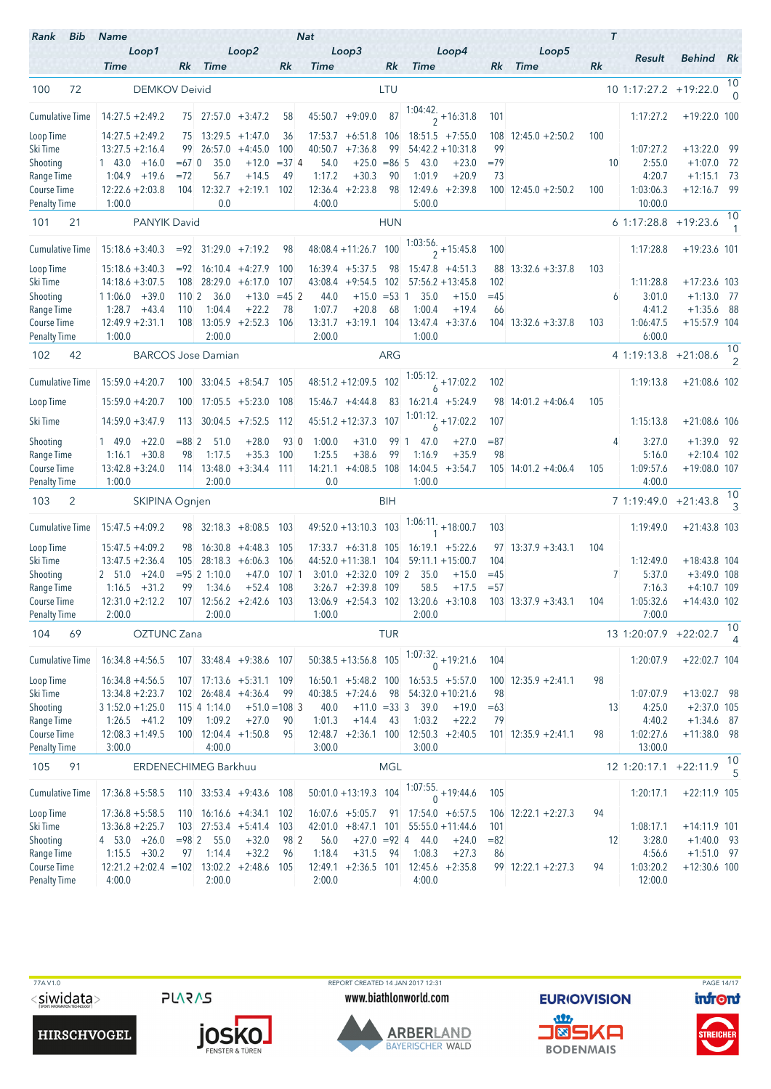| Rank<br>Bib                        | <b>Name</b>                                                    |                  |                        |                              |                       | <b>Nat</b>        |                                   |                   |                                             |                          |             |                          |     | $\tau$         |                       |                                |                      |
|------------------------------------|----------------------------------------------------------------|------------------|------------------------|------------------------------|-----------------------|-------------------|-----------------------------------|-------------------|---------------------------------------------|--------------------------|-------------|--------------------------|-----|----------------|-----------------------|--------------------------------|----------------------|
|                                    | Loop1<br><b>Time</b>                                           |                  | Rk Time                | Loop2                        | Rk                    | <b>Time</b>       | Loop3                             | Rk                | <b>Time</b>                                 | Loop4                    | Rk          | Loop5<br><b>Time</b>     | Rk  |                | Result                | Behind Rk                      |                      |
|                                    |                                                                |                  |                        |                              |                       |                   |                                   |                   |                                             |                          |             |                          |     |                |                       |                                | 10                   |
| 100<br>72                          | <b>DEMKOV Deivid</b>                                           |                  |                        |                              |                       |                   |                                   | LTU               |                                             |                          |             |                          |     |                | 10 1:17:27.2 +19:22.0 |                                | $\cap$               |
| <b>Cumulative Time</b>             | $14:27.5 + 2:49.2$                                             |                  |                        | $75$ 27:57.0 $+3:47.2$       | 58                    |                   | $45:50.7 +9:09.0$                 | 87                | $\frac{1:04:42}{2}$ + 16:31.8               |                          | 101         |                          |     |                | 1:17:27.2             | $+19:22.0$ 100                 |                      |
| Loop Time                          | $14:27.5 + 2:49.2$                                             |                  |                        | $75$ 13:29.5 +1:47.0         | 36                    | 17:53.7           | $+6:51.8$                         | 106               | $18:51.5 + 7:55.0$                          |                          | 108         | $12:45.0 + 2:50.2$       | 100 |                |                       |                                |                      |
| Ski Time                           | $13:27.5 + 2:16.4$                                             | 99               |                        | $26:57.0 +4:45.0$            | 100                   | 40:50.7           | $+7:36.8$                         | 99                | $54:42.2 + 10:31.8$                         |                          | 99          |                          |     |                | 1:07:27.2             | $+13:22.0$ 99                  |                      |
| Shooting<br>Range Time             | $1 \quad 43.0$<br>$+16.0$<br>$1:04.9$ +19.6                    | $=67$ 0<br>$=72$ | 35.0<br>56.7           | $+12.0$<br>$+14.5$           | $= 374$<br>49         | 54.0<br>1:17.2    | $+25.0$<br>$+30.3$                | $= 86 \, 5$<br>90 | 43.0<br>1:01.9                              | $+23.0$<br>$+20.9$       | $=79$<br>73 |                          |     | 10             | 2:55.0<br>4:20.7      | $+1:07.0$<br>$+1:15.1$ 73      | 72                   |
| Course Time                        | $12:22.6 + 2:03.8$                                             |                  | 104 12:32.7            | $+2:19.1$ 102                |                       | 12:36.4           | $+2:23.8$                         | 98                | 12:49.6                                     | $+2:39.8$                |             | $100$ 12:45.0 +2:50.2    | 100 |                | 1:03:06.3             | $+12:16.7$ 99                  |                      |
| <b>Penalty Time</b>                | 1:00.0                                                         |                  | 0.0                    |                              |                       | 4:00.0            |                                   |                   | 5:00.0                                      |                          |             |                          |     |                | 10:00.0               |                                |                      |
| 101<br>21                          | PANYIK David                                                   |                  |                        |                              |                       |                   |                                   | <b>HUN</b>        |                                             |                          |             |                          |     |                | 6 1:17:28.8 +19:23.6  |                                | 10                   |
| <b>Cumulative Time</b>             | $15:18.6 + 3:40.3$                                             |                  |                        | $= 92$ 31:29.0 +7:19.2       | 98                    |                   | 48:08.4 +11:26.7 100              |                   | $\frac{1:03:56.}{2}$ + 15:45.8              |                          | 100         |                          |     |                | 1:17:28.8             | $+19:23.6$ 101                 |                      |
| Loop Time                          | $15:18.6 + 3:40.3$                                             |                  |                        | $= 92 \mid 16:10.4 + 4:27.9$ | 100                   |                   | $16:39.4$ +5:37.5                 | 98                | $15:47.8 + 4:51.3$                          |                          | 88          | $13:32.6 + 3:37.8$       | 103 |                |                       |                                |                      |
| Ski Time                           | $14:18.6 + 3:07.5$                                             | 108              | 28:29.0                | $+6:17.0$                    | 107                   | 43:08.4           | $+9:54.5$                         | 102               | $57:56.2 + 13:45.8$                         |                          | 102         |                          |     |                | 1:11:28.8             | $+17:23.6$ 103                 |                      |
| Shooting                           | $11:06.0 + 39.0$                                               | 110 <sup>2</sup> | 36.0                   | $+13.0$                      | $=45$ 2               | 44.0              | $+15.0$                           | $= 53 \; 1$       | 35.0                                        | $+15.0$                  | $=45$       |                          |     | 6              | 3:01.0                | $+1:13.0$ 77                   |                      |
| Range Time                         | $1:28.7 +43.4$                                                 | 110              | 1:04.4                 | $+22.2$                      | 78                    | 1:07.7            | $+20.8$                           | 68                | 1:00.4                                      | $+19.4$                  | 66          |                          |     |                | 4:41.2                | $+1:35.6$ 88                   |                      |
| Course Time<br><b>Penalty Time</b> | $12:49.9 + 2:31.1$<br>1:00.0                                   | 108              | 2:00.0                 | $13:05.9 + 2:52.3$ 106       |                       | 13:31.7<br>2:00.0 | $+3:19.1$ 104                     |                   | 13:47.4<br>1:00.0                           | $+3:37.6$                |             | $104$ 13:32.6 +3:37.8    | 103 |                | 1:06:47.5<br>6:00.0   | $+15:57.9$ 104                 |                      |
| 102<br>42                          | <b>BARCOS Jose Damian</b>                                      |                  |                        |                              |                       |                   |                                   | ARG               |                                             |                          |             |                          |     |                | 4 1:19:13.8 +21:08.6  |                                | 10                   |
| <b>Cumulative Time</b>             | $15:59.0 + 4:20.7$                                             | 100              |                        | $33:04.5 + 8:54.7$ 105       |                       |                   | $48:51.2 +12:09.5$                | 102               | $\frac{1:05:12.}{6} + 17:02.2$              |                          | 102         |                          |     |                | 1:19:13.8             | $+21:08.6$ 102                 |                      |
| Loop Time                          | $15:59.0 + 4:20.7$                                             | 100              |                        | $17:05.5 + 5:23.0$           | 108                   |                   | $15:46.7 +4:44.8$                 | 83                | $16:21.4 + 5:24.9$                          |                          |             | $98$ 14:01.2 +4:06.4     | 105 |                |                       |                                |                      |
| Ski Time                           | $14:59.0 + 3:47.9$                                             | 113              |                        | $30:04.5 +7:52.5$            | 112                   |                   | $45:51.2 +12:37.3$                | 107               | $\frac{1:01:12}{6}$ + 17:02.2               |                          | 107         |                          |     |                | 1:15:13.8             | $+21:08.6$ 106                 |                      |
| Shooting                           | $+22.0$<br>1 49.0                                              | $= 882$          | 51.0                   | $+28.0$                      | 93 0                  | 1:00.0            | $+31.0$                           | 99 1              | 47.0                                        | $+27.0$                  | $= 87$      |                          |     | 4              | 3:27.0                | $+1:39.0$ 92                   |                      |
| Range Time                         | $+30.8$<br>1:16.1                                              | 98               | 1:17.5                 | $+35.3$                      | 100                   | 1:25.5            | $+38.6$                           | 99                | 1:16.9                                      | $+35.9$                  | 98          |                          |     |                | 5:16.0                | $+2:10.4$ 102                  |                      |
| Course Time<br><b>Penalty Time</b> | $13:42.8 + 3:24.0$<br>1:00.0                                   |                  | 114 13:48.0<br>2:00.0  | $+3:34.4$ 111                |                       | 14:21.1<br>0.0    | $+4:08.5$                         | 108               | 14:04.5<br>1:00.0                           | $+3:54.7$                |             | $105$ 14:01.2 +4:06.4    | 105 |                | 1:09:57.6<br>4:00.0   | $+19:08.0$ 107                 |                      |
| $\overline{2}$<br>103              | SKIPINA Ognjen                                                 |                  |                        |                              |                       |                   |                                   | BIH               |                                             |                          |             |                          |     |                | 7 1:19:49.0 +21:43.8  |                                | 10<br>$\overline{3}$ |
| <b>Cumulative Time</b>             | $15:47.5 + 4:09.2$                                             |                  |                        | $98$ 32:18.3 +8:08.5 103     |                       |                   | 49:52.0 +13:10.3 103              |                   | $1:06:11.$ <sub>1</sub> + 18:00.7           |                          | 103         |                          |     |                | 1:19:49.0             | $+21:43.8$ 103                 |                      |
|                                    | $15:47.5 + 4:09.2$                                             | 98               |                        | $16:30.8 + 4:48.3$           | 105                   |                   | $17:33.7 + 6:31.8$ 105            |                   | $16:19.1 + 5:22.6$                          |                          |             | $97$ 13:37.9 +3:43.1     | 104 |                |                       |                                |                      |
| Loop Time<br>Ski Time              | $13:47.5 + 2:36.4$                                             | 105              | 28:18.3                | $+6:06.3$                    | 106                   |                   | $44:52.0 + 11:38.1$               | 104               | $59:11.1 + 15:00.7$                         |                          | 104         |                          |     |                | 1:12:49.0             | $+18:43.8$ 104                 |                      |
| Shooting                           | $+24.0$<br>2 51.0                                              |                  | $= 95 \, 2 \, 1:10.0$  | $+47.0$                      | $107-1$               | 3:01.0            | $+2:32.0$                         | 1092              | 35.0                                        | $+15.0$                  | $=45$       |                          |     | $\overline{7}$ | 5:37.0                | $+3:49.0$ 108                  |                      |
| Range Time                         | 1:16.5<br>$+31.2$                                              | 99               | 1:34.6                 | $+52.4$                      | 108                   |                   | $3:26.7 +2:39.8$                  | 109               | 58.5                                        | $+17.5$                  | $= 57$      |                          |     |                | 7:16.3                | $+4:10.7$ 109                  |                      |
| Course Time                        | $12:31.0 + 2:12.2$                                             |                  |                        | $107$ 12:56.2 +2:42.6        | 103                   |                   |                                   |                   | $13:06.9 + 2:54.3$ $102$ $13:20.6 + 3:10.8$ |                          |             | $103$ $13:37.9 + 3:43.1$ | 104 |                | 1:05:32.6             | $+14:43.0$ 102                 |                      |
| <b>Penalty Time</b>                | 2:00.0                                                         |                  | 2:00.0                 |                              |                       | 1:00.0            |                                   |                   | 2:00.0                                      |                          |             |                          |     |                | 7:00.0                |                                | 10                   |
| 104<br>69                          | OZTUNC Zana                                                    |                  |                        |                              |                       |                   |                                   | <b>TUR</b>        |                                             |                          |             |                          |     |                | 13 1:20:07.9 +22:02.7 |                                | 4                    |
| <b>Cumulative Time</b>             | $16:34.8 + 4:56.5$                                             |                  |                        | 107 33:48.4 +9:38.6 107      |                       |                   | $50:38.5 + 13:56.8$               | 105               | $\frac{1:07:32}{0}$ + 19:21.6               |                          | 104         |                          |     |                | 1:20:07.9             | $+22:02.7$ 104                 |                      |
| Loop Time                          | $16:34.8 + 4:56.5$                                             |                  |                        | $107$ 17:13.6 $+5:31.1$ 109  |                       |                   | $16:50.1 + 5:48.2$ 100            |                   | $16:53.5 + 5:57.0$                          |                          |             | $100$ 12:35.9 +2:41.1    | 98  |                |                       |                                |                      |
| Ski Time                           | $13:34.8 + 2:23.7$                                             |                  |                        | 102 26:48.4 +4:36.4          | 99                    |                   | $40:38.5 +7:24.6$                 | 98                | $54:32.0 + 10:21.6$                         |                          | 98          |                          |     |                | 1:07:07.9             | $+13:02.7$ 98                  |                      |
| Shooting<br>Range Time             | $31:52.0 + 1:25.0$<br>$1:26.5 +41.2$                           | 109              | 115 4 1:14.0<br>1:09.2 | $+27.0$                      | $+51.0 = 108$ 3<br>90 | 40.0<br>1:01.3    | $+11.0 = 33$ 3<br>$+14.4$         | 43                | 39.0<br>1:03.2                              | $+19.0$<br>$+22.2$       | $=63$<br>79 |                          |     | 13             | 4:25.0<br>4:40.2      | $+2:37.0$ 105<br>$+1:34.6$ 87  |                      |
| Course Time                        | $12:08.3 + 1:49.5$                                             |                  |                        | $100$ 12:04.4 +1:50.8        | 95                    |                   |                                   |                   | $12:48.7 + 2:36.1$ 100 12:50.3 +2:40.5      |                          |             | $101$ 12:35.9 +2:41.1    | 98  |                | 1:02:27.6             | $+11:38.0$ 98                  |                      |
| <b>Penalty Time</b>                | 3:00.0                                                         |                  | 4:00.0                 |                              |                       | 3:00.0            |                                   |                   | 3:00.0                                      |                          |             |                          |     |                | 13:00.0               |                                |                      |
| 105<br>91                          | <b>ERDENECHIMEG Barkhuu</b>                                    |                  |                        |                              |                       |                   |                                   | <b>MGL</b>        |                                             |                          |             |                          |     |                | 12 1:20:17.1 +22:11.9 |                                | 10<br>5              |
| <b>Cumulative Time</b>             | $17:36.8 + 5:58.5$                                             |                  |                        | 110 33:53.4 +9:43.6 108      |                       |                   | $50:01.0 + 13:19.3$               | 104               | $1:07:55$ .                                 | $\frac{0.6}{0}$ +19:44.6 | 105         |                          |     |                | 1:20:17.1             | $+22:11.9$ 105                 |                      |
| Loop Time                          | $17:36.8 + 5:58.5$                                             | 110              |                        | $16:16.6 + 4:34.1$ 102       |                       |                   | $16:07.6$ +5:05.7                 | 91                | $17:54.0 + 6:57.5$                          |                          |             | $106$ 12:22.1 +2:27.3    | 94  |                |                       |                                |                      |
| Ski Time                           | $13:36.8 + 2:25.7$                                             |                  |                        | $103$ $27:53.4$ $+5:41.4$    | 103                   |                   | $42:01.0 + 8:47.1$ 101            |                   | $55:55.0 + 11:44.6$                         |                          | 101         |                          |     |                | 1:08:17.1             | $+14:11.9$ 101                 |                      |
| Shooting                           | $4$ 53.0 $+26.0$                                               | $= 98 \, 2$      | 55.0                   | $+32.0$                      | 98 2                  | 56.0              | $+27.0 = 92$ 4                    |                   | 44.0                                        | $+24.0$                  | $= 82$      |                          |     | 12             | 3:28.0                | $+1:40.0$ 93                   |                      |
| Range Time<br>Course Time          | $1:15.5 + 30.2$<br>$12:21.2 + 2:02.4 = 102$ $13:02.2 + 2:48.6$ | 97               | 1:14.4                 | $+32.2$                      | 96<br>105             | 1:18.4            | $+31.5$<br>$12:49.1 + 2:36.5$ 101 | 94                | 1:08.3<br>$12:45.6 + 2:35.8$                | $+27.3$                  | 86          | $99$ 12:22.1 +2:27.3     | 94  |                | 4:56.6<br>1:03:20.2   | $+1:51.0$ 97<br>$+12:30.6$ 100 |                      |
| <b>Penalty Time</b>                | 4:00.0                                                         |                  | 2:00.0                 |                              |                       | 2:00.0            |                                   |                   | 4:00.0                                      |                          |             |                          |     |                | 12:00.0               |                                |                      |

**PLARAS** 

**JOSKO** 

 77A V1.0 REPORT CREATED 14 JAN 2017 12:31 PAGE 14/17www.biathlonworld.com



**EURIOVISION** <u>an</u> **NEWL BODENMAIS** 

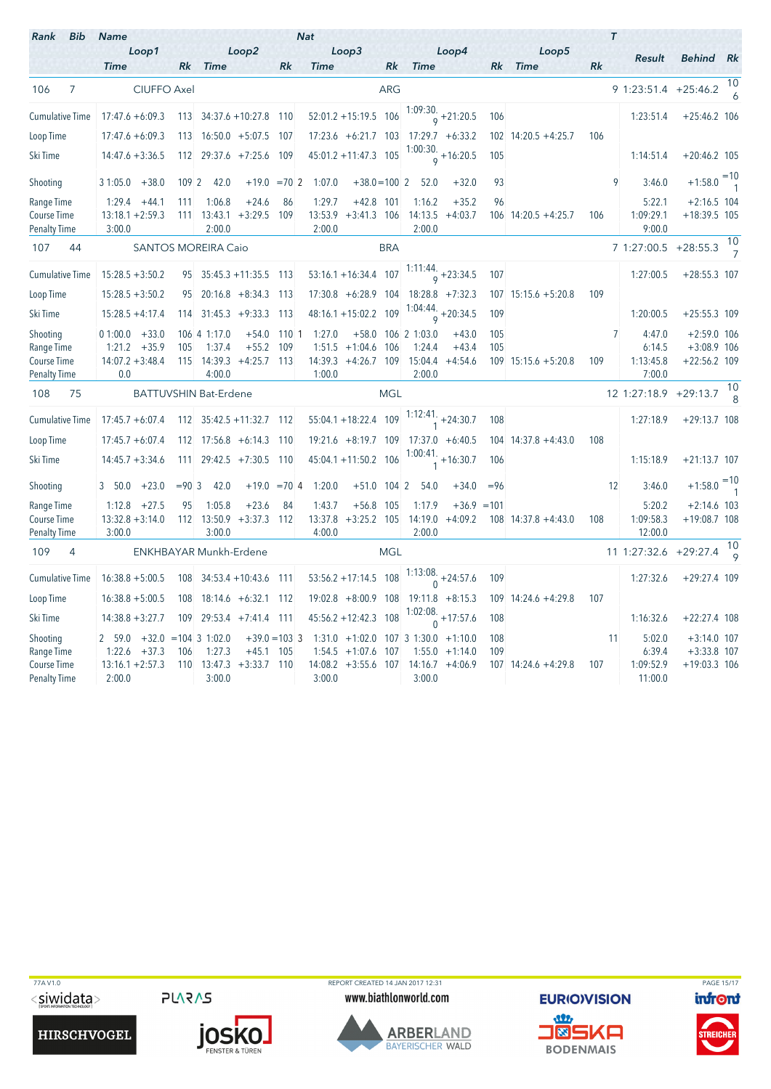| <b>Bib</b><br>Rank                               | <b>Name</b>                                    |             |                                                   |                          |                 | <b>Nat</b>        |                                      |            |                      |                                             |        |                       |     | $\tau$                        |                                 |                      |
|--------------------------------------------------|------------------------------------------------|-------------|---------------------------------------------------|--------------------------|-----------------|-------------------|--------------------------------------|------------|----------------------|---------------------------------------------|--------|-----------------------|-----|-------------------------------|---------------------------------|----------------------|
|                                                  | Loop1                                          |             |                                                   | Loop2                    |                 |                   | Loop3                                |            |                      | Loop4                                       |        | Loop5                 |     | Result                        | <b>Behind</b> Rk                |                      |
|                                                  | <b>Time</b>                                    |             | Rk Time                                           |                          | Rk              | <b>Time</b>       |                                      | Rk         | <b>Time</b>          |                                             |        | Rk Time               | Rk  |                               |                                 |                      |
| $\overline{7}$<br>106                            | <b>CIUFFO Axel</b>                             |             |                                                   |                          |                 |                   |                                      | <b>ARG</b> |                      |                                             |        |                       |     | 9 1:23:51.4 +25:46.2          |                                 | 10<br>6              |
| <b>Cumulative Time</b>                           | $17:47.6 + 6:09.3$                             |             | 113 34:37.6 + 10:27.8 110                         |                          |                 |                   | $52:01.2 + 15:19.5$ 106              |            |                      | $1:09:30.$ <sub>9</sub> + 21:20.5           | 106    |                       |     | 1:23:51.4                     | $+25:46.2$ 106                  |                      |
| Loop Time                                        | $17:47.6 + 6:09.3$                             |             | 113 16:50.0 +5:07.5 107                           |                          |                 |                   |                                      |            |                      | $17:23.6 + 6:21.7$ $103$ $17:29.7 + 6:33.2$ |        | $102$ 14:20.5 +4:25.7 | 106 |                               |                                 |                      |
| Ski Time                                         | $14:47.6 + 3:36.5$                             |             | 112 29:37.6 +7:25.6 109                           |                          |                 |                   | 45:01.2 +11:47.3 105                 |            |                      | $\frac{1:00:30.}{9}$ + 16:20.5              | 105    |                       |     | 1:14:51.4                     | $+20:46.2$ 105                  |                      |
| Shooting                                         | $31:05.0 + 38.0$                               | 109 2       | 42.0                                              |                          | $+19.0 = 702$   | 1:07.0            | $+38.0 = 100$ 2                      |            | 52.0                 | $+32.0$                                     | 93     |                       |     | q<br>3:46.0                   | $+1:58.0$ <sup>=10</sup>        |                      |
| Range Time<br>Course Time<br><b>Penalty Time</b> | $1:29.4 +44.1$<br>$13:18.1 + 2:59.3$<br>3:00.0 | 111         | 1:06.8<br>$111$ $13:43.1$ $+3:29.5$ 109<br>2:00.0 | $+24.6$                  | 86              | 1:29.7<br>2:00.0  | $+42.8$ 101<br>$13:53.9$ +3:41.3 106 |            | 1:16.2<br>2:00.0     | $+35.2$<br>$14:13.5 +4:03.7$                | 96     | $106$ 14:20.5 +4:25.7 | 106 | 5:22.1<br>1:09:29.1<br>9:00.0 | $+2:16.5$ 104<br>$+18:39.5$ 105 |                      |
| 107<br>44                                        |                                                |             | <b>SANTOS MOREIRA Caio</b>                        |                          |                 |                   |                                      | <b>BRA</b> |                      |                                             |        |                       |     | 7 1:27:00.5 +28:55.3          |                                 | 10<br>$\overline{7}$ |
| <b>Cumulative Time</b>                           | $15:28.5 + 3:50.2$                             |             | $95 \mid 35:45.3 + 11:35.5 \mid 113$              |                          |                 |                   | $53:16.1 + 16:34.4$ 107              |            |                      | $\frac{1:11:44}{9}$ + 23:34.5               | 107    |                       |     | 1:27:00.5                     | $+28:55.3$ 107                  |                      |
| Loop Time                                        | $15:28.5 + 3:50.2$                             |             | 95 20:16.8 +8:34.3 113                            |                          |                 |                   | $17:30.8 + 6:28.9$ 104               |            |                      | $18:28.8$ +7:32.3                           |        | $107$ 15:15.6 +5:20.8 | 109 |                               |                                 |                      |
| Ski Time                                         | $15:28.5 + 4:17.4$                             |             | $114$ 31:45.3 +9:33.3 113                         |                          |                 |                   | $48:16.1 + 15:02.2$                  | 109        |                      | $1:04:44.$ <sub>9</sub> + 20:34.5           | 109    |                       |     | 1:20:00.5                     | $+25:55.3$ 109                  |                      |
| Shooting                                         | $01:00.0 + 33.0$                               |             | 106 4 1:17.0                                      |                          | $+54.0$ 110 1   | 1:27.0            |                                      |            | $+58.0$ 106 2 1:03.0 | $+43.0$                                     | 105    |                       |     | $\overline{7}$<br>4:47.0      | $+2:59.0$ 106                   |                      |
| Range Time                                       | $1:21.2 + 35.9$                                | 105         | 1:37.4                                            | $+55.2$                  | 109             |                   | $1:51.5 +1:04.6$                     | 106        | 1:24.4               | $+43.4$                                     | 105    |                       |     | 6:14.5                        | $+3:08.9$ 106                   |                      |
| <b>Course Time</b><br><b>Penalty Time</b>        | $14:07.2 + 3:48.4$<br>0.0                      |             | $115$ 14:39.3 +4:25.7 113<br>4:00.0               |                          |                 | 1:00.0            | 14:39.3 +4:26.7 109 15:04.4          |            | 2:00.0               | $+4:54.6$                                   |        | $109$ 15:15.6 +5:20.8 | 109 | 1:13:45.8<br>7:00.0           | $+22:56.2$ 109                  |                      |
| 108<br>75                                        |                                                |             | <b>BATTUVSHIN Bat-Erdene</b>                      |                          |                 |                   |                                      | <b>MGL</b> |                      |                                             |        |                       |     | 12 1:27:18.9 +29:13.7         |                                 | 10                   |
| <b>Cumulative Time</b>                           | $17:45.7 + 6:07.4$                             |             | $112$ $35:42.5 +11:32.7$ 112                      |                          |                 |                   | 55:04.1 +18:22.4 109                 |            |                      | $1:12:41.$ $+24:30.7$                       | 108    |                       |     | 1:27:18.9                     | $+29:13.7$ 108                  |                      |
| Loop Time                                        | $17:45.7 + 6:07.4$                             |             | 112 17:56.8 +6:14.3 110                           |                          |                 |                   |                                      |            |                      | $19:21.6 +8:19.7$ 109 17:37.0 $+6:40.5$     |        | $104$ 14:37.8 +4:43.0 | 108 |                               |                                 |                      |
| Ski Time                                         | $14:45.7 + 3:34.6$                             |             | $111$ 29:42.5 +7:30.5 110                         |                          |                 |                   | 45:04.1 +11:50.2 106                 |            |                      | $1:00:41.$ +16:30.7                         | 106    |                       |     | 1:15:18.9                     | $+21:13.7$ 107                  |                      |
| Shooting                                         | $+23.0$<br>3, 50.0                             | $= 90 \, 3$ | 42.0                                              |                          | $+19.0 = 704$   | 1:20.0            | $+51.0$ 104 2                        |            | 54.0                 | $+34.0$                                     | $= 96$ |                       |     | 12<br>3:46.0                  | $+1:58.0$ <sup>=10</sup>        |                      |
| Range Time<br>Course Time                        | $1:12.8 + 27.5$<br>$13:32.8 + 3:14.0$          | 95          | 1:05.8<br>112 13:50.9                             | $+23.6$<br>$+3:37.3$ 112 | 84              | 1:43.7<br>13:37.8 | $+56.8$ 105<br>$+3:25.2$ 105         |            | 1:17.9<br>14:19.0    | $+36.9 = 101$<br>$+4:09.2$                  |        | $108$ 14:37.8 +4:43.0 | 108 | 5:20.2<br>1:09:58.3           | $+2:14.6$ 103<br>$+19:08.7$ 108 |                      |
| <b>Penalty Time</b>                              | 3:00.0                                         |             | 3:00.0                                            |                          |                 | 4:00.0            |                                      |            | 2:00.0               |                                             |        |                       |     | 12:00.0                       |                                 |                      |
| 109<br>4                                         |                                                |             | ENKHBAYAR Munkh-Erdene                            |                          |                 |                   |                                      | <b>MGL</b> |                      |                                             |        |                       |     | 11 1:27:32.6                  | $+29:27.4$                      | 10<br>$\circ$        |
| <b>Cumulative Time</b>                           | $16:38.8 + 5:00.5$                             | 108         | $34:53.4 + 10:43.6$ 111                           |                          |                 |                   | $53:56.2 + 17:14.5$ 108              |            |                      | 1:13:08.<br>0 + 24:57.6                     | 109    |                       |     | 1:27:32.6                     | $+29:27.4$ 109                  |                      |
| Loop Time                                        | $16:38.8 + 5:00.5$                             | 108         | $18:14.6 + 6:32.1$ 112                            |                          |                 |                   |                                      |            |                      | $19:02.8 + 8:00.9$ 108 19:11.8 +8:15.3      |        | $109$ 14:24.6 +4:29.8 | 107 |                               |                                 |                      |
| Ski Time                                         | $14:38.8 + 3:27.7$                             | 109         | $29:53.4$ +7:41.4 111                             |                          |                 |                   | $45:56.2 + 12:42.3$ 108              |            |                      | 1:02:08.<br>$_0$ +17:57.6                   | 108    |                       |     | 1:16:32.6                     | $+22:27.4$ 108                  |                      |
| Shooting                                         | 2 59.0                                         |             | $+32.0 = 104$ 3 1:02.0                            |                          | $+39.0 = 103$ 3 |                   |                                      |            |                      | $1:31.0 +1:02.0$ 107 3 1:30.0 +1:10.0       | 108    |                       |     | 11<br>5:02.0                  | $+3:14.0$ 107                   |                      |
| Range Time                                       | $+37.3$<br>1:22.6                              | 106         | 1:27.3                                            | $+45.1$                  | 105             | 1:54.5            | $+1:07.6$                            | 107        |                      | $1:55.0 + 1:14.0$                           | 109    |                       |     | 6:39.4                        | $+3:33.8$ 107                   |                      |
| <b>Course Time</b><br><b>Penalty Time</b>        | $13:16.1 + 2:57.3$<br>2:00.0                   |             | $110$ $13:47.3$ $+3:33.7$ 110<br>3:00.0           |                          |                 | 3:00.0            | $14:08.2 +3:55.6$ 107                |            | 3:00.0               | $14:16.7 + 4:06.9$                          |        | 107 14:24.6 +4:29.8   | 107 | 1:09:52.9<br>11:00.0          | $+19:03.3$ 106                  |                      |

**PLARAS** 



TTA V1.0<br>
TO PLARAS PORT CREATED 14 JAN 2017 12:31<br>
WWW.biathlonworld.com **EURIO)VISION infont** www.biathlonworld.com



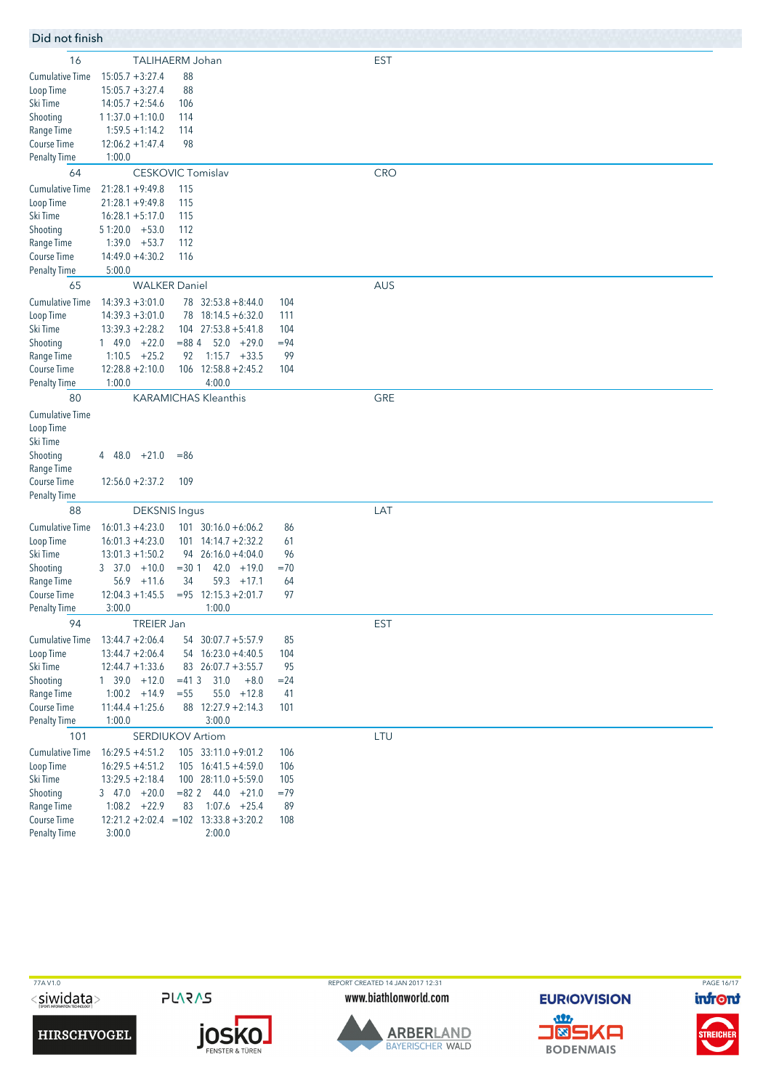| Did not finish |  |  |
|----------------|--|--|

| Did not finish         |                                          |                                                |            |            |
|------------------------|------------------------------------------|------------------------------------------------|------------|------------|
| 16                     |                                          | TALIHAERM Johan                                |            | <b>EST</b> |
| <b>Cumulative Time</b> | $15:05.7 + 3:27.4$                       | 88                                             |            |            |
| Loop Time              | $15:05.7 + 3:27.4$                       | 88                                             |            |            |
| Ski Time               | $14:05.7 + 2:54.6$                       | 106                                            |            |            |
| Shooting               | $11:37.0 + 1:10.0$                       | 114                                            |            |            |
| Range Time             | $1:59.5 + 1:14.2$                        | 114                                            |            |            |
| Course Time            | $12:06.2 + 1:47.4$                       | 98                                             |            |            |
| <b>Penalty Time</b>    | 1:00.0                                   |                                                |            |            |
| 64                     |                                          | <b>CESKOVIC Tomislav</b>                       |            | <b>CRO</b> |
| <b>Cumulative Time</b> | $21:28.1 + 9:49.8$                       |                                                |            |            |
|                        | $21:28.1 + 9:49.8$                       | 115                                            |            |            |
| Loop Time<br>Ski Time  | $16:28.1 + 5:17.0$                       | 115<br>115                                     |            |            |
| Shooting               | $51:20.0 + 53.0$                         | 112                                            |            |            |
| Range Time             | 1:39.0<br>$+53.7$                        | 112                                            |            |            |
| Course Time            | $14:49.0 + 4:30.2$                       | 116                                            |            |            |
| <b>Penalty Time</b>    | 5:00.0                                   |                                                |            |            |
| 65                     |                                          | <b>WALKER Daniel</b>                           |            | AUS        |
| <b>Cumulative Time</b> |                                          |                                                |            |            |
|                        | $14:39.3 + 3:01.0$                       | $78$ $32:53.8 + 8:44.0$                        | 104        |            |
| Loop Time<br>Ski Time  | $14:39.3 + 3:01.0$<br>$13:39.3 + 2:28.2$ | 78 18:14.5 +6:32.0<br>$104$ $27:53.8 + 5:41.8$ | 111<br>104 |            |
| Shooting               | $+22.0$<br>149.0                         | $= 884$<br>$52.0 + 29.0$                       | $= 94$     |            |
| Range Time             | $1:10.5 + 25.2$                          | $1:15.7 + 33.5$<br>92                          | 99         |            |
| <b>Course Time</b>     | $12:28.8 + 2:10.0$                       | $106$ $12:58.8 + 2:45.2$                       | 104        |            |
| Penalty Time           | 1:00.0                                   | 4:00.0                                         |            |            |
| 80                     |                                          | <b>KARAMICHAS Kleanthis</b>                    |            | <b>GRE</b> |
|                        |                                          |                                                |            |            |
| <b>Cumulative Time</b> |                                          |                                                |            |            |
| Loop Time              |                                          |                                                |            |            |
| Ski Time               |                                          |                                                |            |            |
| Shooting<br>Range Time | 4 48.0<br>$+21.0$                        | $= 86$                                         |            |            |
| Course Time            | $12:56.0 + 2:37.2$                       | 109                                            |            |            |
| <b>Penalty Time</b>    |                                          |                                                |            |            |
| 88                     | <b>DEKSNIS Ingus</b>                     |                                                |            | LAT        |
| Cumulative Time        | $16:01.3 + 4:23.0$                       | $101$ $30:16.0 + 6:06.2$                       | 86         |            |
| Loop Time              | $16:01.3 + 4:23.0$                       | $101$ $14:14.7 + 2:32.2$                       | 61         |            |
| Ski Time               | $13:01.3 + 1:50.2$                       | 94 26:16.0 +4:04.0                             | 96         |            |
| Shooting               | 3, 37.0<br>$+10.0$                       | $= 30.1$<br>$42.0 + 19.0$                      | $= 70$     |            |
| Range Time             | $56.9$ +11.6                             | $59.3 + 17.1$<br>34                            | 64         |            |
| <b>Course Time</b>     | $12:04.3 + 1:45.5$                       | $= 95$ 12:15.3 + 2:01.7                        | 97         |            |
| <b>Penalty Time</b>    | 3:00.0                                   | 1:00.0                                         |            |            |
| 94                     | TREIER Jan                               |                                                |            | <b>EST</b> |
| Cumulative Time        | $13:44.7 + 2:06.4$                       | $30:07.7 + 5:57.9$<br>54                       | 85         |            |
| Loop Time              | $13:44.7 + 2:06.4$                       | $54$ $16:23.0 + 4:40.5$                        | 104        |            |
| Ski Time               | $12:44.7 + 1:33.6$                       | 83 26:07.7 +3:55.7                             | 95         |            |
| Shooting               | $1$ 39.0 $+12.0$                         | $= 41.3$<br>31.0<br>$+8.0$                     | $= 24$     |            |
| Range Time             | $1:00.2 + 14.9$                          | $55.0 + 12.8$<br>$= 55$                        | 41         |            |
| Course Time            | $11:44.4 + 1:25.6$                       | 88 12:27.9 + 2:14.3                            | 101        |            |
| <b>Penalty Time</b>    | 1:00.0                                   | 3:00.0                                         |            |            |
| 101                    |                                          | <b>SERDIUKOV Artiom</b>                        |            | LTU        |
| Cumulative Time        | $16:29.5 + 4:51.2$                       | $105$ $33:11.0 + 9:01.2$                       | 106        |            |
| Loop Time              | $16:29.5 + 4:51.2$                       | $105$ $16:41.5 + 4:59.0$                       | 106        |            |
| Ski Time               | $13:29.5 + 2:18.4$                       | $100$ $28:11.0 + 5:59.0$                       | 105        |            |
| Shooting               | $3$ 47.0 $+20.0$                         | $44.0 +21.0$<br>$= 822$                        | $=79$      |            |
| Range Time             | $1:08.2 +22.9$                           | $1:07.6$ +25.4<br>83                           | 89         |            |
| Course Time            |                                          | $12:21.2 + 2:02.4 = 102$ $13:33.8 + 3:20.2$    | 108        |            |
| <b>Penalty Time</b>    | 3:00.0                                   | 2:00.0                                         |            |            |
|                        |                                          |                                                |            |            |

 $\langle$ siwidata>

**HIRSCHVOGEL** 

**PLARAS** 



 77A V1.0 REPORT CREATED 14 JAN 2017 12:31 PAGE 16/17www.biathlonworld.com